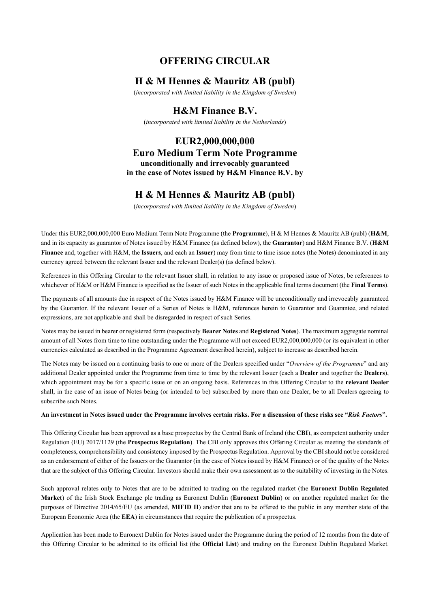# **OFFERING CIRCULAR**

# **H & M Hennes & Mauritz AB (publ)**

(*incorporated with limited liability in the Kingdom of Sweden*)

# **H&M Finance B.V.**

(*incorporated with limited liability in the Netherlands*)

**EUR2,000,000,000 Euro Medium Term Note Programme unconditionally and irrevocably guaranteed in the case of Notes issued by H&M Finance B.V. by**

# **H & M Hennes & Mauritz AB (publ)**

(*incorporated with limited liability in the Kingdom of Sweden*)

Under this EUR2,000,000,000 Euro Medium Term Note Programme (the **Programme**), H & M Hennes & Mauritz AB (publ) (**H&M**, and in its capacity as guarantor of Notes issued by H&M Finance (as defined below), the **Guarantor**) and H&M Finance B.V. (**H&M Finance** and, together with H&M, the **Issuers**, and each an **Issuer**) may from time to time issue notes (the **Notes**) denominated in any currency agreed between the relevant Issuer and the relevant Dealer(s) (as defined below).

References in this Offering Circular to the relevant Issuer shall, in relation to any issue or proposed issue of Notes, be references to whichever of H&M or H&M Finance is specified as the Issuer of such Notes in the applicable final terms document (the **Final Terms**).

The payments of all amounts due in respect of the Notes issued by H&M Finance will be unconditionally and irrevocably guaranteed by the Guarantor. If the relevant Issuer of a Series of Notes is H&M, references herein to Guarantor and Guarantee, and related expressions, are not applicable and shall be disregarded in respect of such Series.

Notes may be issued in bearer or registered form (respectively **Bearer Notes** and **Registered Notes**). The maximum aggregate nominal amount of all Notes from time to time outstanding under the Programme will not exceed EUR2,000,000,000 (or its equivalent in other currencies calculated as described in the Programme Agreement described herein), subject to increase as described herein.

The Notes may be issued on a continuing basis to one or more of the Dealers specified under "*Overview of the Programme*" and any additional Dealer appointed under the Programme from time to time by the relevant Issuer (each a **Dealer** and together the **Dealers**), which appointment may be for a specific issue or on an ongoing basis. References in this Offering Circular to the **relevant Dealer** shall, in the case of an issue of Notes being (or intended to be) subscribed by more than one Dealer, be to all Dealers agreeing to subscribe such Notes.

#### **An investment in Notes issued under the Programme involves certain risks. For a discussion of these risks see "***Risk Factors***".**

This Offering Circular has been approved as a base prospectus by the Central Bank of Ireland (the **CBI**), as competent authority under Regulation (EU) 2017/1129 (the **Prospectus Regulation**). The CBI only approves this Offering Circular as meeting the standards of completeness, comprehensibility and consistency imposed by the Prospectus Regulation. Approval by the CBI should not be considered as an endorsement of either of the Issuers or the Guarantor (in the case of Notes issued by H&M Finance) or of the quality of the Notes that are the subject of this Offering Circular. Investors should make their own assessment as to the suitability of investing in the Notes.

Such approval relates only to Notes that are to be admitted to trading on the regulated market (the **Euronext Dublin Regulated Market**) of the Irish Stock Exchange plc trading as Euronext Dublin (**Euronext Dublin**) or on another regulated market for the purposes of Directive 2014/65/EU (as amended, **MIFID II**) and/or that are to be offered to the public in any member state of the European Economic Area (the **EEA**) in circumstances that require the publication of a prospectus.

Application has been made to Euronext Dublin for Notes issued under the Programme during the period of 12 months from the date of this Offering Circular to be admitted to its official list (the **Official List**) and trading on the Euronext Dublin Regulated Market.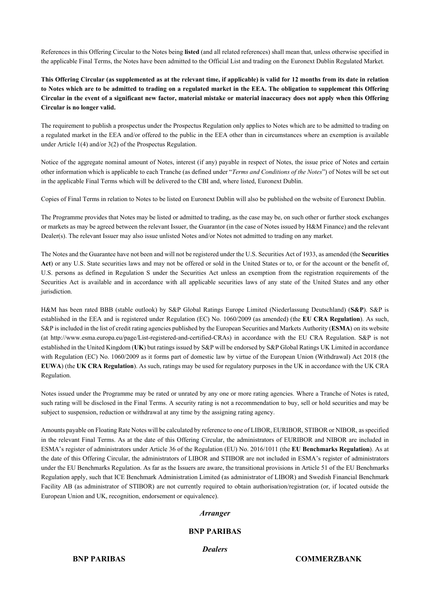References in this Offering Circular to the Notes being **listed** (and all related references) shall mean that, unless otherwise specified in the applicable Final Terms, the Notes have been admitted to the Official List and trading on the Euronext Dublin Regulated Market.

**This Offering Circular (as supplemented as at the relevant time, if applicable) is valid for 12 months from its date in relation to Notes which are to be admitted to trading on a regulated market in the EEA. The obligation to supplement this Offering Circular in the event of a significant new factor, material mistake or material inaccuracy does not apply when this Offering Circular is no longer valid.**

The requirement to publish a prospectus under the Prospectus Regulation only applies to Notes which are to be admitted to trading on a regulated market in the EEA and/or offered to the public in the EEA other than in circumstances where an exemption is available under Article 1(4) and/or 3(2) of the Prospectus Regulation.

Notice of the aggregate nominal amount of Notes, interest (if any) payable in respect of Notes, the issue price of Notes and certain other information which is applicable to each Tranche (as defined under "*Terms and Conditions of the Notes*") of Notes will be set out in the applicable Final Terms which will be delivered to the CBI and, where listed, Euronext Dublin.

Copies of Final Terms in relation to Notes to be listed on Euronext Dublin will also be published on the website of Euronext Dublin.

The Programme provides that Notes may be listed or admitted to trading, as the case may be, on such other or further stock exchanges or markets as may be agreed between the relevant Issuer, the Guarantor (in the case of Notes issued by H&M Finance) and the relevant Dealer(s). The relevant Issuer may also issue unlisted Notes and/or Notes not admitted to trading on any market.

The Notes and the Guarantee have not been and will not be registered under the U.S. Securities Act of 1933, as amended (the **Securities Act**) or any U.S. State securities laws and may not be offered or sold in the United States or to, or for the account or the benefit of, U.S. persons as defined in Regulation S under the Securities Act unless an exemption from the registration requirements of the Securities Act is available and in accordance with all applicable securities laws of any state of the United States and any other jurisdiction.

H&M has been rated BBB (stable outlook) by S&P Global Ratings Europe Limited (Niederlassung Deutschland) (**S&P**). S&P is established in the EEA and is registered under Regulation (EC) No. 1060/2009 (as amended) (the **EU CRA Regulation**). As such, S&P is included in the list of credit rating agencies published by the European Securities and Markets Authority (**ESMA**) on its website (at http://www.esma.europa.eu/page/List-registered-and-certified-CRAs) in accordance with the EU CRA Regulation. S&P is not established in the United Kingdom (**UK**) but ratings issued by S&P will be endorsed by S&P Global Ratings UK Limited in accordance with Regulation (EC) No. 1060/2009 as it forms part of domestic law by virtue of the European Union (Withdrawal) Act 2018 (the **EUWA**) (the **UK CRA Regulation**). As such, ratings may be used for regulatory purposes in the UK in accordance with the UK CRA Regulation.

Notes issued under the Programme may be rated or unrated by any one or more rating agencies. Where a Tranche of Notes is rated, such rating will be disclosed in the Final Terms. A security rating is not a recommendation to buy, sell or hold securities and may be subject to suspension, reduction or withdrawal at any time by the assigning rating agency.

Amounts payable on Floating Rate Notes will be calculated by reference to one of LIBOR, EURIBOR, STIBOR or NIBOR, as specified in the relevant Final Terms. As at the date of this Offering Circular, the administrators of EURIBOR and NIBOR are included in ESMA's register of administrators under Article 36 of the Regulation (EU) No. 2016/1011 (the **EU Benchmarks Regulation**). As at the date of this Offering Circular, the administrators of LIBOR and STIBOR are not included in ESMA's register of administrators under the EU Benchmarks Regulation. As far as the Issuers are aware, the transitional provisions in Article 51 of the EU Benchmarks Regulation apply, such that ICE Benchmark Administration Limited (as administrator of LIBOR) and Swedish Financial Benchmark Facility AB (as administrator of STIBOR) are not currently required to obtain authorisation/registration (or, if located outside the European Union and UK, recognition, endorsement or equivalence).

#### *Arranger*

#### **BNP PARIBAS**

*Dealers*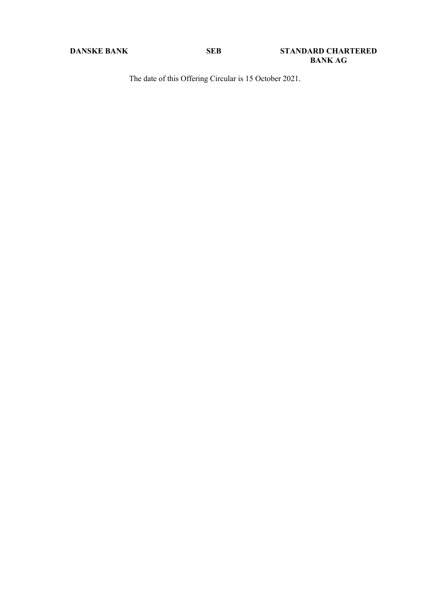The date of this Offering Circular is 15 October 2021.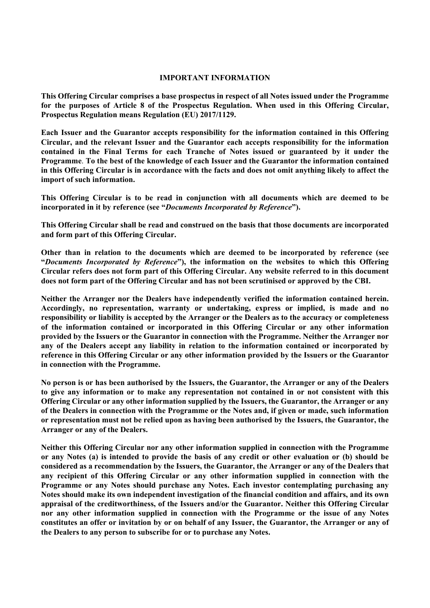#### **IMPORTANT INFORMATION**

**This Offering Circular comprises a base prospectus in respect of all Notes issued under the Programme for the purposes of Article 8 of the Prospectus Regulation. When used in this Offering Circular, Prospectus Regulation means Regulation (EU) 2017/1129.**

**Each Issuer and the Guarantor accepts responsibility for the information contained in this Offering Circular, and the relevant Issuer and the Guarantor each accepts responsibility for the information contained in the Final Terms for each Tranche of Notes issued or guaranteed by it under the Programme**. **To the best of the knowledge of each Issuer and the Guarantor the information contained in this Offering Circular is in accordance with the facts and does not omit anything likely to affect the import of such information.**

**This Offering Circular is to be read in conjunction with all documents which are deemed to be incorporated in it by reference (see "***Documents Incorporated by Reference***").** 

**This Offering Circular shall be read and construed on the basis that those documents are incorporated and form part of this Offering Circular.**

**Other than in relation to the documents which are deemed to be incorporated by reference (see "***Documents Incorporated by Reference***"), the information on the websites to which this Offering Circular refers does not form part of this Offering Circular. Any website referred to in this document does not form part of the Offering Circular and has not been scrutinised or approved by the CBI.** 

**Neither the Arranger nor the Dealers have independently verified the information contained herein. Accordingly, no representation, warranty or undertaking, express or implied, is made and no responsibility or liability is accepted by the Arranger or the Dealers as to the accuracy or completeness of the information contained or incorporated in this Offering Circular or any other information provided by the Issuers or the Guarantor in connection with the Programme. Neither the Arranger nor any of the Dealers accept any liability in relation to the information contained or incorporated by reference in this Offering Circular or any other information provided by the Issuers or the Guarantor in connection with the Programme.**

**No person is or has been authorised by the Issuers, the Guarantor, the Arranger or any of the Dealers to give any information or to make any representation not contained in or not consistent with this Offering Circular or any other information supplied by the Issuers, the Guarantor, the Arranger or any of the Dealers in connection with the Programme or the Notes and, if given or made, such information or representation must not be relied upon as having been authorised by the Issuers, the Guarantor, the Arranger or any of the Dealers.**

**Neither this Offering Circular nor any other information supplied in connection with the Programme or any Notes (a) is intended to provide the basis of any credit or other evaluation or (b) should be considered as a recommendation by the Issuers, the Guarantor, the Arranger or any of the Dealers that any recipient of this Offering Circular or any other information supplied in connection with the Programme or any Notes should purchase any Notes. Each investor contemplating purchasing any Notes should make its own independent investigation of the financial condition and affairs, and its own appraisal of the creditworthiness, of the Issuers and/or the Guarantor. Neither this Offering Circular nor any other information supplied in connection with the Programme or the issue of any Notes constitutes an offer or invitation by or on behalf of any Issuer, the Guarantor, the Arranger or any of the Dealers to any person to subscribe for or to purchase any Notes.**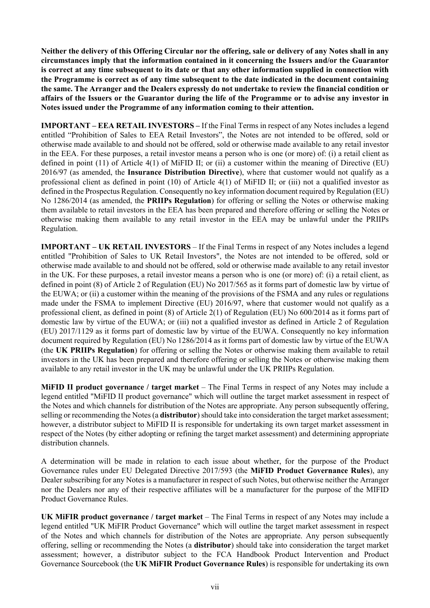**Neither the delivery of this Offering Circular nor the offering, sale or delivery of any Notes shall in any circumstances imply that the information contained in it concerning the Issuers and/or the Guarantor is correct at any time subsequent to its date or that any other information supplied in connection with the Programme is correct as of any time subsequent to the date indicated in the document containing the same. The Arranger and the Dealers expressly do not undertake to review the financial condition or affairs of the Issuers or the Guarantor during the life of the Programme or to advise any investor in Notes issued under the Programme of any information coming to their attention.**

**IMPORTANT – EEA RETAIL INVESTORS –** If the Final Terms in respect of any Notes includes a legend entitled "Prohibition of Sales to EEA Retail Investors", the Notes are not intended to be offered, sold or otherwise made available to and should not be offered, sold or otherwise made available to any retail investor in the EEA. For these purposes, a retail investor means a person who is one (or more) of: (i) a retail client as defined in point (11) of Article 4(1) of MiFID II; or (ii) a customer within the meaning of Directive (EU) 2016/97 (as amended, the **Insurance Distribution Directive**), where that customer would not qualify as a professional client as defined in point (10) of Article 4(1) of MiFID II; or (iii) not a qualified investor as defined in the Prospectus Regulation. Consequently no key information document required by Regulation (EU) No 1286/2014 (as amended, the **PRIIPs Regulation**) for offering or selling the Notes or otherwise making them available to retail investors in the EEA has been prepared and therefore offering or selling the Notes or otherwise making them available to any retail investor in the EEA may be unlawful under the PRIIPs Regulation.

**IMPORTANT – UK RETAIL INVESTORS** – If the Final Terms in respect of any Notes includes a legend entitled "Prohibition of Sales to UK Retail Investors", the Notes are not intended to be offered, sold or otherwise made available to and should not be offered, sold or otherwise made available to any retail investor in the UK. For these purposes, a retail investor means a person who is one (or more) of: (i) a retail client, as defined in point (8) of Article 2 of Regulation (EU) No 2017/565 as it forms part of domestic law by virtue of the EUWA; or (ii) a customer within the meaning of the provisions of the FSMA and any rules or regulations made under the FSMA to implement Directive (EU) 2016/97, where that customer would not qualify as a professional client, as defined in point (8) of Article 2(1) of Regulation (EU) No 600/2014 as it forms part of domestic law by virtue of the EUWA; or (iii) not a qualified investor as defined in Article 2 of Regulation (EU) 2017/1129 as it forms part of domestic law by virtue of the EUWA. Consequently no key information document required by Regulation (EU) No 1286/2014 as it forms part of domestic law by virtue of the EUWA (the **UK PRIIPs Regulation**) for offering or selling the Notes or otherwise making them available to retail investors in the UK has been prepared and therefore offering or selling the Notes or otherwise making them available to any retail investor in the UK may be unlawful under the UK PRIIPs Regulation.

**MiFID II product governance / target market** – The Final Terms in respect of any Notes may include a legend entitled "MiFID II product governance" which will outline the target market assessment in respect of the Notes and which channels for distribution of the Notes are appropriate. Any person subsequently offering, selling or recommending the Notes (a **distributor**) should take into consideration the target market assessment; however, a distributor subject to MiFID II is responsible for undertaking its own target market assessment in respect of the Notes (by either adopting or refining the target market assessment) and determining appropriate distribution channels.

A determination will be made in relation to each issue about whether, for the purpose of the Product Governance rules under EU Delegated Directive 2017/593 (the **MiFID Product Governance Rules**), any Dealer subscribing for any Notes is a manufacturer in respect of such Notes, but otherwise neither the Arranger nor the Dealers nor any of their respective affiliates will be a manufacturer for the purpose of the MIFID Product Governance Rules.

**UK MiFIR product governance / target market** – The Final Terms in respect of any Notes may include a legend entitled "UK MiFIR Product Governance" which will outline the target market assessment in respect of the Notes and which channels for distribution of the Notes are appropriate. Any person subsequently offering, selling or recommending the Notes (a **distributor**) should take into consideration the target market assessment; however, a distributor subject to the FCA Handbook Product Intervention and Product Governance Sourcebook (the **UK MiFIR Product Governance Rules**) is responsible for undertaking its own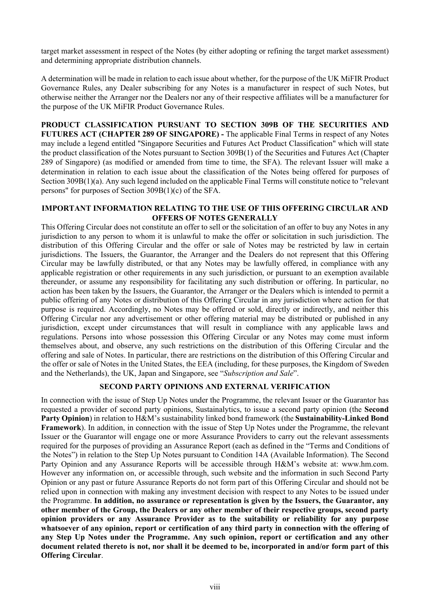target market assessment in respect of the Notes (by either adopting or refining the target market assessment) and determining appropriate distribution channels.

A determination will be made in relation to each issue about whether, for the purpose of the UK MiFIR Product Governance Rules, any Dealer subscribing for any Notes is a manufacturer in respect of such Notes, but otherwise neither the Arranger nor the Dealers nor any of their respective affiliates will be a manufacturer for the purpose of the UK MiFIR Product Governance Rules.

**PRODUCT CLASSIFICATION PURSUANT TO SECTION 309B OF THE SECURITIES AND FUTURES ACT (CHAPTER 289 OF SINGAPORE) -** The applicable Final Terms in respect of any Notes may include a legend entitled "Singapore Securities and Futures Act Product Classification" which will state the product classification of the Notes pursuant to Section 309B(1) of the Securities and Futures Act (Chapter 289 of Singapore) (as modified or amended from time to time, the SFA). The relevant Issuer will make a determination in relation to each issue about the classification of the Notes being offered for purposes of Section 309B(1)(a). Any such legend included on the applicable Final Terms will constitute notice to "relevant persons" for purposes of Section 309B(1)(c) of the SFA.

#### **IMPORTANT INFORMATION RELATING TO THE USE OF THIS OFFERING CIRCULAR AND OFFERS OF NOTES GENERALLY**

This Offering Circular does not constitute an offer to sell or the solicitation of an offer to buy any Notes in any jurisdiction to any person to whom it is unlawful to make the offer or solicitation in such jurisdiction. The distribution of this Offering Circular and the offer or sale of Notes may be restricted by law in certain jurisdictions. The Issuers, the Guarantor, the Arranger and the Dealers do not represent that this Offering Circular may be lawfully distributed, or that any Notes may be lawfully offered, in compliance with any applicable registration or other requirements in any such jurisdiction, or pursuant to an exemption available thereunder, or assume any responsibility for facilitating any such distribution or offering. In particular, no action has been taken by the Issuers, the Guarantor, the Arranger or the Dealers which is intended to permit a public offering of any Notes or distribution of this Offering Circular in any jurisdiction where action for that purpose is required. Accordingly, no Notes may be offered or sold, directly or indirectly, and neither this Offering Circular nor any advertisement or other offering material may be distributed or published in any jurisdiction, except under circumstances that will result in compliance with any applicable laws and regulations. Persons into whose possession this Offering Circular or any Notes may come must inform themselves about, and observe, any such restrictions on the distribution of this Offering Circular and the offering and sale of Notes. In particular, there are restrictions on the distribution of this Offering Circular and the offer or sale of Notes in the United States, the EEA (including, for these purposes, the Kingdom of Sweden and the Netherlands), the UK, Japan and Singapore, see "*Subscription and Sale*".

# **SECOND PARTY OPINIONS AND EXTERNAL VERIFICATION**

In connection with the issue of Step Up Notes under the Programme, the relevant Issuer or the Guarantor has requested a provider of second party opinions, Sustainalytics, to issue a second party opinion (the **Second Party Opinion**) in relation to H&M's sustainability linked bond framework (the **Sustainability-Linked Bond Framework**). In addition, in connection with the issue of Step Up Notes under the Programme, the relevant Issuer or the Guarantor will engage one or more Assurance Providers to carry out the relevant assessments required for the purposes of providing an Assurance Report (each as defined in the "Terms and Conditions of the Notes") in relation to the Step Up Notes pursuant to Condition 14A (Available Information). The Second Party Opinion and any Assurance Reports will be accessible through H&M's website at: www.hm.com. However any information on, or accessible through, such website and the information in such Second Party Opinion or any past or future Assurance Reports do not form part of this Offering Circular and should not be relied upon in connection with making any investment decision with respect to any Notes to be issued under the Programme. **In addition, no assurance or representation is given by the Issuers, the Guarantor, any other member of the Group, the Dealers or any other member of their respective groups, second party opinion providers or any Assurance Provider as to the suitability or reliability for any purpose whatsoever of any opinion, report or certification of any third party in connection with the offering of any Step Up Notes under the Programme. Any such opinion, report or certification and any other document related thereto is not, nor shall it be deemed to be, incorporated in and/or form part of this Offering Circular**.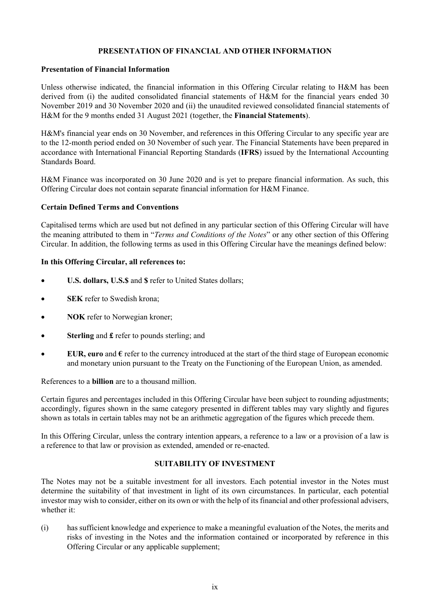# **PRESENTATION OF FINANCIAL AND OTHER INFORMATION**

### **Presentation of Financial Information**

Unless otherwise indicated, the financial information in this Offering Circular relating to H&M has been derived from (i) the audited consolidated financial statements of H&M for the financial years ended 30 November 2019 and 30 November 2020 and (ii) the unaudited reviewed consolidated financial statements of H&M for the 9 months ended 31 August 2021 (together, the **Financial Statements**).

H&M's financial year ends on 30 November, and references in this Offering Circular to any specific year are to the 12-month period ended on 30 November of such year. The Financial Statements have been prepared in accordance with International Financial Reporting Standards (**IFRS**) issued by the International Accounting Standards Board.

H&M Finance was incorporated on 30 June 2020 and is yet to prepare financial information. As such, this Offering Circular does not contain separate financial information for H&M Finance.

# **Certain Defined Terms and Conventions**

Capitalised terms which are used but not defined in any particular section of this Offering Circular will have the meaning attributed to them in "*Terms and Conditions of the Notes*" or any other section of this Offering Circular. In addition, the following terms as used in this Offering Circular have the meanings defined below:

# **In this Offering Circular, all references to:**

- **U.S. dollars, U.S.\$** and **\$** refer to United States dollars;
- **SEK** refer to Swedish krona;
- **NOK** refer to Norwegian kroner;
- **Sterling** and **£** refer to pounds sterling; and
- **EUR, euro and**  $\epsilon$  **refer to the currency introduced at the start of the third stage of European economic** and monetary union pursuant to the Treaty on the Functioning of the European Union, as amended.

References to a **billion** are to a thousand million.

Certain figures and percentages included in this Offering Circular have been subject to rounding adjustments; accordingly, figures shown in the same category presented in different tables may vary slightly and figures shown as totals in certain tables may not be an arithmetic aggregation of the figures which precede them.

In this Offering Circular, unless the contrary intention appears, a reference to a law or a provision of a law is a reference to that law or provision as extended, amended or re-enacted.

# **SUITABILITY OF INVESTMENT**

The Notes may not be a suitable investment for all investors. Each potential investor in the Notes must determine the suitability of that investment in light of its own circumstances. In particular, each potential investor may wish to consider, either on its own or with the help of its financial and other professional advisers, whether it:

(i) has sufficient knowledge and experience to make a meaningful evaluation of the Notes, the merits and risks of investing in the Notes and the information contained or incorporated by reference in this Offering Circular or any applicable supplement;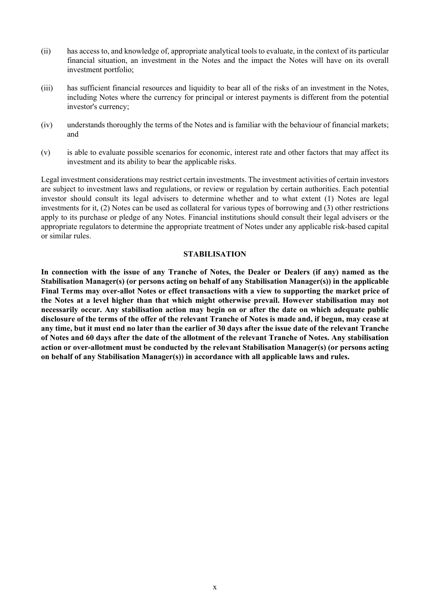- (ii) has access to, and knowledge of, appropriate analytical tools to evaluate, in the context of its particular financial situation, an investment in the Notes and the impact the Notes will have on its overall investment portfolio;
- (iii) has sufficient financial resources and liquidity to bear all of the risks of an investment in the Notes, including Notes where the currency for principal or interest payments is different from the potential investor's currency;
- (iv) understands thoroughly the terms of the Notes and is familiar with the behaviour of financial markets; and
- (v) is able to evaluate possible scenarios for economic, interest rate and other factors that may affect its investment and its ability to bear the applicable risks.

Legal investment considerations may restrict certain investments. The investment activities of certain investors are subject to investment laws and regulations, or review or regulation by certain authorities. Each potential investor should consult its legal advisers to determine whether and to what extent (1) Notes are legal investments for it, (2) Notes can be used as collateral for various types of borrowing and (3) other restrictions apply to its purchase or pledge of any Notes. Financial institutions should consult their legal advisers or the appropriate regulators to determine the appropriate treatment of Notes under any applicable risk-based capital or similar rules.

#### **STABILISATION**

**In connection with the issue of any Tranche of Notes, the Dealer or Dealers (if any) named as the Stabilisation Manager(s) (or persons acting on behalf of any Stabilisation Manager(s)) in the applicable Final Terms may over-allot Notes or effect transactions with a view to supporting the market price of the Notes at a level higher than that which might otherwise prevail. However stabilisation may not necessarily occur. Any stabilisation action may begin on or after the date on which adequate public disclosure of the terms of the offer of the relevant Tranche of Notes is made and, if begun, may cease at any time, but it must end no later than the earlier of 30 days after the issue date of the relevant Tranche of Notes and 60 days after the date of the allotment of the relevant Tranche of Notes. Any stabilisation action or over-allotment must be conducted by the relevant Stabilisation Manager(s) (or persons acting on behalf of any Stabilisation Manager(s)) in accordance with all applicable laws and rules.**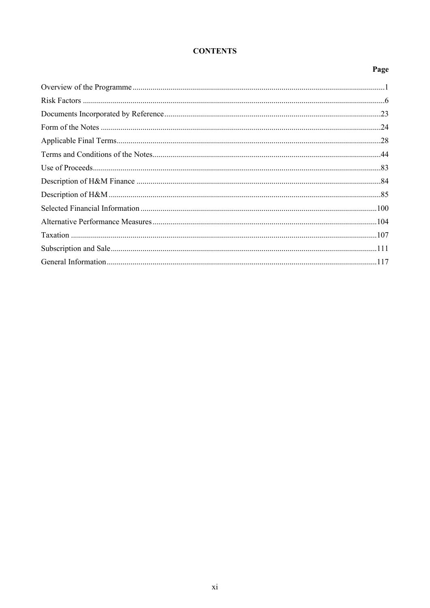# **CONTENTS**

# Page

<span id="page-8-0"></span>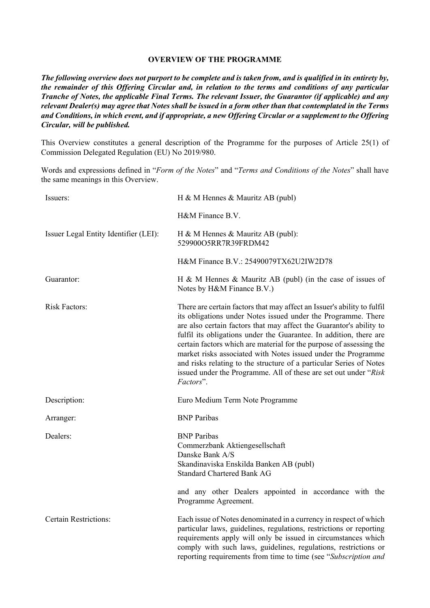# **OVERVIEW OF THE PROGRAMME**

*The following overview does not purport to be complete and is taken from, and is qualified in its entirety by, the remainder of this Offering Circular and, in relation to the terms and conditions of any particular Tranche of Notes, the applicable Final Terms. The relevant Issuer, the Guarantor (if applicable) and any relevant Dealer(s) may agree that Notes shall be issued in a form other than that contemplated in the Terms and Conditions, in which event, and if appropriate, a new Offering Circular or a supplement to the Offering Circular, will be published.*

This Overview constitutes a general description of the Programme for the purposes of Article 25(1) of Commission Delegated Regulation (EU) No 2019/980.

Words and expressions defined in "*Form of the Notes*" and "*Terms and Conditions of the Notes*" shall have the same meanings in this Overview.

| Issuers:                              | H & M Hennes & Mauritz AB (publ)                                                                                                                                                                                                                                                                                                                                                                                                                                                                                                                                                      |
|---------------------------------------|---------------------------------------------------------------------------------------------------------------------------------------------------------------------------------------------------------------------------------------------------------------------------------------------------------------------------------------------------------------------------------------------------------------------------------------------------------------------------------------------------------------------------------------------------------------------------------------|
|                                       | H&M Finance B.V.                                                                                                                                                                                                                                                                                                                                                                                                                                                                                                                                                                      |
| Issuer Legal Entity Identifier (LEI): | H & M Hennes & Mauritz AB (publ):<br>529900O5RR7R39FRDM42                                                                                                                                                                                                                                                                                                                                                                                                                                                                                                                             |
|                                       | H&M Finance B.V.: 25490079TX62U2IW2D78                                                                                                                                                                                                                                                                                                                                                                                                                                                                                                                                                |
| Guarantor:                            | H & M Hennes & Mauritz AB (publ) (in the case of issues of<br>Notes by H&M Finance B.V.)                                                                                                                                                                                                                                                                                                                                                                                                                                                                                              |
| <b>Risk Factors:</b>                  | There are certain factors that may affect an Issuer's ability to fulfil<br>its obligations under Notes issued under the Programme. There<br>are also certain factors that may affect the Guarantor's ability to<br>fulfil its obligations under the Guarantee. In addition, there are<br>certain factors which are material for the purpose of assessing the<br>market risks associated with Notes issued under the Programme<br>and risks relating to the structure of a particular Series of Notes<br>issued under the Programme. All of these are set out under "Risk<br>Factors". |
| Description:                          | Euro Medium Term Note Programme                                                                                                                                                                                                                                                                                                                                                                                                                                                                                                                                                       |
| Arranger:                             | <b>BNP</b> Paribas                                                                                                                                                                                                                                                                                                                                                                                                                                                                                                                                                                    |
| Dealers:                              | <b>BNP</b> Paribas<br>Commerzbank Aktiengesellschaft<br>Danske Bank A/S<br>Skandinaviska Enskilda Banken AB (publ)<br><b>Standard Chartered Bank AG</b>                                                                                                                                                                                                                                                                                                                                                                                                                               |
|                                       | and any other Dealers appointed in accordance with the<br>Programme Agreement.                                                                                                                                                                                                                                                                                                                                                                                                                                                                                                        |
| <b>Certain Restrictions:</b>          | Each issue of Notes denominated in a currency in respect of which<br>particular laws, guidelines, regulations, restrictions or reporting<br>requirements apply will only be issued in circumstances which<br>comply with such laws, guidelines, regulations, restrictions or<br>reporting requirements from time to time (see "Subscription and                                                                                                                                                                                                                                       |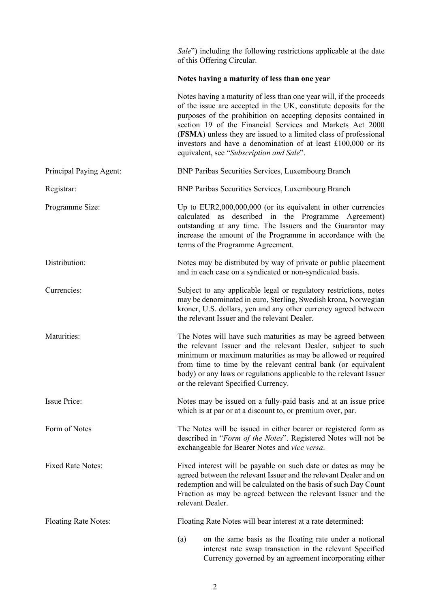*Sale*") including the following restrictions applicable at the date of this Offering Circular.

# **Notes having a maturity of less than one year**

|                             | Notes having a maturity of less than one year will, if the proceeds<br>of the issue are accepted in the UK, constitute deposits for the<br>purposes of the prohibition on accepting deposits contained in<br>section 19 of the Financial Services and Markets Act 2000<br>(FSMA) unless they are issued to a limited class of professional<br>investors and have a denomination of at least $£100,000$ or its<br>equivalent, see "Subscription and Sale". |
|-----------------------------|-----------------------------------------------------------------------------------------------------------------------------------------------------------------------------------------------------------------------------------------------------------------------------------------------------------------------------------------------------------------------------------------------------------------------------------------------------------|
| Principal Paying Agent:     | BNP Paribas Securities Services, Luxembourg Branch                                                                                                                                                                                                                                                                                                                                                                                                        |
| Registrar:                  | BNP Paribas Securities Services, Luxembourg Branch                                                                                                                                                                                                                                                                                                                                                                                                        |
| Programme Size:             | Up to $EUR2,000,000,000$ (or its equivalent in other currencies<br>calculated as described in the Programme Agreement)<br>outstanding at any time. The Issuers and the Guarantor may<br>increase the amount of the Programme in accordance with the<br>terms of the Programme Agreement.                                                                                                                                                                  |
| Distribution:               | Notes may be distributed by way of private or public placement<br>and in each case on a syndicated or non-syndicated basis.                                                                                                                                                                                                                                                                                                                               |
| Currencies:                 | Subject to any applicable legal or regulatory restrictions, notes<br>may be denominated in euro, Sterling, Swedish krona, Norwegian<br>kroner, U.S. dollars, yen and any other currency agreed between<br>the relevant Issuer and the relevant Dealer.                                                                                                                                                                                                    |
| Maturities:                 | The Notes will have such maturities as may be agreed between<br>the relevant Issuer and the relevant Dealer, subject to such<br>minimum or maximum maturities as may be allowed or required<br>from time to time by the relevant central bank (or equivalent<br>body) or any laws or regulations applicable to the relevant Issuer<br>or the relevant Specified Currency.                                                                                 |
| <b>Issue Price:</b>         | Notes may be issued on a fully-paid basis and at an issue price<br>which is at par or at a discount to, or premium over, par.                                                                                                                                                                                                                                                                                                                             |
| Form of Notes               | The Notes will be issued in either bearer or registered form as<br>described in "Form of the Notes". Registered Notes will not be<br>exchangeable for Bearer Notes and vice versa.                                                                                                                                                                                                                                                                        |
| <b>Fixed Rate Notes:</b>    | Fixed interest will be payable on such date or dates as may be<br>agreed between the relevant Issuer and the relevant Dealer and on<br>redemption and will be calculated on the basis of such Day Count<br>Fraction as may be agreed between the relevant Issuer and the<br>relevant Dealer.                                                                                                                                                              |
| <b>Floating Rate Notes:</b> | Floating Rate Notes will bear interest at a rate determined:                                                                                                                                                                                                                                                                                                                                                                                              |
|                             | on the same basis as the floating rate under a notional<br>(a)<br>interest rate swap transaction in the relevant Specified<br>Currency governed by an agreement incorporating either                                                                                                                                                                                                                                                                      |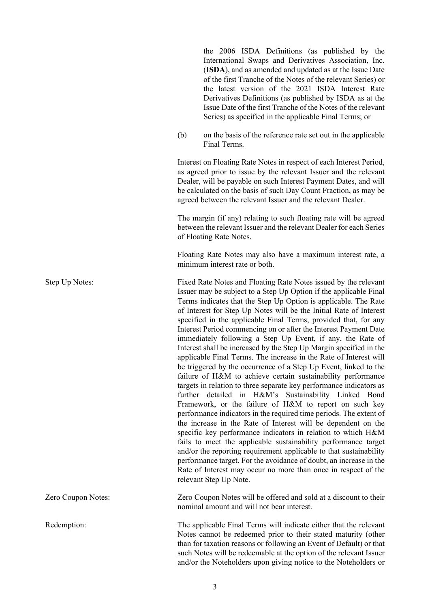the 2006 ISDA Definitions (as published by the International Swaps and Derivatives Association, Inc. (**ISDA**), and as amended and updated as at the Issue Date of the first Tranche of the Notes of the relevant Series) or the latest version of the 2021 ISDA Interest Rate Derivatives Definitions (as published by ISDA as at the Issue Date of the first Tranche of the Notes of the relevant Series) as specified in the applicable Final Terms; or

(b) on the basis of the reference rate set out in the applicable Final Terms.

Interest on Floating Rate Notes in respect of each Interest Period, as agreed prior to issue by the relevant Issuer and the relevant Dealer, will be payable on such Interest Payment Dates, and will be calculated on the basis of such Day Count Fraction, as may be agreed between the relevant Issuer and the relevant Dealer.

The margin (if any) relating to such floating rate will be agreed between the relevant Issuer and the relevant Dealer for each Series of Floating Rate Notes.

Floating Rate Notes may also have a maximum interest rate, a minimum interest rate or both.

Step Up Notes: Fixed Rate Notes and Floating Rate Notes issued by the relevant Issuer may be subject to a Step Up Option if the applicable Final Terms indicates that the Step Up Option is applicable. The Rate of Interest for Step Up Notes will be the Initial Rate of Interest specified in the applicable Final Terms, provided that, for any Interest Period commencing on or after the Interest Payment Date immediately following a Step Up Event, if any, the Rate of Interest shall be increased by the Step Up Margin specified in the applicable Final Terms. The increase in the Rate of Interest will be triggered by the occurrence of a Step Up Event, linked to the failure of H&M to achieve certain sustainability performance targets in relation to three separate key performance indicators as further detailed in H&M's Sustainability Linked Bond Framework, or the failure of H&M to report on such key performance indicators in the required time periods. The extent of the increase in the Rate of Interest will be dependent on the specific key performance indicators in relation to which H&M fails to meet the applicable sustainability performance target and/or the reporting requirement applicable to that sustainability performance target. For the avoidance of doubt, an increase in the Rate of Interest may occur no more than once in respect of the relevant Step Up Note.

Zero Coupon Notes: Zero Coupon Notes will be offered and sold at a discount to their nominal amount and will not bear interest.

Redemption: The applicable Final Terms will indicate either that the relevant Notes cannot be redeemed prior to their stated maturity (other than for taxation reasons or following an Event of Default) or that such Notes will be redeemable at the option of the relevant Issuer and/or the Noteholders upon giving notice to the Noteholders or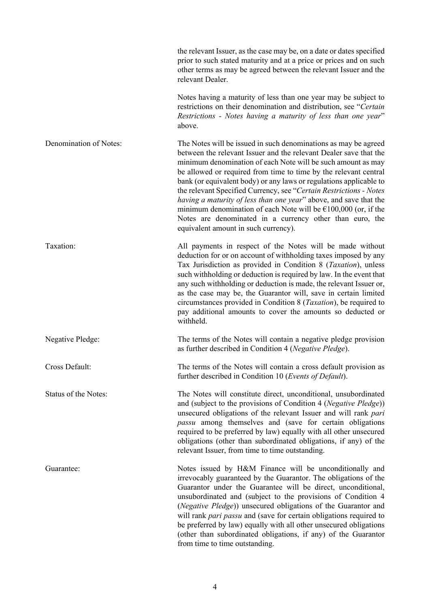|                        | the relevant Issuer, as the case may be, on a date or dates specified<br>prior to such stated maturity and at a price or prices and on such<br>other terms as may be agreed between the relevant Issuer and the<br>relevant Dealer.                                                                                                                                                                                                                                                                                                                                                                                                                               |
|------------------------|-------------------------------------------------------------------------------------------------------------------------------------------------------------------------------------------------------------------------------------------------------------------------------------------------------------------------------------------------------------------------------------------------------------------------------------------------------------------------------------------------------------------------------------------------------------------------------------------------------------------------------------------------------------------|
|                        | Notes having a maturity of less than one year may be subject to<br>restrictions on their denomination and distribution, see "Certain<br>Restrictions - Notes having a maturity of less than one year"<br>above.                                                                                                                                                                                                                                                                                                                                                                                                                                                   |
| Denomination of Notes: | The Notes will be issued in such denominations as may be agreed<br>between the relevant Issuer and the relevant Dealer save that the<br>minimum denomination of each Note will be such amount as may<br>be allowed or required from time to time by the relevant central<br>bank (or equivalent body) or any laws or regulations applicable to<br>the relevant Specified Currency, see "Certain Restrictions - Notes<br>having a maturity of less than one year" above, and save that the<br>minimum denomination of each Note will be $£100,000$ (or, if the<br>Notes are denominated in a currency other than euro, the<br>equivalent amount in such currency). |
| Taxation:              | All payments in respect of the Notes will be made without<br>deduction for or on account of withholding taxes imposed by any<br>Tax Jurisdiction as provided in Condition 8 (Taxation), unless<br>such withholding or deduction is required by law. In the event that<br>any such withholding or deduction is made, the relevant Issuer or,<br>as the case may be, the Guarantor will, save in certain limited<br>circumstances provided in Condition 8 ( <i>Taxation</i> ), be required to<br>pay additional amounts to cover the amounts so deducted or<br>withheld.                                                                                            |
| Negative Pledge:       | The terms of the Notes will contain a negative pledge provision<br>as further described in Condition 4 (Negative Pledge).                                                                                                                                                                                                                                                                                                                                                                                                                                                                                                                                         |
| Cross Default:         | The terms of the Notes will contain a cross default provision as<br>further described in Condition 10 (Events of Default).                                                                                                                                                                                                                                                                                                                                                                                                                                                                                                                                        |
| Status of the Notes:   | The Notes will constitute direct, unconditional, unsubordinated<br>and (subject to the provisions of Condition 4 (Negative Pledge))<br>unsecured obligations of the relevant Issuer and will rank pari<br>passu among themselves and (save for certain obligations<br>required to be preferred by law) equally with all other unsecured<br>obligations (other than subordinated obligations, if any) of the<br>relevant Issuer, from time to time outstanding.                                                                                                                                                                                                    |
| Guarantee:             | Notes issued by H&M Finance will be unconditionally and<br>irrevocably guaranteed by the Guarantor. The obligations of the<br>Guarantor under the Guarantee will be direct, unconditional,<br>unsubordinated and (subject to the provisions of Condition 4<br>(Negative Pledge)) unsecured obligations of the Guarantor and<br>will rank pari passu and (save for certain obligations required to<br>be preferred by law) equally with all other unsecured obligations<br>(other than subordinated obligations, if any) of the Guarantor<br>from time to time outstanding.                                                                                        |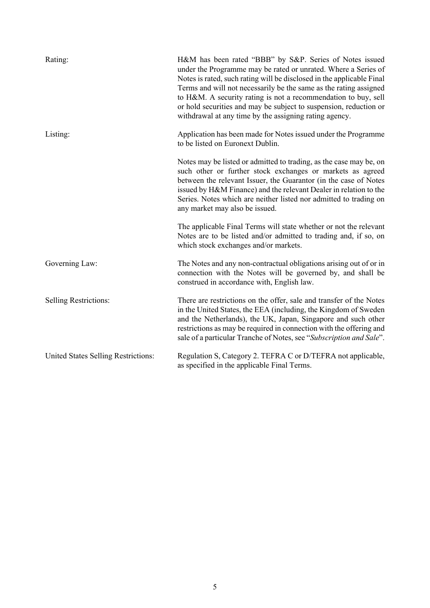| Rating:                             | H&M has been rated "BBB" by S&P. Series of Notes issued<br>under the Programme may be rated or unrated. Where a Series of<br>Notes is rated, such rating will be disclosed in the applicable Final<br>Terms and will not necessarily be the same as the rating assigned<br>to H&M. A security rating is not a recommendation to buy, sell<br>or hold securities and may be subject to suspension, reduction or<br>withdrawal at any time by the assigning rating agency. |
|-------------------------------------|--------------------------------------------------------------------------------------------------------------------------------------------------------------------------------------------------------------------------------------------------------------------------------------------------------------------------------------------------------------------------------------------------------------------------------------------------------------------------|
| Listing:                            | Application has been made for Notes issued under the Programme<br>to be listed on Euronext Dublin.                                                                                                                                                                                                                                                                                                                                                                       |
|                                     | Notes may be listed or admitted to trading, as the case may be, on<br>such other or further stock exchanges or markets as agreed<br>between the relevant Issuer, the Guarantor (in the case of Notes<br>issued by H&M Finance) and the relevant Dealer in relation to the<br>Series. Notes which are neither listed nor admitted to trading on<br>any market may also be issued.                                                                                         |
|                                     | The applicable Final Terms will state whether or not the relevant<br>Notes are to be listed and/or admitted to trading and, if so, on<br>which stock exchanges and/or markets.                                                                                                                                                                                                                                                                                           |
| Governing Law:                      | The Notes and any non-contractual obligations arising out of or in<br>connection with the Notes will be governed by, and shall be<br>construed in accordance with, English law.                                                                                                                                                                                                                                                                                          |
| <b>Selling Restrictions:</b>        | There are restrictions on the offer, sale and transfer of the Notes<br>in the United States, the EEA (including, the Kingdom of Sweden<br>and the Netherlands), the UK, Japan, Singapore and such other<br>restrictions as may be required in connection with the offering and<br>sale of a particular Tranche of Notes, see "Subscription and Sale".                                                                                                                    |
| United States Selling Restrictions: | Regulation S, Category 2. TEFRA C or D/TEFRA not applicable,<br>as specified in the applicable Final Terms.                                                                                                                                                                                                                                                                                                                                                              |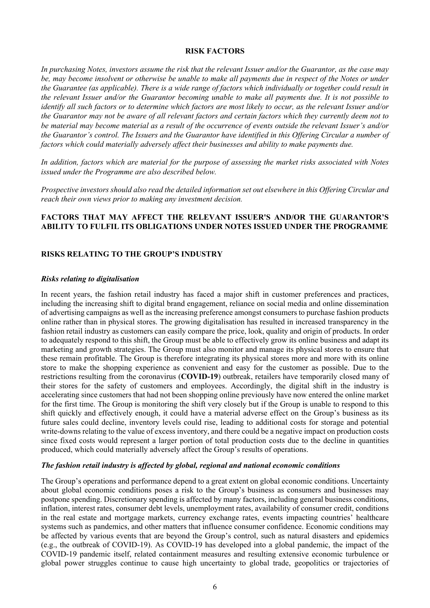### <span id="page-14-0"></span>**RISK FACTORS**

*In purchasing Notes, investors assume the risk that the relevant Issuer and/or the Guarantor, as the case may be, may become insolvent or otherwise be unable to make all payments due in respect of the Notes or under the Guarantee (as applicable). There is a wide range of factors which individually or together could result in the relevant Issuer and/or the Guarantor becoming unable to make all payments due. It is not possible to identify all such factors or to determine which factors are most likely to occur, as the relevant Issuer and/or the Guarantor may not be aware of all relevant factors and certain factors which they currently deem not to be material may become material as a result of the occurrence of events outside the relevant Issuer's and/or the Guarantor's control. The Issuers and the Guarantor have identified in this Offering Circular a number of factors which could materially adversely affect their businesses and ability to make payments due.* 

*In addition, factors which are material for the purpose of assessing the market risks associated with Notes issued under the Programme are also described below.*

*Prospective investors should also read the detailed information set out elsewhere in this Offering Circular and reach their own views prior to making any investment decision.*

## **FACTORS THAT MAY AFFECT THE RELEVANT ISSUER'S AND/OR THE GUARANTOR'S ABILITY TO FULFIL ITS OBLIGATIONS UNDER NOTES ISSUED UNDER THE PROGRAMME**

#### **RISKS RELATING TO THE GROUP'S INDUSTRY**

#### *Risks relating to digitalisation*

In recent years, the fashion retail industry has faced a major shift in customer preferences and practices, including the increasing shift to digital brand engagement, reliance on social media and online dissemination of advertising campaigns as well as the increasing preference amongst consumers to purchase fashion products online rather than in physical stores. The growing digitalisation has resulted in increased transparency in the fashion retail industry as customers can easily compare the price, look, quality and origin of products. In order to adequately respond to this shift, the Group must be able to effectively grow its online business and adapt its marketing and growth strategies. The Group must also monitor and manage its physical stores to ensure that these remain profitable. The Group is therefore integrating its physical stores more and more with its online store to make the shopping experience as convenient and easy for the customer as possible. Due to the restrictions resulting from the coronavirus (**COVID-19**) outbreak, retailers have temporarily closed many of their stores for the safety of customers and employees. Accordingly, the digital shift in the industry is accelerating since customers that had not been shopping online previously have now entered the online market for the first time. The Group is monitoring the shift very closely but if the Group is unable to respond to this shift quickly and effectively enough, it could have a material adverse effect on the Group's business as its future sales could decline, inventory levels could rise, leading to additional costs for storage and potential write-downs relating to the value of excess inventory, and there could be a negative impact on production costs since fixed costs would represent a larger portion of total production costs due to the decline in quantities produced, which could materially adversely affect the Group's results of operations.

#### *The fashion retail industry is affected by global, regional and national economic conditions*

The Group's operations and performance depend to a great extent on global economic conditions. Uncertainty about global economic conditions poses a risk to the Group's business as consumers and businesses may postpone spending. Discretionary spending is affected by many factors, including general business conditions, inflation, interest rates, consumer debt levels, unemployment rates, availability of consumer credit, conditions in the real estate and mortgage markets, currency exchange rates, events impacting countries' healthcare systems such as pandemics, and other matters that influence consumer confidence. Economic conditions may be affected by various events that are beyond the Group's control, such as natural disasters and epidemics (e.g., the outbreak of COVID-19). As COVID-19 has developed into a global pandemic, the impact of the COVID-19 pandemic itself, related containment measures and resulting extensive economic turbulence or global power struggles continue to cause high uncertainty to global trade, geopolitics or trajectories of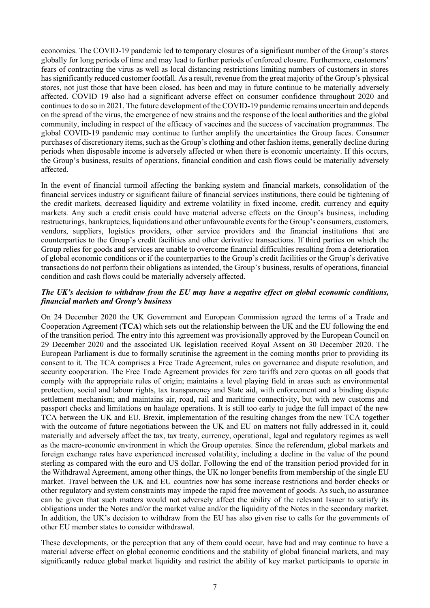economies. The COVID-19 pandemic led to temporary closures of a significant number of the Group's stores globally for long periods of time and may lead to further periods of enforced closure. Furthermore, customers' fears of contracting the virus as well as local distancing restrictions limiting numbers of customers in stores has significantly reduced customer footfall. As a result, revenue from the great majority of the Group's physical stores, not just those that have been closed, has been and may in future continue to be materially adversely affected. COVID 19 also had a significant adverse effect on consumer confidence throughout 2020 and continues to do so in 2021. The future development of the COVID-19 pandemic remains uncertain and depends on the spread of the virus, the emergence of new strains and the response of the local authorities and the global community, including in respect of the efficacy of vaccines and the success of vaccination programmes. The global COVID-19 pandemic may continue to further amplify the uncertainties the Group faces. Consumer purchases of discretionary items, such as the Group's clothing and other fashion items, generally decline during periods when disposable income is adversely affected or when there is economic uncertainty. If this occurs, the Group's business, results of operations, financial condition and cash flows could be materially adversely affected.

In the event of financial turmoil affecting the banking system and financial markets, consolidation of the financial services industry or significant failure of financial services institutions, there could be tightening of the credit markets, decreased liquidity and extreme volatility in fixed income, credit, currency and equity markets. Any such a credit crisis could have material adverse effects on the Group's business, including restructurings, bankruptcies, liquidations and other unfavourable events for the Group's consumers, customers, vendors, suppliers, logistics providers, other service providers and the financial institutions that are counterparties to the Group's credit facilities and other derivative transactions. If third parties on which the Group relies for goods and services are unable to overcome financial difficulties resulting from a deterioration of global economic conditions or if the counterparties to the Group's credit facilities or the Group's derivative transactions do not perform their obligations as intended, the Group's business, results of operations, financial condition and cash flows could be materially adversely affected.

### *The UK's decision to withdraw from the EU may have a negative effect on global economic conditions, financial markets and Group's business*

On 24 December 2020 the UK Government and European Commission agreed the terms of a Trade and Cooperation Agreement (**TCA**) which sets out the relationship between the UK and the EU following the end of the transition period. The entry into this agreement was provisionally approved by the European Council on 29 December 2020 and the associated UK legislation received Royal Assent on 30 December 2020. The European Parliament is due to formally scrutinise the agreement in the coming months prior to providing its consent to it. The TCA comprises a Free Trade Agreement, rules on governance and dispute resolution, and security cooperation. The Free Trade Agreement provides for zero tariffs and zero quotas on all goods that comply with the appropriate rules of origin; maintains a level playing field in areas such as environmental protection, social and labour rights, tax transparency and State aid, with enforcement and a binding dispute settlement mechanism; and maintains air, road, rail and maritime connectivity, but with new customs and passport checks and limitations on haulage operations. It is still too early to judge the full impact of the new TCA between the UK and EU. Brexit, implementation of the resulting changes from the new TCA together with the outcome of future negotiations between the UK and EU on matters not fully addressed in it, could materially and adversely affect the tax, tax treaty, currency, operational, legal and regulatory regimes as well as the macro-economic environment in which the Group operates. Since the referendum, global markets and foreign exchange rates have experienced increased volatility, including a decline in the value of the pound sterling as compared with the euro and US dollar. Following the end of the transition period provided for in the Withdrawal Agreement, among other things, the UK no longer benefits from membership of the single EU market. Travel between the UK and EU countries now has some increase restrictions and border checks or other regulatory and system constraints may impede the rapid free movement of goods. As such, no assurance can be given that such matters would not adversely affect the ability of the relevant Issuer to satisfy its obligations under the Notes and/or the market value and/or the liquidity of the Notes in the secondary market. In addition, the UK's decision to withdraw from the EU has also given rise to calls for the governments of other EU member states to consider withdrawal.

These developments, or the perception that any of them could occur, have had and may continue to have a material adverse effect on global economic conditions and the stability of global financial markets, and may significantly reduce global market liquidity and restrict the ability of key market participants to operate in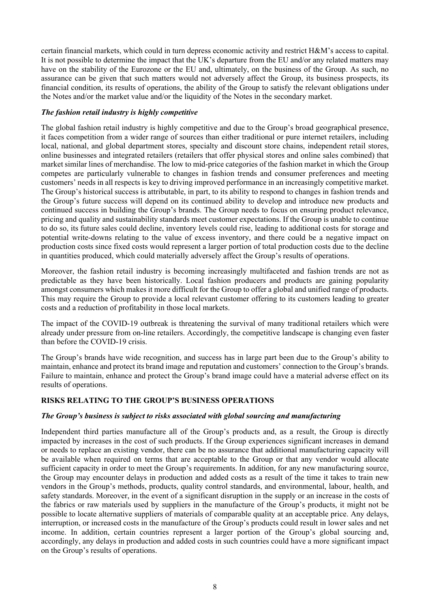certain financial markets, which could in turn depress economic activity and restrict H&M's access to capital. It is not possible to determine the impact that the UK's departure from the EU and/or any related matters may have on the stability of the Eurozone or the EU and, ultimately, on the business of the Group. As such, no assurance can be given that such matters would not adversely affect the Group, its business prospects, its financial condition, its results of operations, the ability of the Group to satisfy the relevant obligations under the Notes and/or the market value and/or the liquidity of the Notes in the secondary market.

# *The fashion retail industry is highly competitive*

The global fashion retail industry is highly competitive and due to the Group's broad geographical presence, it faces competition from a wider range of sources than either traditional or pure internet retailers, including local, national, and global department stores, specialty and discount store chains, independent retail stores, online businesses and integrated retailers (retailers that offer physical stores and online sales combined) that market similar lines of merchandise. The low to mid-price categories of the fashion market in which the Group competes are particularly vulnerable to changes in fashion trends and consumer preferences and meeting customers' needs in all respects is key to driving improved performance in an increasingly competitive market. The Group's historical success is attributable, in part, to its ability to respond to changes in fashion trends and the Group's future success will depend on its continued ability to develop and introduce new products and continued success in building the Group's brands. The Group needs to focus on ensuring product relevance, pricing and quality and sustainability standards meet customer expectations. If the Group is unable to continue to do so, its future sales could decline, inventory levels could rise, leading to additional costs for storage and potential write-downs relating to the value of excess inventory, and there could be a negative impact on production costs since fixed costs would represent a larger portion of total production costs due to the decline in quantities produced, which could materially adversely affect the Group's results of operations.

Moreover, the fashion retail industry is becoming increasingly multifaceted and fashion trends are not as predictable as they have been historically. Local fashion producers and products are gaining popularity amongst consumers which makes it more difficult for the Group to offer a global and unified range of products. This may require the Group to provide a local relevant customer offering to its customers leading to greater costs and a reduction of profitability in those local markets.

The impact of the COVID-19 outbreak is threatening the survival of many traditional retailers which were already under pressure from on-line retailers. Accordingly, the competitive landscape is changing even faster than before the COVID-19 crisis.

The Group's brands have wide recognition, and success has in large part been due to the Group's ability to maintain, enhance and protect its brand image and reputation and customers' connection to the Group's brands. Failure to maintain, enhance and protect the Group's brand image could have a material adverse effect on its results of operations.

# **RISKS RELATING TO THE GROUP'S BUSINESS OPERATIONS**

### *The Group's business is subject to risks associated with global sourcing and manufacturing*

Independent third parties manufacture all of the Group's products and, as a result, the Group is directly impacted by increases in the cost of such products. If the Group experiences significant increases in demand or needs to replace an existing vendor, there can be no assurance that additional manufacturing capacity will be available when required on terms that are acceptable to the Group or that any vendor would allocate sufficient capacity in order to meet the Group's requirements. In addition, for any new manufacturing source, the Group may encounter delays in production and added costs as a result of the time it takes to train new vendors in the Group's methods, products, quality control standards, and environmental, labour, health, and safety standards. Moreover, in the event of a significant disruption in the supply or an increase in the costs of the fabrics or raw materials used by suppliers in the manufacture of the Group's products, it might not be possible to locate alternative suppliers of materials of comparable quality at an acceptable price. Any delays, interruption, or increased costs in the manufacture of the Group's products could result in lower sales and net income. In addition, certain countries represent a larger portion of the Group's global sourcing and, accordingly, any delays in production and added costs in such countries could have a more significant impact on the Group's results of operations.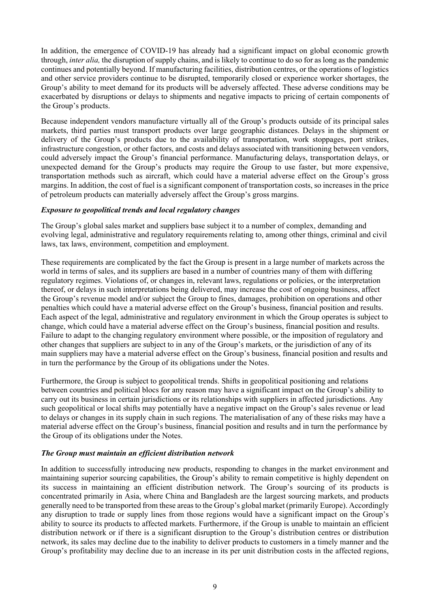In addition, the emergence of COVID-19 has already had a significant impact on global economic growth through, *inter alia,* the disruption of supply chains, and is likely to continue to do so for as long as the pandemic continues and potentially beyond. If manufacturing facilities, distribution centres, or the operations of logistics and other service providers continue to be disrupted, temporarily closed or experience worker shortages, the Group's ability to meet demand for its products will be adversely affected. These adverse conditions may be exacerbated by disruptions or delays to shipments and negative impacts to pricing of certain components of the Group's products.

Because independent vendors manufacture virtually all of the Group's products outside of its principal sales markets, third parties must transport products over large geographic distances. Delays in the shipment or delivery of the Group's products due to the availability of transportation, work stoppages, port strikes, infrastructure congestion, or other factors, and costs and delays associated with transitioning between vendors, could adversely impact the Group's financial performance. Manufacturing delays, transportation delays, or unexpected demand for the Group's products may require the Group to use faster, but more expensive, transportation methods such as aircraft, which could have a material adverse effect on the Group's gross margins. In addition, the cost of fuel is a significant component of transportation costs, so increases in the price of petroleum products can materially adversely affect the Group's gross margins.

### *Exposure to geopolitical trends and local regulatory changes*

The Group's global sales market and suppliers base subject it to a number of complex, demanding and evolving legal, administrative and regulatory requirements relating to, among other things, criminal and civil laws, tax laws, environment, competition and employment.

These requirements are complicated by the fact the Group is present in a large number of markets across the world in terms of sales, and its suppliers are based in a number of countries many of them with differing regulatory regimes. Violations of, or changes in, relevant laws, regulations or policies, or the interpretation thereof, or delays in such interpretations being delivered, may increase the cost of ongoing business, affect the Group's revenue model and/or subject the Group to fines, damages, prohibition on operations and other penalties which could have a material adverse effect on the Group's business, financial position and results. Each aspect of the legal, administrative and regulatory environment in which the Group operates is subject to change, which could have a material adverse effect on the Group's business, financial position and results. Failure to adapt to the changing regulatory environment where possible, or the imposition of regulatory and other changes that suppliers are subject to in any of the Group's markets, or the jurisdiction of any of its main suppliers may have a material adverse effect on the Group's business, financial position and results and in turn the performance by the Group of its obligations under the Notes.

Furthermore, the Group is subject to geopolitical trends. Shifts in geopolitical positioning and relations between countries and political blocs for any reason may have a significant impact on the Group's ability to carry out its business in certain jurisdictions or its relationships with suppliers in affected jurisdictions. Any such geopolitical or local shifts may potentially have a negative impact on the Group's sales revenue or lead to delays or changes in its supply chain in such regions. The materialisation of any of these risks may have a material adverse effect on the Group's business, financial position and results and in turn the performance by the Group of its obligations under the Notes.

### *The Group must maintain an efficient distribution network*

In addition to successfully introducing new products, responding to changes in the market environment and maintaining superior sourcing capabilities, the Group's ability to remain competitive is highly dependent on its success in maintaining an efficient distribution network. The Group's sourcing of its products is concentrated primarily in Asia, where China and Bangladesh are the largest sourcing markets, and products generally need to be transported from these areas to the Group's global market (primarily Europe). Accordingly any disruption to trade or supply lines from those regions would have a significant impact on the Group's ability to source its products to affected markets. Furthermore, if the Group is unable to maintain an efficient distribution network or if there is a significant disruption to the Group's distribution centres or distribution network, its sales may decline due to the inability to deliver products to customers in a timely manner and the Group's profitability may decline due to an increase in its per unit distribution costs in the affected regions,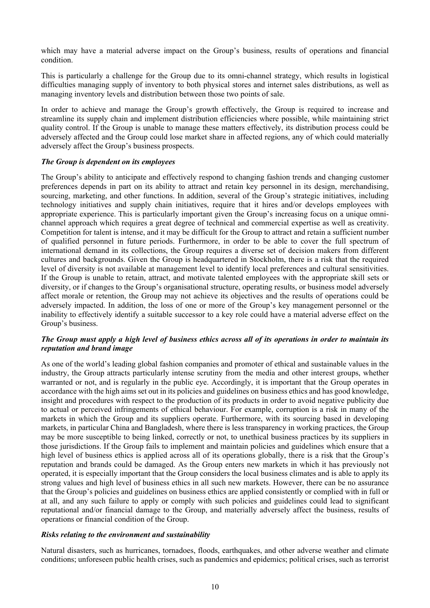which may have a material adverse impact on the Group's business, results of operations and financial condition.

This is particularly a challenge for the Group due to its omni-channel strategy, which results in logistical difficulties managing supply of inventory to both physical stores and internet sales distributions, as well as managing inventory levels and distribution between those two points of sale.

In order to achieve and manage the Group's growth effectively, the Group is required to increase and streamline its supply chain and implement distribution efficiencies where possible, while maintaining strict quality control. If the Group is unable to manage these matters effectively, its distribution process could be adversely affected and the Group could lose market share in affected regions, any of which could materially adversely affect the Group's business prospects.

# *The Group is dependent on its employees*

The Group's ability to anticipate and effectively respond to changing fashion trends and changing customer preferences depends in part on its ability to attract and retain key personnel in its design, merchandising, sourcing, marketing, and other functions. In addition, several of the Group's strategic initiatives, including technology initiatives and supply chain initiatives, require that it hires and/or develops employees with appropriate experience. This is particularly important given the Group's increasing focus on a unique omnichannel approach which requires a great degree of technical and commercial expertise as well as creativity. Competition for talent is intense, and it may be difficult for the Group to attract and retain a sufficient number of qualified personnel in future periods. Furthermore, in order to be able to cover the full spectrum of international demand in its collections, the Group requires a diverse set of decision makers from different cultures and backgrounds. Given the Group is headquartered in Stockholm, there is a risk that the required level of diversity is not available at management level to identify local preferences and cultural sensitivities. If the Group is unable to retain, attract, and motivate talented employees with the appropriate skill sets or diversity, or if changes to the Group's organisational structure, operating results, or business model adversely affect morale or retention, the Group may not achieve its objectives and the results of operations could be adversely impacted. In addition, the loss of one or more of the Group's key management personnel or the inability to effectively identify a suitable successor to a key role could have a material adverse effect on the Group's business.

# *The Group must apply a high level of business ethics across all of its operations in order to maintain its reputation and brand image*

As one of the world's leading global fashion companies and promoter of ethical and sustainable values in the industry, the Group attracts particularly intense scrutiny from the media and other interest groups, whether warranted or not, and is regularly in the public eye. Accordingly, it is important that the Group operates in accordance with the high aims set out in its policies and guidelines on business ethics and has good knowledge, insight and procedures with respect to the production of its products in order to avoid negative publicity due to actual or perceived infringements of ethical behaviour. For example, corruption is a risk in many of the markets in which the Group and its suppliers operate. Furthermore, with its sourcing based in developing markets, in particular China and Bangladesh, where there is less transparency in working practices, the Group may be more susceptible to being linked, correctly or not, to unethical business practices by its suppliers in those jurisdictions. If the Group fails to implement and maintain policies and guidelines which ensure that a high level of business ethics is applied across all of its operations globally, there is a risk that the Group's reputation and brands could be damaged. As the Group enters new markets in which it has previously not operated, it is especially important that the Group considers the local business climates and is able to apply its strong values and high level of business ethics in all such new markets. However, there can be no assurance that the Group's policies and guidelines on business ethics are applied consistently or complied with in full or at all, and any such failure to apply or comply with such policies and guidelines could lead to significant reputational and/or financial damage to the Group, and materially adversely affect the business, results of operations or financial condition of the Group.

### *Risks relating to the environment and sustainability*

Natural disasters, such as hurricanes, tornadoes, floods, earthquakes, and other adverse weather and climate conditions; unforeseen public health crises, such as pandemics and epidemics; political crises, such as terrorist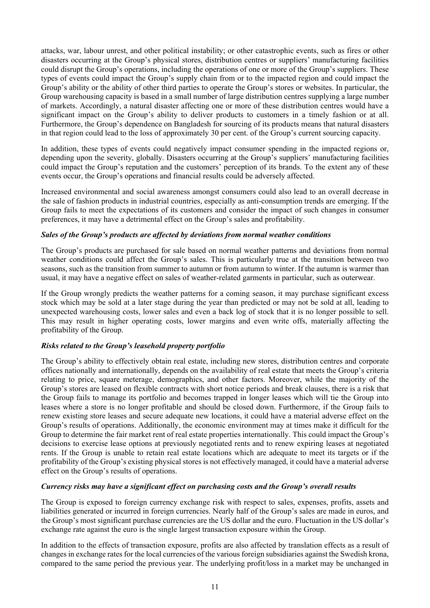attacks, war, labour unrest, and other political instability; or other catastrophic events, such as fires or other disasters occurring at the Group's physical stores, distribution centres or suppliers' manufacturing facilities could disrupt the Group's operations, including the operations of one or more of the Group's suppliers. These types of events could impact the Group's supply chain from or to the impacted region and could impact the Group's ability or the ability of other third parties to operate the Group's stores or websites. In particular, the Group warehousing capacity is based in a small number of large distribution centres supplying a large number of markets. Accordingly, a natural disaster affecting one or more of these distribution centres would have a significant impact on the Group's ability to deliver products to customers in a timely fashion or at all. Furthermore, the Group's dependence on Bangladesh for sourcing of its products means that natural disasters in that region could lead to the loss of approximately 30 per cent. of the Group's current sourcing capacity.

In addition, these types of events could negatively impact consumer spending in the impacted regions or, depending upon the severity, globally. Disasters occurring at the Group's suppliers' manufacturing facilities could impact the Group's reputation and the customers' perception of its brands. To the extent any of these events occur, the Group's operations and financial results could be adversely affected.

Increased environmental and social awareness amongst consumers could also lead to an overall decrease in the sale of fashion products in industrial countries, especially as anti-consumption trends are emerging. If the Group fails to meet the expectations of its customers and consider the impact of such changes in consumer preferences, it may have a detrimental effect on the Group's sales and profitability.

### *Sales of the Group's products are affected by deviations from normal weather conditions*

The Group's products are purchased for sale based on normal weather patterns and deviations from normal weather conditions could affect the Group's sales. This is particularly true at the transition between two seasons, such as the transition from summer to autumn or from autumn to winter. If the autumn is warmer than usual, it may have a negative effect on sales of weather-related garments in particular, such as outerwear.

If the Group wrongly predicts the weather patterns for a coming season, it may purchase significant excess stock which may be sold at a later stage during the year than predicted or may not be sold at all, leading to unexpected warehousing costs, lower sales and even a back log of stock that it is no longer possible to sell. This may result in higher operating costs, lower margins and even write offs, materially affecting the profitability of the Group.

# *Risks related to the Group's leasehold property portfolio*

The Group's ability to effectively obtain real estate, including new stores, distribution centres and corporate offices nationally and internationally, depends on the availability of real estate that meets the Group's criteria relating to price, square meterage, demographics, and other factors. Moreover, while the majority of the Group's stores are leased on flexible contracts with short notice periods and break clauses, there is a risk that the Group fails to manage its portfolio and becomes trapped in longer leases which will tie the Group into leases where a store is no longer profitable and should be closed down. Furthermore, if the Group fails to renew existing store leases and secure adequate new locations, it could have a material adverse effect on the Group's results of operations. Additionally, the economic environment may at times make it difficult for the Group to determine the fair market rent of real estate properties internationally. This could impact the Group's decisions to exercise lease options at previously negotiated rents and to renew expiring leases at negotiated rents. If the Group is unable to retain real estate locations which are adequate to meet its targets or if the profitability of the Group's existing physical stores is not effectively managed, it could have a material adverse effect on the Group's results of operations.

### *Currency risks may have a significant effect on purchasing costs and the Group's overall results*

The Group is exposed to foreign currency exchange risk with respect to sales, expenses, profits, assets and liabilities generated or incurred in foreign currencies. Nearly half of the Group's sales are made in euros, and the Group's most significant purchase currencies are the US dollar and the euro. Fluctuation in the US dollar's exchange rate against the euro is the single largest transaction exposure within the Group.

In addition to the effects of transaction exposure, profits are also affected by translation effects as a result of changes in exchange rates for the local currencies of the various foreign subsidiaries against the Swedish krona, compared to the same period the previous year. The underlying profit/loss in a market may be unchanged in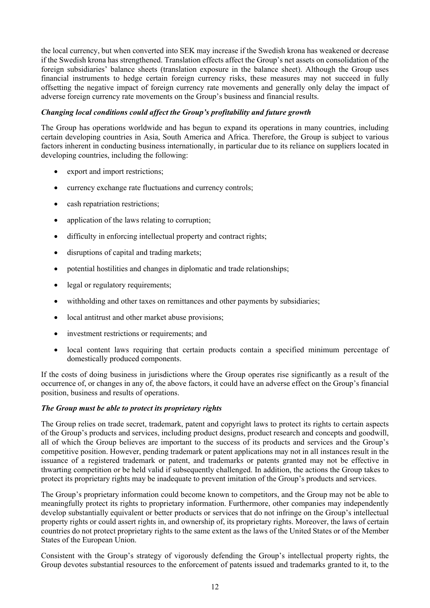the local currency, but when converted into SEK may increase if the Swedish krona has weakened or decrease if the Swedish krona has strengthened. Translation effects affect the Group's net assets on consolidation of the foreign subsidiaries' balance sheets (translation exposure in the balance sheet). Although the Group uses financial instruments to hedge certain foreign currency risks, these measures may not succeed in fully offsetting the negative impact of foreign currency rate movements and generally only delay the impact of adverse foreign currency rate movements on the Group's business and financial results.

# *Changing local conditions could affect the Group's profitability and future growth*

The Group has operations worldwide and has begun to expand its operations in many countries, including certain developing countries in Asia, South America and Africa. Therefore, the Group is subject to various factors inherent in conducting business internationally, in particular due to its reliance on suppliers located in developing countries, including the following:

- export and import restrictions;
- currency exchange rate fluctuations and currency controls;
- cash repatriation restrictions:
- application of the laws relating to corruption;
- difficulty in enforcing intellectual property and contract rights;
- disruptions of capital and trading markets;
- potential hostilities and changes in diplomatic and trade relationships;
- legal or regulatory requirements;
- withholding and other taxes on remittances and other payments by subsidiaries;
- local antitrust and other market abuse provisions;
- investment restrictions or requirements; and
- local content laws requiring that certain products contain a specified minimum percentage of domestically produced components.

If the costs of doing business in jurisdictions where the Group operates rise significantly as a result of the occurrence of, or changes in any of, the above factors, it could have an adverse effect on the Group's financial position, business and results of operations.

### *The Group must be able to protect its proprietary rights*

The Group relies on trade secret, trademark, patent and copyright laws to protect its rights to certain aspects of the Group's products and services, including product designs, product research and concepts and goodwill, all of which the Group believes are important to the success of its products and services and the Group's competitive position. However, pending trademark or patent applications may not in all instances result in the issuance of a registered trademark or patent, and trademarks or patents granted may not be effective in thwarting competition or be held valid if subsequently challenged. In addition, the actions the Group takes to protect its proprietary rights may be inadequate to prevent imitation of the Group's products and services.

The Group's proprietary information could become known to competitors, and the Group may not be able to meaningfully protect its rights to proprietary information. Furthermore, other companies may independently develop substantially equivalent or better products or services that do not infringe on the Group's intellectual property rights or could assert rights in, and ownership of, its proprietary rights. Moreover, the laws of certain countries do not protect proprietary rights to the same extent as the laws of the United States or of the Member States of the European Union.

Consistent with the Group's strategy of vigorously defending the Group's intellectual property rights, the Group devotes substantial resources to the enforcement of patents issued and trademarks granted to it, to the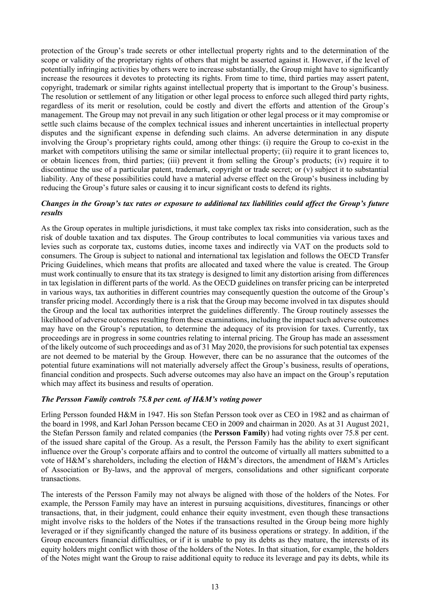protection of the Group's trade secrets or other intellectual property rights and to the determination of the scope or validity of the proprietary rights of others that might be asserted against it. However, if the level of potentially infringing activities by others were to increase substantially, the Group might have to significantly increase the resources it devotes to protecting its rights. From time to time, third parties may assert patent, copyright, trademark or similar rights against intellectual property that is important to the Group's business. The resolution or settlement of any litigation or other legal process to enforce such alleged third party rights, regardless of its merit or resolution, could be costly and divert the efforts and attention of the Group's management. The Group may not prevail in any such litigation or other legal process or it may compromise or settle such claims because of the complex technical issues and inherent uncertainties in intellectual property disputes and the significant expense in defending such claims. An adverse determination in any dispute involving the Group's proprietary rights could, among other things: (i) require the Group to co-exist in the market with competitors utilising the same or similar intellectual property; (ii) require it to grant licences to, or obtain licences from, third parties; (iii) prevent it from selling the Group's products; (iv) require it to discontinue the use of a particular patent, trademark, copyright or trade secret; or (v) subject it to substantial liability. Any of these possibilities could have a material adverse effect on the Group's business including by reducing the Group's future sales or causing it to incur significant costs to defend its rights.

# *Changes in the Group's tax rates or exposure to additional tax liabilities could affect the Group's future results*

As the Group operates in multiple jurisdictions, it must take complex tax risks into consideration, such as the risk of double taxation and tax disputes. The Group contributes to local communities via various taxes and levies such as corporate tax, customs duties, income taxes and indirectly via VAT on the products sold to consumers. The Group is subject to national and international tax legislation and follows the OECD Transfer Pricing Guidelines, which means that profits are allocated and taxed where the value is created. The Group must work continually to ensure that its tax strategy is designed to limit any distortion arising from differences in tax legislation in different parts of the world. As the OECD guidelines on transfer pricing can be interpreted in various ways, tax authorities in different countries may consequently question the outcome of the Group's transfer pricing model. Accordingly there is a risk that the Group may become involved in tax disputes should the Group and the local tax authorities interpret the guidelines differently. The Group routinely assesses the likelihood of adverse outcomes resulting from these examinations, including the impact such adverse outcomes may have on the Group's reputation, to determine the adequacy of its provision for taxes. Currently, tax proceedings are in progress in some countries relating to internal pricing. The Group has made an assessment of the likely outcome of such proceedings and as of 31 May 2020, the provisions for such potential tax expenses are not deemed to be material by the Group*.* However, there can be no assurance that the outcomes of the potential future examinations will not materially adversely affect the Group's business, results of operations, financial condition and prospects. Such adverse outcomes may also have an impact on the Group's reputation which may affect its business and results of operation.

### *The Persson Family controls 75.8 per cent. of H&M's voting power*

Erling Persson founded H&M in 1947. His son Stefan Persson took over as CEO in 1982 and as chairman of the board in 1998, and Karl Johan Persson became CEO in 2009 and chairman in 2020. As at 31 August 2021, the Stefan Persson family and related companies (the **Persson Family**) had voting rights over 75.8 per cent. of the issued share capital of the Group. As a result, the Persson Family has the ability to exert significant influence over the Group's corporate affairs and to control the outcome of virtually all matters submitted to a vote of H&M's shareholders, including the election of H&M's directors, the amendment of H&M's Articles of Association or By-laws, and the approval of mergers, consolidations and other significant corporate transactions.

The interests of the Persson Family may not always be aligned with those of the holders of the Notes. For example, the Persson Family may have an interest in pursuing acquisitions, divestitures, financings or other transactions, that, in their judgment, could enhance their equity investment, even though these transactions might involve risks to the holders of the Notes if the transactions resulted in the Group being more highly leveraged or if they significantly changed the nature of its business operations or strategy. In addition, if the Group encounters financial difficulties, or if it is unable to pay its debts as they mature, the interests of its equity holders might conflict with those of the holders of the Notes. In that situation, for example, the holders of the Notes might want the Group to raise additional equity to reduce its leverage and pay its debts, while its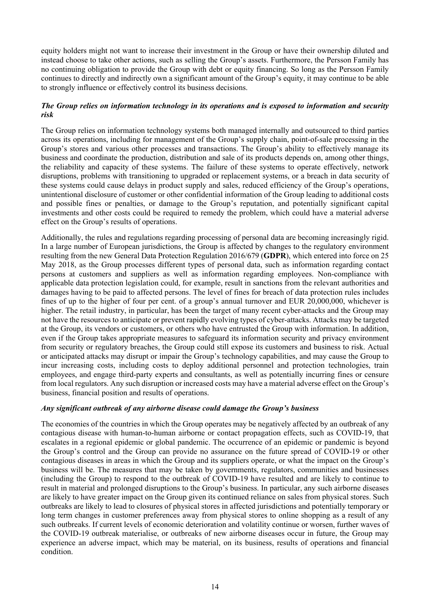equity holders might not want to increase their investment in the Group or have their ownership diluted and instead choose to take other actions, such as selling the Group's assets. Furthermore, the Persson Family has no continuing obligation to provide the Group with debt or equity financing. So long as the Persson Family continues to directly and indirectly own a significant amount of the Group's equity, it may continue to be able to strongly influence or effectively control its business decisions.

# *The Group relies on information technology in its operations and is exposed to information and security risk*

The Group relies on information technology systems both managed internally and outsourced to third parties across its operations, including for management of the Group's supply chain, point-of-sale processing in the Group's stores and various other processes and transactions. The Group's ability to effectively manage its business and coordinate the production, distribution and sale of its products depends on, among other things, the reliability and capacity of these systems. The failure of these systems to operate effectively, network disruptions, problems with transitioning to upgraded or replacement systems, or a breach in data security of these systems could cause delays in product supply and sales, reduced efficiency of the Group's operations, unintentional disclosure of customer or other confidential information of the Group leading to additional costs and possible fines or penalties, or damage to the Group's reputation, and potentially significant capital investments and other costs could be required to remedy the problem, which could have a material adverse effect on the Group's results of operations.

Additionally, the rules and regulations regarding processing of personal data are becoming increasingly rigid. In a large number of European jurisdictions, the Group is affected by changes to the regulatory environment resulting from the new General Data Protection Regulation 2016/679 (**GDPR**), which entered into force on 25 May 2018, as the Group processes different types of personal data, such as information regarding contact persons at customers and suppliers as well as information regarding employees. Non-compliance with applicable data protection legislation could, for example, result in sanctions from the relevant authorities and damages having to be paid to affected persons. The level of fines for breach of data protection rules includes fines of up to the higher of four per cent. of a group's annual turnover and EUR 20,000,000, whichever is higher. The retail industry, in particular, has been the target of many recent cyber-attacks and the Group may not have the resources to anticipate or prevent rapidly evolving types of cyber-attacks. Attacks may be targeted at the Group, its vendors or customers, or others who have entrusted the Group with information. In addition, even if the Group takes appropriate measures to safeguard its information security and privacy environment from security or regulatory breaches, the Group could still expose its customers and business to risk. Actual or anticipated attacks may disrupt or impair the Group's technology capabilities, and may cause the Group to incur increasing costs, including costs to deploy additional personnel and protection technologies, train employees, and engage third-party experts and consultants, as well as potentially incurring fines or censure from local regulators. Any such disruption or increased costs may have a material adverse effect on the Group's business, financial position and results of operations.

### *Any significant outbreak of any airborne disease could damage the Group's business*

The economies of the countries in which the Group operates may be negatively affected by an outbreak of any contagious disease with human-to-human airborne or contact propagation effects, such as COVID-19, that escalates in a regional epidemic or global pandemic. The occurrence of an epidemic or pandemic is beyond the Group's control and the Group can provide no assurance on the future spread of COVID-19 or other contagious diseases in areas in which the Group and its suppliers operate, or what the impact on the Group's business will be. The measures that may be taken by governments, regulators, communities and businesses (including the Group) to respond to the outbreak of COVID-19 have resulted and are likely to continue to result in material and prolonged disruptions to the Group's business. In particular, any such airborne diseases are likely to have greater impact on the Group given its continued reliance on sales from physical stores. Such outbreaks are likely to lead to closures of physical stores in affected jurisdictions and potentially temporary or long term changes in customer preferences away from physical stores to online shopping as a result of any such outbreaks. If current levels of economic deterioration and volatility continue or worsen, further waves of the COVID-19 outbreak materialise, or outbreaks of new airborne diseases occur in future, the Group may experience an adverse impact, which may be material, on its business, results of operations and financial condition.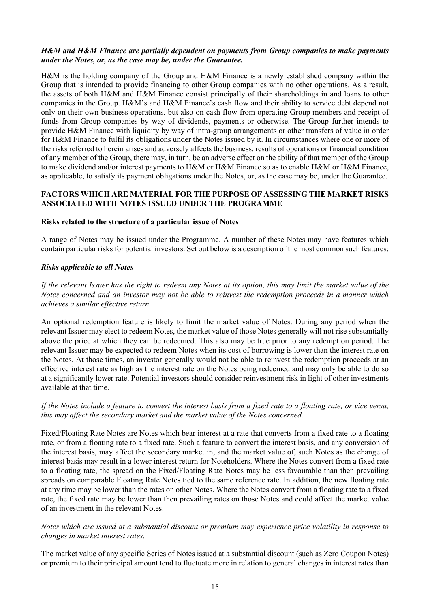### *H&M and H&M Finance are partially dependent on payments from Group companies to make payments under the Notes, or, as the case may be, under the Guarantee.*

H&M is the holding company of the Group and H&M Finance is a newly established company within the Group that is intended to provide financing to other Group companies with no other operations. As a result, the assets of both H&M and H&M Finance consist principally of their shareholdings in and loans to other companies in the Group. H&M's and H&M Finance's cash flow and their ability to service debt depend not only on their own business operations, but also on cash flow from operating Group members and receipt of funds from Group companies by way of dividends, payments or otherwise. The Group further intends to provide H&M Finance with liquidity by way of intra-group arrangements or other transfers of value in order for H&M Finance to fulfil its obligations under the Notes issued by it. In circumstances where one or more of the risks referred to herein arises and adversely affects the business, results of operations or financial condition of any member of the Group, there may, in turn, be an adverse effect on the ability of that member of the Group to make dividend and/or interest payments to H&M or H&M Finance so as to enable H&M or H&M Finance, as applicable, to satisfy its payment obligations under the Notes, or, as the case may be, under the Guarantee.

# **FACTORS WHICH ARE MATERIAL FOR THE PURPOSE OF ASSESSING THE MARKET RISKS ASSOCIATED WITH NOTES ISSUED UNDER THE PROGRAMME**

### **Risks related to the structure of a particular issue of Notes**

A range of Notes may be issued under the Programme. A number of these Notes may have features which contain particular risks for potential investors. Set out below is a description of the most common such features:

#### *Risks applicable to all Notes*

*If the relevant Issuer has the right to redeem any Notes at its option, this may limit the market value of the Notes concerned and an investor may not be able to reinvest the redemption proceeds in a manner which achieves a similar effective return.* 

An optional redemption feature is likely to limit the market value of Notes. During any period when the relevant Issuer may elect to redeem Notes, the market value of those Notes generally will not rise substantially above the price at which they can be redeemed. This also may be true prior to any redemption period. The relevant Issuer may be expected to redeem Notes when its cost of borrowing is lower than the interest rate on the Notes. At those times, an investor generally would not be able to reinvest the redemption proceeds at an effective interest rate as high as the interest rate on the Notes being redeemed and may only be able to do so at a significantly lower rate. Potential investors should consider reinvestment risk in light of other investments available at that time.

### *If the Notes include a feature to convert the interest basis from a fixed rate to a floating rate, or vice versa, this may affect the secondary market and the market value of the Notes concerned.*

Fixed/Floating Rate Notes are Notes which bear interest at a rate that converts from a fixed rate to a floating rate, or from a floating rate to a fixed rate. Such a feature to convert the interest basis, and any conversion of the interest basis, may affect the secondary market in, and the market value of, such Notes as the change of interest basis may result in a lower interest return for Noteholders. Where the Notes convert from a fixed rate to a floating rate, the spread on the Fixed/Floating Rate Notes may be less favourable than then prevailing spreads on comparable Floating Rate Notes tied to the same reference rate. In addition, the new floating rate at any time may be lower than the rates on other Notes. Where the Notes convert from a floating rate to a fixed rate, the fixed rate may be lower than then prevailing rates on those Notes and could affect the market value of an investment in the relevant Notes.

# *Notes which are issued at a substantial discount or premium may experience price volatility in response to changes in market interest rates.*

The market value of any specific Series of Notes issued at a substantial discount (such as Zero Coupon Notes) or premium to their principal amount tend to fluctuate more in relation to general changes in interest rates than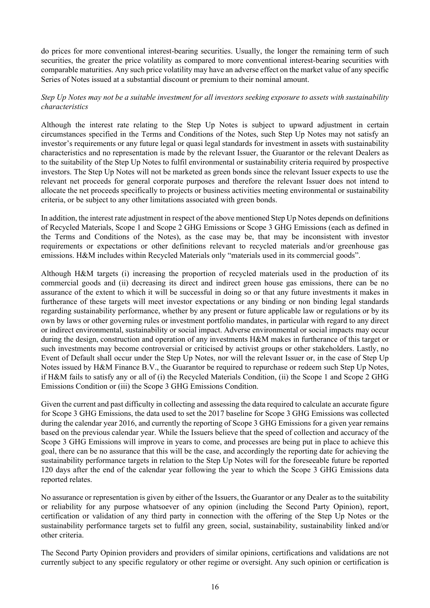do prices for more conventional interest-bearing securities. Usually, the longer the remaining term of such securities, the greater the price volatility as compared to more conventional interest-bearing securities with comparable maturities. Any such price volatility may have an adverse effect on the market value of any specific Series of Notes issued at a substantial discount or premium to their nominal amount.

# *Step Up Notes may not be a suitable investment for all investors seeking exposure to assets with sustainability characteristics*

Although the interest rate relating to the Step Up Notes is subject to upward adjustment in certain circumstances specified in the Terms and Conditions of the Notes, such Step Up Notes may not satisfy an investor's requirements or any future legal or quasi legal standards for investment in assets with sustainability characteristics and no representation is made by the relevant Issuer, the Guarantor or the relevant Dealers as to the suitability of the Step Up Notes to fulfil environmental or sustainability criteria required by prospective investors. The Step Up Notes will not be marketed as green bonds since the relevant Issuer expects to use the relevant net proceeds for general corporate purposes and therefore the relevant Issuer does not intend to allocate the net proceeds specifically to projects or business activities meeting environmental or sustainability criteria, or be subject to any other limitations associated with green bonds.

In addition, the interest rate adjustment in respect of the above mentioned Step Up Notes depends on definitions of Recycled Materials, Scope 1 and Scope 2 GHG Emissions or Scope 3 GHG Emissions (each as defined in the Terms and Conditions of the Notes), as the case may be, that may be inconsistent with investor requirements or expectations or other definitions relevant to recycled materials and/or greenhouse gas emissions. H&M includes within Recycled Materials only "materials used in its commercial goods".

Although H&M targets (i) increasing the proportion of recycled materials used in the production of its commercial goods and (ii) decreasing its direct and indirect green house gas emissions, there can be no assurance of the extent to which it will be successful in doing so or that any future investments it makes in furtherance of these targets will meet investor expectations or any binding or non binding legal standards regarding sustainability performance, whether by any present or future applicable law or regulations or by its own by laws or other governing rules or investment portfolio mandates, in particular with regard to any direct or indirect environmental, sustainability or social impact. Adverse environmental or social impacts may occur during the design, construction and operation of any investments H&M makes in furtherance of this target or such investments may become controversial or criticised by activist groups or other stakeholders. Lastly, no Event of Default shall occur under the Step Up Notes, nor will the relevant Issuer or, in the case of Step Up Notes issued by H&M Finance B.V., the Guarantor be required to repurchase or redeem such Step Up Notes, if H&M fails to satisfy any or all of (i) the Recycled Materials Condition, (ii) the Scope 1 and Scope 2 GHG Emissions Condition or (iii) the Scope 3 GHG Emissions Condition.

Given the current and past difficulty in collecting and assessing the data required to calculate an accurate figure for Scope 3 GHG Emissions, the data used to set the 2017 baseline for Scope 3 GHG Emissions was collected during the calendar year 2016, and currently the reporting of Scope 3 GHG Emissions for a given year remains based on the previous calendar year. While the Issuers believe that the speed of collection and accuracy of the Scope 3 GHG Emissions will improve in years to come, and processes are being put in place to achieve this goal, there can be no assurance that this will be the case, and accordingly the reporting date for achieving the sustainability performance targets in relation to the Step Up Notes will for the foreseeable future be reported 120 days after the end of the calendar year following the year to which the Scope 3 GHG Emissions data reported relates.

No assurance or representation is given by either of the Issuers, the Guarantor or any Dealer as to the suitability or reliability for any purpose whatsoever of any opinion (including the Second Party Opinion), report, certification or validation of any third party in connection with the offering of the Step Up Notes or the sustainability performance targets set to fulfil any green, social, sustainability, sustainability linked and/or other criteria.

The Second Party Opinion providers and providers of similar opinions, certifications and validations are not currently subject to any specific regulatory or other regime or oversight. Any such opinion or certification is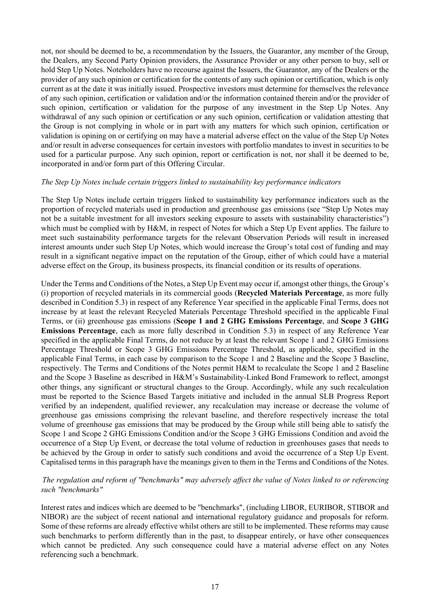not, nor should be deemed to be, a recommendation by the Issuers, the Guarantor, any member of the Group, the Dealers, any Second Party Opinion providers, the Assurance Provider or any other person to buy, sell or hold Step Up Notes. Noteholders have no recourse against the Issuers, the Guarantor, any of the Dealers or the provider of any such opinion or certification for the contents of any such opinion or certification, which is only current as at the date it was initially issued. Prospective investors must determine for themselves the relevance of any such opinion, certification or validation and/or the information contained therein and/or the provider of such opinion, certification or validation for the purpose of any investment in the Step Up Notes. Any withdrawal of any such opinion or certification or any such opinion, certification or validation attesting that the Group is not complying in whole or in part with any matters for which such opinion, certification or validation is opining on or certifying on may have a material adverse effect on the value of the Step Up Notes and/or result in adverse consequences for certain investors with portfolio mandates to invest in securities to be used for a particular purpose. Any such opinion, report or certification is not, nor shall it be deemed to be, incorporated in and/or form part of this Offering Circular.

#### *The Step Up Notes include certain triggers linked to sustainability key performance indicators*

The Step Up Notes include certain triggers linked to sustainability key performance indicators such as the proportion of recycled materials used in production and greenhouse gas emissions (see "Step Up Notes may not be a suitable investment for all investors seeking exposure to assets with sustainability characteristics") which must be complied with by H&M, in respect of Notes for which a Step Up Event applies. The failure to meet such sustainability performance targets for the relevant Observation Periods will result in increased interest amounts under such Step Up Notes, which would increase the Group's total cost of funding and may result in a significant negative impact on the reputation of the Group, either of which could have a material adverse effect on the Group, its business prospects, its financial condition or its results of operations.

Under the Terms and Conditions of the Notes, a Step Up Event may occur if, amongst other things, the Group's (i) proportion of recycled materials in its commercial goods (**Recycled Materials Percentage**, as more fully described in Condition 5.3) in respect of any Reference Year specified in the applicable Final Terms, does not increase by at least the relevant Recycled Materials Percentage Threshold specified in the applicable Final Terms, or (ii) greenhouse gas emissions (**Scope 1 and 2 GHG Emissions Percentage**, and **Scope 3 GHG Emissions Percentage**, each as more fully described in Condition 5.3) in respect of any Reference Year specified in the applicable Final Terms, do not reduce by at least the relevant Scope 1 and 2 GHG Emissions Percentage Threshold or Scope 3 GHG Emissions Percentage Threshold, as applicable, specified in the applicable Final Terms, in each case by comparison to the Scope 1 and 2 Baseline and the Scope 3 Baseline, respectively. The Terms and Conditions of the Notes permit H&M to recalculate the Scope 1 and 2 Baseline and the Scope 3 Baseline as described in H&M's Sustainability-Linked Bond Framework to reflect, amongst other things, any significant or structural changes to the Group. Accordingly, while any such recalculation must be reported to the Science Based Targets initiative and included in the annual SLB Progress Report verified by an independent, qualified reviewer, any recalculation may increase or decrease the volume of greenhouse gas emissions comprising the relevant baseline, and therefore respectively increase the total volume of greenhouse gas emissions that may be produced by the Group while still being able to satisfy the Scope 1 and Scope 2 GHG Emissions Condition and/or the Scope 3 GHG Emissions Condition and avoid the occurrence of a Step Up Event, or decrease the total volume of reduction in greenhouses gases that needs to be achieved by the Group in order to satisfy such conditions and avoid the occurrence of a Step Up Event. Capitalised terms in this paragraph have the meanings given to them in the Terms and Conditions of the Notes.

# *The regulation and reform of "benchmarks" may adversely affect the value of Notes linked to or referencing such "benchmarks"*

Interest rates and indices which are deemed to be "benchmarks", (including LIBOR, EURIBOR, STIBOR and NIBOR) are the subject of recent national and international regulatory guidance and proposals for reform. Some of these reforms are already effective whilst others are still to be implemented. These reforms may cause such benchmarks to perform differently than in the past, to disappear entirely, or have other consequences which cannot be predicted. Any such consequence could have a material adverse effect on any Notes referencing such a benchmark.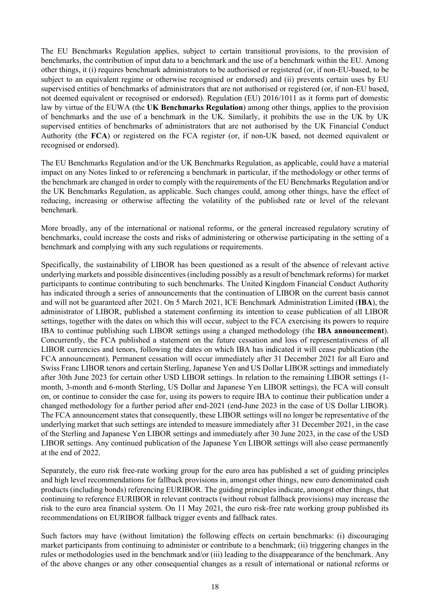The EU Benchmarks Regulation applies, subject to certain transitional provisions, to the provision of benchmarks, the contribution of input data to a benchmark and the use of a benchmark within the EU. Among other things, it (i) requires benchmark administrators to be authorised or registered (or, if non-EU-based, to be subject to an equivalent regime or otherwise recognised or endorsed) and (ii) prevents certain uses by EU supervised entities of benchmarks of administrators that are not authorised or registered (or, if non-EU based, not deemed equivalent or recognised or endorsed). Regulation (EU) 2016/1011 as it forms part of domestic law by virtue of the EUWA (the **UK Benchmarks Regulation**) among other things, applies to the provision of benchmarks and the use of a benchmark in the UK. Similarly, it prohibits the use in the UK by UK supervised entities of benchmarks of administrators that are not authorised by the UK Financial Conduct Authority (the **FCA**) or registered on the FCA register (or, if non-UK based, not deemed equivalent or recognised or endorsed).

The EU Benchmarks Regulation and/or the UK Benchmarks Regulation, as applicable, could have a material impact on any Notes linked to or referencing a benchmark in particular, if the methodology or other terms of the benchmark are changed in order to comply with the requirements of the EU Benchmarks Regulation and/or the UK Benchmarks Regulation, as applicable. Such changes could, among other things, have the effect of reducing, increasing or otherwise affecting the volatility of the published rate or level of the relevant benchmark.

More broadly, any of the international or national reforms, or the general increased regulatory scrutiny of benchmarks, could increase the costs and risks of administering or otherwise participating in the setting of a benchmark and complying with any such regulations or requirements.

Specifically, the sustainability of LIBOR has been questioned as a result of the absence of relevant active underlying markets and possible disincentives (including possibly as a result of benchmark reforms) for market participants to continue contributing to such benchmarks. The United Kingdom Financial Conduct Authority has indicated through a series of announcements that the continuation of LIBOR on the current basis cannot and will not be guaranteed after 2021. On 5 March 2021, ICE Benchmark Administration Limited (**IBA**), the administrator of LIBOR, published a statement confirming its intention to cease publication of all LIBOR settings, together with the dates on which this will occur, subject to the FCA exercising its powers to require IBA to continue publishing such LIBOR settings using a changed methodology (the **IBA announcement**). Concurrently, the FCA published a statement on the future cessation and loss of representativeness of all LIBOR currencies and tenors, following the dates on which IBA has indicated it will cease publication (the FCA announcement). Permanent cessation will occur immediately after 31 December 2021 for all Euro and Swiss Franc LIBOR tenors and certain Sterling, Japanese Yen and US Dollar LIBOR settings and immediately after 30th June 2023 for certain other USD LIBOR settings. In relation to the remaining LIBOR settings (1 month, 3-month and 6-month Sterling, US Dollar and Japanese Yen LIBOR settings), the FCA will consult on, or continue to consider the case for, using its powers to require IBA to continue their publication under a changed methodology for a further period after end-2021 (end-June 2023 in the case of US Dollar LIBOR). The FCA announcement states that consequently, these LIBOR settings will no longer be representative of the underlying market that such settings are intended to measure immediately after 31 December 2021, in the case of the Sterling and Japanese Yen LIBOR settings and immediately after 30 June 2023, in the case of the USD LIBOR settings. Any continued publication of the Japanese Yen LIBOR settings will also cease permanently at the end of 2022.

Separately, the euro risk free-rate working group for the euro area has published a set of guiding principles and high level recommendations for fallback provisions in, amongst other things, new euro denominated cash products (including bonds) referencing EURIBOR. The guiding principles indicate, amongst other things, that continuing to reference EURIBOR in relevant contracts (without robust fallback provisions) may increase the risk to the euro area financial system. On 11 May 2021, the euro risk-free rate working group published its recommendations on EURIBOR fallback trigger events and fallback rates.

Such factors may have (without limitation) the following effects on certain benchmarks: (i) discouraging market participants from continuing to administer or contribute to a benchmark; (ii) triggering changes in the rules or methodologies used in the benchmark and/or (iii) leading to the disappearance of the benchmark. Any of the above changes or any other consequential changes as a result of international or national reforms or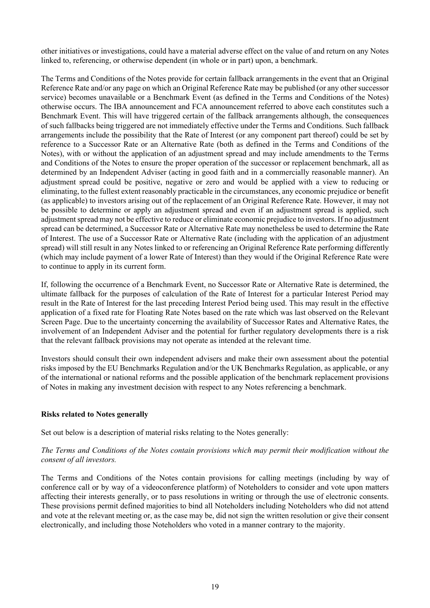other initiatives or investigations, could have a material adverse effect on the value of and return on any Notes linked to, referencing, or otherwise dependent (in whole or in part) upon, a benchmark.

The Terms and Conditions of the Notes provide for certain fallback arrangements in the event that an Original Reference Rate and/or any page on which an Original Reference Rate may be published (or any other successor service) becomes unavailable or a Benchmark Event (as defined in the Terms and Conditions of the Notes) otherwise occurs. The IBA announcement and FCA announcement referred to above each constitutes such a Benchmark Event. This will have triggered certain of the fallback arrangements although, the consequences of such fallbacks being triggered are not immediately effective under the Terms and Conditions. Such fallback arrangements include the possibility that the Rate of Interest (or any component part thereof) could be set by reference to a Successor Rate or an Alternative Rate (both as defined in the Terms and Conditions of the Notes), with or without the application of an adjustment spread and may include amendments to the Terms and Conditions of the Notes to ensure the proper operation of the successor or replacement benchmark, all as determined by an Independent Adviser (acting in good faith and in a commercially reasonable manner). An adjustment spread could be positive, negative or zero and would be applied with a view to reducing or eliminating, to the fullest extent reasonably practicable in the circumstances, any economic prejudice or benefit (as applicable) to investors arising out of the replacement of an Original Reference Rate. However, it may not be possible to determine or apply an adjustment spread and even if an adjustment spread is applied, such adjustment spread may not be effective to reduce or eliminate economic prejudice to investors. If no adjustment spread can be determined, a Successor Rate or Alternative Rate may nonetheless be used to determine the Rate of Interest. The use of a Successor Rate or Alternative Rate (including with the application of an adjustment spread) will still result in any Notes linked to or referencing an Original Reference Rate performing differently (which may include payment of a lower Rate of Interest) than they would if the Original Reference Rate were to continue to apply in its current form.

If, following the occurrence of a Benchmark Event, no Successor Rate or Alternative Rate is determined, the ultimate fallback for the purposes of calculation of the Rate of Interest for a particular Interest Period may result in the Rate of Interest for the last preceding Interest Period being used. This may result in the effective application of a fixed rate for Floating Rate Notes based on the rate which was last observed on the Relevant Screen Page. Due to the uncertainty concerning the availability of Successor Rates and Alternative Rates, the involvement of an Independent Adviser and the potential for further regulatory developments there is a risk that the relevant fallback provisions may not operate as intended at the relevant time.

Investors should consult their own independent advisers and make their own assessment about the potential risks imposed by the EU Benchmarks Regulation and/or the UK Benchmarks Regulation, as applicable, or any of the international or national reforms and the possible application of the benchmark replacement provisions of Notes in making any investment decision with respect to any Notes referencing a benchmark.

### **Risks related to Notes generally**

Set out below is a description of material risks relating to the Notes generally:

# *The Terms and Conditions of the Notes contain provisions which may permit their modification without the consent of all investors.*

The Terms and Conditions of the Notes contain provisions for calling meetings (including by way of conference call or by way of a videoconference platform) of Noteholders to consider and vote upon matters affecting their interests generally, or to pass resolutions in writing or through the use of electronic consents. These provisions permit defined majorities to bind all Noteholders including Noteholders who did not attend and vote at the relevant meeting or, as the case may be, did not sign the written resolution or give their consent electronically, and including those Noteholders who voted in a manner contrary to the majority.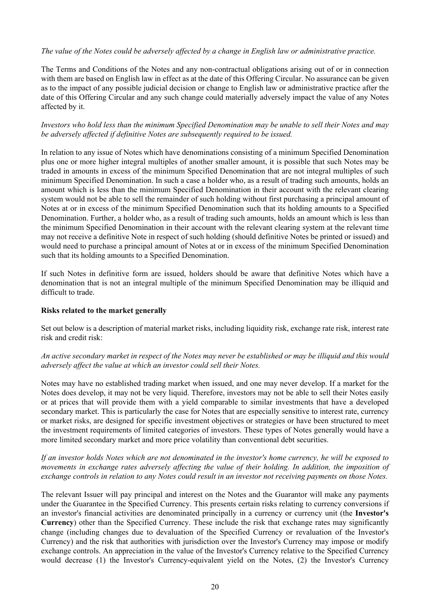# *The value of the Notes could be adversely affected by a change in English law or administrative practice.*

The Terms and Conditions of the Notes and any non-contractual obligations arising out of or in connection with them are based on English law in effect as at the date of this Offering Circular. No assurance can be given as to the impact of any possible judicial decision or change to English law or administrative practice after the date of this Offering Circular and any such change could materially adversely impact the value of any Notes affected by it.

# *Investors who hold less than the minimum Specified Denomination may be unable to sell their Notes and may be adversely affected if definitive Notes are subsequently required to be issued.*

In relation to any issue of Notes which have denominations consisting of a minimum Specified Denomination plus one or more higher integral multiples of another smaller amount, it is possible that such Notes may be traded in amounts in excess of the minimum Specified Denomination that are not integral multiples of such minimum Specified Denomination. In such a case a holder who, as a result of trading such amounts, holds an amount which is less than the minimum Specified Denomination in their account with the relevant clearing system would not be able to sell the remainder of such holding without first purchasing a principal amount of Notes at or in excess of the minimum Specified Denomination such that its holding amounts to a Specified Denomination. Further, a holder who, as a result of trading such amounts, holds an amount which is less than the minimum Specified Denomination in their account with the relevant clearing system at the relevant time may not receive a definitive Note in respect of such holding (should definitive Notes be printed or issued) and would need to purchase a principal amount of Notes at or in excess of the minimum Specified Denomination such that its holding amounts to a Specified Denomination.

If such Notes in definitive form are issued, holders should be aware that definitive Notes which have a denomination that is not an integral multiple of the minimum Specified Denomination may be illiquid and difficult to trade.

### **Risks related to the market generally**

Set out below is a description of material market risks, including liquidity risk, exchange rate risk, interest rate risk and credit risk:

# *An active secondary market in respect of the Notes may never be established or may be illiquid and this would adversely affect the value at which an investor could sell their Notes.*

Notes may have no established trading market when issued, and one may never develop. If a market for the Notes does develop, it may not be very liquid. Therefore, investors may not be able to sell their Notes easily or at prices that will provide them with a yield comparable to similar investments that have a developed secondary market. This is particularly the case for Notes that are especially sensitive to interest rate, currency or market risks, are designed for specific investment objectives or strategies or have been structured to meet the investment requirements of limited categories of investors. These types of Notes generally would have a more limited secondary market and more price volatility than conventional debt securities.

# *If an investor holds Notes which are not denominated in the investor's home currency, he will be exposed to movements in exchange rates adversely affecting the value of their holding. In addition, the imposition of exchange controls in relation to any Notes could result in an investor not receiving payments on those Notes.*

The relevant Issuer will pay principal and interest on the Notes and the Guarantor will make any payments under the Guarantee in the Specified Currency. This presents certain risks relating to currency conversions if an investor's financial activities are denominated principally in a currency or currency unit (the **Investor's Currency**) other than the Specified Currency. These include the risk that exchange rates may significantly change (including changes due to devaluation of the Specified Currency or revaluation of the Investor's Currency) and the risk that authorities with jurisdiction over the Investor's Currency may impose or modify exchange controls. An appreciation in the value of the Investor's Currency relative to the Specified Currency would decrease (1) the Investor's Currency-equivalent yield on the Notes, (2) the Investor's Currency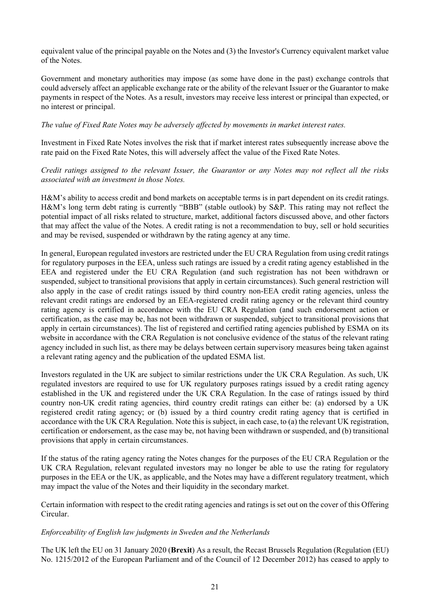equivalent value of the principal payable on the Notes and (3) the Investor's Currency equivalent market value of the Notes.

Government and monetary authorities may impose (as some have done in the past) exchange controls that could adversely affect an applicable exchange rate or the ability of the relevant Issuer or the Guarantor to make payments in respect of the Notes. As a result, investors may receive less interest or principal than expected, or no interest or principal.

## *The value of Fixed Rate Notes may be adversely affected by movements in market interest rates.*

Investment in Fixed Rate Notes involves the risk that if market interest rates subsequently increase above the rate paid on the Fixed Rate Notes, this will adversely affect the value of the Fixed Rate Notes.

*Credit ratings assigned to the relevant Issuer, the Guarantor or any Notes may not reflect all the risks associated with an investment in those Notes.*

H&M's ability to access credit and bond markets on acceptable terms is in part dependent on its credit ratings. H&M's long term debt rating is currently "BBB" (stable outlook) by S&P. This rating may not reflect the potential impact of all risks related to structure, market, additional factors discussed above, and other factors that may affect the value of the Notes. A credit rating is not a recommendation to buy, sell or hold securities and may be revised, suspended or withdrawn by the rating agency at any time.

In general, European regulated investors are restricted under the EU CRA Regulation from using credit ratings for regulatory purposes in the EEA, unless such ratings are issued by a credit rating agency established in the EEA and registered under the EU CRA Regulation (and such registration has not been withdrawn or suspended, subject to transitional provisions that apply in certain circumstances). Such general restriction will also apply in the case of credit ratings issued by third country non-EEA credit rating agencies, unless the relevant credit ratings are endorsed by an EEA-registered credit rating agency or the relevant third country rating agency is certified in accordance with the EU CRA Regulation (and such endorsement action or certification, as the case may be, has not been withdrawn or suspended, subject to transitional provisions that apply in certain circumstances). The list of registered and certified rating agencies published by ESMA on its website in accordance with the CRA Regulation is not conclusive evidence of the status of the relevant rating agency included in such list, as there may be delays between certain supervisory measures being taken against a relevant rating agency and the publication of the updated ESMA list.

Investors regulated in the UK are subject to similar restrictions under the UK CRA Regulation. As such, UK regulated investors are required to use for UK regulatory purposes ratings issued by a credit rating agency established in the UK and registered under the UK CRA Regulation. In the case of ratings issued by third country non-UK credit rating agencies, third country credit ratings can either be: (a) endorsed by a UK registered credit rating agency; or (b) issued by a third country credit rating agency that is certified in accordance with the UK CRA Regulation. Note this is subject, in each case, to (a) the relevant UK registration, certification or endorsement, as the case may be, not having been withdrawn or suspended, and (b) transitional provisions that apply in certain circumstances.

If the status of the rating agency rating the Notes changes for the purposes of the EU CRA Regulation or the UK CRA Regulation, relevant regulated investors may no longer be able to use the rating for regulatory purposes in the EEA or the UK, as applicable, and the Notes may have a different regulatory treatment, which may impact the value of the Notes and their liquidity in the secondary market.

Certain information with respect to the credit rating agencies and ratings is set out on the cover of this Offering Circular.

### *Enforceability of English law judgments in Sweden and the Netherlands*

The UK left the EU on 31 January 2020 (**Brexit**) As a result, the Recast Brussels Regulation (Regulation (EU) No. 1215/2012 of the European Parliament and of the Council of 12 December 2012) has ceased to apply to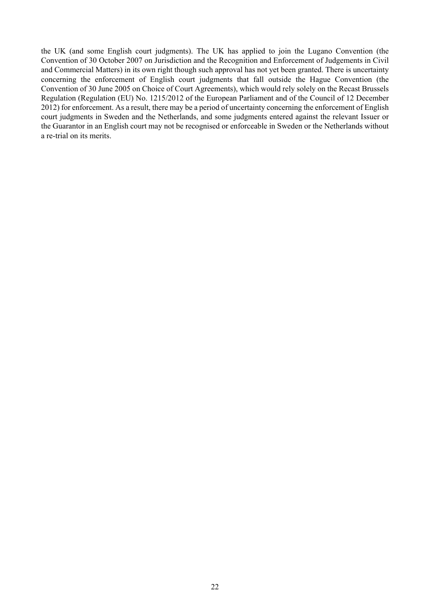the UK (and some English court judgments). The UK has applied to join the Lugano Convention (the Convention of 30 October 2007 on Jurisdiction and the Recognition and Enforcement of Judgements in Civil and Commercial Matters) in its own right though such approval has not yet been granted. There is uncertainty concerning the enforcement of English court judgments that fall outside the Hague Convention (the Convention of 30 June 2005 on Choice of Court Agreements), which would rely solely on the Recast Brussels Regulation (Regulation (EU) No. 1215/2012 of the European Parliament and of the Council of 12 December 2012) for enforcement. As a result, there may be a period of uncertainty concerning the enforcement of English court judgments in Sweden and the Netherlands, and some judgments entered against the relevant Issuer or the Guarantor in an English court may not be recognised or enforceable in Sweden or the Netherlands without a re-trial on its merits.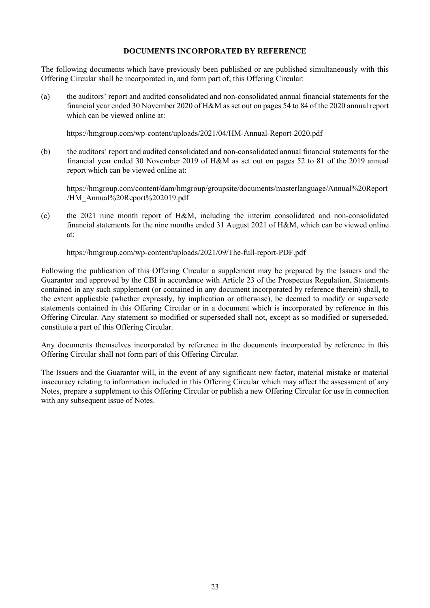### <span id="page-31-0"></span>**DOCUMENTS INCORPORATED BY REFERENCE**

The following documents which have previously been published or are published simultaneously with this Offering Circular shall be incorporated in, and form part of, this Offering Circular:

(a) the auditors' report and audited consolidated and non-consolidated annual financial statements for the financial year ended 30 November 2020 of H&M as set out on pages 54 to 84 of the 2020 annual report which can be viewed online at:

https://hmgroup.com/wp-content/uploads/2021/04/HM-Annual-Report-2020.pdf

(b) the auditors' report and audited consolidated and non-consolidated annual financial statements for the financial year ended 30 November 2019 of H&M as set out on pages 52 to 81 of the 2019 annual report which can be viewed online at:

https://hmgroup.com/content/dam/hmgroup/groupsite/documents/masterlanguage/Annual%20Report /HM\_Annual%20Report%202019.pdf

(c) the 2021 nine month report of H&M, including the interim consolidated and non-consolidated financial statements for the nine months ended 31 August 2021 of H&M, which can be viewed online at:

https://hmgroup.com/wp-content/uploads/2021/09/The-full-report-PDF.pdf

Following the publication of this Offering Circular a supplement may be prepared by the Issuers and the Guarantor and approved by the CBI in accordance with Article 23 of the Prospectus Regulation. Statements contained in any such supplement (or contained in any document incorporated by reference therein) shall, to the extent applicable (whether expressly, by implication or otherwise), be deemed to modify or supersede statements contained in this Offering Circular or in a document which is incorporated by reference in this Offering Circular. Any statement so modified or superseded shall not, except as so modified or superseded, constitute a part of this Offering Circular.

Any documents themselves incorporated by reference in the documents incorporated by reference in this Offering Circular shall not form part of this Offering Circular.

The Issuers and the Guarantor will, in the event of any significant new factor, material mistake or material inaccuracy relating to information included in this Offering Circular which may affect the assessment of any Notes, prepare a supplement to this Offering Circular or publish a new Offering Circular for use in connection with any subsequent issue of Notes.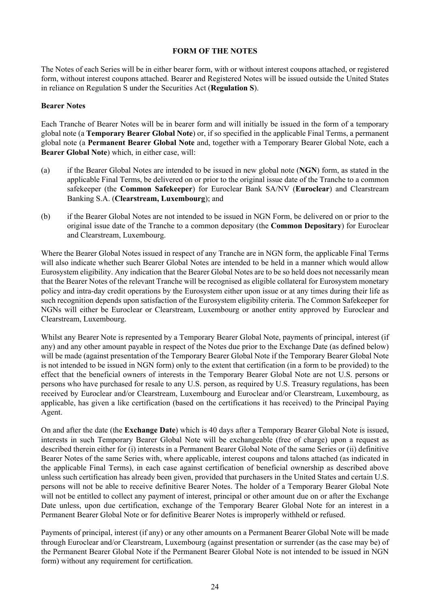#### <span id="page-32-0"></span>**FORM OF THE NOTES**

The Notes of each Series will be in either bearer form, with or without interest coupons attached, or registered form, without interest coupons attached. Bearer and Registered Notes will be issued outside the United States in reliance on Regulation S under the Securities Act (**Regulation S**).

# **Bearer Notes**

Each Tranche of Bearer Notes will be in bearer form and will initially be issued in the form of a temporary global note (a **Temporary Bearer Global Note**) or, if so specified in the applicable Final Terms, a permanent global note (a **Permanent Bearer Global Note** and, together with a Temporary Bearer Global Note, each a **Bearer Global Note**) which, in either case, will:

- (a) if the Bearer Global Notes are intended to be issued in new global note (**NGN**) form, as stated in the applicable Final Terms, be delivered on or prior to the original issue date of the Tranche to a common safekeeper (the **Common Safekeeper**) for Euroclear Bank SA/NV (**Euroclear**) and Clearstream Banking S.A. (**Clearstream, Luxembourg**); and
- (b) if the Bearer Global Notes are not intended to be issued in NGN Form, be delivered on or prior to the original issue date of the Tranche to a common depositary (the **Common Depositary**) for Euroclear and Clearstream, Luxembourg.

Where the Bearer Global Notes issued in respect of any Tranche are in NGN form, the applicable Final Terms will also indicate whether such Bearer Global Notes are intended to be held in a manner which would allow Eurosystem eligibility. Any indication that the Bearer Global Notes are to be so held does not necessarily mean that the Bearer Notes of the relevant Tranche will be recognised as eligible collateral for Eurosystem monetary policy and intra-day credit operations by the Eurosystem either upon issue or at any times during their life as such recognition depends upon satisfaction of the Eurosystem eligibility criteria. The Common Safekeeper for NGNs will either be Euroclear or Clearstream, Luxembourg or another entity approved by Euroclear and Clearstream, Luxembourg.

Whilst any Bearer Note is represented by a Temporary Bearer Global Note, payments of principal, interest (if any) and any other amount payable in respect of the Notes due prior to the Exchange Date (as defined below) will be made (against presentation of the Temporary Bearer Global Note if the Temporary Bearer Global Note is not intended to be issued in NGN form) only to the extent that certification (in a form to be provided) to the effect that the beneficial owners of interests in the Temporary Bearer Global Note are not U.S. persons or persons who have purchased for resale to any U.S. person, as required by U.S. Treasury regulations, has been received by Euroclear and/or Clearstream, Luxembourg and Euroclear and/or Clearstream, Luxembourg, as applicable, has given a like certification (based on the certifications it has received) to the Principal Paying Agent.

On and after the date (the **Exchange Date**) which is 40 days after a Temporary Bearer Global Note is issued, interests in such Temporary Bearer Global Note will be exchangeable (free of charge) upon a request as described therein either for (i) interests in a Permanent Bearer Global Note of the same Series or (ii) definitive Bearer Notes of the same Series with, where applicable, interest coupons and talons attached (as indicated in the applicable Final Terms), in each case against certification of beneficial ownership as described above unless such certification has already been given, provided that purchasers in the United States and certain U.S. persons will not be able to receive definitive Bearer Notes. The holder of a Temporary Bearer Global Note will not be entitled to collect any payment of interest, principal or other amount due on or after the Exchange Date unless, upon due certification, exchange of the Temporary Bearer Global Note for an interest in a Permanent Bearer Global Note or for definitive Bearer Notes is improperly withheld or refused.

Payments of principal, interest (if any) or any other amounts on a Permanent Bearer Global Note will be made through Euroclear and/or Clearstream, Luxembourg (against presentation or surrender (as the case may be) of the Permanent Bearer Global Note if the Permanent Bearer Global Note is not intended to be issued in NGN form) without any requirement for certification.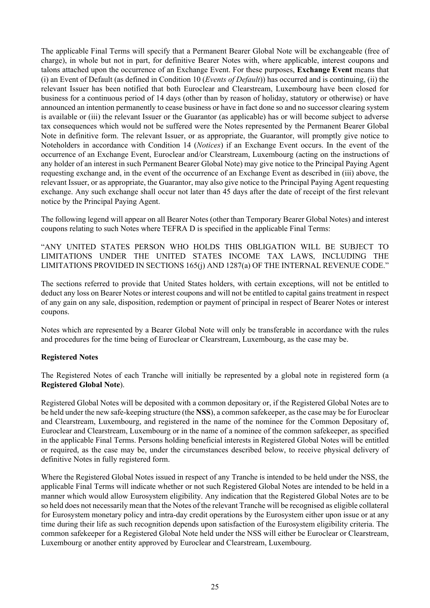The applicable Final Terms will specify that a Permanent Bearer Global Note will be exchangeable (free of charge), in whole but not in part, for definitive Bearer Notes with, where applicable, interest coupons and talons attached upon the occurrence of an Exchange Event. For these purposes, **Exchange Event** means that (i) an Event of Default (as defined in Condition [10](#page-84-0) (*Events of Default*)) has occurred and is continuing, (ii) the relevant Issuer has been notified that both Euroclear and Clearstream, Luxembourg have been closed for business for a continuous period of 14 days (other than by reason of holiday, statutory or otherwise) or have announced an intention permanently to cease business or have in fact done so and no successor clearing system is available or (iii) the relevant Issuer or the Guarantor (as applicable) has or will become subject to adverse tax consequences which would not be suffered were the Notes represented by the Permanent Bearer Global Note in definitive form. The relevant Issuer, or as appropriate, the Guarantor, will promptly give notice to Noteholders in accordance with Condition [14](#page-87-0) (*[Notices](#page-87-0)*) if an Exchange Event occurs. In the event of the occurrence of an Exchange Event, Euroclear and/or Clearstream, Luxembourg (acting on the instructions of any holder of an interest in such Permanent Bearer Global Note) may give notice to the Principal Paying Agent requesting exchange and, in the event of the occurrence of an Exchange Event as described in (iii) above, the relevant Issuer, or as appropriate, the Guarantor, may also give notice to the Principal Paying Agent requesting exchange. Any such exchange shall occur not later than 45 days after the date of receipt of the first relevant notice by the Principal Paying Agent.

The following legend will appear on all Bearer Notes (other than Temporary Bearer Global Notes) and interest coupons relating to such Notes where TEFRA D is specified in the applicable Final Terms:

"ANY UNITED STATES PERSON WHO HOLDS THIS OBLIGATION WILL BE SUBJECT TO LIMITATIONS UNDER THE UNITED STATES INCOME TAX LAWS, INCLUDING THE LIMITATIONS PROVIDED IN SECTIONS 165(j) AND 1287(a) OF THE INTERNAL REVENUE CODE."

The sections referred to provide that United States holders, with certain exceptions, will not be entitled to deduct any loss on Bearer Notes or interest coupons and will not be entitled to capital gains treatment in respect of any gain on any sale, disposition, redemption or payment of principal in respect of Bearer Notes or interest coupons.

Notes which are represented by a Bearer Global Note will only be transferable in accordance with the rules and procedures for the time being of Euroclear or Clearstream, Luxembourg, as the case may be.

### **Registered Notes**

The Registered Notes of each Tranche will initially be represented by a global note in registered form (a **Registered Global Note**).

Registered Global Notes will be deposited with a common depositary or, if the Registered Global Notes are to be held under the new safe-keeping structure (the **NSS**), a common safekeeper, as the case may be for Euroclear and Clearstream, Luxembourg, and registered in the name of the nominee for the Common Depositary of, Euroclear and Clearstream, Luxembourg or in the name of a nominee of the common safekeeper, as specified in the applicable Final Terms. Persons holding beneficial interests in Registered Global Notes will be entitled or required, as the case may be, under the circumstances described below, to receive physical delivery of definitive Notes in fully registered form.

Where the Registered Global Notes issued in respect of any Tranche is intended to be held under the NSS, the applicable Final Terms will indicate whether or not such Registered Global Notes are intended to be held in a manner which would allow Eurosystem eligibility. Any indication that the Registered Global Notes are to be so held does not necessarily mean that the Notes of the relevant Tranche will be recognised as eligible collateral for Eurosystem monetary policy and intra-day credit operations by the Eurosystem either upon issue or at any time during their life as such recognition depends upon satisfaction of the Eurosystem eligibility criteria. The common safekeeper for a Registered Global Note held under the NSS will either be Euroclear or Clearstream, Luxembourg or another entity approved by Euroclear and Clearstream, Luxembourg.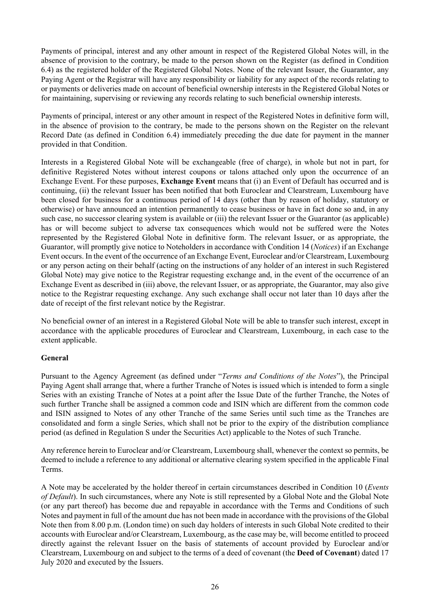Payments of principal, interest and any other amount in respect of the Registered Global Notes will, in the absence of provision to the contrary, be made to the person shown on the Register (as defined in Condition [6.4\)](#page-73-0) as the registered holder of the Registered Global Notes. None of the relevant Issuer, the Guarantor, any Paying Agent or the Registrar will have any responsibility or liability for any aspect of the records relating to or payments or deliveries made on account of beneficial ownership interests in the Registered Global Notes or for maintaining, supervising or reviewing any records relating to such beneficial ownership interests.

Payments of principal, interest or any other amount in respect of the Registered Notes in definitive form will, in the absence of provision to the contrary, be made to the persons shown on the Register on the relevant Record Date (as defined in Condition [6.4\)](#page-73-0) immediately preceding the due date for payment in the manner provided in that Condition.

Interests in a Registered Global Note will be exchangeable (free of charge), in whole but not in part, for definitive Registered Notes without interest coupons or talons attached only upon the occurrence of an Exchange Event. For these purposes, **Exchange Event** means that (i) an Event of Default has occurred and is continuing, (ii) the relevant Issuer has been notified that both Euroclear and Clearstream, Luxembourg have been closed for business for a continuous period of 14 days (other than by reason of holiday, statutory or otherwise) or have announced an intention permanently to cease business or have in fact done so and, in any such case, no successor clearing system is available or (iii) the relevant Issuer or the Guarantor (as applicable) has or will become subject to adverse tax consequences which would not be suffered were the Notes represented by the Registered Global Note in definitive form. The relevant Issuer, or as appropriate, the Guarantor, will promptly give notice to Noteholders in accordance with Condition [14](#page-87-0) (*[Notices](#page-87-0)*) if an Exchange Event occurs. In the event of the occurrence of an Exchange Event, Euroclear and/or Clearstream, Luxembourg or any person acting on their behalf (acting on the instructions of any holder of an interest in such Registered Global Note) may give notice to the Registrar requesting exchange and, in the event of the occurrence of an Exchange Event as described in (iii) above, the relevant Issuer, or as appropriate, the Guarantor, may also give notice to the Registrar requesting exchange. Any such exchange shall occur not later than 10 days after the date of receipt of the first relevant notice by the Registrar.

No beneficial owner of an interest in a Registered Global Note will be able to transfer such interest, except in accordance with the applicable procedures of Euroclear and Clearstream, Luxembourg, in each case to the extent applicable.

# **General**

Pursuant to the Agency Agreement (as defined under "*Terms and Conditions of the Notes*"), the Principal Paying Agent shall arrange that, where a further Tranche of Notes is issued which is intended to form a single Series with an existing Tranche of Notes at a point after the Issue Date of the further Tranche, the Notes of such further Tranche shall be assigned a common code and ISIN which are different from the common code and ISIN assigned to Notes of any other Tranche of the same Series until such time as the Tranches are consolidated and form a single Series, which shall not be prior to the expiry of the distribution compliance period (as defined in Regulation S under the Securities Act) applicable to the Notes of such Tranche.

Any reference herein to Euroclear and/or Clearstream, Luxembourg shall, whenever the context so permits, be deemed to include a reference to any additional or alternative clearing system specified in the applicable Final Terms.

A Note may be accelerated by the holder thereof in certain circumstances described in Condition [10](#page-84-0) (*Events of Default*). In such circumstances, where any Note is still represented by a Global Note and the Global Note (or any part thereof) has become due and repayable in accordance with the Terms and Conditions of such Notes and payment in full of the amount due has not been made in accordance with the provisions of the Global Note then from 8.00 p.m. (London time) on such day holders of interests in such Global Note credited to their accounts with Euroclear and/or Clearstream, Luxembourg, as the case may be, will become entitled to proceed directly against the relevant Issuer on the basis of statements of account provided by Euroclear and/or Clearstream, Luxembourg on and subject to the terms of a deed of covenant (the **Deed of Covenant**) dated 17 July 2020 and executed by the Issuers.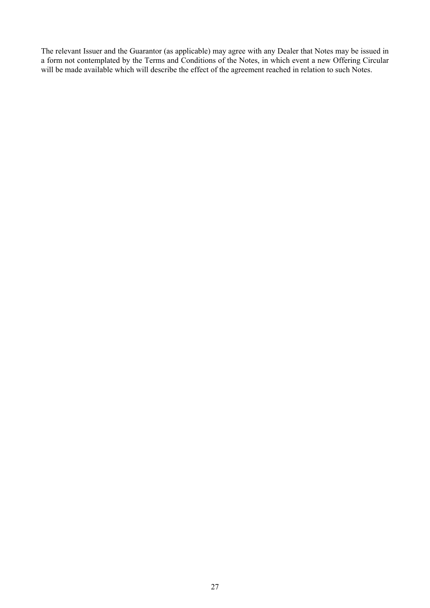The relevant Issuer and the Guarantor (as applicable) may agree with any Dealer that Notes may be issued in a form not contemplated by the Terms and Conditions of the Notes, in which event a new Offering Circular will be made available which will describe the effect of the agreement reached in relation to such Notes.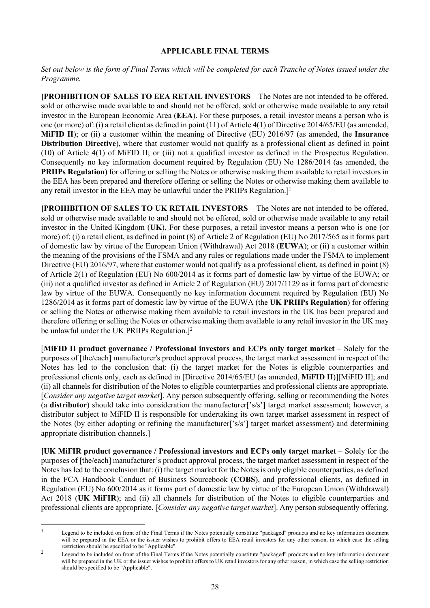### **APPLICABLE FINAL TERMS**

*Set out below is the form of Final Terms which will be completed for each Tranche of Notes issued under the Programme.*

**[PROHIBITION OF SALES TO EEA RETAIL INVESTORS** – The Notes are not intended to be offered, sold or otherwise made available to and should not be offered, sold or otherwise made available to any retail investor in the European Economic Area (**EEA**). For these purposes, a retail investor means a person who is one (or more) of: (i) a retail client as defined in point (11) of Article 4(1) of Directive 2014/65/EU (as amended, **MiFID II**); or (ii) a customer within the meaning of Directive (EU) 2016/97 (as amended, the **Insurance Distribution Directive**), where that customer would not qualify as a professional client as defined in point (10) of Article 4(1) of MiFID II; or (iii) not a qualified investor as defined in the Prospectus Regulation. Consequently no key information document required by Regulation (EU) No 1286/2014 (as amended, the **PRIIPs Regulation**) for offering or selling the Notes or otherwise making them available to retail investors in the EEA has been prepared and therefore offering or selling the Notes or otherwise making them available to any retail investor in the EEA may be unlawful under the PRIIPs Regulation.<sup>11</sup>

**[PROHIBITION OF SALES TO UK RETAIL INVESTORS** – The Notes are not intended to be offered, sold or otherwise made available to and should not be offered, sold or otherwise made available to any retail investor in the United Kingdom (**UK**). For these purposes, a retail investor means a person who is one (or more) of: (i) a retail client, as defined in point (8) of Article 2 of Regulation (EU) No 2017/565 as it forms part of domestic law by virtue of the European Union (Withdrawal) Act 2018 (**EUWA**); or (ii) a customer within the meaning of the provisions of the FSMA and any rules or regulations made under the FSMA to implement Directive (EU) 2016/97, where that customer would not qualify as a professional client, as defined in point (8) of Article 2(1) of Regulation (EU) No 600/2014 as it forms part of domestic law by virtue of the EUWA; or (iii) not a qualified investor as defined in Article 2 of Regulation (EU) 2017/1129 as it forms part of domestic law by virtue of the EUWA. Consequently no key information document required by Regulation (EU) No 1286/2014 as it forms part of domestic law by virtue of the EUWA (the **UK PRIIPs Regulation**) for offering or selling the Notes or otherwise making them available to retail investors in the UK has been prepared and therefore offering or selling the Notes or otherwise making them available to any retail investor in the UK may be unlawful under the UK PRIIPs Regulation.]<sup>2</sup>

[**MiFID II product governance / Professional investors and ECPs only target market** – Solely for the purposes of [the/each] manufacturer's product approval process, the target market assessment in respect of the Notes has led to the conclusion that: (i) the target market for the Notes is eligible counterparties and professional clients only, each as defined in [Directive 2014/65/EU (as amended, **MiFID II**)][MiFID II]; and (ii) all channels for distribution of the Notes to eligible counterparties and professional clients are appropriate. [*Consider any negative target market*]. Any person subsequently offering, selling or recommending the Notes (a **distributor**) should take into consideration the manufacturer['s/s'] target market assessment; however, a distributor subject to MiFID II is responsible for undertaking its own target market assessment in respect of the Notes (by either adopting or refining the manufacturer['s/s'] target market assessment) and determining appropriate distribution channels.]

**[UK MiFIR product governance / Professional investors and ECPs only target market – Solely for the** purposes of [the/each] manufacturer's product approval process, the target market assessment in respect of the Notes has led to the conclusion that: (i) the target market for the Notes is only eligible counterparties, as defined in the FCA Handbook Conduct of Business Sourcebook (**COBS**), and professional clients, as defined in Regulation (EU) No 600/2014 as it forms part of domestic law by virtue of the European Union (Withdrawal) Act 2018 (**UK MiFIR**); and (ii) all channels for distribution of the Notes to eligible counterparties and professional clients are appropriate. [*Consider any negative target market*]. Any person subsequently offering,

<sup>&</sup>lt;sup>1</sup> Legend to be included on front of the Final Terms if the Notes potentially constitute "packaged" products and no key information document will be prepared in the EEA or the issuer wishes to prohibit offers to EEA retail investors for any other reason, in which case the selling restriction should be specified to be "Applicable".

<sup>&</sup>lt;sup>2</sup> Legend to be included on front of the Final Terms if the Notes potentially constitute "packaged" products and no key information document will be prepared in the UK or the issuer wishes to prohibit offers to UK retail investors for any other reason, in which case the selling restriction should be specified to be "Applicable".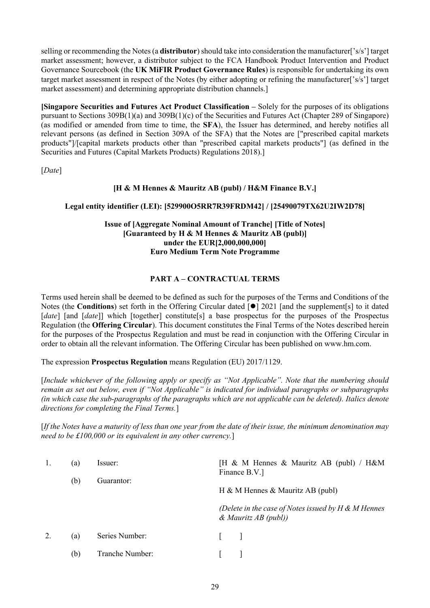selling or recommending the Notes (a **distributor**) should take into consideration the manufacturer['s/s'] target market assessment; however, a distributor subject to the FCA Handbook Product Intervention and Product Governance Sourcebook (the **UK MiFIR Product Governance Rules**) is responsible for undertaking its own target market assessment in respect of the Notes (by either adopting or refining the manufacturer['s/s'] target market assessment) and determining appropriate distribution channels.]

**[Singapore Securities and Futures Act Product Classification –** Solely for the purposes of its obligations pursuant to Sections 309B(1)(a) and 309B(1)(c) of the Securities and Futures Act (Chapter 289 of Singapore) (as modified or amended from time to time, the **SFA**), the Issuer has determined, and hereby notifies all relevant persons (as defined in Section 309A of the SFA) that the Notes are ["prescribed capital markets products"]/[capital markets products other than "prescribed capital markets products"] (as defined in the Securities and Futures (Capital Markets Products) Regulations 2018).]

[*Date*]

# **[H & M Hennes & Mauritz AB (publ) / H&M Finance B.V.]**

# **Legal entity identifier (LEI): [529900O5RR7R39FRDM42] / [25490079TX62U2IW2D78]**

# **Issue of [Aggregate Nominal Amount of Tranche] [Title of Notes] [Guaranteed by H & M Hennes & Mauritz AB (publ)] under the EUR[2,000,000,000] Euro Medium Term Note Programme**

# **PART A – CONTRACTUAL TERMS**

Terms used herein shall be deemed to be defined as such for the purposes of the Terms and Conditions of the Notes (the **Conditions**) set forth in the Offering Circular dated [ $\bullet$ ] 2021 [and the supplement[s] to it dated [*date*] [and [*date*]] which [together] constitute[s] a base prospectus for the purposes of the Prospectus Regulation (the **Offering Circular**). This document constitutes the Final Terms of the Notes described herein for the purposes of the Prospectus Regulation and must be read in conjunction with the Offering Circular in order to obtain all the relevant information. The Offering Circular has been published on www.hm.com.

The expression **Prospectus Regulation** means Regulation (EU) 2017/1129.

[*Include whichever of the following apply or specify as "Not Applicable". Note that the numbering should remain as set out below, even if "Not Applicable" is indicated for individual paragraphs or subparagraphs (in which case the sub-paragraphs of the paragraphs which are not applicable can be deleted). Italics denote directions for completing the Final Terms.*]

[*If the Notes have a maturity of less than one year from the date of their issue, the minimum denomination may need to be £100,000 or its equivalent in any other currency.*]

|    | (a)<br>(b) | lssuer:<br>Guarantor: | [H & M Hennes & Mauritz AB (publ) / H&M<br>Finance B.V.]                          |
|----|------------|-----------------------|-----------------------------------------------------------------------------------|
|    |            |                       | H & M Hennes & Mauritz AB (publ)                                                  |
|    |            |                       | (Delete in the case of Notes issued by $H \& M$ Hennes<br>$\&$ Mauritz AB (publ)) |
| 2. | (a)        | Series Number:        | $\mathbf{L}$                                                                      |
|    | (b)        | Tranche Number:       |                                                                                   |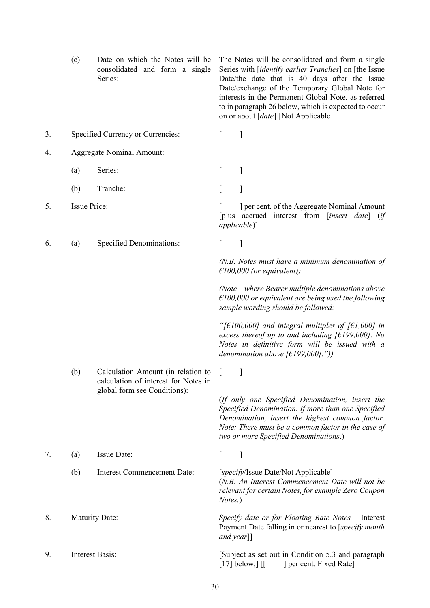<span id="page-38-0"></span>

|    | (c)                    | Date on which the Notes will be<br>consolidated and form a single<br>Series: |            | The Notes will be consolidated and form a single<br>Series with [ <i>identify earlier Tranches</i> ] on [the Issue<br>Date/the date that is 40 days after the Issue<br>Date/exchange of the Temporary Global Note for<br>interests in the Permanent Global Note, as referred<br>to in paragraph 26 below, which is expected to occur<br>on or about [date]][Not Applicable] |
|----|------------------------|------------------------------------------------------------------------------|------------|-----------------------------------------------------------------------------------------------------------------------------------------------------------------------------------------------------------------------------------------------------------------------------------------------------------------------------------------------------------------------------|
| 3. |                        | Specified Currency or Currencies:                                            | L          | $\mathbf{I}$                                                                                                                                                                                                                                                                                                                                                                |
| 4. |                        | <b>Aggregate Nominal Amount:</b>                                             |            |                                                                                                                                                                                                                                                                                                                                                                             |
|    | (a)                    | Series:                                                                      | L          | ]                                                                                                                                                                                                                                                                                                                                                                           |
|    | (b)                    | Tranche:                                                                     | L          | ]                                                                                                                                                                                                                                                                                                                                                                           |
| 5. | <b>Issue Price:</b>    |                                                                              |            | ] per cent. of the Aggregate Nominal Amount<br>[plus accrued interest from [insert date] (if<br><i>applicable</i> )]                                                                                                                                                                                                                                                        |
| 6. | (a)                    | <b>Specified Denominations:</b>                                              | L          | 1                                                                                                                                                                                                                                                                                                                                                                           |
|    |                        |                                                                              |            | $(N.B.$ Notes must have a minimum denomination of<br>$\epsilon$ 100,000 (or equivalent))                                                                                                                                                                                                                                                                                    |
|    |                        |                                                                              |            | $(Note - where Bearer multiple denominations above$<br>$\epsilon$ 100,000 or equivalent are being used the following<br>sample wording should be followed:                                                                                                                                                                                                                  |
|    |                        |                                                                              |            | "[ $\epsilon$ 100,000] and integral multiples of [ $\epsilon$ 1,000] in<br>excess thereof up to and including $f \in$ 199,000]. No<br>Notes in definitive form will be issued with a<br>denomination above $f \in [199,000]$ ."))                                                                                                                                           |
|    | (b)                    | Calculation Amount (in relation to<br>calculation of interest for Notes in   |            |                                                                                                                                                                                                                                                                                                                                                                             |
|    |                        | global form see Conditions):                                                 |            | (If only one Specified Denomination, insert the<br>Specified Denomination. If more than one Specified<br>Denomination, insert the highest common factor.<br>Note: There must be a common factor in the case of<br>two or more Specified Denominations.)                                                                                                                     |
| 7. | (a)                    | Issue Date:                                                                  | L          | $\mathbf{I}$                                                                                                                                                                                                                                                                                                                                                                |
|    | (b)                    | Interest Commencement Date:                                                  | Notes.)    | [specify/Issue Date/Not Applicable]<br>(N.B. An Interest Commencement Date will not be<br>relevant for certain Notes, for example Zero Coupon                                                                                                                                                                                                                               |
| 8. | <b>Maturity Date:</b>  |                                                                              | and year]] | Specify date or for Floating Rate Notes - Interest<br>Payment Date falling in or nearest to [specify month                                                                                                                                                                                                                                                                  |
| 9. | <b>Interest Basis:</b> |                                                                              |            | [Subject as set out in Condition 5.3 and paragraph<br>$[17]$ below,] $[$<br>] per cent. Fixed Rate]                                                                                                                                                                                                                                                                         |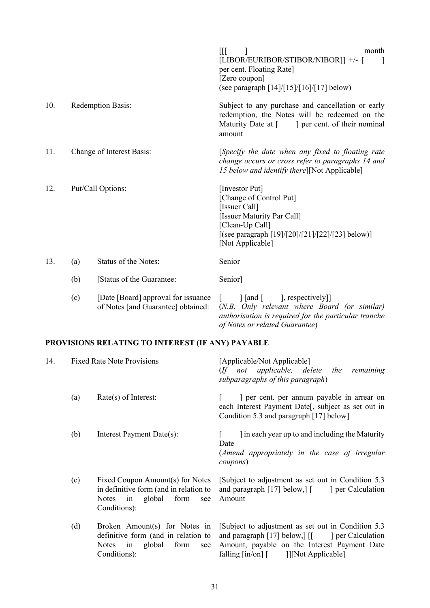|     |     |                                                                           | $\mathbb{H}$<br>month<br>[LIBOR/EURIBOR/STIBOR/NIBOR]] +/- [<br>$\perp$<br>per cent. Floating Rate]<br>[Zero coupon]<br>(see paragraph [14]/[15]/[16]/[17] below)                                                                                  |
|-----|-----|---------------------------------------------------------------------------|----------------------------------------------------------------------------------------------------------------------------------------------------------------------------------------------------------------------------------------------------|
| 10. |     | Redemption Basis:                                                         | Subject to any purchase and cancellation or early<br>redemption, the Notes will be redeemed on the<br>Maturity Date at [ ] per cent. of their nominal<br>amount                                                                                    |
| 11. |     | Change of Interest Basis:                                                 | [Specify the date when any fixed to floating rate<br>change occurs or cross refer to paragraphs 14 and<br>15 below and identify there][Not Applicable]                                                                                             |
| 12. |     | Put/Call Options:                                                         | [Investor Put]<br>[Change of Control Put]<br>[Issuer Call]<br>[Issuer Maturity Par Call]<br>[Clean-Up Call]<br>[(see paragraph [19]/[20]/[21]/[22]/[23] below)]<br>[Not Applicable]                                                                |
| 13. | (a) | Status of the Notes:                                                      | Senior                                                                                                                                                                                                                                             |
|     | (b) | [Status of the Guarantee:                                                 | Senior]                                                                                                                                                                                                                                            |
|     | (c) | [Date [Board] approval for issuance<br>of Notes [and Guarantee] obtained: | $\left[ \text{and} \left[ \right] \right]$ , respectively<br>$\begin{bmatrix} \phantom{-} \end{bmatrix}$<br>(N.B. Only relevant where Board (or similar)<br>authorisation is required for the particular tranche<br>of Notes or related Guarantee) |
|     |     | PROVISIONS RELATING TO INTEREST (IF ANY) PAYABLE                          |                                                                                                                                                                                                                                                    |
| 14. |     | <b>Fixed Rate Note Provisions</b>                                         | [Applicable/Not Applicable]<br>1.11                                                                                                                                                                                                                |

<span id="page-39-0"></span>

|     |                                                                                                                              | not applicable, delete the remaining<br>$($ f<br>subparagraphs of this paragraph)                                                                                                                                     |
|-----|------------------------------------------------------------------------------------------------------------------------------|-----------------------------------------------------------------------------------------------------------------------------------------------------------------------------------------------------------------------|
| (a) | $Rate(s)$ of Interest:                                                                                                       | per cent. per annum payable in arrear on<br>each Interest Payment Date[, subject as set out in<br>Condition 5.3 and paragraph [17] below]                                                                             |
| (b) | Interest Payment Date(s):                                                                                                    | I in each year up to and including the Maturity<br>Date<br>(Amend appropriately in the case of irregular<br>coupons)                                                                                                  |
| (c) | Fixed Coupon Amount(s) for Notes<br>in definitive form (and in relation to<br>in global form<br>Notes<br>see<br>Conditions): | [Subject to adjustment as set out in Condition 5.3]<br>and paragraph $[17]$ below, $\int$<br>per Calculation<br>Amount                                                                                                |
| (d) | Broken Amount(s) for Notes in<br>definitive form (and in relation to<br>global<br>form<br><b>Notes</b><br>in<br>see          | [Subject to adjustment as set out in Condition 5.3]<br>and paragraph [17] below, $\begin{bmatrix} \begin{bmatrix} 1 \\ 0 \end{bmatrix} \end{bmatrix}$ per Calculation<br>Amount, payable on the Interest Payment Date |

falling [in/on] [ ]][Not Applicable]

Conditions):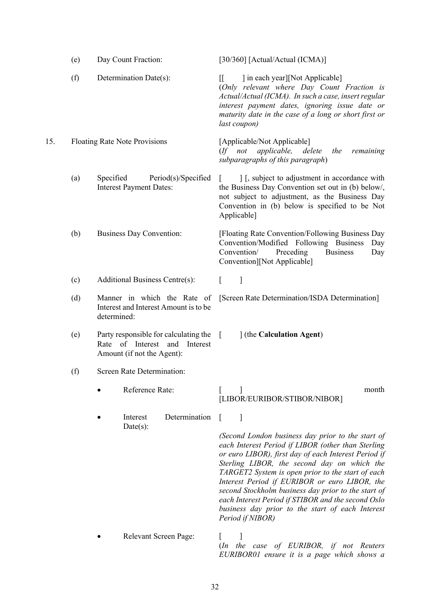<span id="page-40-2"></span><span id="page-40-1"></span><span id="page-40-0"></span>

|     | (e) | Day Count Fraction:                                                                                  | [30/360] [Actual/Actual (ICMA)]                                                                                                                                                                                                                                                                                                                                                                                                                                                                                |
|-----|-----|------------------------------------------------------------------------------------------------------|----------------------------------------------------------------------------------------------------------------------------------------------------------------------------------------------------------------------------------------------------------------------------------------------------------------------------------------------------------------------------------------------------------------------------------------------------------------------------------------------------------------|
|     | (f) | Determination Date(s):                                                                               | ] in each year][Not Applicable]<br>II.<br>(Only relevant where Day Count Fraction is<br>Actual/Actual (ICMA). In such a case, insert regular<br>interest payment dates, ignoring issue date or<br>maturity date in the case of a long or short first or<br>last coupon)                                                                                                                                                                                                                                        |
| 15. |     | <b>Floating Rate Note Provisions</b>                                                                 | [Applicable/Not Applicable]<br>applicable, delete<br>$($ f not<br>the<br>remaining<br>subparagraphs of this paragraph)                                                                                                                                                                                                                                                                                                                                                                                         |
|     | (a) | Specified<br>Period(s)/Specified<br><b>Interest Payment Dates:</b>                                   | ] [, subject to adjustment in accordance with<br>the Business Day Convention set out in (b) below/,<br>not subject to adjustment, as the Business Day<br>Convention in (b) below is specified to be Not<br>Applicable]                                                                                                                                                                                                                                                                                         |
|     | (b) | <b>Business Day Convention:</b>                                                                      | [Floating Rate Convention/Following Business Day<br>Convention/Modified Following Business<br>Day<br>Convention/<br>Preceding<br><b>Business</b><br>Day<br>Convention][Not Applicable]                                                                                                                                                                                                                                                                                                                         |
|     | (c) | Additional Business Centre(s):                                                                       | ]<br>L                                                                                                                                                                                                                                                                                                                                                                                                                                                                                                         |
|     | (d) | Manner in which the Rate of<br>Interest and Interest Amount is to be<br>determined:                  | [Screen Rate Determination/ISDA Determination]                                                                                                                                                                                                                                                                                                                                                                                                                                                                 |
|     | (e) | Party responsible for calculating the<br>Rate of Interest and Interest<br>Amount (if not the Agent): | 1 (the Calculation Agent)<br>$\sqrt{ }$                                                                                                                                                                                                                                                                                                                                                                                                                                                                        |
|     | (f) | Screen Rate Determination:                                                                           |                                                                                                                                                                                                                                                                                                                                                                                                                                                                                                                |
|     |     | Reference Rate:                                                                                      | month<br>[LIBOR/EURIBOR/STIBOR/NIBOR]                                                                                                                                                                                                                                                                                                                                                                                                                                                                          |
|     |     | Determination<br>Interest<br>$Date(s)$ :                                                             | 1<br>(Second London business day prior to the start of<br>each Interest Period if LIBOR (other than Sterling<br>or euro LIBOR), first day of each Interest Period if<br>Sterling LIBOR, the second day on which the<br>TARGET2 System is open prior to the start of each<br>Interest Period if EURIBOR or euro LIBOR, the<br>second Stockholm business day prior to the start of<br>each Interest Period if STIBOR and the second Oslo<br>business day prior to the start of each Interest<br>Period if NIBOR) |
|     |     | Relevant Screen Page:                                                                                | (In the case of EURIBOR, if not Reuters<br>EURIBOR01 ensure it is a page which shows a                                                                                                                                                                                                                                                                                                                                                                                                                         |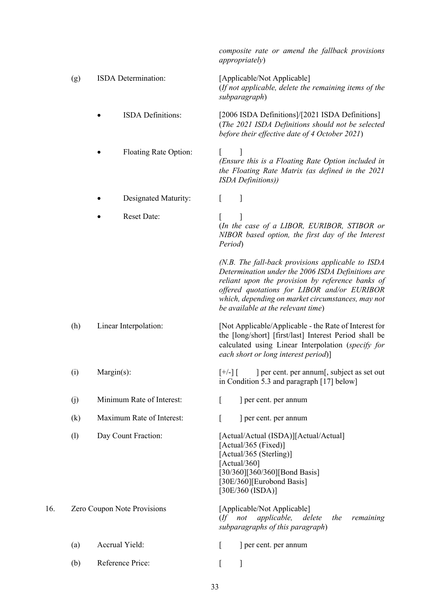<span id="page-41-0"></span>

|     |     |                             | composite rate or amend the fallback provisions<br>appropriately)                                                                                                                                                                                                                                      |
|-----|-----|-----------------------------|--------------------------------------------------------------------------------------------------------------------------------------------------------------------------------------------------------------------------------------------------------------------------------------------------------|
|     | (g) | ISDA Determination:         | [Applicable/Not Applicable]<br>(If not applicable, delete the remaining items of the<br>subparagraph)                                                                                                                                                                                                  |
|     |     | <b>ISDA</b> Definitions:    | [2006 ISDA Definitions]/[2021 ISDA Definitions]<br>(The 2021 ISDA Definitions should not be selected<br>before their effective date of 4 October 2021)                                                                                                                                                 |
|     |     | Floating Rate Option:       | (Ensure this is a Floating Rate Option included in<br>the Floating Rate Matrix (as defined in the 2021<br>ISDA Definitions))                                                                                                                                                                           |
|     |     | Designated Maturity:        | ]<br>L                                                                                                                                                                                                                                                                                                 |
|     |     | <b>Reset Date:</b>          | (In the case of a LIBOR, EURIBOR, STIBOR or<br>NIBOR based option, the first day of the Interest<br>Period)                                                                                                                                                                                            |
|     |     |                             | $(N.B.$ The fall-back provisions applicable to ISDA<br>Determination under the 2006 ISDA Definitions are<br>reliant upon the provision by reference banks of<br>offered quotations for LIBOR and/or EURIBOR<br>which, depending on market circumstances, may not<br>be available at the relevant time) |
|     | (h) | Linear Interpolation:       | [Not Applicable/Applicable - the Rate of Interest for<br>the [long/short] [first/last] Interest Period shall be<br>calculated using Linear Interpolation (specify for<br>each short or long interest period)]                                                                                          |
|     | (i) | Margin(s):                  | ] per cent. per annum[, subject as set out<br>$\lceil +/- \rceil$ $\lceil$<br>in Condition 5.3 and paragraph [17] below]                                                                                                                                                                               |
|     | (j) | Minimum Rate of Interest:   | $\Gamma$<br>] per cent. per annum                                                                                                                                                                                                                                                                      |
|     | (k) | Maximum Rate of Interest:   | L<br>] per cent. per annum                                                                                                                                                                                                                                                                             |
|     | (1) | Day Count Fraction:         | [Actual/Actual (ISDA)][Actual/Actual]<br>[Actual/365 (Fixed)]<br>[Actual/365 (Sterling)]<br>[Actual/360]<br>[30/360][360/360][Bond Basis]<br>[30E/360][Eurobond Basis]<br>[30E/360 (ISDA)]                                                                                                             |
| 16. |     | Zero Coupon Note Provisions | [Applicable/Not Applicable]<br>(If not applicable, delete<br>the<br>remaining<br>subparagraphs of this paragraph)                                                                                                                                                                                      |
|     | (a) | Accrual Yield:              | L<br>] per cent. per annum                                                                                                                                                                                                                                                                             |
|     | (b) | Reference Price:            | ſ<br>]                                                                                                                                                                                                                                                                                                 |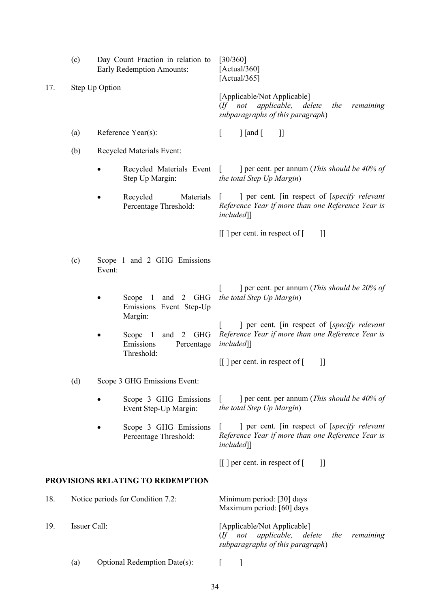|     | (c)<br>Day Count Fraction in relation to<br><b>Early Redemption Amounts:</b>                                                                                                                                                                                  |                                                        |                                                 | [30/360]<br>[Actual/360]<br>[Actual/365]                                                                                            |
|-----|---------------------------------------------------------------------------------------------------------------------------------------------------------------------------------------------------------------------------------------------------------------|--------------------------------------------------------|-------------------------------------------------|-------------------------------------------------------------------------------------------------------------------------------------|
| 17. | Step Up Option                                                                                                                                                                                                                                                |                                                        |                                                 | [Applicable/Not Applicable]<br>applicable, delete the<br>$($ f not<br>remaining<br>subparagraphs of this paragraph)                 |
|     | (a)                                                                                                                                                                                                                                                           |                                                        |                                                 | $\int$ [and [<br>$_{\rm ll}$<br>$\mathbb{R}$                                                                                        |
|     | (b)                                                                                                                                                                                                                                                           |                                                        |                                                 |                                                                                                                                     |
|     |                                                                                                                                                                                                                                                               |                                                        | Recycled Materials Event [<br>Step Up Margin:   | ] per cent. per annum ( <i>This should be 40% of</i><br>the total Step Up Margin)                                                   |
|     |                                                                                                                                                                                                                                                               |                                                        | Recycled<br>Materials<br>Percentage Threshold:  | ] per cent. [in respect of [specify relevant<br>Reference Year if more than one Reference Year is<br>included                       |
|     |                                                                                                                                                                                                                                                               |                                                        |                                                 | $\left[\begin{array}{ccc} \end{array}\right]$ per cent. in respect of $\left[\begin{array}{ccc} \end{array}\right]$<br>$\mathbf{I}$ |
|     | (c)                                                                                                                                                                                                                                                           | Event:                                                 |                                                 |                                                                                                                                     |
|     |                                                                                                                                                                                                                                                               | Scope<br>$\overline{1}$<br>Margin:                     | and 2 GHG<br>Emissions Event Step-Up            | ] per cent. per annum ( <i>This should be 20% of</i><br>the total Step Up Margin)                                                   |
|     |                                                                                                                                                                                                                                                               |                                                        | and 2 GHG<br>Scope 1<br>Emissions<br>Percentage | ] per cent. [in respect of [specify relevant<br>Reference Year if more than one Reference Year is<br>included                       |
|     |                                                                                                                                                                                                                                                               |                                                        |                                                 | $\left[ \begin{array}{c} \end{array} \right]$ per cent. in respect of $\left[ \begin{array}{c} \end{array} \right]$<br>11           |
|     | (d)                                                                                                                                                                                                                                                           |                                                        |                                                 |                                                                                                                                     |
|     |                                                                                                                                                                                                                                                               |                                                        | Scope 3 GHG Emissions<br>Event Step-Up Margin:  | ] per cent. per annum ( <i>This should be 40% of</i><br>the total Step Up Margin)                                                   |
|     |                                                                                                                                                                                                                                                               |                                                        | Scope 3 GHG Emissions<br>Percentage Threshold:  | ] per cent. [in respect of [specify relevant<br>Reference Year if more than one Reference Year is<br>included]]                     |
|     |                                                                                                                                                                                                                                                               |                                                        |                                                 | $\left[\begin{array}{ccc} \end{array}\right]$ per cent. in respect of $\left[\begin{array}{ccc} \end{array}\right]$<br>$_{\rm ll}$  |
|     |                                                                                                                                                                                                                                                               |                                                        |                                                 |                                                                                                                                     |
| 18. | Reference Year(s):<br>Recycled Materials Event:<br>Scope 1 and 2 GHG Emissions<br>Threshold:<br>Scope 3 GHG Emissions Event:<br>PROVISIONS RELATING TO REDEMPTION<br>Notice periods for Condition 7.2:<br>Issuer Call:<br>Optional Redemption Date(s):<br>(a) | Minimum period: [30] days<br>Maximum period: [60] days |                                                 |                                                                                                                                     |
| 19. |                                                                                                                                                                                                                                                               |                                                        |                                                 | [Applicable/Not Applicable]<br>applicable,<br>not<br>delete<br>the<br>remaining<br>$($ f<br>subparagraphs of this paragraph)        |
|     |                                                                                                                                                                                                                                                               |                                                        |                                                 |                                                                                                                                     |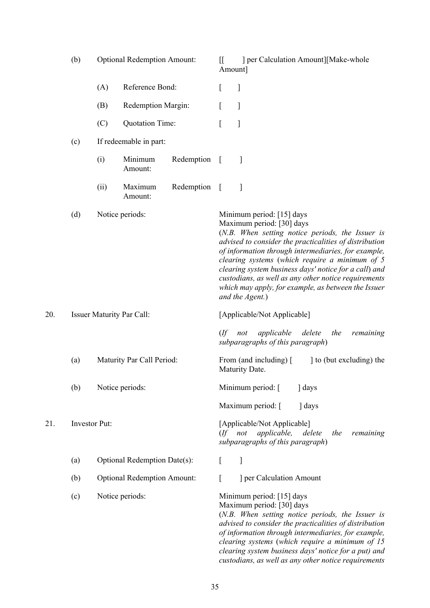|     | (b)                              |                                    | <b>Optional Redemption Amount:</b> |            | $\mathbb{I}$<br>Amount]  | ] per Calculation Amount][Make-whole                                                                                                                                                                                                                                                                                                                                                                                                                                     |
|-----|----------------------------------|------------------------------------|------------------------------------|------------|--------------------------|--------------------------------------------------------------------------------------------------------------------------------------------------------------------------------------------------------------------------------------------------------------------------------------------------------------------------------------------------------------------------------------------------------------------------------------------------------------------------|
|     |                                  | (A)                                | Reference Bond:                    |            | L                        | 1                                                                                                                                                                                                                                                                                                                                                                                                                                                                        |
|     |                                  | (B)                                | Redemption Margin:                 |            | ſ                        | ]                                                                                                                                                                                                                                                                                                                                                                                                                                                                        |
|     |                                  | (C)                                | Quotation Time:                    |            |                          | 1                                                                                                                                                                                                                                                                                                                                                                                                                                                                        |
|     | (c)                              |                                    | If redeemable in part:             |            |                          |                                                                                                                                                                                                                                                                                                                                                                                                                                                                          |
|     |                                  | (i)                                | Minimum<br>Amount:                 | Redemption | $\lceil$                 | 1                                                                                                                                                                                                                                                                                                                                                                                                                                                                        |
|     |                                  | (ii)                               | Maximum<br>Amount:                 | Redemption | $\overline{1}$           | 1                                                                                                                                                                                                                                                                                                                                                                                                                                                                        |
|     | (d)                              |                                    | Notice periods:                    |            |                          | Minimum period: [15] days<br>Maximum period: [30] days<br>(N.B. When setting notice periods, the Issuer is<br>advised to consider the practicalities of distribution<br>of information through intermediaries, for example,<br>clearing systems (which require a minimum of 5<br>clearing system business days' notice for a call) and<br>custodians, as well as any other notice requirements<br>which may apply, for example, as between the Issuer<br>and the Agent.) |
| 20. | <b>Issuer Maturity Par Call:</b> |                                    |                                    |            |                          | [Applicable/Not Applicable]                                                                                                                                                                                                                                                                                                                                                                                                                                              |
|     |                                  |                                    |                                    |            | $($ ff                   | applicable delete<br>the<br>not<br>remaining<br>subparagraphs of this paragraph)                                                                                                                                                                                                                                                                                                                                                                                         |
|     | (a)                              | Maturity Par Call Period:          |                                    |            |                          | to (but excluding) the<br>From (and including) [<br>Maturity Date.                                                                                                                                                                                                                                                                                                                                                                                                       |
|     | (b)                              |                                    | Notice periods:                    |            |                          | Minimum period: [<br>days                                                                                                                                                                                                                                                                                                                                                                                                                                                |
|     |                                  |                                    |                                    |            |                          | Maximum period: [<br>] days                                                                                                                                                                                                                                                                                                                                                                                                                                              |
| 21. | <b>Investor Put:</b>             |                                    |                                    |            | $($ f not                | [Applicable/Not Applicable]<br>applicable,<br>delete<br>the<br>remaining<br>subparagraphs of this paragraph)                                                                                                                                                                                                                                                                                                                                                             |
|     | (a)                              |                                    | Optional Redemption Date(s):       |            | $\lceil$                 | 1                                                                                                                                                                                                                                                                                                                                                                                                                                                                        |
|     | (b)                              | <b>Optional Redemption Amount:</b> |                                    | ſ          | ] per Calculation Amount |                                                                                                                                                                                                                                                                                                                                                                                                                                                                          |
|     | (c)                              |                                    | Notice periods:                    |            |                          | Minimum period: [15] days<br>Maximum period: [30] days<br>(N.B. When setting notice periods, the Issuer is<br>advised to consider the practicalities of distribution<br>of information through intermediaries, for example,<br>clearing systems (which require a minimum of 15<br>clearing system business days' notice for a put) and<br>custodians, as well as any other notice requirements                                                                           |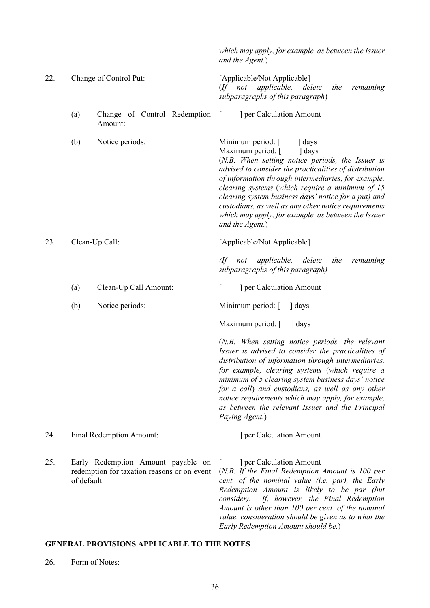|     |             |                                                                                   | which may apply, for example, as between the Issuer<br>and the Agent.)                                                                                                                                                                                                                                                                                                                                                                                                   |
|-----|-------------|-----------------------------------------------------------------------------------|--------------------------------------------------------------------------------------------------------------------------------------------------------------------------------------------------------------------------------------------------------------------------------------------------------------------------------------------------------------------------------------------------------------------------------------------------------------------------|
| 22. |             | Change of Control Put:                                                            | [Applicable/Not Applicable]<br>(If not applicable, delete<br>the<br>remaining<br>subparagraphs of this paragraph)                                                                                                                                                                                                                                                                                                                                                        |
|     | (a)         | Change of Control Redemption<br>Amount:                                           | ] per Calculation Amount<br>$\lceil$                                                                                                                                                                                                                                                                                                                                                                                                                                     |
|     | (b)         | Notice periods:                                                                   | Minimum period: [<br>days<br>Maximum period: [<br>days<br>(N.B. When setting notice periods, the Issuer is<br>advised to consider the practicalities of distribution<br>of information through intermediaries, for example,<br>clearing systems (which require a minimum of 15<br>clearing system business days' notice for a put) and<br>custodians, as well as any other notice requirements<br>which may apply, for example, as between the Issuer<br>and the Agent.) |
| 23. |             | Clean-Up Call:                                                                    | [Applicable/Not Applicable]                                                                                                                                                                                                                                                                                                                                                                                                                                              |
|     |             |                                                                                   | (If not applicable, delete<br>the<br>remaining<br>subparagraphs of this paragraph)                                                                                                                                                                                                                                                                                                                                                                                       |
|     | (a)         | Clean-Up Call Amount:                                                             | ] per Calculation Amount<br>L                                                                                                                                                                                                                                                                                                                                                                                                                                            |
|     | (b)         | Notice periods:                                                                   | Minimum period: [<br>days                                                                                                                                                                                                                                                                                                                                                                                                                                                |
|     |             |                                                                                   | Maximum period: [<br>days                                                                                                                                                                                                                                                                                                                                                                                                                                                |
|     |             |                                                                                   | (N.B. When setting notice periods, the relevant<br>Issuer is advised to consider the practicalities of<br>distribution of information through intermediaries,<br>for example, clearing systems (which require a<br>minimum of 5 clearing system business days' notice<br>for a call) and custodians, as well as any other<br>notice requirements which may apply, for example,<br>as between the relevant Issuer and the Principal<br>Paying Agent.)                     |
| 24. |             | <b>Final Redemption Amount:</b>                                                   | ] per Calculation Amount<br>L                                                                                                                                                                                                                                                                                                                                                                                                                                            |
| 25. | of default: | Early Redemption Amount payable on<br>redemption for taxation reasons or on event | ] per Calculation Amount<br>$\mathbf{L}$<br>$(N.B.$ If the Final Redemption Amount is 100 per<br>cent. of the nominal value (i.e. par), the Early<br>Redemption Amount is likely to be par (but<br>consider). If, however, the Final Redemption<br>Amount is other than 100 per cent. of the nominal<br>value, consideration should be given as to what the                                                                                                              |

# **GENERAL PROVISIONS APPLICABLE TO THE NOTES**

<span id="page-44-0"></span>26. Form of Notes:

*Early Redemption Amount should be.*)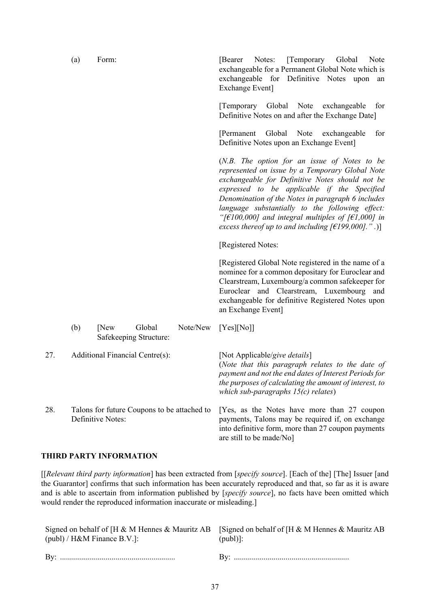|     | (a) | Form:                                                            | [Temporary Global]<br>Notes:<br>[Bearer]<br>Note<br>exchangeable for a Permanent Global Note which is<br>exchangeable for Definitive Notes upon<br>an<br>Exchange Event]                                                                                                                                                                                                                                                                       |
|-----|-----|------------------------------------------------------------------|------------------------------------------------------------------------------------------------------------------------------------------------------------------------------------------------------------------------------------------------------------------------------------------------------------------------------------------------------------------------------------------------------------------------------------------------|
|     |     |                                                                  | [Temporary Global Note exchangeable]<br>for<br>Definitive Notes on and after the Exchange Date]                                                                                                                                                                                                                                                                                                                                                |
|     |     |                                                                  | [Permanent Global Note<br>for<br>exchangeable<br>Definitive Notes upon an Exchange Event]                                                                                                                                                                                                                                                                                                                                                      |
|     |     |                                                                  | $(N.B.$ The option for an issue of Notes to be<br>represented on issue by a Temporary Global Note<br>exchangeable for Definitive Notes should not be<br>expressed to be applicable if the Specified<br>Denomination of the Notes in paragraph 6 includes<br>language substantially to the following effect:<br>"[ $\epsilon$ 100,000] and integral multiples of [ $\epsilon$ 1,000] in<br>excess thereof up to and including $[£199,000]$ .".) |
|     |     |                                                                  | [Registered Notes:                                                                                                                                                                                                                                                                                                                                                                                                                             |
|     |     |                                                                  | [Registered Global Note registered in the name of a<br>nominee for a common depositary for Euroclear and<br>Clearstream, Luxembourg/a common safekeeper for<br>Euroclear and Clearstream, Luxembourg and<br>exchangeable for definitive Registered Notes upon<br>an Exchange Event]                                                                                                                                                            |
|     | (b) | Note/New<br>New<br>Global<br>Safekeeping Structure:              | [Yes][No]]                                                                                                                                                                                                                                                                                                                                                                                                                                     |
| 27. |     | Additional Financial Centre(s):                                  | [Not Applicable/give details]<br>(Note that this paragraph relates to the date of<br>payment and not the end dates of Interest Periods for<br>the purposes of calculating the amount of interest, to<br>which sub-paragraphs $15(c)$ relates)                                                                                                                                                                                                  |
| 28. |     | Talons for future Coupons to be attached to<br>Definitive Notes: | [Yes, as the Notes have more than 27 coupon<br>payments, Talons may be required if, on exchange<br>into definitive form, more than 27 coupon payments<br>are still to be made/No]                                                                                                                                                                                                                                                              |

# **THIRD PARTY INFORMATION**

[[*Relevant third party information*] has been extracted from [*specify source*]. [Each of the] [The] Issuer [and the Guarantor] confirms that such information has been accurately reproduced and that, so far as it is aware and is able to ascertain from information published by [*specify source*], no facts have been omitted which would render the reproduced information inaccurate or misleading.]

| Signed on behalf of [H & M Hennes & Mauritz AB [Signed on behalf of [H & M Hennes & Mauritz AB<br>$(publ)$ / H&M Finance B.V.]: | $(pub])$ : |
|---------------------------------------------------------------------------------------------------------------------------------|------------|
|                                                                                                                                 |            |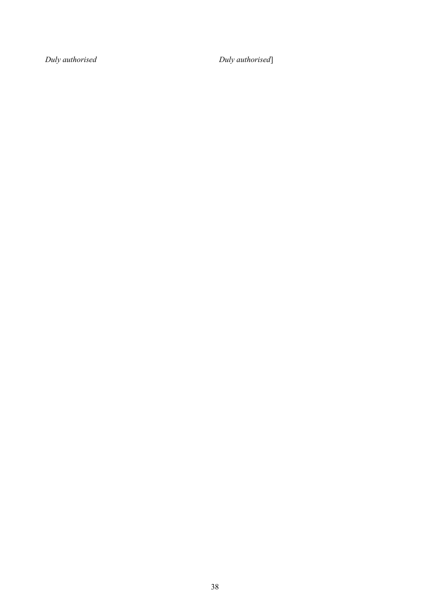*Duly authorised Duly authorised*]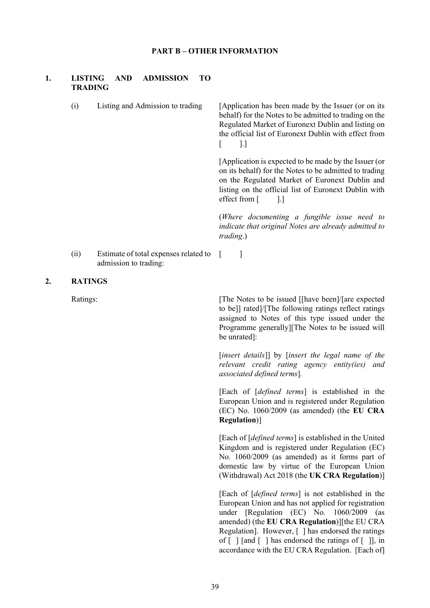### **PART B – OTHER INFORMATION**

### **1. LISTING AND ADMISSION TO TRADING**

(i) Listing and Admission to trading [Application has been made by the Issuer (or on its behalf) for the Notes to be admitted to trading on the Regulated Market of Euronext Dublin and listing on the official list of Euronext Dublin with effect from  $\lceil$  1.] [Application is expected to be made by the Issuer (or on its behalf) for the Notes to be admitted to trading on the Regulated Market of Euronext Dublin and listing on the official list of Euronext Dublin with effect from [ ].] (*Where documenting a fungible issue need to indicate that original Notes are already admitted to* 

*trading*.)

(ii) Estimate of total expenses related to [ ] admission to trading:

#### **2. RATINGS**

Ratings: The Notes to be issued [[have been]/[are expected] to be]] rated]/[The following ratings reflect ratings assigned to Notes of this type issued under the Programme generally][The Notes to be issued will be unrated]:

> [*insert details*]] by [*insert the legal name of the relevant credit rating agency entity(ies) and associated defined terms*]*.*

> [Each of [*defined terms*] is established in the European Union and is registered under Regulation (EC) No. 1060/2009 (as amended) (the **EU CRA Regulation**)]

> [Each of [*defined terms*] is established in the United Kingdom and is registered under Regulation (EC) No. 1060/2009 (as amended) as it forms part of domestic law by virtue of the European Union (Withdrawal) Act 2018 (the **UK CRA Regulation**)]

> [Each of [*defined terms*] is not established in the European Union and has not applied for registration under [Regulation (EC) No. 1060/2009 (as amended) (the **EU CRA Regulation**)][the EU CRA Regulation]. However, [ ] has endorsed the ratings of  $\lceil \cdot \rceil$  and  $\lceil \cdot \rceil$  has endorsed the ratings of  $\lceil \cdot \rceil$ , in accordance with the EU CRA Regulation. [Each of]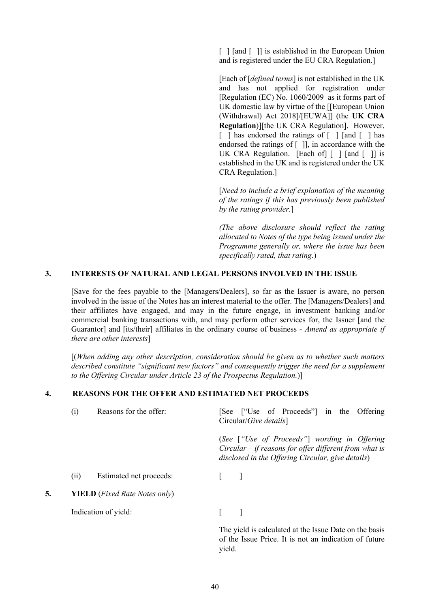[ ] [and [ ]] is established in the European Union and is registered under the EU CRA Regulation.]

[Each of [*defined terms*] is not established in the UK and has not applied for registration under [Regulation (EC) No. 1060/2009 as it forms part of UK domestic law by virtue of the [[European Union (Withdrawal) Act 2018]/[EUWA]] (the **UK CRA Regulation**)][the UK CRA Regulation]. However, [ ] has endorsed the ratings of [ ] [and [ ] has endorsed the ratings of  $\lceil \ \rceil$ , in accordance with the UK CRA Regulation. [Each of] [] [and []] is established in the UK and is registered under the UK CRA Regulation.]

[*Need to include a brief explanation of the meaning of the ratings if this has previously been published by the rating provider.*]

*(The above disclosure should reflect the rating allocated to Notes of the type being issued under the Programme generally or, where the issue has been specifically rated, that rating*.)

### **3. INTERESTS OF NATURAL AND LEGAL PERSONS INVOLVED IN THE ISSUE**

[Save for the fees payable to the [Managers/Dealers], so far as the Issuer is aware, no person involved in the issue of the Notes has an interest material to the offer. The [Managers/Dealers] and their affiliates have engaged, and may in the future engage, in investment banking and/or commercial banking transactions with, and may perform other services for, the Issuer [and the Guarantor] and [its/their] affiliates in the ordinary course of business - *Amend as appropriate if there are other interests*]

[(*When adding any other description, consideration should be given as to whether such matters described constitute "significant new factors" and consequently trigger the need for a supplement to the Offering Circular under Article 23 of the Prospectus Regulation.*)]

## **4. REASONS FOR THE OFFER AND ESTIMATED NET PROCEEDS**

|    | (i)  | Reasons for the offer:                        | [See ["Use of Proceeds"] in the Offering<br>Circular/ <i>Give details</i> ]                                                                                   |
|----|------|-----------------------------------------------|---------------------------------------------------------------------------------------------------------------------------------------------------------------|
|    |      |                                               | (See ["Use of Proceeds"] wording in Offering<br>Circular $-$ if reasons for offer different from what is<br>disclosed in the Offering Circular, give details) |
|    | (11) | Estimated net proceeds:                       |                                                                                                                                                               |
| 5. |      | <b>YIELD</b> ( <i>Fixed Rate Notes only</i> ) |                                                                                                                                                               |
|    |      | Indication of yield:                          |                                                                                                                                                               |
|    |      |                                               | The yield is calculated at the Issue Date on the basis                                                                                                        |

of the Issue Price. It is not an indication of future yield.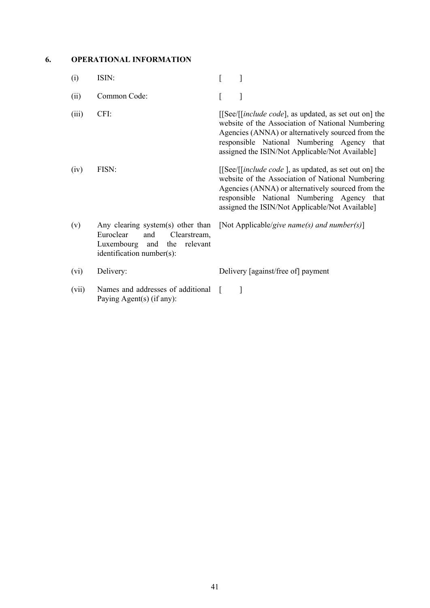# **6. OPERATIONAL INFORMATION**

| (i)   | ISIN:                                                                                                                                | L                                                                                                                                                                                                                                                                        |
|-------|--------------------------------------------------------------------------------------------------------------------------------------|--------------------------------------------------------------------------------------------------------------------------------------------------------------------------------------------------------------------------------------------------------------------------|
| (ii)  | Common Code:                                                                                                                         | ſ<br>]                                                                                                                                                                                                                                                                   |
| (iii) | CFI:                                                                                                                                 | [[See/[ <i>[include code</i> ], as updated, as set out on] the<br>website of the Association of National Numbering<br>Agencies (ANNA) or alternatively sourced from the<br>responsible National Numbering Agency that<br>assigned the ISIN/Not Applicable/Not Available] |
| (iv)  | FISN:                                                                                                                                | [[See/[ <i>[include code</i> ], as updated, as set out on] the<br>website of the Association of National Numbering<br>Agencies (ANNA) or alternatively sourced from the<br>responsible National Numbering Agency that<br>assigned the ISIN/Not Applicable/Not Available] |
| (v)   | Any clearing system(s) other than<br>Euroclear<br>and<br>Clearstream,<br>Luxembourg and<br>the relevant<br>identification number(s): | [Not Applicable/give name(s) and number(s)]                                                                                                                                                                                                                              |
| (vi)  | Delivery:                                                                                                                            | Delivery [against/free of] payment                                                                                                                                                                                                                                       |
| (vii) | Names and addresses of additional<br>Paying Agent(s) (if any):                                                                       | 1<br>$\mathbf{I}$                                                                                                                                                                                                                                                        |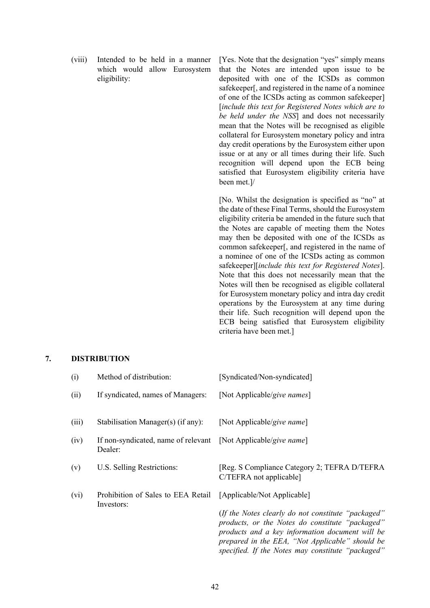(viii) Intended to be held in a manner which would allow Eurosystem eligibility:

[Yes. Note that the designation "yes" simply means that the Notes are intended upon issue to be deposited with one of the ICSDs as common safekeeper[, and registered in the name of a nominee of one of the ICSDs acting as common safekeeper] [*include this text for Registered Notes which are to be held under the NSS*] and does not necessarily mean that the Notes will be recognised as eligible collateral for Eurosystem monetary policy and intra day credit operations by the Eurosystem either upon issue or at any or all times during their life. Such recognition will depend upon the ECB being satisfied that Eurosystem eligibility criteria have been met.]/

[No. Whilst the designation is specified as "no" at the date of these Final Terms, should the Eurosystem eligibility criteria be amended in the future such that the Notes are capable of meeting them the Notes may then be deposited with one of the ICSDs as common safekeeper[, and registered in the name of a nominee of one of the ICSDs acting as common safekeeper][*include this text for Registered Notes*]. Note that this does not necessarily mean that the Notes will then be recognised as eligible collateral for Eurosystem monetary policy and intra day credit operations by the Eurosystem at any time during their life. Such recognition will depend upon the ECB being satisfied that Eurosystem eligibility criteria have been met.]

# **7. DISTRIBUTION**

| (i)   | Method of distribution:                                                   | [Syndicated/Non-syndicated]                                                                                                                                                                                                                                      |
|-------|---------------------------------------------------------------------------|------------------------------------------------------------------------------------------------------------------------------------------------------------------------------------------------------------------------------------------------------------------|
| (ii)  | If syndicated, names of Managers:                                         | [Not Applicable/give names]                                                                                                                                                                                                                                      |
| (iii) | Stabilisation Manager(s) (if any):                                        | [Not Applicable/give name]                                                                                                                                                                                                                                       |
| (iv)  | If non-syndicated, name of relevant [Not Applicable/give name]<br>Dealer: |                                                                                                                                                                                                                                                                  |
| (v)   | U.S. Selling Restrictions:                                                | [Reg. S Compliance Category 2; TEFRA D/TEFRA<br>C/TEFRA not applicable]                                                                                                                                                                                          |
| (vi)  | Prohibition of Sales to EEA Retail<br>Investors:                          | [Applicable/Not Applicable]                                                                                                                                                                                                                                      |
|       |                                                                           | (If the Notes clearly do not constitute "packaged"<br>products, or the Notes do constitute "packaged"<br>products and a key information document will be<br>prepared in the EEA, "Not Applicable" should be<br>specified. If the Notes may constitute "packaged" |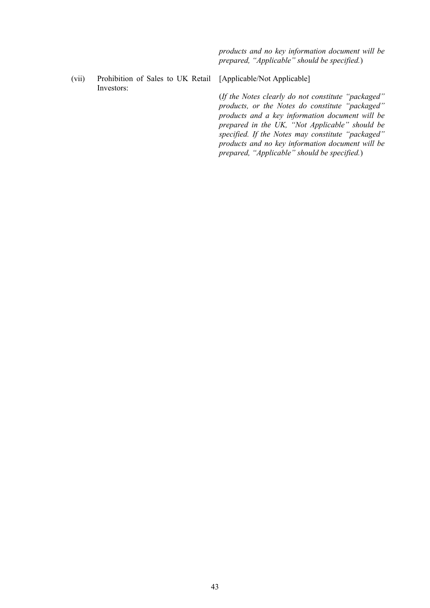*products and no key information document will be prepared, "Applicable" should be specified.*)

(vii) Prohibition of Sales to UK Retail Investors:

[Applicable/Not Applicable]

(*If the Notes clearly do not constitute "packaged" products, or the Notes do constitute "packaged" products and a key information document will be prepared in the UK, "Not Applicable" should be specified. If the Notes may constitute "packaged" products and no key information document will be prepared, "Applicable" should be specified.*)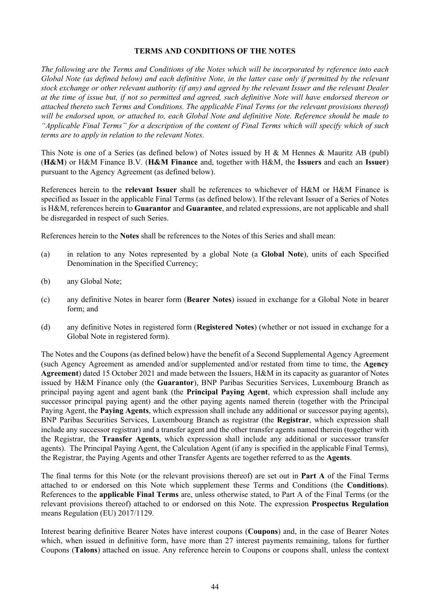### **TERMS AND CONDITIONS OF THE NOTES**

*The following are the Terms and Conditions of the Notes which will be incorporated by reference into each Global Note (as defined below) and each definitive Note, in the latter case only if permitted by the relevant stock exchange or other relevant authority (if any) and agreed by the relevant Issuer and the relevant Dealer at the time of issue but, if not so permitted and agreed, such definitive Note will have endorsed thereon or attached thereto such Terms and Conditions. The applicable Final Terms (or the relevant provisions thereof) will be endorsed upon, or attached to, each Global Note and definitive Note. Reference should be made to "Applicable Final Terms" for a description of the content of Final Terms which will specify which of such terms are to apply in relation to the relevant Notes.*

This Note is one of a Series (as defined below) of Notes issued by H & M Hennes & Mauritz AB (publ) (**H&M**) or H&M Finance B.V. (**H&M Finance** and, together with H&M, the **Issuers** and each an **Issuer**) pursuant to the Agency Agreement (as defined below).

References herein to the **relevant Issuer** shall be references to whichever of H&M or H&M Finance is specified as Issuer in the applicable Final Terms (as defined below). If the relevant Issuer of a Series of Notes is H&M, references herein to **Guarantor** and **Guarantee**, and related expressions, are not applicable and shall be disregarded in respect of such Series.

References herein to the **Notes** shall be references to the Notes of this Series and shall mean:

- (a) in relation to any Notes represented by a global Note (a **Global Note**), units of each Specified Denomination in the Specified Currency;
- (b) any Global Note;
- (c) any definitive Notes in bearer form (**Bearer Notes**) issued in exchange for a Global Note in bearer form; and
- (d) any definitive Notes in registered form (**Registered Notes**) (whether or not issued in exchange for a Global Note in registered form).

The Notes and the Coupons (as defined below) have the benefit of a Second Supplemental Agency Agreement (such Agency Agreement as amended and/or supplemented and/or restated from time to time, the **Agency Agreement**) dated 15 October 2021 and made between the Issuers, H&M in its capacity as guarantor of Notes issued by H&M Finance only (the **Guarantor**), BNP Paribas Securities Services, Luxembourg Branch as principal paying agent and agent bank (the **Principal Paying Agent**, which expression shall include any successor principal paying agent) and the other paying agents named therein (together with the Principal Paying Agent, the **Paying Agents**, which expression shall include any additional or successor paying agents), BNP Paribas Securities Services, Luxembourg Branch as registrar (the **Registrar**, which expression shall include any successor registrar) and a transfer agent and the other transfer agents named therein (together with the Registrar, the **Transfer Agents**, which expression shall include any additional or successor transfer agents). The Principal Paying Agent, the Calculation Agent (if any is specified in the applicable Final Terms), the Registrar, the Paying Agents and other Transfer Agents are together referred to as the **Agents**.

The final terms for this Note (or the relevant provisions thereof) are set out in **Part A** of the Final Terms attached to or endorsed on this Note which supplement these Terms and Conditions (the **Conditions**). References to the **applicable Final Terms** are, unless otherwise stated, to Part A of the Final Terms (or the relevant provisions thereof) attached to or endorsed on this Note. The expression **Prospectus Regulation** means Regulation (EU) 2017/1129.

Interest bearing definitive Bearer Notes have interest coupons (**Coupons**) and, in the case of Bearer Notes which, when issued in definitive form, have more than 27 interest payments remaining, talons for further Coupons (**Talons**) attached on issue. Any reference herein to Coupons or coupons shall, unless the context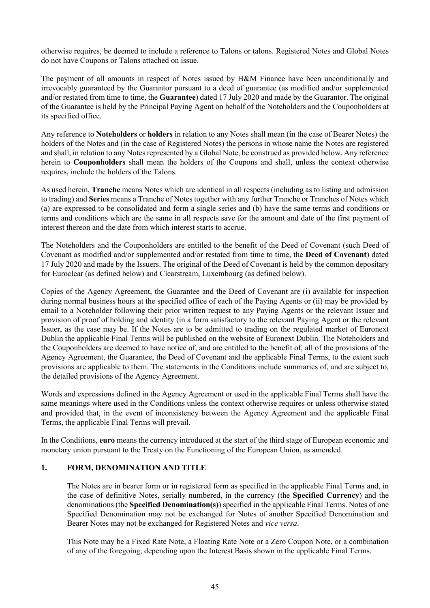otherwise requires, be deemed to include a reference to Talons or talons. Registered Notes and Global Notes do not have Coupons or Talons attached on issue.

The payment of all amounts in respect of Notes issued by H&M Finance have been unconditionally and irrevocably guaranteed by the Guarantor pursuant to a deed of guarantee (as modified and/or supplemented and/or restated from time to time, the **Guarantee**) dated 17 July 2020 and made by the Guarantor. The original of the Guarantee is held by the Principal Paying Agent on behalf of the Noteholders and the Couponholders at its specified office.

Any reference to **Noteholders** or **holders** in relation to any Notes shall mean (in the case of Bearer Notes) the holders of the Notes and (in the case of Registered Notes) the persons in whose name the Notes are registered and shall, in relation to any Notes represented by a Global Note, be construed as provided below. Any reference herein to **Couponholders** shall mean the holders of the Coupons and shall, unless the context otherwise requires, include the holders of the Talons.

As used herein, **Tranche** means Notes which are identical in all respects (including as to listing and admission to trading) and **Series** means a Tranche of Notes together with any further Tranche or Tranches of Notes which (a) are expressed to be consolidated and form a single series and (b) have the same terms and conditions or terms and conditions which are the same in all respects save for the amount and date of the first payment of interest thereon and the date from which interest starts to accrue.

The Noteholders and the Couponholders are entitled to the benefit of the Deed of Covenant (such Deed of Covenant as modified and/or supplemented and/or restated from time to time, the **Deed of Covenant**) dated 17 July 2020 and made by the Issuers. The original of the Deed of Covenant is held by the common depositary for Euroclear (as defined below) and Clearstream, Luxembourg (as defined below).

Copies of the Agency Agreement, the Guarantee and the Deed of Covenant are (i) available for inspection during normal business hours at the specified office of each of the Paying Agents or (ii) may be provided by email to a Noteholder following their prior written request to any Paying Agents or the relevant Issuer and provision of proof of holding and identity (in a form satisfactory to the relevant Paying Agent or the relevant Issuer, as the case may be. If the Notes are to be admitted to trading on the regulated market of Euronext Dublin the applicable Final Terms will be published on the website of Euronext Dublin. The Noteholders and the Couponholders are deemed to have notice of, and are entitled to the benefit of, all of the provisions of the Agency Agreement, the Guarantee, the Deed of Covenant and the applicable Final Terms, to the extent such provisions are applicable to them. The statements in the Conditions include summaries of, and are subject to, the detailed provisions of the Agency Agreement.

Words and expressions defined in the Agency Agreement or used in the applicable Final Terms shall have the same meanings where used in the Conditions unless the context otherwise requires or unless otherwise stated and provided that, in the event of inconsistency between the Agency Agreement and the applicable Final Terms, the applicable Final Terms will prevail.

In the Conditions, **euro** means the currency introduced at the start of the third stage of European economic and monetary union pursuant to the Treaty on the Functioning of the European Union, as amended.

# **1. FORM, DENOMINATION AND TITLE**

The Notes are in bearer form or in registered form as specified in the applicable Final Terms and, in the case of definitive Notes, serially numbered, in the currency (the **Specified Currency**) and the denominations (the **Specified Denomination(s)**) specified in the applicable Final Terms. Notes of one Specified Denomination may not be exchanged for Notes of another Specified Denomination and Bearer Notes may not be exchanged for Registered Notes and *vice versa*.

This Note may be a Fixed Rate Note, a Floating Rate Note or a Zero Coupon Note, or a combination of any of the foregoing, depending upon the Interest Basis shown in the applicable Final Terms.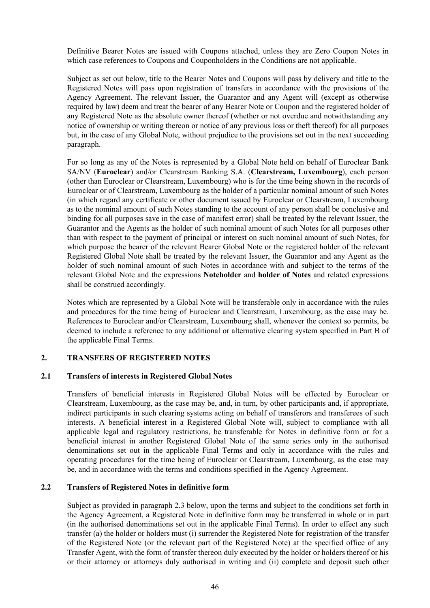Definitive Bearer Notes are issued with Coupons attached, unless they are Zero Coupon Notes in which case references to Coupons and Couponholders in the Conditions are not applicable.

Subject as set out below, title to the Bearer Notes and Coupons will pass by delivery and title to the Registered Notes will pass upon registration of transfers in accordance with the provisions of the Agency Agreement. The relevant Issuer, the Guarantor and any Agent will (except as otherwise required by law) deem and treat the bearer of any Bearer Note or Coupon and the registered holder of any Registered Note as the absolute owner thereof (whether or not overdue and notwithstanding any notice of ownership or writing thereon or notice of any previous loss or theft thereof) for all purposes but, in the case of any Global Note, without prejudice to the provisions set out in the next succeeding paragraph.

For so long as any of the Notes is represented by a Global Note held on behalf of Euroclear Bank SA/NV (**Euroclear**) and/or Clearstream Banking S.A. (**Clearstream, Luxembourg**), each person (other than Euroclear or Clearstream, Luxembourg) who is for the time being shown in the records of Euroclear or of Clearstream, Luxembourg as the holder of a particular nominal amount of such Notes (in which regard any certificate or other document issued by Euroclear or Clearstream, Luxembourg as to the nominal amount of such Notes standing to the account of any person shall be conclusive and binding for all purposes save in the case of manifest error) shall be treated by the relevant Issuer, the Guarantor and the Agents as the holder of such nominal amount of such Notes for all purposes other than with respect to the payment of principal or interest on such nominal amount of such Notes, for which purpose the bearer of the relevant Bearer Global Note or the registered holder of the relevant Registered Global Note shall be treated by the relevant Issuer, the Guarantor and any Agent as the holder of such nominal amount of such Notes in accordance with and subject to the terms of the relevant Global Note and the expressions **Noteholder** and **holder of Notes** and related expressions shall be construed accordingly.

Notes which are represented by a Global Note will be transferable only in accordance with the rules and procedures for the time being of Euroclear and Clearstream, Luxembourg, as the case may be. References to Euroclear and/or Clearstream, Luxembourg shall, whenever the context so permits, be deemed to include a reference to any additional or alternative clearing system specified in Part B of the applicable Final Terms.

### **2. TRANSFERS OF REGISTERED NOTES**

#### **2.1 Transfers of interests in Registered Global Notes**

Transfers of beneficial interests in Registered Global Notes will be effected by Euroclear or Clearstream, Luxembourg, as the case may be, and, in turn, by other participants and, if appropriate, indirect participants in such clearing systems acting on behalf of transferors and transferees of such interests. A beneficial interest in a Registered Global Note will, subject to compliance with all applicable legal and regulatory restrictions, be transferable for Notes in definitive form or for a beneficial interest in another Registered Global Note of the same series only in the authorised denominations set out in the applicable Final Terms and only in accordance with the rules and operating procedures for the time being of Euroclear or Clearstream, Luxembourg, as the case may be, and in accordance with the terms and conditions specified in the Agency Agreement.

### **2.2 Transfers of Registered Notes in definitive form**

Subject as provided in paragraph [2.3](#page-55-0) below, upon the terms and subject to the conditions set forth in the Agency Agreement, a Registered Note in definitive form may be transferred in whole or in part (in the authorised denominations set out in the applicable Final Terms). In order to effect any such transfer (a) the holder or holders must (i) surrender the Registered Note for registration of the transfer of the Registered Note (or the relevant part of the Registered Note) at the specified office of any Transfer Agent, with the form of transfer thereon duly executed by the holder or holders thereof or his or their attorney or attorneys duly authorised in writing and (ii) complete and deposit such other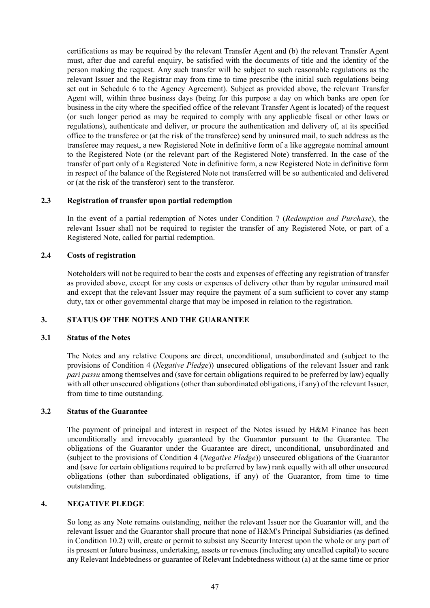certifications as may be required by the relevant Transfer Agent and (b) the relevant Transfer Agent must, after due and careful enquiry, be satisfied with the documents of title and the identity of the person making the request. Any such transfer will be subject to such reasonable regulations as the relevant Issuer and the Registrar may from time to time prescribe (the initial such regulations being set out in Schedule 6 to the Agency Agreement). Subject as provided above, the relevant Transfer Agent will, within three business days (being for this purpose a day on which banks are open for business in the city where the specified office of the relevant Transfer Agent is located) of the request (or such longer period as may be required to comply with any applicable fiscal or other laws or regulations), authenticate and deliver, or procure the authentication and delivery of, at its specified office to the transferee or (at the risk of the transferee) send by uninsured mail, to such address as the transferee may request, a new Registered Note in definitive form of a like aggregate nominal amount to the Registered Note (or the relevant part of the Registered Note) transferred. In the case of the transfer of part only of a Registered Note in definitive form, a new Registered Note in definitive form in respect of the balance of the Registered Note not transferred will be so authenticated and delivered or (at the risk of the transferor) sent to the transferor.

# <span id="page-55-0"></span>**2.3 Registration of transfer upon partial redemption**

In the event of a partial redemption of Notes under Condition [7](#page-76-1) (*[Redemption and Purchase](#page-76-1)*), the relevant Issuer shall not be required to register the transfer of any Registered Note, or part of a Registered Note, called for partial redemption.

# **2.4 Costs of registration**

Noteholders will not be required to bear the costs and expenses of effecting any registration of transfer as provided above, except for any costs or expenses of delivery other than by regular uninsured mail and except that the relevant Issuer may require the payment of a sum sufficient to cover any stamp duty, tax or other governmental charge that may be imposed in relation to the registration.

# **3. STATUS OF THE NOTES AND THE GUARANTEE**

### **3.1 Status of the Notes**

The Notes and any relative Coupons are direct, unconditional, unsubordinated and (subject to the provisions of Condition [4](#page-55-1) (*[Negative Pledge](#page-55-1)*)) unsecured obligations of the relevant Issuer and rank *pari passu* among themselves and (save for certain obligations required to be preferred by law) equally with all other unsecured obligations (other than subordinated obligations, if any) of the relevant Issuer, from time to time outstanding.

### **3.2 Status of the Guarantee**

The payment of principal and interest in respect of the Notes issued by H&M Finance has been unconditionally and irrevocably guaranteed by the Guarantor pursuant to the Guarantee. The obligations of the Guarantor under the Guarantee are direct, unconditional, unsubordinated and (subject to the provisions of Condition [4](#page-55-1) (*[Negative Pledge](#page-55-1)*)) unsecured obligations of the Guarantor and (save for certain obligations required to be preferred by law) rank equally with all other unsecured obligations (other than subordinated obligations, if any) of the Guarantor, from time to time outstanding.

### <span id="page-55-1"></span>**4. NEGATIVE PLEDGE**

So long as any Note remains outstanding, neither the relevant Issuer nor the Guarantor will, and the relevant Issuer and the Guarantor shall procure that none of H&M's Principal Subsidiaries (as defined in Condition [10.2](#page-85-0)) will, create or permit to subsist any Security Interest upon the whole or any part of its present or future business, undertaking, assets or revenues (including any uncalled capital) to secure any Relevant Indebtedness or guarantee of Relevant Indebtedness without (a) at the same time or prior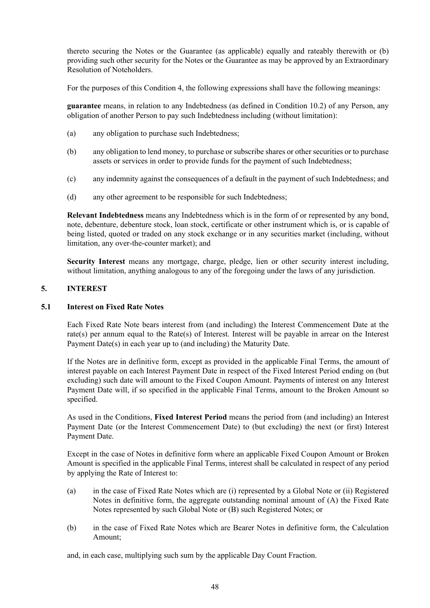thereto securing the Notes or the Guarantee (as applicable) equally and rateably therewith or (b) providing such other security for the Notes or the Guarantee as may be approved by an Extraordinary Resolution of Noteholders.

For the purposes of this Condition 4, the following expressions shall have the following meanings:

**guarantee** means, in relation to any Indebtedness (as defined in Condition 10.2) of any Person, any obligation of another Person to pay such Indebtedness including (without limitation):

- (a) any obligation to purchase such Indebtedness;
- (b) any obligation to lend money, to purchase or subscribe shares or other securities or to purchase assets or services in order to provide funds for the payment of such Indebtedness;
- (c) any indemnity against the consequences of a default in the payment of such Indebtedness; and
- (d) any other agreement to be responsible for such Indebtedness;

**Relevant Indebtedness** means any Indebtedness which is in the form of or represented by any bond, note, debenture, debenture stock, loan stock, certificate or other instrument which is, or is capable of being listed, quoted or traded on any stock exchange or in any securities market (including, without limitation, any over-the-counter market); and

**Security Interest** means any mortgage, charge, pledge, lien or other security interest including, without limitation, anything analogous to any of the foregoing under the laws of any jurisdiction.

# <span id="page-56-0"></span>**5. INTEREST**

### **5.1 Interest on Fixed Rate Notes**

Each Fixed Rate Note bears interest from (and including) the Interest Commencement Date at the rate(s) per annum equal to the Rate(s) of Interest. Interest will be payable in arrear on the Interest Payment Date(s) in each year up to (and including) the Maturity Date.

If the Notes are in definitive form, except as provided in the applicable Final Terms, the amount of interest payable on each Interest Payment Date in respect of the Fixed Interest Period ending on (but excluding) such date will amount to the Fixed Coupon Amount. Payments of interest on any Interest Payment Date will, if so specified in the applicable Final Terms, amount to the Broken Amount so specified.

As used in the Conditions, **Fixed Interest Period** means the period from (and including) an Interest Payment Date (or the Interest Commencement Date) to (but excluding) the next (or first) Interest Payment Date.

Except in the case of Notes in definitive form where an applicable Fixed Coupon Amount or Broken Amount is specified in the applicable Final Terms, interest shall be calculated in respect of any period by applying the Rate of Interest to:

- (a) in the case of Fixed Rate Notes which are (i) represented by a Global Note or (ii) Registered Notes in definitive form, the aggregate outstanding nominal amount of (A) the Fixed Rate Notes represented by such Global Note or (B) such Registered Notes; or
- (b) in the case of Fixed Rate Notes which are Bearer Notes in definitive form, the Calculation Amount;

and, in each case, multiplying such sum by the applicable Day Count Fraction.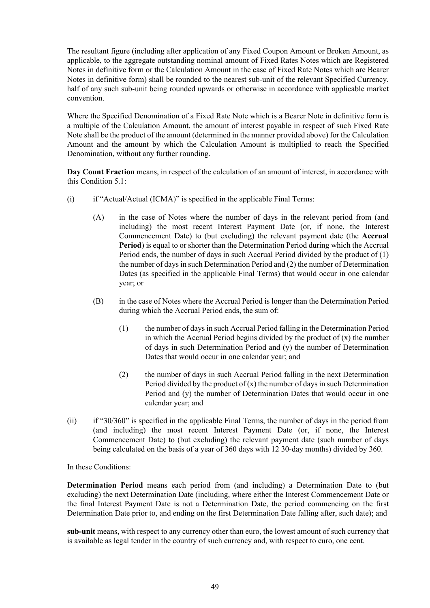The resultant figure (including after application of any Fixed Coupon Amount or Broken Amount, as applicable, to the aggregate outstanding nominal amount of Fixed Rates Notes which are Registered Notes in definitive form or the Calculation Amount in the case of Fixed Rate Notes which are Bearer Notes in definitive form) shall be rounded to the nearest sub-unit of the relevant Specified Currency, half of any such sub-unit being rounded upwards or otherwise in accordance with applicable market convention.

Where the Specified Denomination of a Fixed Rate Note which is a Bearer Note in definitive form is a multiple of the Calculation Amount, the amount of interest payable in respect of such Fixed Rate Note shall be the product of the amount (determined in the manner provided above) for the Calculation Amount and the amount by which the Calculation Amount is multiplied to reach the Specified Denomination, without any further rounding.

**Day Count Fraction** means, in respect of the calculation of an amount of interest, in accordance with this Condition [5.1](#page-56-0):

- $(i)$  if "Actual/Actual (ICMA)" is specified in the applicable Final Terms:
	- (A) in the case of Notes where the number of days in the relevant period from (and including) the most recent Interest Payment Date (or, if none, the Interest Commencement Date) to (but excluding) the relevant payment date (the **Accrual Period**) is equal to or shorter than the Determination Period during which the Accrual Period ends, the number of days in such Accrual Period divided by the product of (1) the number of days in such Determination Period and (2) the number of Determination Dates (as specified in the applicable Final Terms) that would occur in one calendar year; or
	- (B) in the case of Notes where the Accrual Period is longer than the Determination Period during which the Accrual Period ends, the sum of:
		- (1) the number of days in such Accrual Period falling in the Determination Period in which the Accrual Period begins divided by the product of  $(x)$  the number of days in such Determination Period and (y) the number of Determination Dates that would occur in one calendar year; and
		- (2) the number of days in such Accrual Period falling in the next Determination Period divided by the product of  $(x)$  the number of days in such Determination Period and (y) the number of Determination Dates that would occur in one calendar year; and
- (ii) if "30/360" is specified in the applicable Final Terms, the number of days in the period from (and including) the most recent Interest Payment Date (or, if none, the Interest Commencement Date) to (but excluding) the relevant payment date (such number of days being calculated on the basis of a year of 360 days with 12 30-day months) divided by 360.

In these Conditions:

**Determination Period** means each period from (and including) a Determination Date to (but excluding) the next Determination Date (including, where either the Interest Commencement Date or the final Interest Payment Date is not a Determination Date, the period commencing on the first Determination Date prior to, and ending on the first Determination Date falling after, such date); and

**sub-unit** means, with respect to any currency other than euro, the lowest amount of such currency that is available as legal tender in the country of such currency and, with respect to euro, one cent.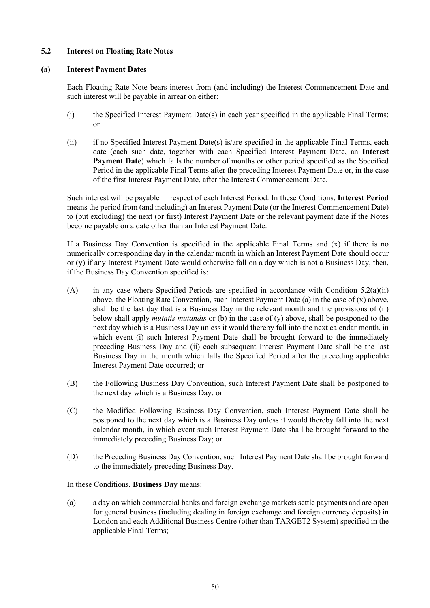### <span id="page-58-1"></span>**5.2 Interest on Floating Rate Notes**

### **(a) Interest Payment Dates**

Each Floating Rate Note bears interest from (and including) the Interest Commencement Date and such interest will be payable in arrear on either:

- (i) the Specified Interest Payment Date(s) in each year specified in the applicable Final Terms; or
- <span id="page-58-0"></span>(ii) if no Specified Interest Payment Date(s) is/are specified in the applicable Final Terms, each date (each such date, together with each Specified Interest Payment Date, an **Interest Payment Date**) which falls the number of months or other period specified as the Specified Period in the applicable Final Terms after the preceding Interest Payment Date or, in the case of the first Interest Payment Date, after the Interest Commencement Date.

Such interest will be payable in respect of each Interest Period. In these Conditions, **Interest Period** means the period from (and including) an Interest Payment Date (or the Interest Commencement Date) to (but excluding) the next (or first) Interest Payment Date or the relevant payment date if the Notes become payable on a date other than an Interest Payment Date.

If a Business Day Convention is specified in the applicable Final Terms and  $(x)$  if there is no numerically corresponding day in the calendar month in which an Interest Payment Date should occur or (y) if any Interest Payment Date would otherwise fall on a day which is not a Business Day, then, if the Business Day Convention specified is:

- (A) in any case where Specified Periods are specified in accordance with Condition  $5.2(a)(ii)$ above, the Floating Rate Convention, such Interest Payment Date (a) in the case of  $(x)$  above, shall be the last day that is a Business Day in the relevant month and the provisions of (ii) below shall apply *mutatis mutandis* or (b) in the case of (y) above, shall be postponed to the next day which is a Business Day unless it would thereby fall into the next calendar month, in which event (i) such Interest Payment Date shall be brought forward to the immediately preceding Business Day and (ii) each subsequent Interest Payment Date shall be the last Business Day in the month which falls the Specified Period after the preceding applicable Interest Payment Date occurred; or
- (B) the Following Business Day Convention, such Interest Payment Date shall be postponed to the next day which is a Business Day; or
- (C) the Modified Following Business Day Convention, such Interest Payment Date shall be postponed to the next day which is a Business Day unless it would thereby fall into the next calendar month, in which event such Interest Payment Date shall be brought forward to the immediately preceding Business Day; or
- (D) the Preceding Business Day Convention, such Interest Payment Date shall be brought forward to the immediately preceding Business Day.

In these Conditions, **Business Day** means:

(a) a day on which commercial banks and foreign exchange markets settle payments and are open for general business (including dealing in foreign exchange and foreign currency deposits) in London and each Additional Business Centre (other than TARGET2 System) specified in the applicable Final Terms;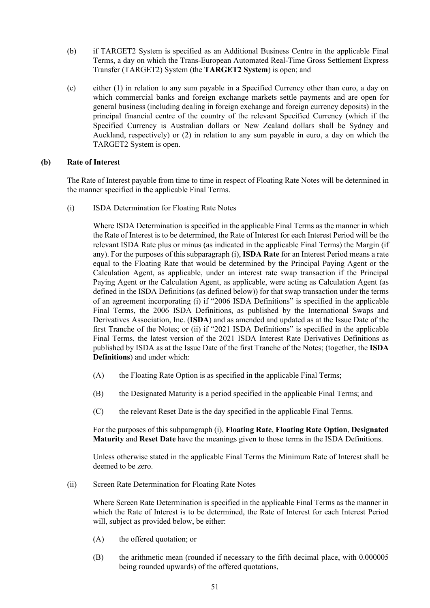- (b) if TARGET2 System is specified as an Additional Business Centre in the applicable Final Terms, a day on which the Trans-European Automated Real-Time Gross Settlement Express Transfer (TARGET2) System (the **TARGET2 System**) is open; and
- (c) either (1) in relation to any sum payable in a Specified Currency other than euro, a day on which commercial banks and foreign exchange markets settle payments and are open for general business (including dealing in foreign exchange and foreign currency deposits) in the principal financial centre of the country of the relevant Specified Currency (which if the Specified Currency is Australian dollars or New Zealand dollars shall be Sydney and Auckland, respectively) or (2) in relation to any sum payable in euro, a day on which the TARGET2 System is open.

# **(b) Rate of Interest**

The Rate of Interest payable from time to time in respect of Floating Rate Notes will be determined in the manner specified in the applicable Final Terms.

<span id="page-59-0"></span>(i) ISDA Determination for Floating Rate Notes

Where ISDA Determination is specified in the applicable Final Terms as the manner in which the Rate of Interest is to be determined, the Rate of Interest for each Interest Period will be the relevant ISDA Rate plus or minus (as indicated in the applicable Final Terms) the Margin (if any). For the purposes of this subparagraph [\(i\),](#page-59-0) **ISDA Rate** for an Interest Period means a rate equal to the Floating Rate that would be determined by the Principal Paying Agent or the Calculation Agent, as applicable, under an interest rate swap transaction if the Principal Paying Agent or the Calculation Agent, as applicable, were acting as Calculation Agent (as defined in the ISDA Definitions (as defined below)) for that swap transaction under the terms of an agreement incorporating (i) if "2006 ISDA Definitions" is specified in the applicable Final Terms, the 2006 ISDA Definitions, as published by the International Swaps and Derivatives Association, Inc. (**ISDA**) and as amended and updated as at the Issue Date of the first Tranche of the Notes; or (ii) if "2021 ISDA Definitions" is specified in the applicable Final Terms, the latest version of the 2021 ISDA Interest Rate Derivatives Definitions as published by ISDA as at the Issue Date of the first Tranche of the Notes; (together, the **ISDA Definitions**) and under which:

- (A) the Floating Rate Option is as specified in the applicable Final Terms;
- (B) the Designated Maturity is a period specified in the applicable Final Terms; and
- (C) the relevant Reset Date is the day specified in the applicable Final Terms.

For the purposes of this subparagraph [\(i\)](#page-59-0), **Floating Rate**, **Floating Rate Option**, **Designated Maturity** and **Reset Date** have the meanings given to those terms in the ISDA Definitions.

Unless otherwise stated in the applicable Final Terms the Minimum Rate of Interest shall be deemed to be zero.

<span id="page-59-3"></span>(ii) Screen Rate Determination for Floating Rate Notes

Where Screen Rate Determination is specified in the applicable Final Terms as the manner in which the Rate of Interest is to be determined, the Rate of Interest for each Interest Period will, subject as provided below, be either:

- <span id="page-59-2"></span><span id="page-59-1"></span>(A) the offered quotation; or
- (B) the arithmetic mean (rounded if necessary to the fifth decimal place, with 0.000005 being rounded upwards) of the offered quotations,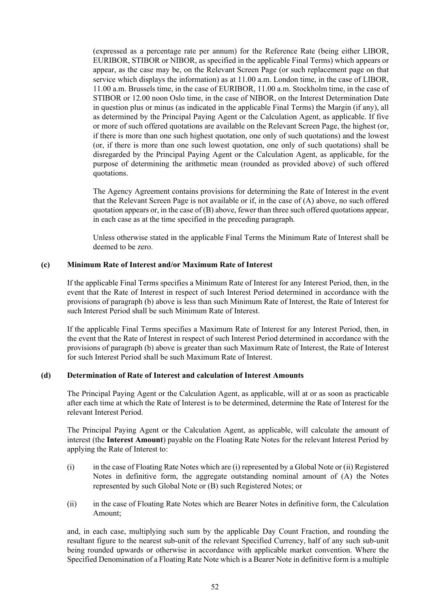(expressed as a percentage rate per annum) for the Reference Rate (being either LIBOR, EURIBOR, STIBOR or NIBOR, as specified in the applicable Final Terms) which appears or appear, as the case may be, on the Relevant Screen Page (or such replacement page on that service which displays the information) as at 11.00 a.m. London time, in the case of LIBOR, 11.00 a.m. Brussels time, in the case of EURIBOR, 11.00 a.m. Stockholm time, in the case of STIBOR or 12.00 noon Oslo time, in the case of NIBOR, on the Interest Determination Date in question plus or minus (as indicated in the applicable Final Terms) the Margin (if any), all as determined by the Principal Paying Agent or the Calculation Agent, as applicable. If five or more of such offered quotations are available on the Relevant Screen Page, the highest (or, if there is more than one such highest quotation, one only of such quotations) and the lowest (or, if there is more than one such lowest quotation, one only of such quotations) shall be disregarded by the Principal Paying Agent or the Calculation Agent, as applicable, for the purpose of determining the arithmetic mean (rounded as provided above) of such offered quotations.

The Agency Agreement contains provisions for determining the Rate of Interest in the event that the Relevant Screen Page is not available or if, in the case of [\(A\) above](#page-59-1), no such offered quotation appears or, in the case of [\(B\) above,](#page-59-2) fewer than three such offered quotations appear, in each case as at the time specified in the preceding paragraph.

Unless otherwise stated in the applicable Final Terms the Minimum Rate of Interest shall be deemed to be zero.

# **(c) Minimum Rate of Interest and/or Maximum Rate of Interest**

If the applicable Final Terms specifies a Minimum Rate of Interest for any Interest Period, then, in the event that the Rate of Interest in respect of such Interest Period determined in accordance with the provisions of paragraph (b) above is less than such Minimum Rate of Interest, the Rate of Interest for such Interest Period shall be such Minimum Rate of Interest.

If the applicable Final Terms specifies a Maximum Rate of Interest for any Interest Period, then, in the event that the Rate of Interest in respect of such Interest Period determined in accordance with the provisions of paragraph (b) above is greater than such Maximum Rate of Interest, the Rate of Interest for such Interest Period shall be such Maximum Rate of Interest.

### **(d) Determination of Rate of Interest and calculation of Interest Amounts**

The Principal Paying Agent or the Calculation Agent, as applicable, will at or as soon as practicable after each time at which the Rate of Interest is to be determined, determine the Rate of Interest for the relevant Interest Period.

The Principal Paying Agent or the Calculation Agent, as applicable, will calculate the amount of interest (the **Interest Amount**) payable on the Floating Rate Notes for the relevant Interest Period by applying the Rate of Interest to:

- (i) in the case of Floating Rate Notes which are (i) represented by a Global Note or (ii) Registered Notes in definitive form, the aggregate outstanding nominal amount of (A) the Notes represented by such Global Note or (B) such Registered Notes; or
- (ii) in the case of Floating Rate Notes which are Bearer Notes in definitive form, the Calculation Amount;

and, in each case, multiplying such sum by the applicable Day Count Fraction, and rounding the resultant figure to the nearest sub-unit of the relevant Specified Currency, half of any such sub-unit being rounded upwards or otherwise in accordance with applicable market convention. Where the Specified Denomination of a Floating Rate Note which is a Bearer Note in definitive form is a multiple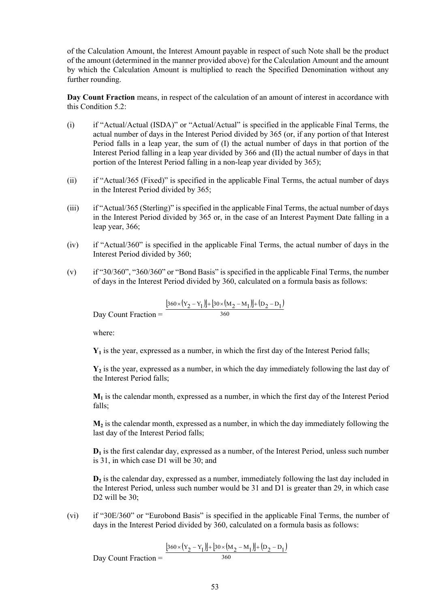of the Calculation Amount, the Interest Amount payable in respect of such Note shall be the product of the amount (determined in the manner provided above) for the Calculation Amount and the amount by which the Calculation Amount is multiplied to reach the Specified Denomination without any further rounding.

**Day Count Fraction** means, in respect of the calculation of an amount of interest in accordance with this Condition [5.2](#page-58-1):

- (i) if "Actual/Actual (ISDA)" or "Actual/Actual" is specified in the applicable Final Terms, the actual number of days in the Interest Period divided by 365 (or, if any portion of that Interest Period falls in a leap year, the sum of (I) the actual number of days in that portion of the Interest Period falling in a leap year divided by 366 and (II) the actual number of days in that portion of the Interest Period falling in a non-leap year divided by 365);
- (ii) if "Actual/365 (Fixed)" is specified in the applicable Final Terms, the actual number of days in the Interest Period divided by 365;
- (iii) if "Actual/365 (Sterling)" is specified in the applicable Final Terms, the actual number of days in the Interest Period divided by 365 or, in the case of an Interest Payment Date falling in a leap year, 366;
- (iv) if "Actual/360" is specified in the applicable Final Terms, the actual number of days in the Interest Period divided by 360;
- (v) if "30/360", "360/360" or "Bond Basis" is specified in the applicable Final Terms, the number of days in the Interest Period divided by 360, calculated on a formula basis as follows:

$$
Day Count Fraction = \frac{[360 \times (Y_2 - Y_1)] + [30 \times (M_2 - M_1)] + (D_2 - D_1)}{360}
$$

where:

**Y1** is the year, expressed as a number, in which the first day of the Interest Period falls;

**Y2** is the year, expressed as a number, in which the day immediately following the last day of the Interest Period falls;

 $M_1$  is the calendar month, expressed as a number, in which the first day of the Interest Period falls;

 $M_2$  is the calendar month, expressed as a number, in which the day immediately following the last day of the Interest Period falls;

**D1** is the first calendar day, expressed as a number, of the Interest Period, unless such number is 31, in which case D1 will be 30; and

**D2** is the calendar day, expressed as a number, immediately following the last day included in the Interest Period, unless such number would be 31 and D1 is greater than 29, in which case D<sub>2</sub> will be 30:

(vi) if "30E/360" or "Eurobond Basis" is specified in the applicable Final Terms, the number of days in the Interest Period divided by 360, calculated on a formula basis as follows:

$$
t \text{ Fraction} = \frac{\left[360 \times (Y_2 - Y_1)\right] + \left[30 \times (M_2 - M_1)\right] + (D_2 - D_1)}{360}
$$

Day Count Fraction

53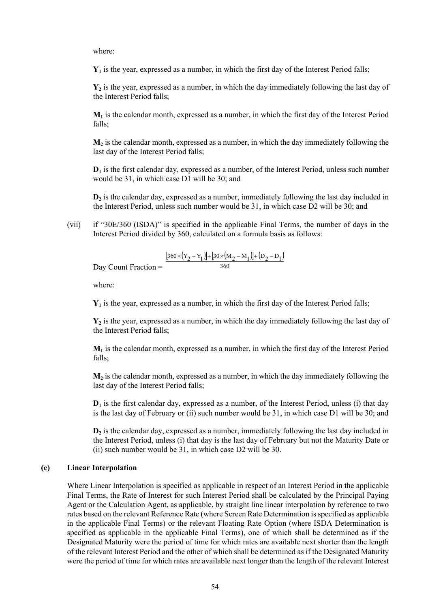where:

**Y1** is the year, expressed as a number, in which the first day of the Interest Period falls;

**Y2** is the year, expressed as a number, in which the day immediately following the last day of the Interest Period falls;

**M1** is the calendar month, expressed as a number, in which the first day of the Interest Period falls;

**M2** is the calendar month, expressed as a number, in which the day immediately following the last day of the Interest Period falls;

**D1** is the first calendar day, expressed as a number, of the Interest Period, unless such number would be 31, in which case D1 will be 30; and

**D2** is the calendar day, expressed as a number, immediately following the last day included in the Interest Period, unless such number would be 31, in which case D2 will be 30; and

(vii) if "30E/360 (ISDA)" is specified in the applicable Final Terms, the number of days in the Interest Period divided by 360, calculated on a formula basis as follows:

$$
= \frac{[360 \times (Y_2 - Y_1)] + [30 \times (M_2 - M_1)] + (D_2 - D_1)}{360}
$$

Day Count Fraction =

where:

**Y1** is the year, expressed as a number, in which the first day of the Interest Period falls;

**Y2** is the year, expressed as a number, in which the day immediately following the last day of the Interest Period falls;

**M1** is the calendar month, expressed as a number, in which the first day of the Interest Period falls;

**M2** is the calendar month, expressed as a number, in which the day immediately following the last day of the Interest Period falls;

**D1** is the first calendar day, expressed as a number, of the Interest Period, unless (i) that day is the last day of February or (ii) such number would be 31, in which case D1 will be 30; and

**D2** is the calendar day, expressed as a number, immediately following the last day included in the Interest Period, unless (i) that day is the last day of February but not the Maturity Date or (ii) such number would be 31, in which case D2 will be 30.

#### **(e) Linear Interpolation**

Where Linear Interpolation is specified as applicable in respect of an Interest Period in the applicable Final Terms, the Rate of Interest for such Interest Period shall be calculated by the Principal Paying Agent or the Calculation Agent, as applicable, by straight line linear interpolation by reference to two rates based on the relevant Reference Rate (where Screen Rate Determination is specified as applicable in the applicable Final Terms) or the relevant Floating Rate Option (where ISDA Determination is specified as applicable in the applicable Final Terms), one of which shall be determined as if the Designated Maturity were the period of time for which rates are available next shorter than the length of the relevant Interest Period and the other of which shall be determined as if the Designated Maturity were the period of time for which rates are available next longer than the length of the relevant Interest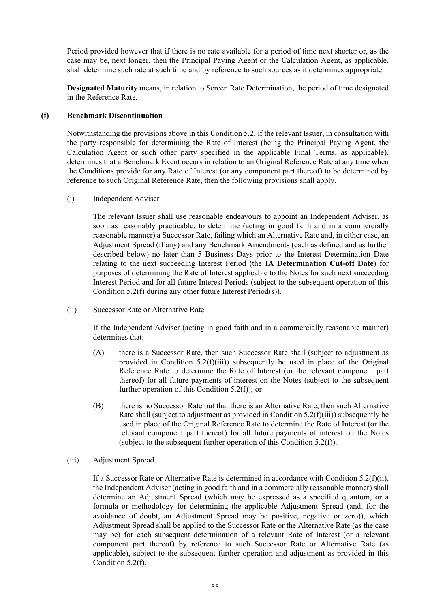Period provided however that if there is no rate available for a period of time next shorter or, as the case may be, next longer, then the Principal Paying Agent or the Calculation Agent, as applicable, shall determine such rate at such time and by reference to such sources as it determines appropriate.

**Designated Maturity** means, in relation to Screen Rate Determination, the period of time designated in the Reference Rate.

### <span id="page-63-0"></span>**(f) Benchmark Discontinuation**

Notwithstanding the provisions above in this Condition [5.2,](#page-58-1) if the relevant Issuer, in consultation with the party responsible for determining the Rate of Interest (being the Principal Paying Agent, the Calculation Agent or such other party specified in the applicable Final Terms, as applicable), determines that a Benchmark Event occurs in relation to an Original Reference Rate at any time when the Conditions provide for any Rate of Interest (or any component part thereof) to be determined by reference to such Original Reference Rate, then the following provisions shall apply.

(i) Independent Adviser

The relevant Issuer shall use reasonable endeavours to appoint an Independent Adviser, as soon as reasonably practicable, to determine (acting in good faith and in a commercially reasonable manner) a Successor Rate, failing which an Alternative Rate and, in either case, an Adjustment Spread (if any) and any Benchmark Amendments (each as defined and as further described below) no later than 5 Business Days prior to the Interest Determination Date relating to the next succeeding Interest Period (the **IA Determination Cut-off Date**) for purposes of determining the Rate of Interest applicable to the Notes for such next succeeding Interest Period and for all future Interest Periods (subject to the subsequent operation of this Condition [5.2\(f\)](#page-63-0) during any other future Interest Period(s)).

<span id="page-63-2"></span>(ii) Successor Rate or Alternative Rate

If the Independent Adviser (acting in good faith and in a commercially reasonable manner) determines that:

- (A) there is a Successor Rate, then such Successor Rate shall (subject to adjustment as provided in Condition [5.2\(f\)\(iii\)\)](#page-63-1) subsequently be used in place of the Original Reference Rate to determine the Rate of Interest (or the relevant component part thereof) for all future payments of interest on the Notes (subject to the subsequent further operation of this Condition [5.2\(f\)\)](#page-63-0); or
- (B) there is no Successor Rate but that there is an Alternative Rate, then such Alternative Rate shall (subject to adjustment as provided in Condition  $5.2(f)(iii)$ ) subsequently be used in place of the Original Reference Rate to determine the Rate of Interest (or the relevant component part thereof) for all future payments of interest on the Notes (subject to the subsequent further operation of this Condition [5.2\(f\)\)](#page-63-0).
- <span id="page-63-1"></span>(iii) Adjustment Spread

If a Successor Rate or Alternative Rate is determined in accordance with Condition [5.2\(f\)\(ii\),](#page-63-2) the Independent Adviser (acting in good faith and in a commercially reasonable manner) shall determine an Adjustment Spread (which may be expressed as a specified quantum, or a formula or methodology for determining the applicable Adjustment Spread (and, for the avoidance of doubt, an Adjustment Spread may be positive, negative or zero)), which Adjustment Spread shall be applied to the Successor Rate or the Alternative Rate (as the case may be) for each subsequent determination of a relevant Rate of Interest (or a relevant component part thereof) by reference to such Successor Rate or Alternative Rate (as applicable), subject to the subsequent further operation and adjustment as provided in this Condition [5.2\(f\)](#page-63-0).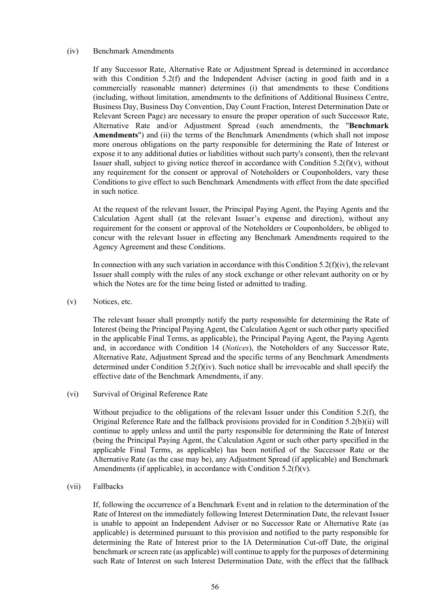### <span id="page-64-1"></span>(iv) Benchmark Amendments

If any Successor Rate, Alternative Rate or Adjustment Spread is determined in accordance with this Condition [5.2\(f\)](#page-63-0) and the Independent Adviser (acting in good faith and in a commercially reasonable manner) determines (i) that amendments to these Conditions (including, without limitation, amendments to the definitions of Additional Business Centre, Business Day, Business Day Convention, Day Count Fraction, Interest Determination Date or Relevant Screen Page) are necessary to ensure the proper operation of such Successor Rate, Alternative Rate and/or Adjustment Spread (such amendments, the "**Benchmark Amendments**") and (ii) the terms of the Benchmark Amendments (which shall not impose more onerous obligations on the party responsible for determining the Rate of Interest or expose it to any additional duties or liabilities without such party's consent), then the relevant Issuer shall, subject to giving notice thereof in accordance with Condition  $5.2(f)(v)$ , without any requirement for the consent or approval of Noteholders or Couponholders, vary these Conditions to give effect to such Benchmark Amendments with effect from the date specified in such notice.

At the request of the relevant Issuer, the Principal Paying Agent, the Paying Agents and the Calculation Agent shall (at the relevant Issuer's expense and direction), without any requirement for the consent or approval of the Noteholders or Couponholders, be obliged to concur with the relevant Issuer in effecting any Benchmark Amendments required to the Agency Agreement and these Conditions.

In connection with any such variation in accordance with this Condition  $5.2(f)(iv)$ , the relevant Issuer shall comply with the rules of any stock exchange or other relevant authority on or by which the Notes are for the time being listed or admitted to trading.

<span id="page-64-0"></span>(v) Notices, etc.

The relevant Issuer shall promptly notify the party responsible for determining the Rate of Interest (being the Principal Paying Agent, the Calculation Agent or such other party specified in the applicable Final Terms, as applicable), the Principal Paying Agent, the Paying Agents and, in accordance with Condition [14](#page-87-0) (*[Notices](#page-87-0)*), the Noteholders of any Successor Rate, Alternative Rate, Adjustment Spread and the specific terms of any Benchmark Amendments determined under Condition [5.2\(f\)\(iv\)](#page-64-1). Such notice shall be irrevocable and shall specify the effective date of the Benchmark Amendments, if any.

(vi) Survival of Original Reference Rate

Without prejudice to the obligations of the relevant Issuer under this Condition [5.2\(f\)](#page-63-0), the Original Reference Rate and the fallback provisions provided for in Condition [5.2\(b\)\(ii\)](#page-59-3) will continue to apply unless and until the party responsible for determining the Rate of Interest (being the Principal Paying Agent, the Calculation Agent or such other party specified in the applicable Final Terms, as applicable) has been notified of the Successor Rate or the Alternative Rate (as the case may be), any Adjustment Spread (if applicable) and Benchmark Amendments (if applicable), in accordance with Condition  $5.2(f)(v)$ .

(vii) Fallbacks

If, following the occurrence of a Benchmark Event and in relation to the determination of the Rate of Interest on the immediately following Interest Determination Date, the relevant Issuer is unable to appoint an Independent Adviser or no Successor Rate or Alternative Rate (as applicable) is determined pursuant to this provision and notified to the party responsible for determining the Rate of Interest prior to the IA Determination Cut-off Date, the original benchmark or screen rate (as applicable) will continue to apply for the purposes of determining such Rate of Interest on such Interest Determination Date, with the effect that the fallback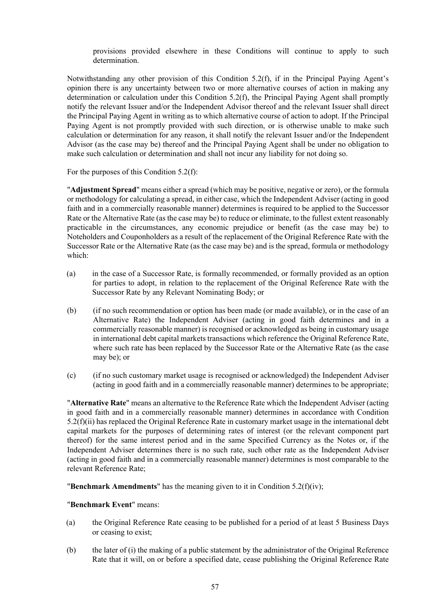provisions provided elsewhere in these Conditions will continue to apply to such determination.

Notwithstanding any other provision of this Condition [5.2\(f\)](#page-63-0), if in the Principal Paying Agent's opinion there is any uncertainty between two or more alternative courses of action in making any determination or calculation under this Condition [5.2\(f\),](#page-63-0) the Principal Paying Agent shall promptly notify the relevant Issuer and/or the Independent Advisor thereof and the relevant Issuer shall direct the Principal Paying Agent in writing as to which alternative course of action to adopt. If the Principal Paying Agent is not promptly provided with such direction, or is otherwise unable to make such calculation or determination for any reason, it shall notify the relevant Issuer and/or the Independent Advisor (as the case may be) thereof and the Principal Paying Agent shall be under no obligation to make such calculation or determination and shall not incur any liability for not doing so.

For the purposes of this Condition [5.2\(f\)](#page-63-0):

"**Adjustment Spread**" means either a spread (which may be positive, negative or zero), or the formula or methodology for calculating a spread, in either case, which the Independent Adviser (acting in good faith and in a commercially reasonable manner) determines is required to be applied to the Successor Rate or the Alternative Rate (as the case may be) to reduce or eliminate, to the fullest extent reasonably practicable in the circumstances, any economic prejudice or benefit (as the case may be) to Noteholders and Couponholders as a result of the replacement of the Original Reference Rate with the Successor Rate or the Alternative Rate (as the case may be) and is the spread, formula or methodology which:

- (a) in the case of a Successor Rate, is formally recommended, or formally provided as an option for parties to adopt, in relation to the replacement of the Original Reference Rate with the Successor Rate by any Relevant Nominating Body; or
- (b) (if no such recommendation or option has been made (or made available), or in the case of an Alternative Rate) the Independent Adviser (acting in good faith determines and in a commercially reasonable manner) is recognised or acknowledged as being in customary usage in international debt capital markets transactions which reference the Original Reference Rate, where such rate has been replaced by the Successor Rate or the Alternative Rate (as the case may be); or
- (c) (if no such customary market usage is recognised or acknowledged) the Independent Adviser (acting in good faith and in a commercially reasonable manner) determines to be appropriate;

"**Alternative Rate**" means an alternative to the Reference Rate which the Independent Adviser (acting in good faith and in a commercially reasonable manner) determines in accordance with Condition [5.2\(f\)\(ii\)](#page-63-2) has replaced the Original Reference Rate in customary market usage in the international debt capital markets for the purposes of determining rates of interest (or the relevant component part thereof) for the same interest period and in the same Specified Currency as the Notes or, if the Independent Adviser determines there is no such rate, such other rate as the Independent Adviser (acting in good faith and in a commercially reasonable manner) determines is most comparable to the relevant Reference Rate;

"**Benchmark Amendments**" has the meaning given to it in Condition [5.2\(f\)\(iv\);](#page-64-1)

### "**Benchmark Event**" means:

- (a) the Original Reference Rate ceasing to be published for a period of at least 5 Business Days or ceasing to exist;
- (b) the later of (i) the making of a public statement by the administrator of the Original Reference Rate that it will, on or before a specified date, cease publishing the Original Reference Rate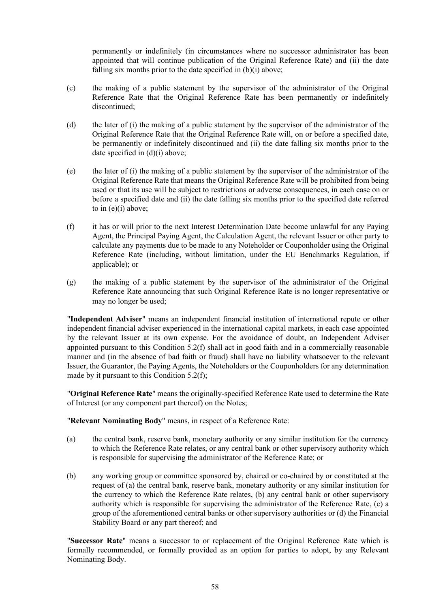permanently or indefinitely (in circumstances where no successor administrator has been appointed that will continue publication of the Original Reference Rate) and (ii) the date falling six months prior to the date specified in  $(b)(i)$  above;

- (c) the making of a public statement by the supervisor of the administrator of the Original Reference Rate that the Original Reference Rate has been permanently or indefinitely discontinued;
- (d) the later of (i) the making of a public statement by the supervisor of the administrator of the Original Reference Rate that the Original Reference Rate will, on or before a specified date, be permanently or indefinitely discontinued and (ii) the date falling six months prior to the date specified in (d)(i) above;
- (e) the later of (i) the making of a public statement by the supervisor of the administrator of the Original Reference Rate that means the Original Reference Rate will be prohibited from being used or that its use will be subject to restrictions or adverse consequences, in each case on or before a specified date and (ii) the date falling six months prior to the specified date referred to in (e)(i) above;
- (f) it has or will prior to the next Interest Determination Date become unlawful for any Paying Agent, the Principal Paying Agent, the Calculation Agent, the relevant Issuer or other party to calculate any payments due to be made to any Noteholder or Couponholder using the Original Reference Rate (including, without limitation, under the EU Benchmarks Regulation, if applicable); or
- (g) the making of a public statement by the supervisor of the administrator of the Original Reference Rate announcing that such Original Reference Rate is no longer representative or may no longer be used;

"**Independent Adviser**" means an independent financial institution of international repute or other independent financial adviser experienced in the international capital markets, in each case appointed by the relevant Issuer at its own expense. For the avoidance of doubt, an Independent Adviser appointed pursuant to this Condition [5.2\(f\)](#page-63-0) shall act in good faith and in a commercially reasonable manner and (in the absence of bad faith or fraud) shall have no liability whatsoever to the relevant Issuer, the Guarantor, the Paying Agents, the Noteholders or the Couponholders for any determination made by it pursuant to this Condition [5.2\(f\)](#page-63-0);

"**Original Reference Rate**" means the originally-specified Reference Rate used to determine the Rate of Interest (or any component part thereof) on the Notes;

"**Relevant Nominating Body**" means, in respect of a Reference Rate:

- (a) the central bank, reserve bank, monetary authority or any similar institution for the currency to which the Reference Rate relates, or any central bank or other supervisory authority which is responsible for supervising the administrator of the Reference Rate; or
- (b) any working group or committee sponsored by, chaired or co-chaired by or constituted at the request of (a) the central bank, reserve bank, monetary authority or any similar institution for the currency to which the Reference Rate relates, (b) any central bank or other supervisory authority which is responsible for supervising the administrator of the Reference Rate, (c) a group of the aforementioned central banks or other supervisory authorities or (d) the Financial Stability Board or any part thereof; and

"**Successor Rate**" means a successor to or replacement of the Original Reference Rate which is formally recommended, or formally provided as an option for parties to adopt, by any Relevant Nominating Body.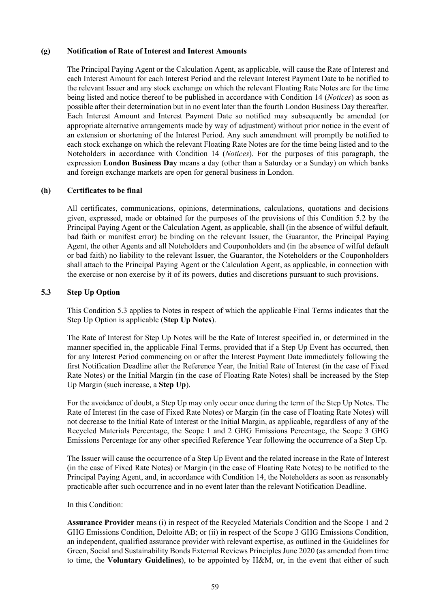## **(g) Notification of Rate of Interest and Interest Amounts**

The Principal Paying Agent or the Calculation Agent, as applicable, will cause the Rate of Interest and each Interest Amount for each Interest Period and the relevant Interest Payment Date to be notified to the relevant Issuer and any stock exchange on which the relevant Floating Rate Notes are for the time being listed and notice thereof to be published in accordance with Condition [14](#page-87-0) (*[Notices](#page-87-0)*) as soon as possible after their determination but in no event later than the fourth London Business Day thereafter. Each Interest Amount and Interest Payment Date so notified may subsequently be amended (or appropriate alternative arrangements made by way of adjustment) without prior notice in the event of an extension or shortening of the Interest Period. Any such amendment will promptly be notified to each stock exchange on which the relevant Floating Rate Notes are for the time being listed and to the Noteholders in accordance with Condition [14](#page-87-0) (*[Notices](#page-87-0)*). For the purposes of this paragraph, the expression **London Business Day** means a day (other than a Saturday or a Sunday) on which banks and foreign exchange markets are open for general business in London.

# **(h) Certificates to be final**

All certificates, communications, opinions, determinations, calculations, quotations and decisions given, expressed, made or obtained for the purposes of the provisions of this Condition [5.2](#page-58-1) by the Principal Paying Agent or the Calculation Agent, as applicable, shall (in the absence of wilful default, bad faith or manifest error) be binding on the relevant Issuer, the Guarantor, the Principal Paying Agent, the other Agents and all Noteholders and Couponholders and (in the absence of wilful default or bad faith) no liability to the relevant Issuer, the Guarantor, the Noteholders or the Couponholders shall attach to the Principal Paying Agent or the Calculation Agent, as applicable, in connection with the exercise or non exercise by it of its powers, duties and discretions pursuant to such provisions.

# **5.3 Step Up Option**

This Condition 5.3 applies to Notes in respect of which the applicable Final Terms indicates that the Step Up Option is applicable (**Step Up Notes**).

The Rate of Interest for Step Up Notes will be the Rate of Interest specified in, or determined in the manner specified in, the applicable Final Terms, provided that if a Step Up Event has occurred, then for any Interest Period commencing on or after the Interest Payment Date immediately following the first Notification Deadline after the Reference Year, the Initial Rate of Interest (in the case of Fixed Rate Notes) or the Initial Margin (in the case of Floating Rate Notes) shall be increased by the Step Up Margin (such increase, a **Step Up**).

For the avoidance of doubt, a Step Up may only occur once during the term of the Step Up Notes. The Rate of Interest (in the case of Fixed Rate Notes) or Margin (in the case of Floating Rate Notes) will not decrease to the Initial Rate of Interest or the Initial Margin, as applicable, regardless of any of the Recycled Materials Percentage, the Scope 1 and 2 GHG Emissions Percentage, the Scope 3 GHG Emissions Percentage for any other specified Reference Year following the occurrence of a Step Up.

The Issuer will cause the occurrence of a Step Up Event and the related increase in the Rate of Interest (in the case of Fixed Rate Notes) or Margin (in the case of Floating Rate Notes) to be notified to the Principal Paying Agent, and, in accordance with Condition 14, the Noteholders as soon as reasonably practicable after such occurrence and in no event later than the relevant Notification Deadline.

### In this Condition:

**Assurance Provider** means (i) in respect of the Recycled Materials Condition and the Scope 1 and 2 GHG Emissions Condition, Deloitte AB; or (ii) in respect of the Scope 3 GHG Emissions Condition, an independent, qualified assurance provider with relevant expertise, as outlined in the Guidelines for Green, Social and Sustainability Bonds External Reviews Principles June 2020 (as amended from time to time, the **Voluntary Guidelines**), to be appointed by H&M, or, in the event that either of such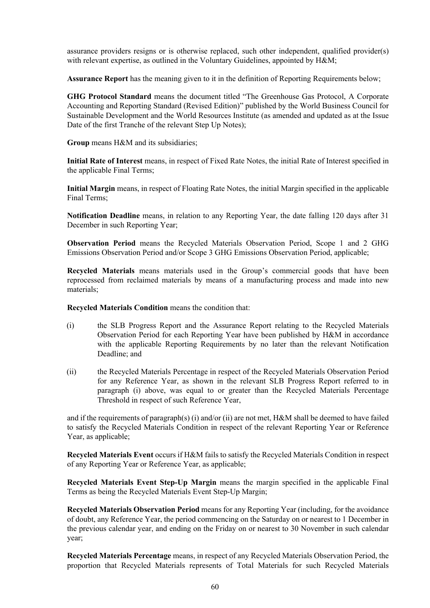assurance providers resigns or is otherwise replaced, such other independent, qualified provider(s) with relevant expertise, as outlined in the Voluntary Guidelines, appointed by H&M;

**Assurance Report** has the meaning given to it in the definition of Reporting Requirements below;

**GHG Protocol Standard** means the document titled "The Greenhouse Gas Protocol, A Corporate Accounting and Reporting Standard (Revised Edition)" published by the World Business Council for Sustainable Development and the World Resources Institute (as amended and updated as at the Issue Date of the first Tranche of the relevant Step Up Notes);

**Group** means H&M and its subsidiaries;

**Initial Rate of Interest** means, in respect of Fixed Rate Notes, the initial Rate of Interest specified in the applicable Final Terms;

**Initial Margin** means, in respect of Floating Rate Notes, the initial Margin specified in the applicable Final Terms;

**Notification Deadline** means, in relation to any Reporting Year, the date falling 120 days after 31 December in such Reporting Year;

**Observation Period** means the Recycled Materials Observation Period, Scope 1 and 2 GHG Emissions Observation Period and/or Scope 3 GHG Emissions Observation Period, applicable;

**Recycled Materials** means materials used in the Group's commercial goods that have been reprocessed from reclaimed materials by means of a manufacturing process and made into new materials;

**Recycled Materials Condition** means the condition that:

- (i) the SLB Progress Report and the Assurance Report relating to the Recycled Materials Observation Period for each Reporting Year have been published by H&M in accordance with the applicable Reporting Requirements by no later than the relevant Notification Deadline; and
- (ii) the Recycled Materials Percentage in respect of the Recycled Materials Observation Period for any Reference Year, as shown in the relevant SLB Progress Report referred to in paragraph (i) above, was equal to or greater than the Recycled Materials Percentage Threshold in respect of such Reference Year,

and if the requirements of paragraph(s) (i) and/or (ii) are not met, H&M shall be deemed to have failed to satisfy the Recycled Materials Condition in respect of the relevant Reporting Year or Reference Year, as applicable;

**Recycled Materials Event** occurs if H&M fails to satisfy the Recycled Materials Condition in respect of any Reporting Year or Reference Year, as applicable;

**Recycled Materials Event Step-Up Margin** means the margin specified in the applicable Final Terms as being the Recycled Materials Event Step-Up Margin;

**Recycled Materials Observation Period** means for any Reporting Year (including, for the avoidance of doubt, any Reference Year, the period commencing on the Saturday on or nearest to 1 December in the previous calendar year, and ending on the Friday on or nearest to 30 November in such calendar year;

**Recycled Materials Percentage** means, in respect of any Recycled Materials Observation Period, the proportion that Recycled Materials represents of Total Materials for such Recycled Materials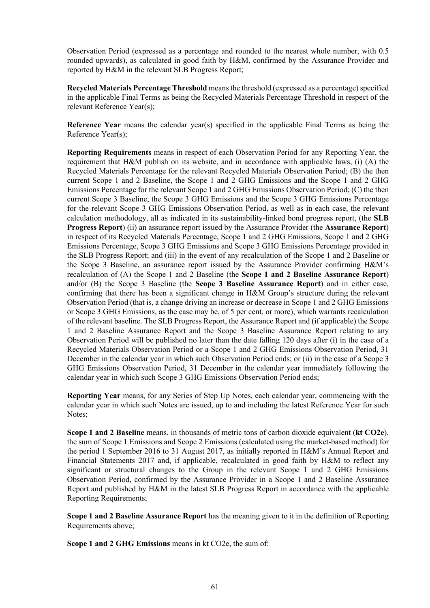Observation Period (expressed as a percentage and rounded to the nearest whole number, with 0.5 rounded upwards), as calculated in good faith by H&M, confirmed by the Assurance Provider and reported by H&M in the relevant SLB Progress Report;

**Recycled Materials Percentage Threshold** means the threshold (expressed as a percentage) specified in the applicable Final Terms as being the Recycled Materials Percentage Threshold in respect of the relevant Reference Year(s);

**Reference Year** means the calendar year(s) specified in the applicable Final Terms as being the Reference Year(s);

**Reporting Requirements** means in respect of each Observation Period for any Reporting Year, the requirement that H&M publish on its website, and in accordance with applicable laws, (i) (A) the Recycled Materials Percentage for the relevant Recycled Materials Observation Period; (B) the then current Scope 1 and 2 Baseline, the Scope 1 and 2 GHG Emissions and the Scope 1 and 2 GHG Emissions Percentage for the relevant Scope 1 and 2 GHG Emissions Observation Period; (C) the then current Scope 3 Baseline, the Scope 3 GHG Emissions and the Scope 3 GHG Emissions Percentage for the relevant Scope 3 GHG Emissions Observation Period, as well as in each case, the relevant calculation methodology, all as indicated in its sustainability-linked bond progress report, (the **SLB Progress Report**) (ii) an assurance report issued by the Assurance Provider (the **Assurance Report**) in respect of its Recycled Materials Percentage, Scope 1 and 2 GHG Emissions, Scope 1 and 2 GHG Emissions Percentage, Scope 3 GHG Emissions and Scope 3 GHG Emissions Percentage provided in the SLB Progress Report; and (iii) in the event of any recalculation of the Scope 1 and 2 Baseline or the Scope 3 Baseline, an assurance report issued by the Assurance Provider confirming H&M's recalculation of (A) the Scope 1 and 2 Baseline (the **Scope 1 and 2 Baseline Assurance Report**) and/or (B) the Scope 3 Baseline (the **Scope 3 Baseline Assurance Report**) and in either case, confirming that there has been a significant change in H&M Group's structure during the relevant Observation Period (that is, a change driving an increase or decrease in Scope 1 and 2 GHG Emissions or Scope 3 GHG Emissions, as the case may be, of 5 per cent. or more), which warrants recalculation of the relevant baseline. The SLB Progress Report, the Assurance Report and (if applicable) the Scope 1 and 2 Baseline Assurance Report and the Scope 3 Baseline Assurance Report relating to any Observation Period will be published no later than the date falling 120 days after (i) in the case of a Recycled Materials Observation Period or a Scope 1 and 2 GHG Emissions Observation Period, 31 December in the calendar year in which such Observation Period ends; or (ii) in the case of a Scope 3 GHG Emissions Observation Period, 31 December in the calendar year immediately following the calendar year in which such Scope 3 GHG Emissions Observation Period ends;

**Reporting Year** means, for any Series of Step Up Notes, each calendar year, commencing with the calendar year in which such Notes are issued, up to and including the latest Reference Year for such Notes;

**Scope 1 and 2 Baseline** means, in thousands of metric tons of carbon dioxide equivalent (**kt CO2e**), the sum of Scope 1 Emissions and Scope 2 Emissions (calculated using the market-based method) for the period 1 September 2016 to 31 August 2017, as initially reported in H&M's Annual Report and Financial Statements 2017 and, if applicable, recalculated in good faith by H&M to reflect any significant or structural changes to the Group in the relevant Scope 1 and 2 GHG Emissions Observation Period, confirmed by the Assurance Provider in a Scope 1 and 2 Baseline Assurance Report and published by H&M in the latest SLB Progress Report in accordance with the applicable Reporting Requirements;

**Scope 1 and 2 Baseline Assurance Report** has the meaning given to it in the definition of Reporting Requirements above;

**Scope 1 and 2 GHG Emissions** means in kt CO2e, the sum of: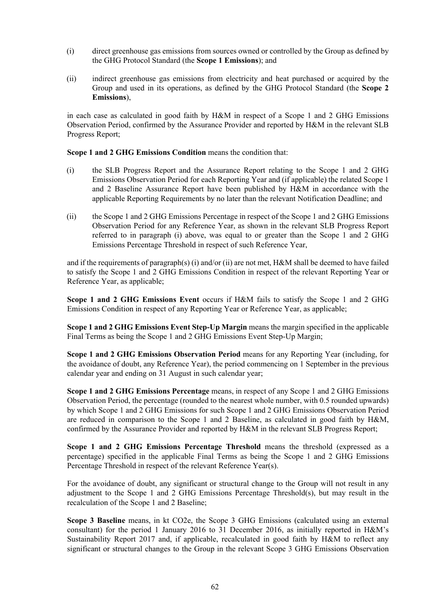- (i) direct greenhouse gas emissions from sources owned or controlled by the Group as defined by the GHG Protocol Standard (the **Scope 1 Emissions**); and
- (ii) indirect greenhouse gas emissions from electricity and heat purchased or acquired by the Group and used in its operations, as defined by the GHG Protocol Standard (the **Scope 2 Emissions**),

in each case as calculated in good faith by H&M in respect of a Scope 1 and 2 GHG Emissions Observation Period, confirmed by the Assurance Provider and reported by H&M in the relevant SLB Progress Report;

**Scope 1 and 2 GHG Emissions Condition** means the condition that:

- (i) the SLB Progress Report and the Assurance Report relating to the Scope 1 and 2 GHG Emissions Observation Period for each Reporting Year and (if applicable) the related Scope 1 and 2 Baseline Assurance Report have been published by H&M in accordance with the applicable Reporting Requirements by no later than the relevant Notification Deadline; and
- (ii) the Scope 1 and 2 GHG Emissions Percentage in respect of the Scope 1 and 2 GHG Emissions Observation Period for any Reference Year, as shown in the relevant SLB Progress Report referred to in paragraph (i) above, was equal to or greater than the Scope 1 and 2 GHG Emissions Percentage Threshold in respect of such Reference Year,

and if the requirements of paragraph(s) (i) and/or (ii) are not met, H&M shall be deemed to have failed to satisfy the Scope 1 and 2 GHG Emissions Condition in respect of the relevant Reporting Year or Reference Year, as applicable;

**Scope 1 and 2 GHG Emissions Event** occurs if H&M fails to satisfy the Scope 1 and 2 GHG Emissions Condition in respect of any Reporting Year or Reference Year, as applicable;

**Scope 1 and 2 GHG Emissions Event Step-Up Margin** means the margin specified in the applicable Final Terms as being the Scope 1 and 2 GHG Emissions Event Step-Up Margin;

**Scope 1 and 2 GHG Emissions Observation Period** means for any Reporting Year (including, for the avoidance of doubt, any Reference Year), the period commencing on 1 September in the previous calendar year and ending on 31 August in such calendar year;

**Scope 1 and 2 GHG Emissions Percentage** means, in respect of any Scope 1 and 2 GHG Emissions Observation Period, the percentage (rounded to the nearest whole number, with 0.5 rounded upwards) by which Scope 1 and 2 GHG Emissions for such Scope 1 and 2 GHG Emissions Observation Period are reduced in comparison to the Scope 1 and 2 Baseline, as calculated in good faith by H&M, confirmed by the Assurance Provider and reported by H&M in the relevant SLB Progress Report;

**Scope 1 and 2 GHG Emissions Percentage Threshold** means the threshold (expressed as a percentage) specified in the applicable Final Terms as being the Scope 1 and 2 GHG Emissions Percentage Threshold in respect of the relevant Reference Year(s).

For the avoidance of doubt, any significant or structural change to the Group will not result in any adjustment to the Scope 1 and 2 GHG Emissions Percentage Threshold(s), but may result in the recalculation of the Scope 1 and 2 Baseline;

**Scope 3 Baseline** means, in kt CO2e, the Scope 3 GHG Emissions (calculated using an external consultant) for the period 1 January 2016 to 31 December 2016, as initially reported in H&M's Sustainability Report 2017 and, if applicable, recalculated in good faith by H&M to reflect any significant or structural changes to the Group in the relevant Scope 3 GHG Emissions Observation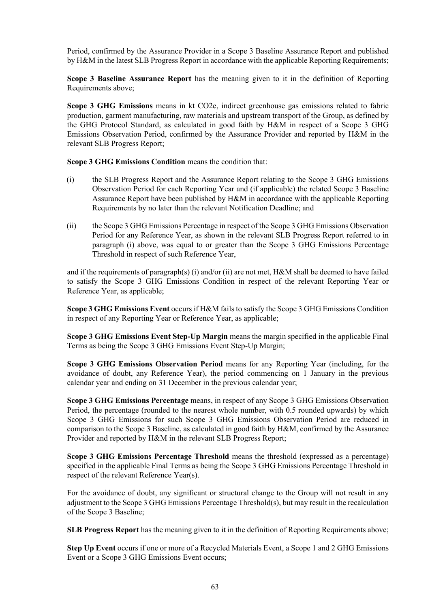Period, confirmed by the Assurance Provider in a Scope 3 Baseline Assurance Report and published by H&M in the latest SLB Progress Report in accordance with the applicable Reporting Requirements;

**Scope 3 Baseline Assurance Report** has the meaning given to it in the definition of Reporting Requirements above;

**Scope 3 GHG Emissions** means in kt CO2e, indirect greenhouse gas emissions related to fabric production, garment manufacturing, raw materials and upstream transport of the Group, as defined by the GHG Protocol Standard, as calculated in good faith by H&M in respect of a Scope 3 GHG Emissions Observation Period, confirmed by the Assurance Provider and reported by H&M in the relevant SLB Progress Report;

**Scope 3 GHG Emissions Condition** means the condition that:

- (i) the SLB Progress Report and the Assurance Report relating to the Scope 3 GHG Emissions Observation Period for each Reporting Year and (if applicable) the related Scope 3 Baseline Assurance Report have been published by H&M in accordance with the applicable Reporting Requirements by no later than the relevant Notification Deadline; and
- (ii) the Scope 3 GHG Emissions Percentage in respect of the Scope 3 GHG Emissions Observation Period for any Reference Year, as shown in the relevant SLB Progress Report referred to in paragraph (i) above, was equal to or greater than the Scope 3 GHG Emissions Percentage Threshold in respect of such Reference Year,

and if the requirements of paragraph(s) (i) and/or (ii) are not met, H&M shall be deemed to have failed to satisfy the Scope 3 GHG Emissions Condition in respect of the relevant Reporting Year or Reference Year, as applicable;

**Scope 3 GHG Emissions Event** occurs if H&M fails to satisfy the Scope 3 GHG Emissions Condition in respect of any Reporting Year or Reference Year, as applicable;

**Scope 3 GHG Emissions Event Step-Up Margin** means the margin specified in the applicable Final Terms as being the Scope 3 GHG Emissions Event Step-Up Margin;

**Scope 3 GHG Emissions Observation Period** means for any Reporting Year (including, for the avoidance of doubt, any Reference Year), the period commencing on 1 January in the previous calendar year and ending on 31 December in the previous calendar year;

**Scope 3 GHG Emissions Percentage** means, in respect of any Scope 3 GHG Emissions Observation Period, the percentage (rounded to the nearest whole number, with 0.5 rounded upwards) by which Scope 3 GHG Emissions for such Scope 3 GHG Emissions Observation Period are reduced in comparison to the Scope 3 Baseline, as calculated in good faith by H&M, confirmed by the Assurance Provider and reported by H&M in the relevant SLB Progress Report;

**Scope 3 GHG Emissions Percentage Threshold** means the threshold (expressed as a percentage) specified in the applicable Final Terms as being the Scope 3 GHG Emissions Percentage Threshold in respect of the relevant Reference Year(s).

For the avoidance of doubt, any significant or structural change to the Group will not result in any adjustment to the Scope 3 GHG Emissions Percentage Threshold(s), but may result in the recalculation of the Scope 3 Baseline;

**SLB Progress Report** has the meaning given to it in the definition of Reporting Requirements above;

**Step Up Event** occurs if one or more of a Recycled Materials Event, a Scope 1 and 2 GHG Emissions Event or a Scope 3 GHG Emissions Event occurs;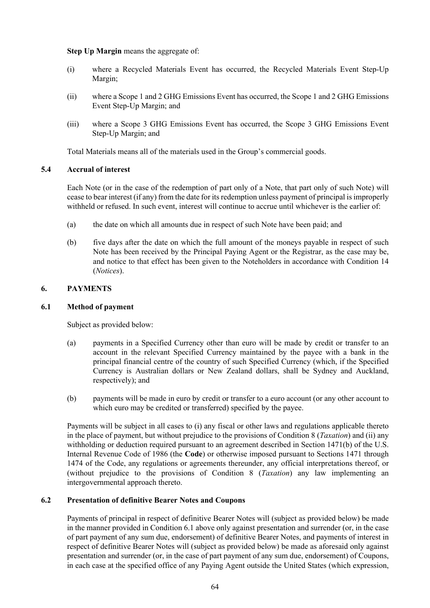**Step Up Margin** means the aggregate of:

- (i) where a Recycled Materials Event has occurred, the Recycled Materials Event Step-Up Margin;
- (ii) where a Scope 1 and 2 GHG Emissions Event has occurred, the Scope 1 and 2 GHG Emissions Event Step-Up Margin; and
- (iii) where a Scope 3 GHG Emissions Event has occurred, the Scope 3 GHG Emissions Event Step-Up Margin; and

Total Materials means all of the materials used in the Group's commercial goods.

## **5.4 Accrual of interest**

Each Note (or in the case of the redemption of part only of a Note, that part only of such Note) will cease to bear interest (if any) from the date for its redemption unless payment of principal is improperly withheld or refused. In such event, interest will continue to accrue until whichever is the earlier of:

- (a) the date on which all amounts due in respect of such Note have been paid; and
- (b) five days after the date on which the full amount of the moneys payable in respect of such Note has been received by the Principal Paying Agent or the Registrar, as the case may be, and notice to that effect has been given to the Noteholders in accordance with Condition [14](#page-87-0) (*[Notices](#page-87-0)*).

## <span id="page-72-0"></span>**6. PAYMENTS**

### **6.1 Method of payment**

Subject as provided below:

- (a) payments in a Specified Currency other than euro will be made by credit or transfer to an account in the relevant Specified Currency maintained by the payee with a bank in the principal financial centre of the country of such Specified Currency (which, if the Specified Currency is Australian dollars or New Zealand dollars, shall be Sydney and Auckland, respectively); and
- (b) payments will be made in euro by credit or transfer to a euro account (or any other account to which euro may be credited or transferred) specified by the payee.

Payments will be subject in all cases to (i) any fiscal or other laws and regulations applicable thereto in the place of payment, but without prejudice to the provisions of Condition [8](#page-83-0) (*[Taxation](#page-83-0)*) and (ii) any withholding or deduction required pursuant to an agreement described in Section 1471(b) of the U.S. Internal Revenue Code of 1986 (the **Code**) or otherwise imposed pursuant to Sections 1471 through 1474 of the Code, any regulations or agreements thereunder, any official interpretations thereof, or (without prejudice to the provisions of Condition [8](#page-83-0) (*[Taxation](#page-83-0)*) any law implementing an intergovernmental approach thereto.

#### <span id="page-72-1"></span>**6.2 Presentation of definitive Bearer Notes and Coupons**

Payments of principal in respect of definitive Bearer Notes will (subject as provided below) be made in the manner provided in Condition [6.1 above](#page-72-0) only against presentation and surrender (or, in the case of part payment of any sum due, endorsement) of definitive Bearer Notes, and payments of interest in respect of definitive Bearer Notes will (subject as provided below) be made as aforesaid only against presentation and surrender (or, in the case of part payment of any sum due, endorsement) of Coupons, in each case at the specified office of any Paying Agent outside the United States (which expression,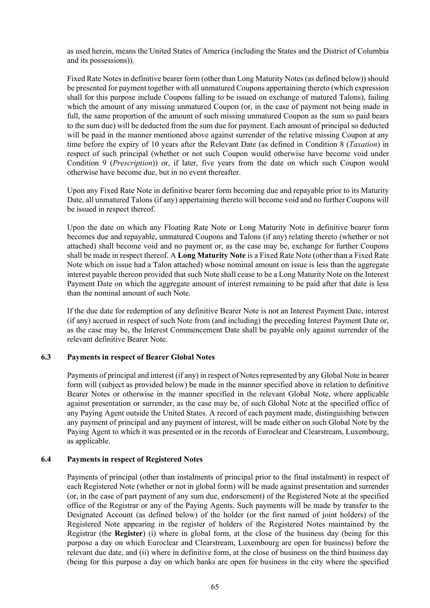as used herein, means the United States of America (including the States and the District of Columbia and its possessions)).

Fixed Rate Notes in definitive bearer form (other than Long Maturity Notes (as defined below)) should be presented for payment together with all unmatured Coupons appertaining thereto (which expression shall for this purpose include Coupons falling to be issued on exchange of matured Talons), failing which the amount of any missing unmatured Coupon (or, in the case of payment not being made in full, the same proportion of the amount of such missing unmatured Coupon as the sum so paid bears to the sum due) will be deducted from the sum due for payment. Each amount of principal so deducted will be paid in the manner mentioned above against surrender of the relative missing Coupon at any time before the expiry of 10 years after the Relevant Date (as defined in Condition [8](#page-83-0) (*[Taxation](#page-83-0)*) in respect of such principal (whether or not such Coupon would otherwise have become void under Condition [9](#page-84-0) (*[Prescription](#page-84-0)*)) or, if later, five years from the date on which such Coupon would otherwise have become due, but in no event thereafter.

Upon any Fixed Rate Note in definitive bearer form becoming due and repayable prior to its Maturity Date, all unmatured Talons (if any) appertaining thereto will become void and no further Coupons will be issued in respect thereof.

Upon the date on which any Floating Rate Note or Long Maturity Note in definitive bearer form becomes due and repayable, unmatured Coupons and Talons (if any) relating thereto (whether or not attached) shall become void and no payment or, as the case may be, exchange for further Coupons shall be made in respect thereof. A **Long Maturity Note** is a Fixed Rate Note (other than a Fixed Rate Note which on issue had a Talon attached) whose nominal amount on issue is less than the aggregate interest payable thereon provided that such Note shall cease to be a Long Maturity Note on the Interest Payment Date on which the aggregate amount of interest remaining to be paid after that date is less than the nominal amount of such Note.

If the due date for redemption of any definitive Bearer Note is not an Interest Payment Date, interest (if any) accrued in respect of such Note from (and including) the preceding Interest Payment Date or, as the case may be, the Interest Commencement Date shall be payable only against surrender of the relevant definitive Bearer Note.

#### **6.3 Payments in respect of Bearer Global Notes**

Payments of principal and interest (if any) in respect of Notes represented by any Global Note in bearer form will (subject as provided below) be made in the manner specified above in relation to definitive Bearer Notes or otherwise in the manner specified in the relevant Global Note, where applicable against presentation or surrender, as the case may be, of such Global Note at the specified office of any Paying Agent outside the United States. A record of each payment made, distinguishing between any payment of principal and any payment of interest, will be made either on such Global Note by the Paying Agent to which it was presented or in the records of Euroclear and Clearstream, Luxembourg, as applicable.

#### **6.4 Payments in respect of Registered Notes**

Payments of principal (other than instalments of principal prior to the final instalment) in respect of each Registered Note (whether or not in global form) will be made against presentation and surrender (or, in the case of part payment of any sum due, endorsement) of the Registered Note at the specified office of the Registrar or any of the Paying Agents. Such payments will be made by transfer to the Designated Account (as defined below) of the holder (or the first named of joint holders) of the Registered Note appearing in the register of holders of the Registered Notes maintained by the Registrar (the **Register**) (i) where in global form, at the close of the business day (being for this purpose a day on which Euroclear and Clearstream, Luxembourg are open for business) before the relevant due date, and (ii) where in definitive form, at the close of business on the third business day (being for this purpose a day on which banks are open for business in the city where the specified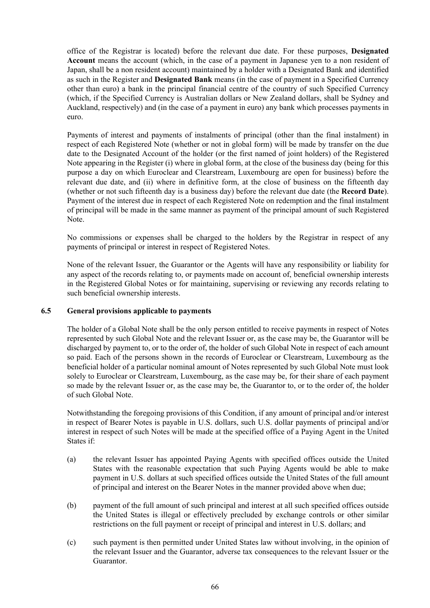office of the Registrar is located) before the relevant due date. For these purposes, **Designated Account** means the account (which, in the case of a payment in Japanese yen to a non resident of Japan, shall be a non resident account) maintained by a holder with a Designated Bank and identified as such in the Register and **Designated Bank** means (in the case of payment in a Specified Currency other than euro) a bank in the principal financial centre of the country of such Specified Currency (which, if the Specified Currency is Australian dollars or New Zealand dollars, shall be Sydney and Auckland, respectively) and (in the case of a payment in euro) any bank which processes payments in euro.

Payments of interest and payments of instalments of principal (other than the final instalment) in respect of each Registered Note (whether or not in global form) will be made by transfer on the due date to the Designated Account of the holder (or the first named of joint holders) of the Registered Note appearing in the Register (i) where in global form, at the close of the business day (being for this purpose a day on which Euroclear and Clearstream, Luxembourg are open for business) before the relevant due date, and (ii) where in definitive form, at the close of business on the fifteenth day (whether or not such fifteenth day is a business day) before the relevant due date (the **Record Date**). Payment of the interest due in respect of each Registered Note on redemption and the final instalment of principal will be made in the same manner as payment of the principal amount of such Registered Note.

No commissions or expenses shall be charged to the holders by the Registrar in respect of any payments of principal or interest in respect of Registered Notes.

None of the relevant Issuer, the Guarantor or the Agents will have any responsibility or liability for any aspect of the records relating to, or payments made on account of, beneficial ownership interests in the Registered Global Notes or for maintaining, supervising or reviewing any records relating to such beneficial ownership interests.

#### <span id="page-74-0"></span>**6.5 General provisions applicable to payments**

The holder of a Global Note shall be the only person entitled to receive payments in respect of Notes represented by such Global Note and the relevant Issuer or, as the case may be, the Guarantor will be discharged by payment to, or to the order of, the holder of such Global Note in respect of each amount so paid. Each of the persons shown in the records of Euroclear or Clearstream, Luxembourg as the beneficial holder of a particular nominal amount of Notes represented by such Global Note must look solely to Euroclear or Clearstream, Luxembourg, as the case may be, for their share of each payment so made by the relevant Issuer or, as the case may be, the Guarantor to, or to the order of, the holder of such Global Note.

Notwithstanding the foregoing provisions of this Condition, if any amount of principal and/or interest in respect of Bearer Notes is payable in U.S. dollars, such U.S. dollar payments of principal and/or interest in respect of such Notes will be made at the specified office of a Paying Agent in the United States if:

- (a) the relevant Issuer has appointed Paying Agents with specified offices outside the United States with the reasonable expectation that such Paying Agents would be able to make payment in U.S. dollars at such specified offices outside the United States of the full amount of principal and interest on the Bearer Notes in the manner provided above when due;
- (b) payment of the full amount of such principal and interest at all such specified offices outside the United States is illegal or effectively precluded by exchange controls or other similar restrictions on the full payment or receipt of principal and interest in U.S. dollars; and
- (c) such payment is then permitted under United States law without involving, in the opinion of the relevant Issuer and the Guarantor, adverse tax consequences to the relevant Issuer or the Guarantor.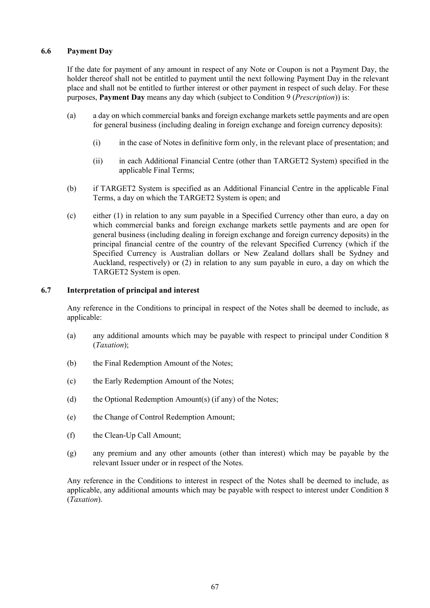## <span id="page-75-0"></span>**6.6 Payment Day**

If the date for payment of any amount in respect of any Note or Coupon is not a Payment Day, the holder thereof shall not be entitled to payment until the next following Payment Day in the relevant place and shall not be entitled to further interest or other payment in respect of such delay. For these purposes, **Payment Day** means any day which (subject to Condition [9](#page-84-0) (*[Prescription](#page-84-0)*)) is:

- (a) a day on which commercial banks and foreign exchange markets settle payments and are open for general business (including dealing in foreign exchange and foreign currency deposits):
	- (i) in the case of Notes in definitive form only, in the relevant place of presentation; and
	- (ii) in each Additional Financial Centre (other than TARGET2 System) specified in the applicable Final Terms;
- (b) if TARGET2 System is specified as an Additional Financial Centre in the applicable Final Terms, a day on which the TARGET2 System is open; and
- (c) either (1) in relation to any sum payable in a Specified Currency other than euro, a day on which commercial banks and foreign exchange markets settle payments and are open for general business (including dealing in foreign exchange and foreign currency deposits) in the principal financial centre of the country of the relevant Specified Currency (which if the Specified Currency is Australian dollars or New Zealand dollars shall be Sydney and Auckland, respectively) or (2) in relation to any sum payable in euro, a day on which the TARGET2 System is open.

#### **6.7 Interpretation of principal and interest**

Any reference in the Conditions to principal in respect of the Notes shall be deemed to include, as applicable:

- (a) any additional amounts which may be payable with respect to principal under Condition [8](#page-83-0) (*[Taxation](#page-83-0)*);
- (b) the Final Redemption Amount of the Notes;
- (c) the Early Redemption Amount of the Notes;
- (d) the Optional Redemption Amount(s) (if any) of the Notes;
- (e) the Change of Control Redemption Amount;
- (f) the Clean-Up Call Amount;
- (g) any premium and any other amounts (other than interest) which may be payable by the relevant Issuer under or in respect of the Notes.

Any reference in the Conditions to interest in respect of the Notes shall be deemed to include, as applicable, any additional amounts which may be payable with respect to interest under Condition [8](#page-83-0) (*[Taxation](#page-83-0)*).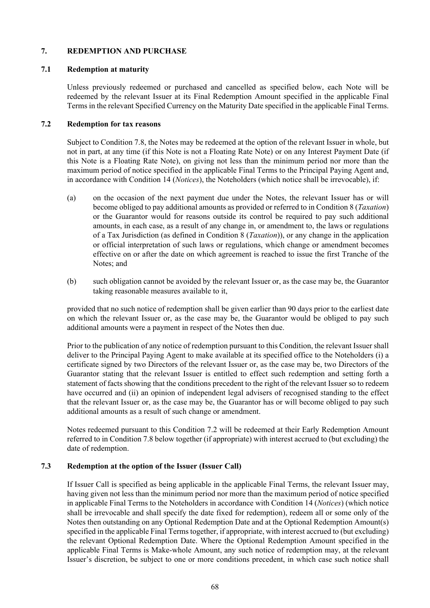### <span id="page-76-2"></span>**7. REDEMPTION AND PURCHASE**

### **7.1 Redemption at maturity**

Unless previously redeemed or purchased and cancelled as specified below, each Note will be redeemed by the relevant Issuer at its Final Redemption Amount specified in the applicable Final Terms in the relevant Specified Currency on the Maturity Date specified in the applicable Final Terms.

## <span id="page-76-0"></span>**7.2 Redemption for tax reasons**

Subject to Condition [7.8,](#page-82-0) the Notes may be redeemed at the option of the relevant Issuer in whole, but not in part, at any time (if this Note is not a Floating Rate Note) or on any Interest Payment Date (if this Note is a Floating Rate Note), on giving not less than the minimum period nor more than the maximum period of notice specified in the applicable Final Terms to the Principal Paying Agent and, in accordance with Condition [14](#page-87-0) (*[Notices](#page-87-0)*), the Noteholders (which notice shall be irrevocable), if:

- (a) on the occasion of the next payment due under the Notes, the relevant Issuer has or will become obliged to pay additional amounts as provided or referred to in Condition [8](#page-83-0) (*[Taxation](#page-83-0)*) or the Guarantor would for reasons outside its control be required to pay such additional amounts, in each case, as a result of any change in, or amendment to, the laws or regulations of a Tax Jurisdiction (as defined in Condition [8](#page-83-0) (*[Taxation](#page-83-0)*)), or any change in the application or official interpretation of such laws or regulations, which change or amendment becomes effective on or after the date on which agreement is reached to issue the first Tranche of the Notes; and
- (b) such obligation cannot be avoided by the relevant Issuer or, as the case may be, the Guarantor taking reasonable measures available to it,

provided that no such notice of redemption shall be given earlier than 90 days prior to the earliest date on which the relevant Issuer or, as the case may be, the Guarantor would be obliged to pay such additional amounts were a payment in respect of the Notes then due.

Prior to the publication of any notice of redemption pursuant to this Condition, the relevant Issuer shall deliver to the Principal Paying Agent to make available at its specified office to the Noteholders (i) a certificate signed by two Directors of the relevant Issuer or, as the case may be, two Directors of the Guarantor stating that the relevant Issuer is entitled to effect such redemption and setting forth a statement of facts showing that the conditions precedent to the right of the relevant Issuer so to redeem have occurred and (ii) an opinion of independent legal advisers of recognised standing to the effect that the relevant Issuer or, as the case may be, the Guarantor has or will become obliged to pay such additional amounts as a result of such change or amendment.

Notes redeemed pursuant to this Condition [7.2](#page-76-0) will be redeemed at their Early Redemption Amount referred to in Condition [7.8](#page-82-0) below together (if appropriate) with interest accrued to (but excluding) the date of redemption.

# <span id="page-76-1"></span>**7.3 Redemption at the option of the Issuer (Issuer Call)**

If Issuer Call is specified as being applicable in the applicable Final Terms, the relevant Issuer may, having given not less than the minimum period nor more than the maximum period of notice specified in applicable Final Terms to the Noteholders in accordance with Condition [14](#page-87-0) (*[Notices](#page-87-0)*) (which notice shall be irrevocable and shall specify the date fixed for redemption), redeem all or some only of the Notes then outstanding on any Optional Redemption Date and at the Optional Redemption Amount(s) specified in the applicable Final Terms together, if appropriate, with interest accrued to (but excluding) the relevant Optional Redemption Date. Where the Optional Redemption Amount specified in the applicable Final Terms is Make-whole Amount, any such notice of redemption may, at the relevant Issuer's discretion, be subject to one or more conditions precedent, in which case such notice shall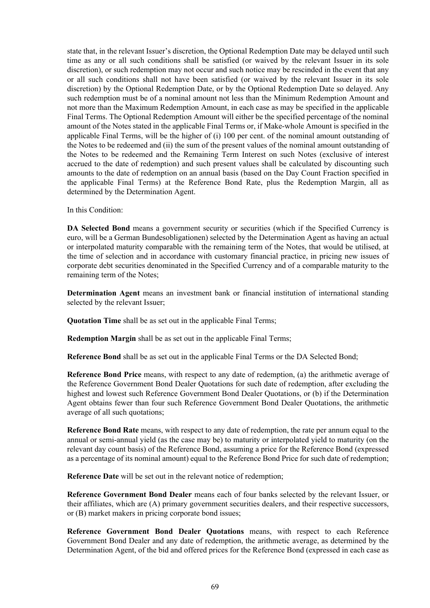state that, in the relevant Issuer's discretion, the Optional Redemption Date may be delayed until such time as any or all such conditions shall be satisfied (or waived by the relevant Issuer in its sole discretion), or such redemption may not occur and such notice may be rescinded in the event that any or all such conditions shall not have been satisfied (or waived by the relevant Issuer in its sole discretion) by the Optional Redemption Date, or by the Optional Redemption Date so delayed. Any such redemption must be of a nominal amount not less than the Minimum Redemption Amount and not more than the Maximum Redemption Amount, in each case as may be specified in the applicable Final Terms. The Optional Redemption Amount will either be the specified percentage of the nominal amount of the Notes stated in the applicable Final Terms or, if Make-whole Amount is specified in the applicable Final Terms, will be the higher of (i) 100 per cent. of the nominal amount outstanding of the Notes to be redeemed and (ii) the sum of the present values of the nominal amount outstanding of the Notes to be redeemed and the Remaining Term Interest on such Notes (exclusive of interest accrued to the date of redemption) and such present values shall be calculated by discounting such amounts to the date of redemption on an annual basis (based on the Day Count Fraction specified in the applicable Final Terms) at the Reference Bond Rate, plus the Redemption Margin, all as determined by the Determination Agent.

In this Condition:

**DA Selected Bond** means a government security or securities (which if the Specified Currency is euro, will be a German Bundesobligationen) selected by the Determination Agent as having an actual or interpolated maturity comparable with the remaining term of the Notes, that would be utilised, at the time of selection and in accordance with customary financial practice, in pricing new issues of corporate debt securities denominated in the Specified Currency and of a comparable maturity to the remaining term of the Notes;

**Determination Agent** means an investment bank or financial institution of international standing selected by the relevant Issuer;

**Quotation Time** shall be as set out in the applicable Final Terms;

**Redemption Margin** shall be as set out in the applicable Final Terms;

**Reference Bond** shall be as set out in the applicable Final Terms or the DA Selected Bond;

**Reference Bond Price** means, with respect to any date of redemption, (a) the arithmetic average of the Reference Government Bond Dealer Quotations for such date of redemption, after excluding the highest and lowest such Reference Government Bond Dealer Quotations, or (b) if the Determination Agent obtains fewer than four such Reference Government Bond Dealer Quotations, the arithmetic average of all such quotations;

**Reference Bond Rate** means, with respect to any date of redemption, the rate per annum equal to the annual or semi-annual yield (as the case may be) to maturity or interpolated yield to maturity (on the relevant day count basis) of the Reference Bond, assuming a price for the Reference Bond (expressed as a percentage of its nominal amount) equal to the Reference Bond Price for such date of redemption;

**Reference Date** will be set out in the relevant notice of redemption;

**Reference Government Bond Dealer** means each of four banks selected by the relevant Issuer, or their affiliates, which are (A) primary government securities dealers, and their respective successors, or (B) market makers in pricing corporate bond issues;

**Reference Government Bond Dealer Quotations** means, with respect to each Reference Government Bond Dealer and any date of redemption, the arithmetic average, as determined by the Determination Agent, of the bid and offered prices for the Reference Bond (expressed in each case as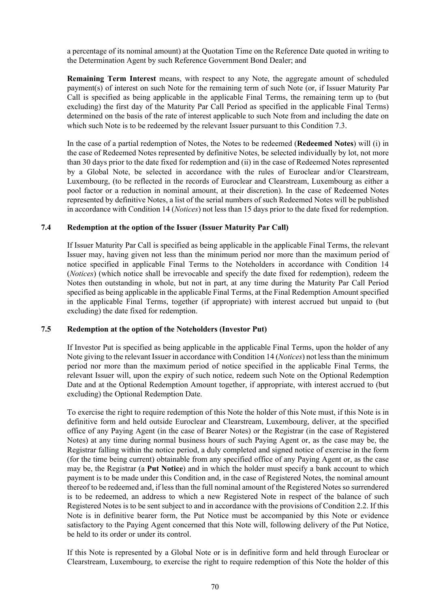a percentage of its nominal amount) at the Quotation Time on the Reference Date quoted in writing to the Determination Agent by such Reference Government Bond Dealer; and

**Remaining Term Interest** means, with respect to any Note, the aggregate amount of scheduled payment(s) of interest on such Note for the remaining term of such Note (or, if Issuer Maturity Par Call is specified as being applicable in the applicable Final Terms, the remaining term up to (but excluding) the first day of the Maturity Par Call Period as specified in the applicable Final Terms) determined on the basis of the rate of interest applicable to such Note from and including the date on which such Note is to be redeemed by the relevant Issuer pursuant to this Condition [7.3.](#page-76-1)

In the case of a partial redemption of Notes, the Notes to be redeemed (**Redeemed Notes**) will (i) in the case of Redeemed Notes represented by definitive Notes, be selected individually by lot, not more than 30 days prior to the date fixed for redemption and (ii) in the case of Redeemed Notes represented by a Global Note, be selected in accordance with the rules of Euroclear and/or Clearstream, Luxembourg, (to be reflected in the records of Euroclear and Clearstream, Luxembourg as either a pool factor or a reduction in nominal amount, at their discretion). In the case of Redeemed Notes represented by definitive Notes, a list of the serial numbers of such Redeemed Notes will be published in accordance with Condition [14](#page-87-0) (*[Notices](#page-87-0)*) not less than 15 days prior to the date fixed for redemption.

#### <span id="page-78-1"></span>**7.4 Redemption at the option of the Issuer (Issuer Maturity Par Call)**

If Issuer Maturity Par Call is specified as being applicable in the applicable Final Terms, the relevant Issuer may, having given not less than the minimum period nor more than the maximum period of notice specified in applicable Final Terms to the Noteholders in accordance with Condition [14](#page-87-0) (*[Notices](#page-87-0)*) (which notice shall be irrevocable and specify the date fixed for redemption), redeem the Notes then outstanding in whole, but not in part, at any time during the Maturity Par Call Period specified as being applicable in the applicable Final Terms, at the Final Redemption Amount specified in the applicable Final Terms, together (if appropriate) with interest accrued but unpaid to (but excluding) the date fixed for redemption.

#### <span id="page-78-0"></span>**7.5 Redemption at the option of the Noteholders (Investor Put)**

If Investor Put is specified as being applicable in the applicable Final Terms, upon the holder of any Note giving to the relevant Issuer in accordance with Condition [14](#page-87-0) (*[Notices](#page-87-0)*) not less than the minimum period nor more than the maximum period of notice specified in the applicable Final Terms, the relevant Issuer will, upon the expiry of such notice, redeem such Note on the Optional Redemption Date and at the Optional Redemption Amount together, if appropriate, with interest accrued to (but excluding) the Optional Redemption Date.

To exercise the right to require redemption of this Note the holder of this Note must, if this Note is in definitive form and held outside Euroclear and Clearstream, Luxembourg, deliver, at the specified office of any Paying Agent (in the case of Bearer Notes) or the Registrar (in the case of Registered Notes) at any time during normal business hours of such Paying Agent or, as the case may be, the Registrar falling within the notice period, a duly completed and signed notice of exercise in the form (for the time being current) obtainable from any specified office of any Paying Agent or, as the case may be, the Registrar (a **Put Notice**) and in which the holder must specify a bank account to which payment is to be made under this Condition and, in the case of Registered Notes, the nominal amount thereof to be redeemed and, if less than the full nominal amount of the Registered Notes so surrendered is to be redeemed, an address to which a new Registered Note in respect of the balance of such Registered Notes is to be sent subject to and in accordance with the provisions of Condition [2.2.](#page-54-0) If this Note is in definitive bearer form, the Put Notice must be accompanied by this Note or evidence satisfactory to the Paying Agent concerned that this Note will, following delivery of the Put Notice, be held to its order or under its control.

If this Note is represented by a Global Note or is in definitive form and held through Euroclear or Clearstream, Luxembourg, to exercise the right to require redemption of this Note the holder of this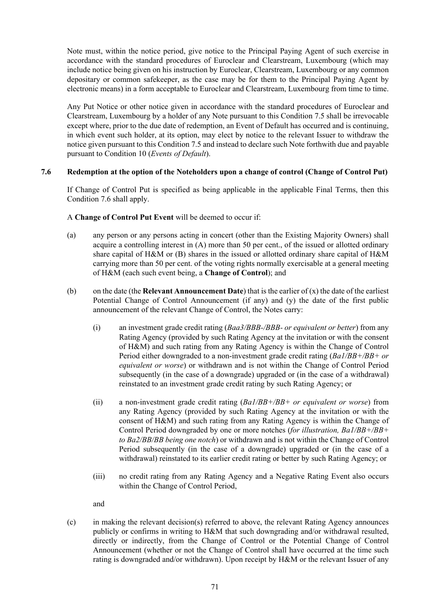Note must, within the notice period, give notice to the Principal Paying Agent of such exercise in accordance with the standard procedures of Euroclear and Clearstream, Luxembourg (which may include notice being given on his instruction by Euroclear, Clearstream, Luxembourg or any common depositary or common safekeeper, as the case may be for them to the Principal Paying Agent by electronic means) in a form acceptable to Euroclear and Clearstream, Luxembourg from time to time.

Any Put Notice or other notice given in accordance with the standard procedures of Euroclear and Clearstream, Luxembourg by a holder of any Note pursuant to this Condition [7.5](#page-78-0) shall be irrevocable except where, prior to the due date of redemption, an Event of Default has occurred and is continuing, in which event such holder, at its option, may elect by notice to the relevant Issuer to withdraw the notice given pursuant to this Condition [7.5](#page-78-0) and instead to declare such Note forthwith due and payable pursuant to Condition [10](#page-84-1) (*Events of Default*).

## <span id="page-79-0"></span>**7.6 Redemption at the option of the Noteholders upon a change of control (Change of Control Put)**

If Change of Control Put is specified as being applicable in the applicable Final Terms, then this Condition [7.6](#page-79-0) shall apply.

A **Change of Control Put Event** will be deemed to occur if:

- (a) any person or any persons acting in concert (other than the Existing Majority Owners) shall acquire a controlling interest in (A) more than 50 per cent., of the issued or allotted ordinary share capital of H&M or (B) shares in the issued or allotted ordinary share capital of H&M carrying more than 50 per cent. of the voting rights normally exercisable at a general meeting of H&M (each such event being, a **Change of Control**); and
- <span id="page-79-1"></span>(b) on the date (the **Relevant Announcement Date**) that is the earlier of (x) the date of the earliest Potential Change of Control Announcement (if any) and (y) the date of the first public announcement of the relevant Change of Control, the Notes carry:
	- (i) an investment grade credit rating (*Baa3/BBB-/BBB- or equivalent or better*) from any Rating Agency (provided by such Rating Agency at the invitation or with the consent of H&M) and such rating from any Rating Agency is within the Change of Control Period either downgraded to a non-investment grade credit rating (*Ba1/BB+/BB+ or equivalent or worse*) or withdrawn and is not within the Change of Control Period subsequently (in the case of a downgrade) upgraded or (in the case of a withdrawal) reinstated to an investment grade credit rating by such Rating Agency; or
	- (ii) a non-investment grade credit rating (*Ba1/BB+/BB+ or equivalent or worse*) from any Rating Agency (provided by such Rating Agency at the invitation or with the consent of H&M) and such rating from any Rating Agency is within the Change of Control Period downgraded by one or more notches (*for illustration, Ba1/BB+/BB+ to Ba2/BB/BB being one notch*) or withdrawn and is not within the Change of Control Period subsequently (in the case of a downgrade) upgraded or (in the case of a withdrawal) reinstated to its earlier credit rating or better by such Rating Agency; or
	- (iii) no credit rating from any Rating Agency and a Negative Rating Event also occurs within the Change of Control Period,

and

(c) in making the relevant decision(s) referred to above, the relevant Rating Agency announces publicly or confirms in writing to H&M that such downgrading and/or withdrawal resulted, directly or indirectly, from the Change of Control or the Potential Change of Control Announcement (whether or not the Change of Control shall have occurred at the time such rating is downgraded and/or withdrawn). Upon receipt by H&M or the relevant Issuer of any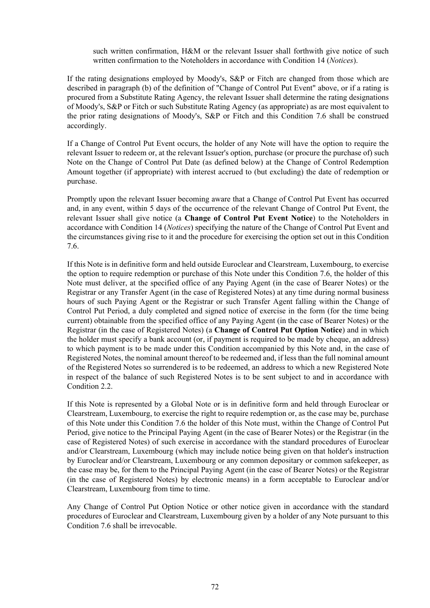such written confirmation, H&M or the relevant Issuer shall forthwith give notice of such written confirmation to the Noteholders in accordance with Condition [14](#page-87-0) (*[Notices](#page-87-0)*).

If the rating designations employed by Moody's, S&P or Fitch are changed from those which are described in paragraph [\(b\)](#page-79-1) of the definition of "Change of Control Put Event" above, or if a rating is procured from a Substitute Rating Agency, the relevant Issuer shall determine the rating designations of Moody's, S&P or Fitch or such Substitute Rating Agency (as appropriate) as are most equivalent to the prior rating designations of Moody's, S&P or Fitch and this Condition [7.6](#page-79-0) shall be construed accordingly.

If a Change of Control Put Event occurs, the holder of any Note will have the option to require the relevant Issuer to redeem or, at the relevant Issuer's option, purchase (or procure the purchase of) such Note on the Change of Control Put Date (as defined below) at the Change of Control Redemption Amount together (if appropriate) with interest accrued to (but excluding) the date of redemption or purchase.

Promptly upon the relevant Issuer becoming aware that a Change of Control Put Event has occurred and, in any event, within 5 days of the occurrence of the relevant Change of Control Put Event, the relevant Issuer shall give notice (a **Change of Control Put Event Notice**) to the Noteholders in accordance with Condition [14](#page-87-0) (*[Notices](#page-87-0)*) specifying the nature of the Change of Control Put Event and the circumstances giving rise to it and the procedure for exercising the option set out in this Condition [7.6.](#page-79-0)

If this Note is in definitive form and held outside Euroclear and Clearstream, Luxembourg, to exercise the option to require redemption or purchase of this Note under this Condition [7.6,](#page-79-0) the holder of this Note must deliver, at the specified office of any Paying Agent (in the case of Bearer Notes) or the Registrar or any Transfer Agent (in the case of Registered Notes) at any time during normal business hours of such Paying Agent or the Registrar or such Transfer Agent falling within the Change of Control Put Period, a duly completed and signed notice of exercise in the form (for the time being current) obtainable from the specified office of any Paying Agent (in the case of Bearer Notes) or the Registrar (in the case of Registered Notes) (a **Change of Control Put Option Notice**) and in which the holder must specify a bank account (or, if payment is required to be made by cheque, an address) to which payment is to be made under this Condition accompanied by this Note and, in the case of Registered Notes, the nominal amount thereof to be redeemed and, if less than the full nominal amount of the Registered Notes so surrendered is to be redeemed, an address to which a new Registered Note in respect of the balance of such Registered Notes is to be sent subject to and in accordance with Condition [2.2](#page-54-0).

If this Note is represented by a Global Note or is in definitive form and held through Euroclear or Clearstream, Luxembourg, to exercise the right to require redemption or, as the case may be, purchase of this Note under this Condition [7.6](#page-79-0) the holder of this Note must, within the Change of Control Put Period, give notice to the Principal Paying Agent (in the case of Bearer Notes) or the Registrar (in the case of Registered Notes) of such exercise in accordance with the standard procedures of Euroclear and/or Clearstream, Luxembourg (which may include notice being given on that holder's instruction by Euroclear and/or Clearstream, Luxembourg or any common depositary or common safekeeper, as the case may be, for them to the Principal Paying Agent (in the case of Bearer Notes) or the Registrar (in the case of Registered Notes) by electronic means) in a form acceptable to Euroclear and/or Clearstream, Luxembourg from time to time.

Any Change of Control Put Option Notice or other notice given in accordance with the standard procedures of Euroclear and Clearstream, Luxembourg given by a holder of any Note pursuant to this Condition [7.6](#page-79-0) shall be irrevocable.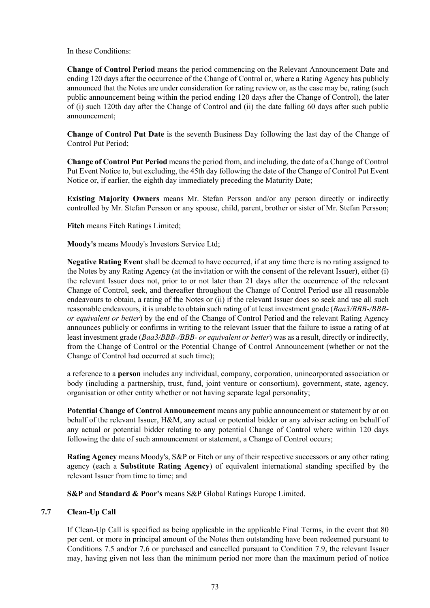In these Conditions:

**Change of Control Period** means the period commencing on the Relevant Announcement Date and ending 120 days after the occurrence of the Change of Control or, where a Rating Agency has publicly announced that the Notes are under consideration for rating review or, as the case may be, rating (such public announcement being within the period ending 120 days after the Change of Control), the later of (i) such 120th day after the Change of Control and (ii) the date falling 60 days after such public announcement;

**Change of Control Put Date** is the seventh Business Day following the last day of the Change of Control Put Period;

**Change of Control Put Period** means the period from, and including, the date of a Change of Control Put Event Notice to, but excluding, the 45th day following the date of the Change of Control Put Event Notice or, if earlier, the eighth day immediately preceding the Maturity Date;

**Existing Majority Owners** means Mr. Stefan Persson and/or any person directly or indirectly controlled by Mr. Stefan Persson or any spouse, child, parent, brother or sister of Mr. Stefan Persson;

**Fitch** means Fitch Ratings Limited;

**Moody's** means Moody's Investors Service Ltd;

**Negative Rating Event** shall be deemed to have occurred, if at any time there is no rating assigned to the Notes by any Rating Agency (at the invitation or with the consent of the relevant Issuer), either (i) the relevant Issuer does not, prior to or not later than 21 days after the occurrence of the relevant Change of Control, seek, and thereafter throughout the Change of Control Period use all reasonable endeavours to obtain, a rating of the Notes or (ii) if the relevant Issuer does so seek and use all such reasonable endeavours, it is unable to obtain such rating of at least investment grade (*Baa3/BBB-/BBBor equivalent or better*) by the end of the Change of Control Period and the relevant Rating Agency announces publicly or confirms in writing to the relevant Issuer that the failure to issue a rating of at least investment grade (*Baa3/BBB-/BBB- or equivalent or better*) was as a result, directly or indirectly, from the Change of Control or the Potential Change of Control Announcement (whether or not the Change of Control had occurred at such time);

a reference to a **person** includes any individual, company, corporation, unincorporated association or body (including a partnership, trust, fund, joint venture or consortium), government, state, agency, organisation or other entity whether or not having separate legal personality;

**Potential Change of Control Announcement** means any public announcement or statement by or on behalf of the relevant Issuer, H&M, any actual or potential bidder or any adviser acting on behalf of any actual or potential bidder relating to any potential Change of Control where within 120 days following the date of such announcement or statement, a Change of Control occurs;

**Rating Agency** means Moody's, S&P or Fitch or any of their respective successors or any other rating agency (each a **Substitute Rating Agency**) of equivalent international standing specified by the relevant Issuer from time to time; and

**S&P** and **Standard & Poor's** means S&P Global Ratings Europe Limited.

### <span id="page-81-0"></span>**7.7 Clean-Up Call**

If Clean-Up Call is specified as being applicable in the applicable Final Terms, in the event that 80 per cent. or more in principal amount of the Notes then outstanding have been redeemed pursuant to Conditions [7.5](#page-78-0) and/or [7.6](#page-79-0) or purchased and cancelled pursuant to Condition [7.9](#page-82-1), the relevant Issuer may, having given not less than the minimum period nor more than the maximum period of notice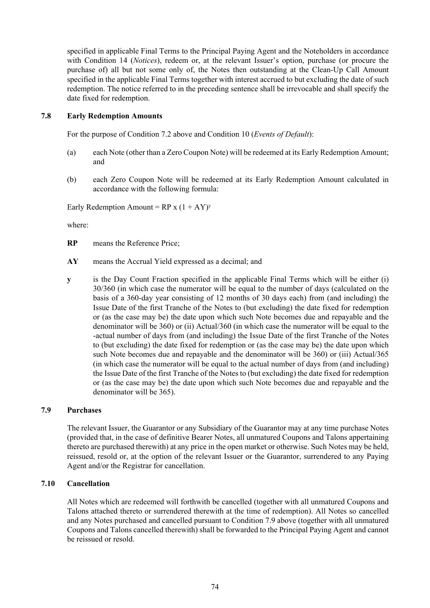specified in applicable Final Terms to the Principal Paying Agent and the Noteholders in accordance with Condition [14](#page-87-0) (*Notices*), redeem or, at the relevant Issuer's option, purchase (or procure the purchase of) all but not some only of, the Notes then outstanding at the Clean-Up Call Amount specified in the applicable Final Terms together with interest accrued to but excluding the date of such redemption. The notice referred to in the preceding sentence shall be irrevocable and shall specify the date fixed for redemption.

### <span id="page-82-0"></span>**7.8 Early Redemption Amounts**

For the purpose of Condition [7.2 above](#page-76-0) and Condition [10](#page-84-1) (*Events of Default*):

- (a) each Note (other than a Zero Coupon Note) will be redeemed at its Early Redemption Amount; and
- <span id="page-82-2"></span>(b) each Zero Coupon Note will be redeemed at its Early Redemption Amount calculated in accordance with the following formula:

Early Redemption Amount =  $RP x (1 + AY)y$ 

where:

- **RP** means the Reference Price;
- **AY** means the Accrual Yield expressed as a decimal; and
- **y** is the Day Count Fraction specified in the applicable Final Terms which will be either (i) 30/360 (in which case the numerator will be equal to the number of days (calculated on the basis of a 360-day year consisting of 12 months of 30 days each) from (and including) the Issue Date of the first Tranche of the Notes to (but excluding) the date fixed for redemption or (as the case may be) the date upon which such Note becomes due and repayable and the denominator will be 360) or (ii) Actual/360 (in which case the numerator will be equal to the -actual number of days from (and including) the Issue Date of the first Tranche of the Notes to (but excluding) the date fixed for redemption or (as the case may be) the date upon which such Note becomes due and repayable and the denominator will be 360) or (iii) Actual/365 (in which case the numerator will be equal to the actual number of days from (and including) the Issue Date of the first Tranche of the Notes to (but excluding) the date fixed for redemption or (as the case may be) the date upon which such Note becomes due and repayable and the denominator will be 365).

#### <span id="page-82-1"></span>**7.9 Purchases**

The relevant Issuer, the Guarantor or any Subsidiary of the Guarantor may at any time purchase Notes (provided that, in the case of definitive Bearer Notes, all unmatured Coupons and Talons appertaining thereto are purchased therewith) at any price in the open market or otherwise. Such Notes may be held, reissued, resold or, at the option of the relevant Issuer or the Guarantor, surrendered to any Paying Agent and/or the Registrar for cancellation.

#### **7.10 Cancellation**

All Notes which are redeemed will forthwith be cancelled (together with all unmatured Coupons and Talons attached thereto or surrendered therewith at the time of redemption). All Notes so cancelled and any Notes purchased and cancelled pursuant to Condition [7.9 above](#page-82-1) (together with all unmatured Coupons and Talons cancelled therewith) shall be forwarded to the Principal Paying Agent and cannot be reissued or resold.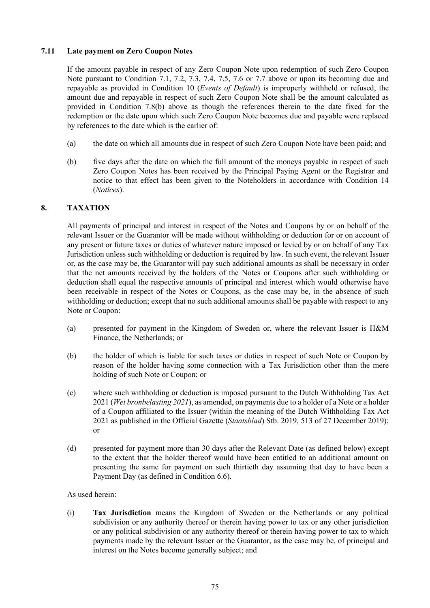## **7.11 Late payment on Zero Coupon Notes**

If the amount payable in respect of any Zero Coupon Note upon redemption of such Zero Coupon Note pursuant to Condition [7.1](#page-76-2), [7.2,](#page-76-0) [7.3](#page-76-1), [7.4,](#page-78-1) [7.5](#page-78-0), [7.6](#page-79-0) or [7.7](#page-81-0) [above](#page-79-0) or upon its becoming due and repayable as provided in Condition [10](#page-84-1) (*Events of Default*) is improperly withheld or refused, the amount due and repayable in respect of such Zero Coupon Note shall be the amount calculated as provided in Condition [7.8\(b\) above](#page-82-2) as though the references therein to the date fixed for the redemption or the date upon which such Zero Coupon Note becomes due and payable were replaced by references to the date which is the earlier of:

- (a) the date on which all amounts due in respect of such Zero Coupon Note have been paid; and
- (b) five days after the date on which the full amount of the moneys payable in respect of such Zero Coupon Notes has been received by the Principal Paying Agent or the Registrar and notice to that effect has been given to the Noteholders in accordance with Condition [14](#page-87-0) (*[Notices](#page-87-0)*).

## <span id="page-83-0"></span>**8. TAXATION**

All payments of principal and interest in respect of the Notes and Coupons by or on behalf of the relevant Issuer or the Guarantor will be made without withholding or deduction for or on account of any present or future taxes or duties of whatever nature imposed or levied by or on behalf of any Tax Jurisdiction unless such withholding or deduction is required by law. In such event, the relevant Issuer or, as the case may be, the Guarantor will pay such additional amounts as shall be necessary in order that the net amounts received by the holders of the Notes or Coupons after such withholding or deduction shall equal the respective amounts of principal and interest which would otherwise have been receivable in respect of the Notes or Coupons, as the case may be, in the absence of such withholding or deduction; except that no such additional amounts shall be payable with respect to any Note or Coupon:

- (a) presented for payment in the Kingdom of Sweden or, where the relevant Issuer is H&M Finance, the Netherlands; or
- (b) the holder of which is liable for such taxes or duties in respect of such Note or Coupon by reason of the holder having some connection with a Tax Jurisdiction other than the mere holding of such Note or Coupon; or
- (c) where such withholding or deduction is imposed pursuant to the Dutch Withholding Tax Act 2021 (*Wet bronbelasting 2021*), as amended, on payments due to a holder of a Note or a holder of a Coupon affiliated to the Issuer (within the meaning of the Dutch Withholding Tax Act 2021 as published in the Official Gazette (*Staatsblad*) Stb. 2019, 513 of 27 December 2019); or
- (d) presented for payment more than 30 days after the Relevant Date (as defined below) except to the extent that the holder thereof would have been entitled to an additional amount on presenting the same for payment on such thirtieth day assuming that day to have been a Payment Day (as defined in Condition [6.6](#page-75-0)).

#### As used herein:

(i) **Tax Jurisdiction** means the Kingdom of Sweden or the Netherlands or any political subdivision or any authority thereof or therein having power to tax or any other jurisdiction or any political subdivision or any authority thereof or therein having power to tax to which payments made by the relevant Issuer or the Guarantor, as the case may be, of principal and interest on the Notes become generally subject; and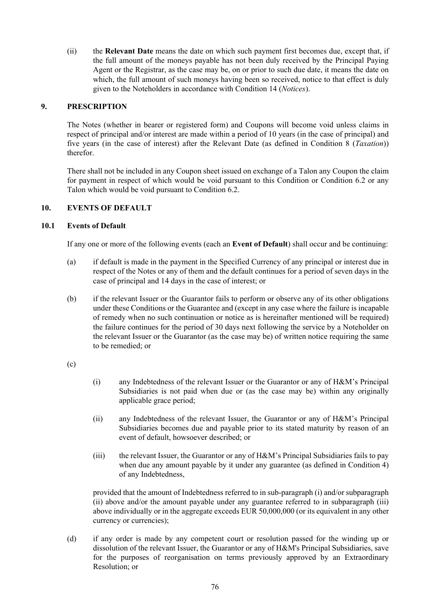(ii) the **Relevant Date** means the date on which such payment first becomes due, except that, if the full amount of the moneys payable has not been duly received by the Principal Paying Agent or the Registrar, as the case may be, on or prior to such due date, it means the date on which, the full amount of such moneys having been so received, notice to that effect is duly given to the Noteholders in accordance with Condition [14](#page-87-0) (*[Notices](#page-87-0)*).

## <span id="page-84-0"></span>**9. PRESCRIPTION**

The Notes (whether in bearer or registered form) and Coupons will become void unless claims in respect of principal and/or interest are made within a period of 10 years (in the case of principal) and five years (in the case of interest) after the Relevant Date (as defined in Condition [8](#page-83-0) (*[Taxation](#page-83-0)*)) therefor.

There shall not be included in any Coupon sheet issued on exchange of a Talon any Coupon the claim for payment in respect of which would be void pursuant to this Condition or Condition [6.2](#page-72-1) or any Talon which would be void pursuant to Condition [6.2](#page-72-1).

## <span id="page-84-1"></span>**10. EVENTS OF DEFAULT**

## **10.1 Events of Default**

If any one or more of the following events (each an **Event of Default**) shall occur and be continuing:

- (a) if default is made in the payment in the Specified Currency of any principal or interest due in respect of the Notes or any of them and the default continues for a period of seven days in the case of principal and 14 days in the case of interest; or
- (b) if the relevant Issuer or the Guarantor fails to perform or observe any of its other obligations under these Conditions or the Guarantee and (except in any case where the failure is incapable of remedy when no such continuation or notice as is hereinafter mentioned will be required) the failure continues for the period of 30 days next following the service by a Noteholder on the relevant Issuer or the Guarantor (as the case may be) of written notice requiring the same to be remedied; or

#### (c)

- (i) any Indebtedness of the relevant Issuer or the Guarantor or any of H&M's Principal Subsidiaries is not paid when due or (as the case may be) within any originally applicable grace period;
- (ii) any Indebtedness of the relevant Issuer, the Guarantor or any of H&M's Principal Subsidiaries becomes due and payable prior to its stated maturity by reason of an event of default, howsoever described; or
- (iii) the relevant Issuer, the Guarantor or any of H&M's Principal Subsidiaries fails to pay when due any amount payable by it under any guarantee (as defined in Condition 4) of any Indebtedness,

provided that the amount of Indebtedness referred to in sub-paragraph (i) and/or subparagraph (ii) above and/or the amount payable under any guarantee referred to in subparagraph (iii) above individually or in the aggregate exceeds EUR 50,000,000 (or its equivalent in any other currency or currencies);

<span id="page-84-2"></span>(d) if any order is made by any competent court or resolution passed for the winding up or dissolution of the relevant Issuer, the Guarantor or any of H&M's Principal Subsidiaries, save for the purposes of reorganisation on terms previously approved by an Extraordinary Resolution; or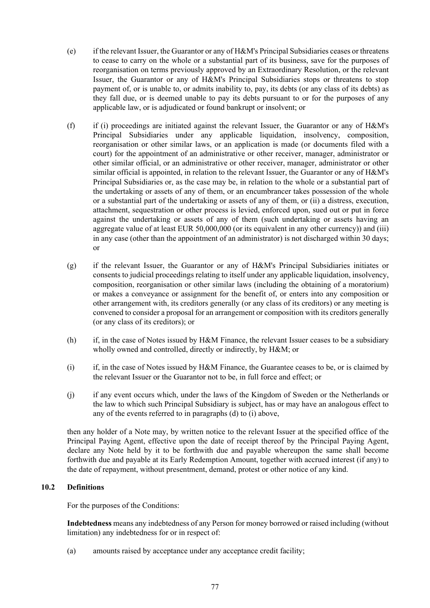- (e) if the relevant Issuer, the Guarantor or any of H&M's Principal Subsidiaries ceases or threatens to cease to carry on the whole or a substantial part of its business, save for the purposes of reorganisation on terms previously approved by an Extraordinary Resolution, or the relevant Issuer, the Guarantor or any of H&M's Principal Subsidiaries stops or threatens to stop payment of, or is unable to, or admits inability to, pay, its debts (or any class of its debts) as they fall due, or is deemed unable to pay its debts pursuant to or for the purposes of any applicable law, or is adjudicated or found bankrupt or insolvent; or
- (f) if (i) proceedings are initiated against the relevant Issuer, the Guarantor or any of H&M's Principal Subsidiaries under any applicable liquidation, insolvency, composition, reorganisation or other similar laws, or an application is made (or documents filed with a court) for the appointment of an administrative or other receiver, manager, administrator or other similar official, or an administrative or other receiver, manager, administrator or other similar official is appointed, in relation to the relevant Issuer, the Guarantor or any of H&M's Principal Subsidiaries or, as the case may be, in relation to the whole or a substantial part of the undertaking or assets of any of them, or an encumbrancer takes possession of the whole or a substantial part of the undertaking or assets of any of them, or (ii) a distress, execution, attachment, sequestration or other process is levied, enforced upon, sued out or put in force against the undertaking or assets of any of them (such undertaking or assets having an aggregate value of at least EUR 50,000,000 (or its equivalent in any other currency)) and (iii) in any case (other than the appointment of an administrator) is not discharged within 30 days; or
- (g) if the relevant Issuer, the Guarantor or any of H&M's Principal Subsidiaries initiates or consents to judicial proceedings relating to itself under any applicable liquidation, insolvency, composition, reorganisation or other similar laws (including the obtaining of a moratorium) or makes a conveyance or assignment for the benefit of, or enters into any composition or other arrangement with, its creditors generally (or any class of its creditors) or any meeting is convened to consider a proposal for an arrangement or composition with its creditors generally (or any class of its creditors); or
- (h) if, in the case of Notes issued by H&M Finance, the relevant Issuer ceases to be a subsidiary wholly owned and controlled, directly or indirectly, by H&M; or
- <span id="page-85-0"></span>(i) if, in the case of Notes issued by H&M Finance, the Guarantee ceases to be, or is claimed by the relevant Issuer or the Guarantor not to be, in full force and effect; or
- (j) if any event occurs which, under the laws of the Kingdom of Sweden or the Netherlands or the law to which such Principal Subsidiary is subject, has or may have an analogous effect to any of the events referred to in paragraphs [\(d\)](#page-84-2) to [\(i\)](#page-85-0) above,

then any holder of a Note may, by written notice to the relevant Issuer at the specified office of the Principal Paying Agent, effective upon the date of receipt thereof by the Principal Paying Agent, declare any Note held by it to be forthwith due and payable whereupon the same shall become forthwith due and payable at its Early Redemption Amount, together with accrued interest (if any) to the date of repayment, without presentment, demand, protest or other notice of any kind.

# **10.2 Definitions**

For the purposes of the Conditions:

**Indebtedness** means any indebtedness of any Person for money borrowed or raised including (without limitation) any indebtedness for or in respect of:

(a) amounts raised by acceptance under any acceptance credit facility;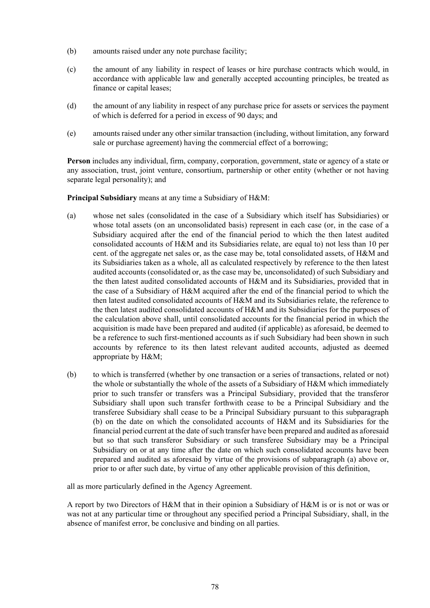- (b) amounts raised under any note purchase facility;
- (c) the amount of any liability in respect of leases or hire purchase contracts which would, in accordance with applicable law and generally accepted accounting principles, be treated as finance or capital leases;
- (d) the amount of any liability in respect of any purchase price for assets or services the payment of which is deferred for a period in excess of 90 days; and
- (e) amounts raised under any other similar transaction (including, without limitation, any forward sale or purchase agreement) having the commercial effect of a borrowing;

**Person** includes any individual, firm, company, corporation, government, state or agency of a state or any association, trust, joint venture, consortium, partnership or other entity (whether or not having separate legal personality); and

<span id="page-86-1"></span>**Principal Subsidiary** means at any time a Subsidiary of H&M:

- (a) whose net sales (consolidated in the case of a Subsidiary which itself has Subsidiaries) or whose total assets (on an unconsolidated basis) represent in each case (or, in the case of a Subsidiary acquired after the end of the financial period to which the then latest audited consolidated accounts of H&M and its Subsidiaries relate, are equal to) not less than 10 per cent. of the aggregate net sales or, as the case may be, total consolidated assets, of H&M and its Subsidiaries taken as a whole, all as calculated respectively by reference to the then latest audited accounts (consolidated or, as the case may be, unconsolidated) of such Subsidiary and the then latest audited consolidated accounts of H&M and its Subsidiaries, provided that in the case of a Subsidiary of H&M acquired after the end of the financial period to which the then latest audited consolidated accounts of H&M and its Subsidiaries relate, the reference to the then latest audited consolidated accounts of H&M and its Subsidiaries for the purposes of the calculation above shall, until consolidated accounts for the financial period in which the acquisition is made have been prepared and audited (if applicable) as aforesaid, be deemed to be a reference to such first-mentioned accounts as if such Subsidiary had been shown in such accounts by reference to its then latest relevant audited accounts, adjusted as deemed appropriate by H&M;
- <span id="page-86-0"></span>(b) to which is transferred (whether by one transaction or a series of transactions, related or not) the whole or substantially the whole of the assets of a Subsidiary of H&M which immediately prior to such transfer or transfers was a Principal Subsidiary, provided that the transferor Subsidiary shall upon such transfer forthwith cease to be a Principal Subsidiary and the transferee Subsidiary shall cease to be a Principal Subsidiary pursuant to this subparagraph [\(b\)](#page-86-0) on the date on which the consolidated accounts of H&M and its Subsidiaries for the financial period current at the date of such transfer have been prepared and audited as aforesaid but so that such transferor Subsidiary or such transferee Subsidiary may be a Principal Subsidiary on or at any time after the date on which such consolidated accounts have been prepared and audited as aforesaid by virtue of the provisions of subparagraph [\(a\) above](#page-86-1) or, prior to or after such date, by virtue of any other applicable provision of this definition,

all as more particularly defined in the Agency Agreement.

A report by two Directors of H&M that in their opinion a Subsidiary of H&M is or is not or was or was not at any particular time or throughout any specified period a Principal Subsidiary, shall, in the absence of manifest error, be conclusive and binding on all parties.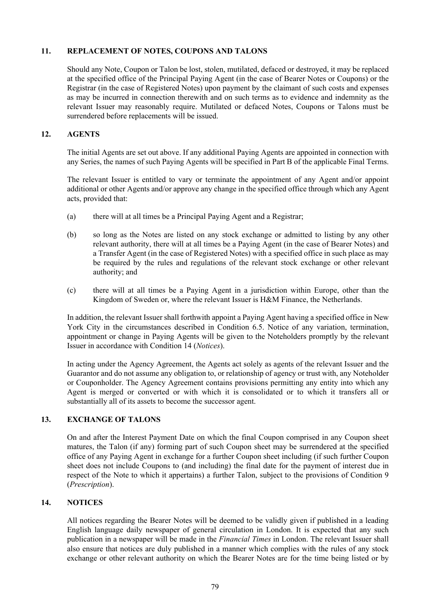### **11. REPLACEMENT OF NOTES, COUPONS AND TALONS**

Should any Note, Coupon or Talon be lost, stolen, mutilated, defaced or destroyed, it may be replaced at the specified office of the Principal Paying Agent (in the case of Bearer Notes or Coupons) or the Registrar (in the case of Registered Notes) upon payment by the claimant of such costs and expenses as may be incurred in connection therewith and on such terms as to evidence and indemnity as the relevant Issuer may reasonably require. Mutilated or defaced Notes, Coupons or Talons must be surrendered before replacements will be issued.

## **12. AGENTS**

The initial Agents are set out above. If any additional Paying Agents are appointed in connection with any Series, the names of such Paying Agents will be specified in Part B of the applicable Final Terms.

The relevant Issuer is entitled to vary or terminate the appointment of any Agent and/or appoint additional or other Agents and/or approve any change in the specified office through which any Agent acts, provided that:

- (a) there will at all times be a Principal Paying Agent and a Registrar;
- (b) so long as the Notes are listed on any stock exchange or admitted to listing by any other relevant authority, there will at all times be a Paying Agent (in the case of Bearer Notes) and a Transfer Agent (in the case of Registered Notes) with a specified office in such place as may be required by the rules and regulations of the relevant stock exchange or other relevant authority; and
- (c) there will at all times be a Paying Agent in a jurisdiction within Europe, other than the Kingdom of Sweden or, where the relevant Issuer is H&M Finance, the Netherlands.

In addition, the relevant Issuer shall forthwith appoint a Paying Agent having a specified office in New York City in the circumstances described in Condition [6.5](#page-74-0). Notice of any variation, termination, appointment or change in Paying Agents will be given to the Noteholders promptly by the relevant Issuer in accordance with Condition [14](#page-87-0) (*[Notices](#page-87-0)*).

In acting under the Agency Agreement, the Agents act solely as agents of the relevant Issuer and the Guarantor and do not assume any obligation to, or relationship of agency or trust with, any Noteholder or Couponholder. The Agency Agreement contains provisions permitting any entity into which any Agent is merged or converted or with which it is consolidated or to which it transfers all or substantially all of its assets to become the successor agent.

# **13. EXCHANGE OF TALONS**

On and after the Interest Payment Date on which the final Coupon comprised in any Coupon sheet matures, the Talon (if any) forming part of such Coupon sheet may be surrendered at the specified office of any Paying Agent in exchange for a further Coupon sheet including (if such further Coupon sheet does not include Coupons to (and including) the final date for the payment of interest due in respect of the Note to which it appertains) a further Talon, subject to the provisions of Condition [9](#page-84-0) (*[Prescription](#page-84-0)*).

# <span id="page-87-0"></span>**14. NOTICES**

All notices regarding the Bearer Notes will be deemed to be validly given if published in a leading English language daily newspaper of general circulation in London. It is expected that any such publication in a newspaper will be made in the *Financial Times* in London. The relevant Issuer shall also ensure that notices are duly published in a manner which complies with the rules of any stock exchange or other relevant authority on which the Bearer Notes are for the time being listed or by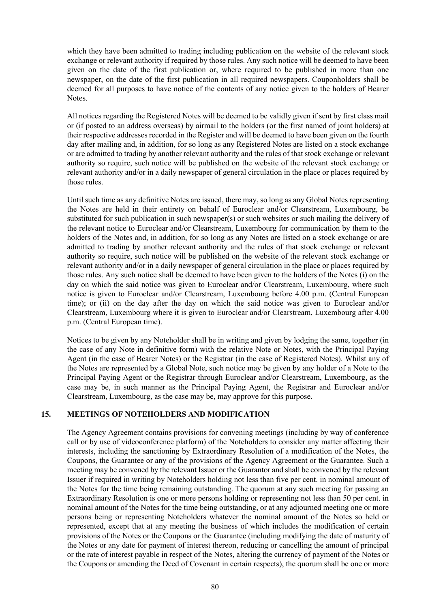which they have been admitted to trading including publication on the website of the relevant stock exchange or relevant authority if required by those rules. Any such notice will be deemed to have been given on the date of the first publication or, where required to be published in more than one newspaper, on the date of the first publication in all required newspapers. Couponholders shall be deemed for all purposes to have notice of the contents of any notice given to the holders of Bearer Notes.

All notices regarding the Registered Notes will be deemed to be validly given if sent by first class mail or (if posted to an address overseas) by airmail to the holders (or the first named of joint holders) at their respective addresses recorded in the Register and will be deemed to have been given on the fourth day after mailing and, in addition, for so long as any Registered Notes are listed on a stock exchange or are admitted to trading by another relevant authority and the rules of that stock exchange or relevant authority so require, such notice will be published on the website of the relevant stock exchange or relevant authority and/or in a daily newspaper of general circulation in the place or places required by those rules.

Until such time as any definitive Notes are issued, there may, so long as any Global Notes representing the Notes are held in their entirety on behalf of Euroclear and/or Clearstream, Luxembourg, be substituted for such publication in such newspaper(s) or such websites or such mailing the delivery of the relevant notice to Euroclear and/or Clearstream, Luxembourg for communication by them to the holders of the Notes and, in addition, for so long as any Notes are listed on a stock exchange or are admitted to trading by another relevant authority and the rules of that stock exchange or relevant authority so require, such notice will be published on the website of the relevant stock exchange or relevant authority and/or in a daily newspaper of general circulation in the place or places required by those rules. Any such notice shall be deemed to have been given to the holders of the Notes (i) on the day on which the said notice was given to Euroclear and/or Clearstream, Luxembourg, where such notice is given to Euroclear and/or Clearstream, Luxembourg before 4.00 p.m. (Central European time); or (ii) on the day after the day on which the said notice was given to Euroclear and/or Clearstream, Luxembourg where it is given to Euroclear and/or Clearstream, Luxembourg after 4.00 p.m. (Central European time).

Notices to be given by any Noteholder shall be in writing and given by lodging the same, together (in the case of any Note in definitive form) with the relative Note or Notes, with the Principal Paying Agent (in the case of Bearer Notes) or the Registrar (in the case of Registered Notes). Whilst any of the Notes are represented by a Global Note, such notice may be given by any holder of a Note to the Principal Paying Agent or the Registrar through Euroclear and/or Clearstream, Luxembourg, as the case may be, in such manner as the Principal Paying Agent, the Registrar and Euroclear and/or Clearstream, Luxembourg, as the case may be, may approve for this purpose.

# **15. MEETINGS OF NOTEHOLDERS AND MODIFICATION**

The Agency Agreement contains provisions for convening meetings (including by way of conference call or by use of videoconference platform) of the Noteholders to consider any matter affecting their interests, including the sanctioning by Extraordinary Resolution of a modification of the Notes, the Coupons, the Guarantee or any of the provisions of the Agency Agreement or the Guarantee. Such a meeting may be convened by the relevant Issuer or the Guarantor and shall be convened by the relevant Issuer if required in writing by Noteholders holding not less than five per cent. in nominal amount of the Notes for the time being remaining outstanding. The quorum at any such meeting for passing an Extraordinary Resolution is one or more persons holding or representing not less than 50 per cent. in nominal amount of the Notes for the time being outstanding, or at any adjourned meeting one or more persons being or representing Noteholders whatever the nominal amount of the Notes so held or represented, except that at any meeting the business of which includes the modification of certain provisions of the Notes or the Coupons or the Guarantee (including modifying the date of maturity of the Notes or any date for payment of interest thereon, reducing or cancelling the amount of principal or the rate of interest payable in respect of the Notes, altering the currency of payment of the Notes or the Coupons or amending the Deed of Covenant in certain respects), the quorum shall be one or more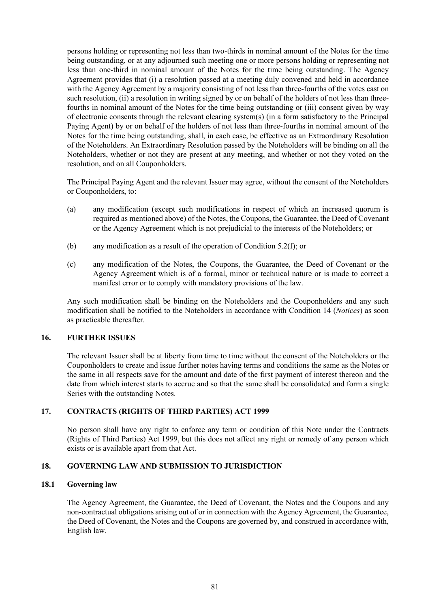persons holding or representing not less than two-thirds in nominal amount of the Notes for the time being outstanding, or at any adjourned such meeting one or more persons holding or representing not less than one-third in nominal amount of the Notes for the time being outstanding. The Agency Agreement provides that (i) a resolution passed at a meeting duly convened and held in accordance with the Agency Agreement by a majority consisting of not less than three-fourths of the votes cast on such resolution, (ii) a resolution in writing signed by or on behalf of the holders of not less than threefourths in nominal amount of the Notes for the time being outstanding or (iii) consent given by way of electronic consents through the relevant clearing system(s) (in a form satisfactory to the Principal Paying Agent) by or on behalf of the holders of not less than three-fourths in nominal amount of the Notes for the time being outstanding, shall, in each case, be effective as an Extraordinary Resolution of the Noteholders. An Extraordinary Resolution passed by the Noteholders will be binding on all the Noteholders, whether or not they are present at any meeting, and whether or not they voted on the resolution, and on all Couponholders.

The Principal Paying Agent and the relevant Issuer may agree, without the consent of the Noteholders or Couponholders, to:

- (a) any modification (except such modifications in respect of which an increased quorum is required as mentioned above) of the Notes, the Coupons, the Guarantee, the Deed of Covenant or the Agency Agreement which is not prejudicial to the interests of the Noteholders; or
- (b) any modification as a result of the operation of Condition [5.2\(f\)](#page-63-0); or
- (c) any modification of the Notes, the Coupons, the Guarantee, the Deed of Covenant or the Agency Agreement which is of a formal, minor or technical nature or is made to correct a manifest error or to comply with mandatory provisions of the law.

Any such modification shall be binding on the Noteholders and the Couponholders and any such modification shall be notified to the Noteholders in accordance with Condition [14](#page-87-0) (*[Notices](#page-87-0)*) as soon as practicable thereafter.

#### **16. FURTHER ISSUES**

The relevant Issuer shall be at liberty from time to time without the consent of the Noteholders or the Couponholders to create and issue further notes having terms and conditions the same as the Notes or the same in all respects save for the amount and date of the first payment of interest thereon and the date from which interest starts to accrue and so that the same shall be consolidated and form a single Series with the outstanding Notes.

#### **17. CONTRACTS (RIGHTS OF THIRD PARTIES) ACT 1999**

No person shall have any right to enforce any term or condition of this Note under the Contracts (Rights of Third Parties) Act 1999, but this does not affect any right or remedy of any person which exists or is available apart from that Act.

#### **18. GOVERNING LAW AND SUBMISSION TO JURISDICTION**

#### **18.1 Governing law**

The Agency Agreement, the Guarantee, the Deed of Covenant, the Notes and the Coupons and any non-contractual obligations arising out of or in connection with the Agency Agreement, the Guarantee, the Deed of Covenant, the Notes and the Coupons are governed by, and construed in accordance with, English law.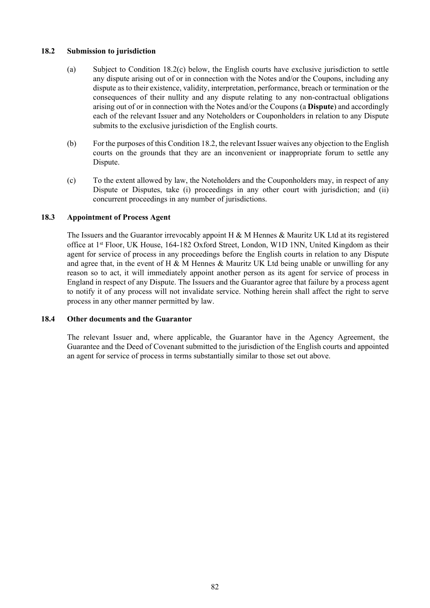### <span id="page-90-1"></span>**18.2 Submission to jurisdiction**

- (a) Subject to Condition [18.2\(c\) below,](#page-90-0) the English courts have exclusive jurisdiction to settle any dispute arising out of or in connection with the Notes and/or the Coupons, including any dispute as to their existence, validity, interpretation, performance, breach or termination or the consequences of their nullity and any dispute relating to any non-contractual obligations arising out of or in connection with the Notes and/or the Coupons (a **Dispute**) and accordingly each of the relevant Issuer and any Noteholders or Couponholders in relation to any Dispute submits to the exclusive jurisdiction of the English courts.
- (b) For the purposes of this Condition [18.2](#page-90-1), the relevant Issuer waives any objection to the English courts on the grounds that they are an inconvenient or inappropriate forum to settle any Dispute.
- <span id="page-90-0"></span>(c) To the extent allowed by law, the Noteholders and the Couponholders may, in respect of any Dispute or Disputes, take (i) proceedings in any other court with jurisdiction; and (ii) concurrent proceedings in any number of jurisdictions.

## **18.3 Appointment of Process Agent**

The Issuers and the Guarantor irrevocably appoint  $H \& M$  Hennes  $\&$  Mauritz UK Ltd at its registered office at 1st Floor, UK House, 164-182 Oxford Street, London, W1D 1NN, United Kingdom as their agent for service of process in any proceedings before the English courts in relation to any Dispute and agree that, in the event of H & M Hennes & Mauritz UK Ltd being unable or unwilling for any reason so to act, it will immediately appoint another person as its agent for service of process in England in respect of any Dispute. The Issuers and the Guarantor agree that failure by a process agent to notify it of any process will not invalidate service. Nothing herein shall affect the right to serve process in any other manner permitted by law.

#### **18.4 Other documents and the Guarantor**

The relevant Issuer and, where applicable, the Guarantor have in the Agency Agreement, the Guarantee and the Deed of Covenant submitted to the jurisdiction of the English courts and appointed an agent for service of process in terms substantially similar to those set out above.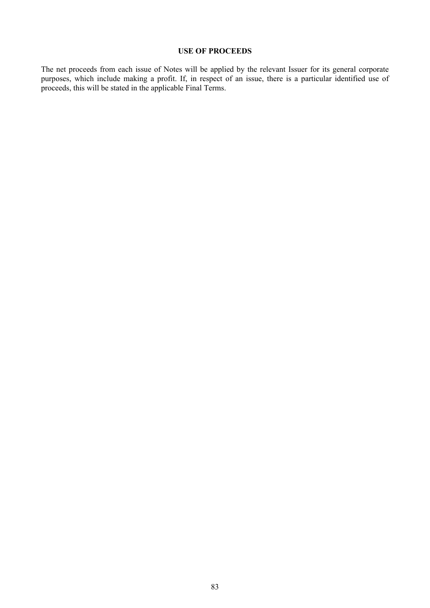#### **USE OF PROCEEDS**

The net proceeds from each issue of Notes will be applied by the relevant Issuer for its general corporate purposes, which include making a profit. If, in respect of an issue, there is a particular identified use of proceeds, this will be stated in the applicable Final Terms.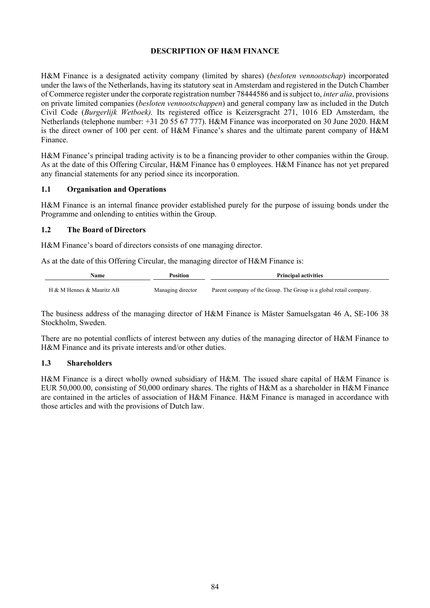## **DESCRIPTION OF H&M FINANCE**

H&M Finance is a designated activity company (limited by shares) (*besloten vennootschap*) incorporated under the laws of the Netherlands, having its statutory seat in Amsterdam and registered in the Dutch Chamber of Commerce register under the corporate registration number 78444586 and is subject to, *inter alia*, provisions on private limited companies (*besloten vennootschappen*) and general company law as included in the Dutch Civil Code (*Burgerlijk Wetboek).* Its registered office is Keizersgracht 271, 1016 ED Amsterdam, the Netherlands (telephone number: +31 20 55 67 777). H&M Finance was incorporated on 30 June 2020. H&M is the direct owner of 100 per cent. of H&M Finance's shares and the ultimate parent company of H&M Finance.

H&M Finance's principal trading activity is to be a financing provider to other companies within the Group. As at the date of this Offering Circular, H&M Finance has 0 employees. H&M Finance has not yet prepared any financial statements for any period since its incorporation.

## **1.1 Organisation and Operations**

H&M Finance is an internal finance provider established purely for the purpose of issuing bonds under the Programme and onlending to entities within the Group.

## **1.2 The Board of Directors**

H&M Finance's board of directors consists of one managing director.

As at the date of this Offering Circular, the managing director of H&M Finance is:

| Name                      | Position          | <b>Principal activities</b>                                        |
|---------------------------|-------------------|--------------------------------------------------------------------|
| H & M Hennes & Mauritz AB | Managing director | Parent company of the Group. The Group is a global retail company. |

The business address of the managing director of H&M Finance is Mäster Samuelsgatan 46 A, SE-106 38 Stockholm, Sweden.

There are no potential conflicts of interest between any duties of the managing director of H&M Finance to H&M Finance and its private interests and/or other duties.

#### **1.3 Shareholders**

H&M Finance is a direct wholly owned subsidiary of H&M. The issued share capital of H&M Finance is EUR 50,000.00, consisting of 50,000 ordinary shares. The rights of H&M as a shareholder in H&M Finance are contained in the articles of association of H&M Finance. H&M Finance is managed in accordance with those articles and with the provisions of Dutch law.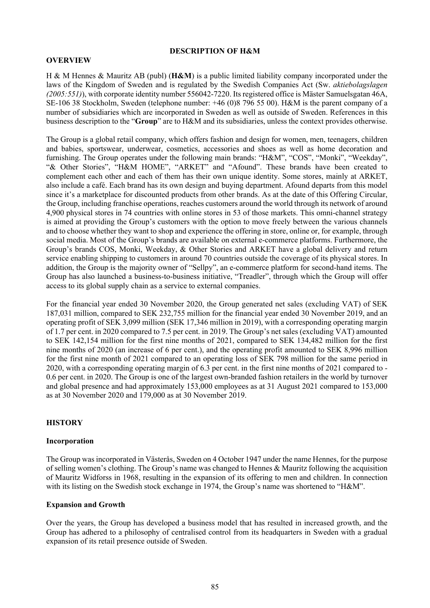### **DESCRIPTION OF H&M**

#### **OVERVIEW**

H & M Hennes & Mauritz AB (publ) (**H&M**) is a public limited liability company incorporated under the laws of the Kingdom of Sweden and is regulated by the Swedish Companies Act (Sw. *aktiebolagslagen (2005:551)*), with corporate identity number 556042-7220. Its registered office is Mäster Samuelsgatan 46A, SE-106 38 Stockholm, Sweden (telephone number: +46 (0)8 796 55 00). H&M is the parent company of a number of subsidiaries which are incorporated in Sweden as well as outside of Sweden. References in this business description to the "**Group**" are to H&M and its subsidiaries, unless the context provides otherwise.

The Group is a global retail company, which offers fashion and design for women, men, teenagers, children and babies, sportswear, underwear, cosmetics, accessories and shoes as well as home decoration and furnishing. The Group operates under the following main brands: "H&M", "COS", "Monki", "Weekday", "& Other Stories", "H&M HOME", "ARKET" and "Afound". These brands have been created to complement each other and each of them has their own unique identity. Some stores, mainly at ARKET, also include a café. Each brand has its own design and buying department. Afound departs from this model since it's a marketplace for discounted products from other brands. As at the date of this Offering Circular, the Group, including franchise operations, reaches customers around the world through its network of around 4,900 physical stores in 74 countries with online stores in 53 of those markets. This omni-channel strategy is aimed at providing the Group's customers with the option to move freely between the various channels and to choose whether they want to shop and experience the offering in store, online or, for example, through social media. Most of the Group's brands are available on external e-commerce platforms. Furthermore, the Group's brands COS, Monki, Weekday, & Other Stories and ARKET have a global delivery and return service enabling shipping to customers in around 70 countries outside the coverage of its physical stores. In addition, the Group is the majority owner of "Sellpy", an e-commerce platform for second-hand items. The Group has also launched a business-to-business initiative, "Treadler", through which the Group will offer access to its global supply chain as a service to external companies.

For the financial year ended 30 November 2020, the Group generated net sales (excluding VAT) of SEK 187,031 million, compared to SEK 232,755 million for the financial year ended 30 November 2019, and an operating profit of SEK 3,099 million (SEK 17,346 million in 2019), with a corresponding operating margin of 1.7 per cent. in 2020 compared to 7.5 per cent. in 2019. The Group's net sales (excluding VAT) amounted to SEK 142,154 million for the first nine months of 2021, compared to SEK 134,482 million for the first nine months of 2020 (an increase of 6 per cent.), and the operating profit amounted to SEK 8,996 million for the first nine month of 2021 compared to an operating loss of SEK 798 million for the same period in 2020, with a corresponding operating margin of 6.3 per cent. in the first nine months of 2021 compared to - 0.6 per cent. in 2020. The Group is one of the largest own-branded fashion retailers in the world by turnover and global presence and had approximately 153,000 employees as at 31 August 2021 compared to 153,000 as at 30 November 2020 and 179,000 as at 30 November 2019.

# **HISTORY**

#### **Incorporation**

The Group was incorporated in Västerås, Sweden on 4 October 1947 under the name Hennes, for the purpose of selling women's clothing. The Group's name was changed to Hennes & Mauritz following the acquisition of Mauritz Widforss in 1968, resulting in the expansion of its offering to men and children. In connection with its listing on the Swedish stock exchange in 1974, the Group's name was shortened to "H&M".

#### **Expansion and Growth**

Over the years, the Group has developed a business model that has resulted in increased growth, and the Group has adhered to a philosophy of centralised control from its headquarters in Sweden with a gradual expansion of its retail presence outside of Sweden.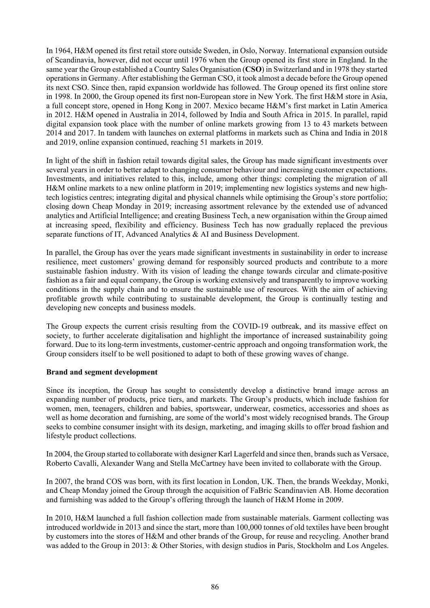In 1964, H&M opened its first retail store outside Sweden, in Oslo, Norway. International expansion outside of Scandinavia, however, did not occur until 1976 when the Group opened its first store in England. In the same year the Group established a Country Sales Organisation (**CSO**) in Switzerland and in 1978 they started operations in Germany. After establishing the German CSO, it took almost a decade before the Group opened its next CSO. Since then, rapid expansion worldwide has followed. The Group opened its first online store in 1998. In 2000, the Group opened its first non-European store in New York. The first H&M store in Asia, a full concept store, opened in Hong Kong in 2007. Mexico became H&M's first market in Latin America in 2012. H&M opened in Australia in 2014, followed by India and South Africa in 2015. In parallel, rapid digital expansion took place with the number of online markets growing from 13 to 43 markets between 2014 and 2017. In tandem with launches on external platforms in markets such as China and India in 2018 and 2019, online expansion continued, reaching 51 markets in 2019.

In light of the shift in fashion retail towards digital sales, the Group has made significant investments over several years in order to better adapt to changing consumer behaviour and increasing customer expectations. Investments, and initiatives related to this, include, among other things: completing the migration of all H&M online markets to a new online platform in 2019; implementing new logistics systems and new hightech logistics centres; integrating digital and physical channels while optimising the Group's store portfolio; closing down Cheap Monday in 2019; increasing assortment relevance by the extended use of advanced analytics and Artificial Intelligence; and creating Business Tech, a new organisation within the Group aimed at increasing speed, flexibility and efficiency. Business Tech has now gradually replaced the previous separate functions of IT, Advanced Analytics & AI and Business Development.

In parallel, the Group has over the years made significant investments in sustainability in order to increase resilience, meet customers' growing demand for responsibly sourced products and contribute to a more sustainable fashion industry. With its vision of leading the change towards circular and climate-positive fashion as a fair and equal company, the Group is working extensively and transparently to improve working conditions in the supply chain and to ensure the sustainable use of resources. With the aim of achieving profitable growth while contributing to sustainable development, the Group is continually testing and developing new concepts and business models.

The Group expects the current crisis resulting from the COVID-19 outbreak, and its massive effect on society, to further accelerate digitalisation and highlight the importance of increased sustainability going forward. Due to its long-term investments, customer-centric approach and ongoing transformation work, the Group considers itself to be well positioned to adapt to both of these growing waves of change.

#### **Brand and segment development**

Since its inception, the Group has sought to consistently develop a distinctive brand image across an expanding number of products, price tiers, and markets. The Group's products, which include fashion for women, men, teenagers, children and babies, sportswear, underwear, cosmetics, accessories and shoes as well as home decoration and furnishing, are some of the world's most widely recognised brands. The Group seeks to combine consumer insight with its design, marketing, and imaging skills to offer broad fashion and lifestyle product collections.

In 2004, the Group started to collaborate with designer Karl Lagerfeld and since then, brands such as Versace, Roberto Cavalli, Alexander Wang and Stella McCartney have been invited to collaborate with the Group.

In 2007, the brand COS was born, with its first location in London, UK. Then, the brands Weekday, Monki, and Cheap Monday joined the Group through the acquisition of FaBric Scandinavien AB. Home decoration and furnishing was added to the Group's offering through the launch of H&M Home in 2009.

In 2010, H&M launched a full fashion collection made from sustainable materials. Garment collecting was introduced worldwide in 2013 and since the start, more than 100,000 tonnes of old textiles have been brought by customers into the stores of H&M and other brands of the Group, for reuse and recycling. Another brand was added to the Group in 2013: & Other Stories, with design studios in Paris, Stockholm and Los Angeles.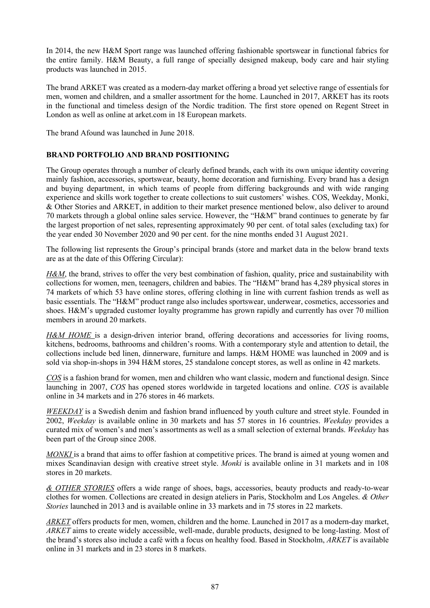In 2014, the new H&M Sport range was launched offering fashionable sportswear in functional fabrics for the entire family. H&M Beauty, a full range of specially designed makeup, body care and hair styling products was launched in 2015.

The brand ARKET was created as a modern-day market offering a broad yet selective range of essentials for men, women and children, and a smaller assortment for the home. Launched in 2017, ARKET has its roots in the functional and timeless design of the Nordic tradition. The first store opened on Regent Street in London as well as online at arket.com in 18 European markets.

The brand Afound was launched in June 2018.

# **BRAND PORTFOLIO AND BRAND POSITIONING**

The Group operates through a number of clearly defined brands, each with its own unique identity covering mainly fashion, accessories, sportswear, beauty, home decoration and furnishing. Every brand has a design and buying department, in which teams of people from differing backgrounds and with wide ranging experience and skills work together to create collections to suit customers' wishes. COS, Weekday, Monki, & Other Stories and ARKET, in addition to their market presence mentioned below, also deliver to around 70 markets through a global online sales service. However, the "H&M" brand continues to generate by far the largest proportion of net sales, representing approximately 90 per cent. of total sales (excluding tax) for the year ended 30 November 2020 and 90 per cent. for the nine months ended 31 August 2021.

The following list represents the Group's principal brands (store and market data in the below brand texts are as at the date of this Offering Circular):

*H&M*, the brand, strives to offer the very best combination of fashion, quality, price and sustainability with collections for women, men, teenagers, children and babies. The "H&M" brand has 4,289 physical stores in 74 markets of which 53 have online stores, offering clothing in line with current fashion trends as well as basic essentials. The "H&M" product range also includes sportswear, underwear, cosmetics, accessories and shoes. H&M's upgraded customer loyalty programme has grown rapidly and currently has over 70 million members in around 20 markets.

H&M HOME is a design-driven interior brand, offering decorations and accessories for living rooms, kitchens, bedrooms, bathrooms and children's rooms. With a contemporary style and attention to detail, the collections include bed linen, dinnerware, furniture and lamps. H&M HOME was launched in 2009 and is sold via shop-in-shops in 394 H&M stores, 25 standalone concept stores, as well as online in 42 markets.

*COS* is a fashion brand for women, men and children who want classic, modern and functional design. Since launching in 2007, *COS* has opened stores worldwide in targeted locations and online. *COS* is available online in 34 markets and in 276 stores in 46 markets.

*WEEKDAY* is a Swedish denim and fashion brand influenced by youth culture and street style. Founded in 2002, *Weekday* is available online in 30 markets and has 57 stores in 16 countries. *Weekday* provides a curated mix of women's and men's assortments as well as a small selection of external brands. *Weekday* has been part of the Group since 2008.

*MONKI* is a brand that aims to offer fashion at competitive prices. The brand is aimed at young women and mixes Scandinavian design with creative street style. *Monki* is available online in 31 markets and in 108 stores in 20 markets.

*& OTHER STORIES* offers a wide range of shoes, bags, accessories, beauty products and ready-to-wear clothes for women. Collections are created in design ateliers in Paris, Stockholm and Los Angeles. *& Other Stories* launched in 2013 and is available online in 33 markets and in 75 stores in 22 markets.

*ARKET* offers products for men, women, children and the home. Launched in 2017 as a modern-day market, *ARKET* aims to create widely accessible, well-made, durable products, designed to be long-lasting. Most of the brand's stores also include a café with a focus on healthy food. Based in Stockholm, *ARKET* is available online in 31 markets and in 23 stores in 8 markets.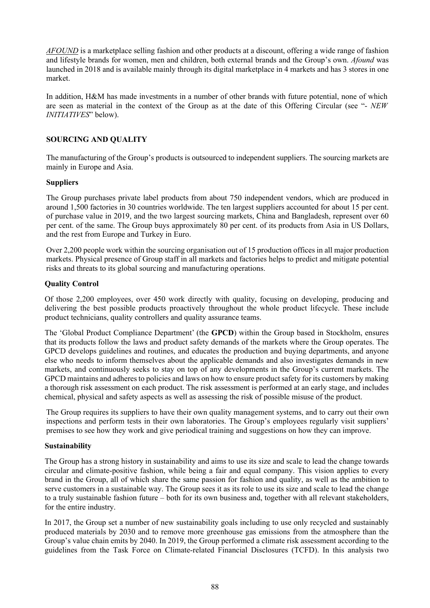*AFOUND* is a marketplace selling fashion and other products at a discount, offering a wide range of fashion and lifestyle brands for women, men and children, both external brands and the Group's own. *Afound* was launched in 2018 and is available mainly through its digital marketplace in 4 markets and has 3 stores in one market.

In addition, H&M has made investments in a number of other brands with future potential, none of which are seen as material in the context of the Group as at the date of this Offering Circular (see "- *NEW INITIATIVES*" below).

## **SOURCING AND QUALITY**

The manufacturing of the Group's products is outsourced to independent suppliers. The sourcing markets are mainly in Europe and Asia.

## **Suppliers**

The Group purchases private label products from about 750 independent vendors, which are produced in around 1,500 factories in 30 countries worldwide. The ten largest suppliers accounted for about 15 per cent. of purchase value in 2019, and the two largest sourcing markets, China and Bangladesh, represent over 60 per cent. of the same. The Group buys approximately 80 per cent. of its products from Asia in US Dollars, and the rest from Europe and Turkey in Euro.

Over 2,200 people work within the sourcing organisation out of 15 production offices in all major production markets. Physical presence of Group staff in all markets and factories helps to predict and mitigate potential risks and threats to its global sourcing and manufacturing operations.

## **Quality Control**

Of those 2,200 employees, over 450 work directly with quality, focusing on developing, producing and delivering the best possible products proactively throughout the whole product lifecycle. These include product technicians, quality controllers and quality assurance teams.

The 'Global Product Compliance Department' (the **GPCD**) within the Group based in Stockholm, ensures that its products follow the laws and product safety demands of the markets where the Group operates. The GPCD develops guidelines and routines, and educates the production and buying departments, and anyone else who needs to inform themselves about the applicable demands and also investigates demands in new markets, and continuously seeks to stay on top of any developments in the Group's current markets. The GPCD maintains and adheres to policies and laws on how to ensure product safety for its customers by making a thorough risk assessment on each product. The risk assessment is performed at an early stage, and includes chemical, physical and safety aspects as well as assessing the risk of possible misuse of the product.

The Group requires its suppliers to have their own quality management systems, and to carry out their own inspections and perform tests in their own laboratories. The Group's employees regularly visit suppliers' premises to see how they work and give periodical training and suggestions on how they can improve.

#### **Sustainability**

The Group has a strong history in sustainability and aims to use its size and scale to lead the change towards circular and climate-positive fashion, while being a fair and equal company. This vision applies to every brand in the Group, all of which share the same passion for fashion and quality, as well as the ambition to serve customers in a sustainable way. The Group sees it as its role to use its size and scale to lead the change to a truly sustainable fashion future – both for its own business and, together with all relevant stakeholders, for the entire industry.

In 2017, the Group set a number of new sustainability goals including to use only recycled and sustainably produced materials by 2030 and to remove more greenhouse gas emissions from the atmosphere than the Group's value chain emits by 2040. In 2019, the Group performed a climate risk assessment according to the guidelines from the Task Force on Climate-related Financial Disclosures (TCFD). In this analysis two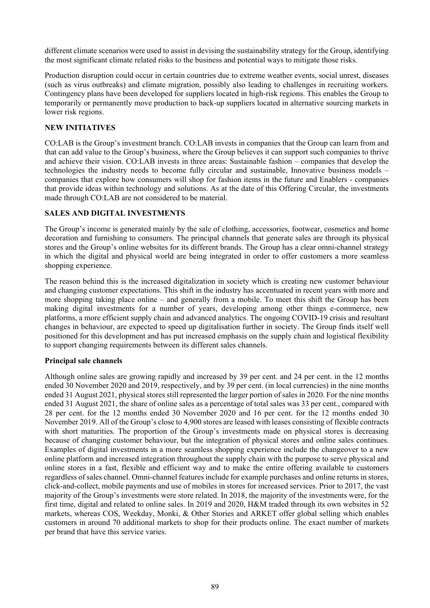different climate scenarios were used to assist in devising the sustainability strategy for the Group, identifying the most significant climate related risks to the business and potential ways to mitigate those risks.

Production disruption could occur in certain countries due to extreme weather events, social unrest, diseases (such as virus outbreaks) and climate migration, possibly also leading to challenges in recruiting workers. Contingency plans have been developed for suppliers located in high-risk regions. This enables the Group to temporarily or permanently move production to back-up suppliers located in alternative sourcing markets in lower risk regions.

## **NEW INITIATIVES**

CO:LAB is the Group's investment branch. CO:LAB invests in companies that the Group can learn from and that can add value to the Group's business, where the Group believes it can support such companies to thrive and achieve their vision. CO:LAB invests in three areas: Sustainable fashion – companies that develop the technologies the industry needs to become fully circular and sustainable, Innovative business models – companies that explore how consumers will shop for fashion items in the future and Enablers - companies that provide ideas within technology and solutions. As at the date of this Offering Circular, the investments made through CO:LAB are not considered to be material.

## **SALES AND DIGITAL INVESTMENTS**

The Group's income is generated mainly by the sale of clothing, accessories, footwear, cosmetics and home decoration and furnishing to consumers. The principal channels that generate sales are through its physical stores and the Group's online websites for its different brands. The Group has a clear omni-channel strategy in which the digital and physical world are being integrated in order to offer customers a more seamless shopping experience.

The reason behind this is the increased digitalization in society which is creating new customer behaviour and changing customer expectations. This shift in the industry has accentuated in recent years with more and more shopping taking place online – and generally from a mobile. To meet this shift the Group has been making digital investments for a number of years, developing among other things e-commerce, new platforms, a more efficient supply chain and advanced analytics. The ongoing COVID-19 crisis and resultant changes in behaviour, are expected to speed up digitalisation further in society. The Group finds itself well positioned for this development and has put increased emphasis on the supply chain and logistical flexibility to support changing requirements between its different sales channels.

#### **Principal sale channels**

Although online sales are growing rapidly and increased by 39 per cent. and 24 per cent. in the 12 months ended 30 November 2020 and 2019, respectively, and by 39 per cent. (in local currencies) in the nine months ended 31 August 2021, physical stores still represented the larger portion of sales in 2020. For the nine months ended 31 August 2021, the share of online sales as a percentage of total sales was 33 per cent., compared with 28 per cent. for the 12 months ended 30 November 2020 and 16 per cent. for the 12 months ended 30 November 2019. All of the Group's close to 4,900 stores are leased with leases consisting of flexible contracts with short maturities. The proportion of the Group's investments made on physical stores is decreasing because of changing customer behaviour, but the integration of physical stores and online sales continues. Examples of digital investments in a more seamless shopping experience include the changeover to a new online platform and increased integration throughout the supply chain with the purpose to serve physical and online stores in a fast, flexible and efficient way and to make the entire offering available to customers regardless of sales channel. Omni-channel features include for example purchases and online returns in stores, click-and-collect, mobile payments and use of mobiles in stores for increased services. Prior to 2017, the vast majority of the Group's investments were store related. In 2018, the majority of the investments were, for the first time, digital and related to online sales. In 2019 and 2020, H&M traded through its own websites in 52 markets, whereas COS, Weekday, Monki, & Other Stories and ARKET offer global selling which enables customers in around 70 additional markets to shop for their products online. The exact number of markets per brand that have this service varies.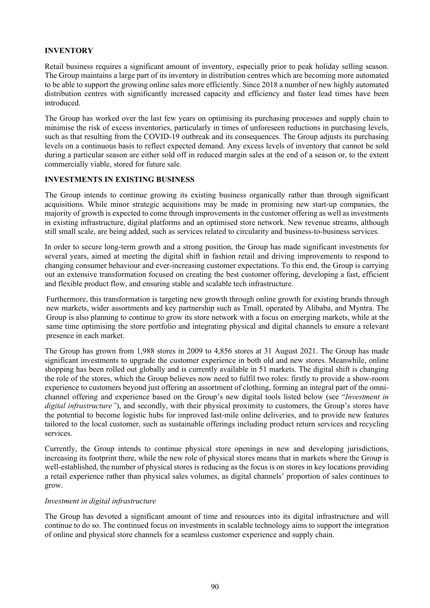### **INVENTORY**

Retail business requires a significant amount of inventory, especially prior to peak holiday selling season. The Group maintains a large part of its inventory in distribution centres which are becoming more automated to be able to support the growing online sales more efficiently. Since 2018 a number of new highly automated distribution centres with significantly increased capacity and efficiency and faster lead times have been introduced.

The Group has worked over the last few years on optimising its purchasing processes and supply chain to minimise the risk of excess inventories, particularly in times of unforeseen reductions in purchasing levels, such as that resulting from the COVID-19 outbreak and its consequences. The Group adjusts its purchasing levels on a continuous basis to reflect expected demand. Any excess levels of inventory that cannot be sold during a particular season are either sold off in reduced margin sales at the end of a season or, to the extent commercially viable, stored for future sale.

## **INVESTMENTS IN EXISTING BUSINESS**

The Group intends to continue growing its existing business organically rather than through significant acquisitions. While minor strategic acquisitions may be made in promising new start-up companies, the majority of growth is expected to come through improvements in the customer offering as well as investments in existing infrastructure, digital platforms and an optimised store network. New revenue streams, although still small scale, are being added, such as services related to circularity and business-to-business services.

In order to secure long-term growth and a strong position, the Group has made significant investments for several years, aimed at meeting the digital shift in fashion retail and driving improvements to respond to changing consumer behaviour and ever-increasing customer expectations. To this end, the Group is carrying out an extensive transformation focused on creating the best customer offering, developing a fast, efficient and flexible product flow, and ensuring stable and scalable tech infrastructure.

Furthermore, this transformation is targeting new growth through online growth for existing brands through new markets, wider assortments and key partnership such as Tmall, operated by Alibaba, and Myntra. The Group is also planning to continue to grow its store network with a focus on emerging markets, while at the same time optimising the store portfolio and integrating physical and digital channels to ensure a relevant presence in each market.

The Group has grown from 1,988 stores in 2009 to 4,856 stores at 31 August 2021. The Group has made significant investments to upgrade the customer experience in both old and new stores. Meanwhile, online shopping has been rolled out globally and is currently available in 51 markets. The digital shift is changing the role of the stores, which the Group believes now need to fulfil two roles: firstly to provide a show-room experience to customers beyond just offering an assortment of clothing, forming an integral part of the omnichannel offering and experience based on the Group's new digital tools listed below (see "*Investment in digital infrastructure"*), and secondly, with their physical proximity to customers, the Group's stores have the potential to become logistic hubs for improved last-mile online deliveries, and to provide new features tailored to the local customer, such as sustainable offerings including product return services and recycling services.

Currently, the Group intends to continue physical store openings in new and developing jurisdictions, increasing its footprint there, while the new role of physical stores means that in markets where the Group is well-established, the number of physical stores is reducing as the focus is on stores in key locations providing a retail experience rather than physical sales volumes, as digital channels' proportion of sales continues to grow.

#### *Investment in digital infrastructure*

The Group has devoted a significant amount of time and resources into its digital infrastructure and will continue to do so. The continued focus on investments in scalable technology aims to support the integration of online and physical store channels for a seamless customer experience and supply chain.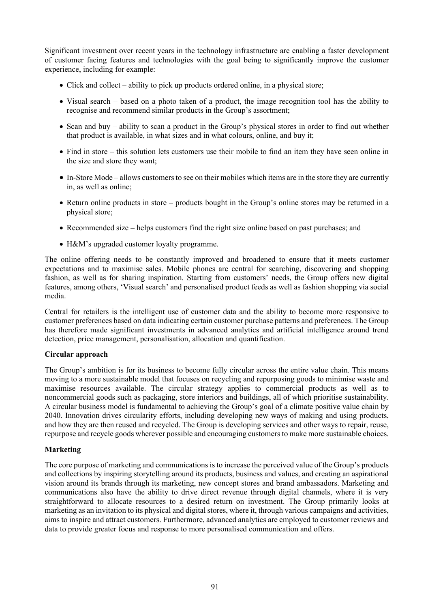Significant investment over recent years in the technology infrastructure are enabling a faster development of customer facing features and technologies with the goal being to significantly improve the customer experience, including for example:

- Click and collect ability to pick up products ordered online, in a physical store;
- Visual search based on a photo taken of a product, the image recognition tool has the ability to recognise and recommend similar products in the Group's assortment;
- Scan and buy ability to scan a product in the Group's physical stores in order to find out whether that product is available, in what sizes and in what colours, online, and buy it;
- Find in store this solution lets customers use their mobile to find an item they have seen online in the size and store they want;
- In-Store Mode allows customers to see on their mobiles which items are in the store they are currently in, as well as online;
- Return online products in store products bought in the Group's online stores may be returned in a physical store;
- Recommended size helps customers find the right size online based on past purchases; and
- H&M's upgraded customer loyalty programme.

The online offering needs to be constantly improved and broadened to ensure that it meets customer expectations and to maximise sales. Mobile phones are central for searching, discovering and shopping fashion, as well as for sharing inspiration. Starting from customers' needs, the Group offers new digital features, among others, 'Visual search' and personalised product feeds as well as fashion shopping via social media.

Central for retailers is the intelligent use of customer data and the ability to become more responsive to customer preferences based on data indicating certain customer purchase patterns and preferences. The Group has therefore made significant investments in advanced analytics and artificial intelligence around trend detection, price management, personalisation, allocation and quantification.

#### **Circular approach**

The Group's ambition is for its business to become fully circular across the entire value chain. This means moving to a more sustainable model that focuses on recycling and repurposing goods to minimise waste and maximise resources available. The circular strategy applies to commercial products as well as to noncommercial goods such as packaging, store interiors and buildings, all of which prioritise sustainability. A circular business model is fundamental to achieving the Group's goal of a climate positive value chain by 2040. Innovation drives circularity efforts, including developing new ways of making and using products, and how they are then reused and recycled. The Group is developing services and other ways to repair, reuse, repurpose and recycle goods wherever possible and encouraging customers to make more sustainable choices.

#### **Marketing**

The core purpose of marketing and communications is to increase the perceived value of the Group's products and collections by inspiring storytelling around its products, business and values, and creating an aspirational vision around its brands through its marketing, new concept stores and brand ambassadors. Marketing and communications also have the ability to drive direct revenue through digital channels, where it is very straightforward to allocate resources to a desired return on investment. The Group primarily looks at marketing as an invitation to its physical and digital stores, where it, through various campaigns and activities, aims to inspire and attract customers. Furthermore, advanced analytics are employed to customer reviews and data to provide greater focus and response to more personalised communication and offers.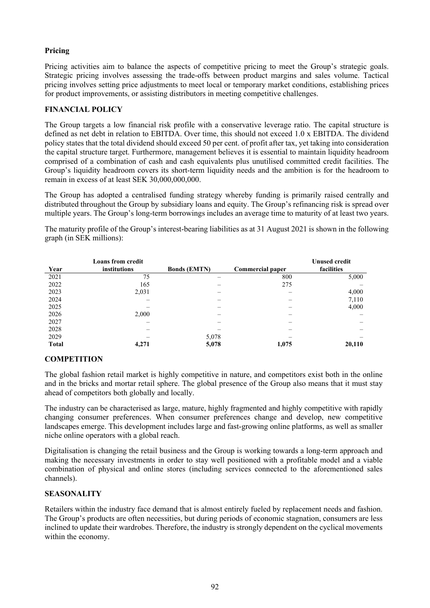# **Pricing**

Pricing activities aim to balance the aspects of competitive pricing to meet the Group's strategic goals. Strategic pricing involves assessing the trade-offs between product margins and sales volume. Tactical pricing involves setting price adjustments to meet local or temporary market conditions, establishing prices for product improvements, or assisting distributors in meeting competitive challenges.

## **FINANCIAL POLICY**

The Group targets a low financial risk profile with a conservative leverage ratio. The capital structure is defined as net debt in relation to EBITDA. Over time, this should not exceed 1.0 x EBITDA. The dividend policy states that the total dividend should exceed 50 per cent. of profit after tax, yet taking into consideration the capital structure target. Furthermore, management believes it is essential to maintain liquidity headroom comprised of a combination of cash and cash equivalents plus unutilised committed credit facilities. The Group's liquidity headroom covers its short-term liquidity needs and the ambition is for the headroom to remain in excess of at least SEK 30,000,000,000.

The Group has adopted a centralised funding strategy whereby funding is primarily raised centrally and distributed throughout the Group by subsidiary loans and equity. The Group's refinancing risk is spread over multiple years. The Group's long-term borrowings includes an average time to maturity of at least two years.

The maturity profile of the Group's interest-bearing liabilities as at 31 August 2021 is shown in the following graph (in SEK millions):

|              | <b>Loans from credit</b> |                     |                         | <b>Unused credit</b> |
|--------------|--------------------------|---------------------|-------------------------|----------------------|
| Year         | institutions             | <b>Bonds (EMTN)</b> | <b>Commercial paper</b> | facilities           |
| 2021         | 75                       |                     | 800                     | 5,000                |
| 2022         | 165                      |                     | 275                     |                      |
| 2023         | 2,031                    |                     |                         | 4,000                |
| 2024         |                          |                     |                         | 7,110                |
| 2025         |                          |                     |                         | 4,000                |
| 2026         | 2,000                    |                     |                         |                      |
| 2027         |                          |                     |                         |                      |
| 2028         |                          |                     |                         |                      |
| 2029         |                          | 5,078               |                         |                      |
| <b>Total</b> | 4,271                    | 5,078               | 1,075                   | 20,110               |

# **COMPETITION**

The global fashion retail market is highly competitive in nature, and competitors exist both in the online and in the bricks and mortar retail sphere. The global presence of the Group also means that it must stay ahead of competitors both globally and locally.

The industry can be characterised as large, mature, highly fragmented and highly competitive with rapidly changing consumer preferences. When consumer preferences change and develop, new competitive landscapes emerge. This development includes large and fast-growing online platforms, as well as smaller niche online operators with a global reach.

Digitalisation is changing the retail business and the Group is working towards a long-term approach and making the necessary investments in order to stay well positioned with a profitable model and a viable combination of physical and online stores (including services connected to the aforementioned sales channels).

# **SEASONALITY**

Retailers within the industry face demand that is almost entirely fueled by replacement needs and fashion. The Group's products are often necessities, but during periods of economic stagnation, consumers are less inclined to update their wardrobes. Therefore, the industry is strongly dependent on the cyclical movements within the economy.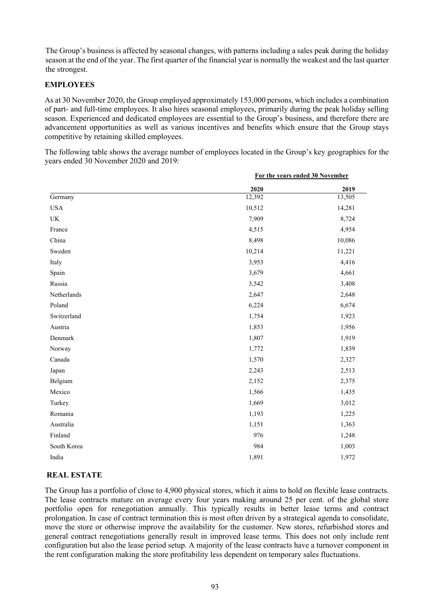The Group's business is affected by seasonal changes, with patterns including a sales peak during the holiday season at the end of the year. The first quarter of the financial year is normally the weakest and the last quarter the strongest.

# **EMPLOYEES**

As at 30 November 2020, the Group employed approximately 153,000 persons, which includes a combination of part- and full-time employees. It also hires seasonal employees, primarily during the peak holiday selling season. Experienced and dedicated employees are essential to the Group's business, and therefore there are advancement opportunities as well as various incentives and benefits which ensure that the Group stays competitive by retaining skilled employees.

The following table shows the average number of employees located in the Group's key geographies for the years ended 30 November 2020 and 2019:

|             | For the years ended 30 November |        |
|-------------|---------------------------------|--------|
|             | 2020                            | 2019   |
| Germany     | 12,392                          | 13,505 |
| <b>USA</b>  | 10,512                          | 14,281 |
| UK          | 7,909                           | 8,724  |
| France      | 4,515                           | 4,954  |
| China       | 8,498                           | 10,086 |
| Sweden      | 10,214                          | 11,221 |
| Italy       | 3,953                           | 4,416  |
| Spain       | 3,679                           | 4,661  |
| Russia      | 3,542                           | 3,408  |
| Netherlands | 2,647                           | 2,648  |
| Poland      | 6,224                           | 6,674  |
| Switzerland | 1,754                           | 1,923  |
| Austria     | 1,853                           | 1,956  |
| Denmark     | 1,807                           | 1,919  |
| Norway      | 1,772                           | 1,839  |
| Canada      | 1,570                           | 2,327  |
| Japan       | 2,243                           | 2,513  |
| Belgium     | 2,152                           | 2,375  |
| Mexico      | 1,566                           | 1,435  |
| Turkey      | 1,669                           | 3,012  |
| Romania     | 1,193                           | 1,225  |
| Australia   | 1,151                           | 1,363  |
| Finland     | 976                             | 1,248  |
| South Korea | 984                             | 1,003  |
| India       | 1,891                           | 1,972  |

# **REAL ESTATE**

The Group has a portfolio of close to 4,900 physical stores, which it aims to hold on flexible lease contracts. The lease contracts mature on average every four years making around 25 per cent. of the global store portfolio open for renegotiation annually. This typically results in better lease terms and contract prolongation. In case of contract termination this is most often driven by a strategical agenda to consolidate, move the store or otherwise improve the availability for the customer. New stores, refurbished stores and general contract renegotiations generally result in improved lease terms. This does not only include rent configuration but also the lease period setup. A majority of the lease contracts have a turnover component in the rent configuration making the store profitability less dependent on temporary sales fluctuations.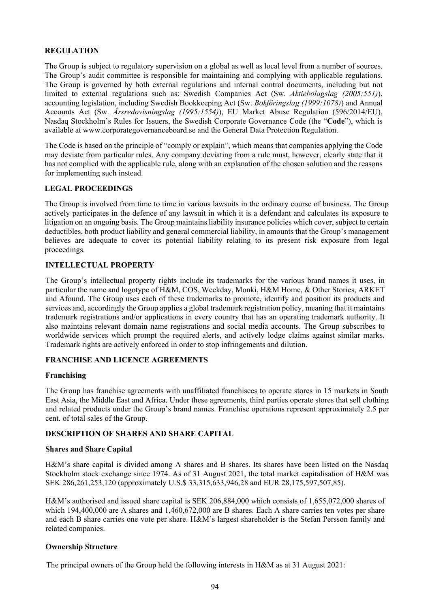# **REGULATION**

The Group is subject to regulatory supervision on a global as well as local level from a number of sources. The Group's audit committee is responsible for maintaining and complying with applicable regulations. The Group is governed by both external regulations and internal control documents, including but not limited to external regulations such as: Swedish Companies Act (Sw. *Aktiebolagslag (2005:551)*), accounting legislation, including Swedish Bookkeeping Act (Sw. *Bokföringslag (1999:1078)*) and Annual Accounts Act (Sw. *Årsredovisningslag (1995:1554)*), EU Market Abuse Regulation (596/2014/EU), Nasdaq Stockholm's Rules for Issuers, the Swedish Corporate Governance Code (the "**Code**"), which is available at www.corporategovernanceboard.se and the General Data Protection Regulation.

The Code is based on the principle of "comply or explain", which means that companies applying the Code may deviate from particular rules. Any company deviating from a rule must, however, clearly state that it has not complied with the applicable rule, along with an explanation of the chosen solution and the reasons for implementing such instead.

## **LEGAL PROCEEDINGS**

The Group is involved from time to time in various lawsuits in the ordinary course of business. The Group actively participates in the defence of any lawsuit in which it is a defendant and calculates its exposure to litigation on an ongoing basis. The Group maintains liability insurance policies which cover, subject to certain deductibles, both product liability and general commercial liability, in amounts that the Group's management believes are adequate to cover its potential liability relating to its present risk exposure from legal proceedings.

## **INTELLECTUAL PROPERTY**

The Group's intellectual property rights include its trademarks for the various brand names it uses, in particular the name and logotype of H&M, COS, Weekday, Monki, H&M Home, & Other Stories, ARKET and Afound. The Group uses each of these trademarks to promote, identify and position its products and services and, accordingly the Group applies a global trademark registration policy, meaning that it maintains trademark registrations and/or applications in every country that has an operating trademark authority. It also maintains relevant domain name registrations and social media accounts. The Group subscribes to worldwide services which prompt the required alerts, and actively lodge claims against similar marks. Trademark rights are actively enforced in order to stop infringements and dilution.

#### **FRANCHISE AND LICENCE AGREEMENTS**

#### **Franchising**

The Group has franchise agreements with unaffiliated franchisees to operate stores in 15 markets in South East Asia, the Middle East and Africa. Under these agreements, third parties operate stores that sell clothing and related products under the Group's brand names. Franchise operations represent approximately 2.5 per cent. of total sales of the Group.

#### **DESCRIPTION OF SHARES AND SHARE CAPITAL**

#### **Shares and Share Capital**

H&M's share capital is divided among A shares and B shares. Its shares have been listed on the Nasdaq Stockholm stock exchange since 1974. As of 31 August 2021, the total market capitalisation of H&M was SEK 286,261,253,120 (approximately U.S.\$ 33,315,633,946,28 and EUR 28,175,597,507,85).

H&M's authorised and issued share capital is SEK 206,884,000 which consists of 1,655,072,000 shares of which 194,400,000 are A shares and  $1,460,672,000$  are B shares. Each A share carries ten votes per share and each B share carries one vote per share. H&M's largest shareholder is the Stefan Persson family and related companies.

#### **Ownership Structure**

The principal owners of the Group held the following interests in H&M as at 31 August 2021: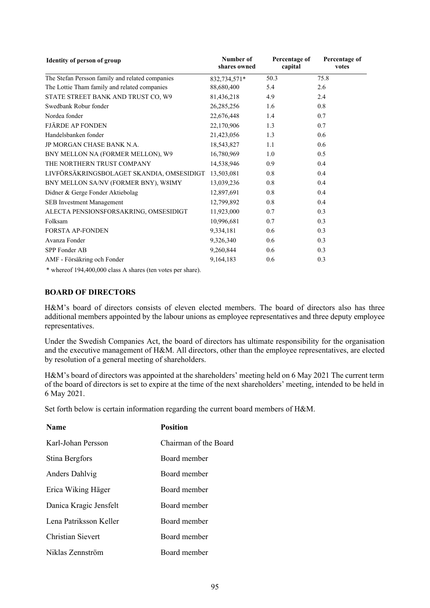| Identity of person of group                                                                                                                                               | Number of<br>shares owned | Percentage of<br>capital | Percentage of<br>votes |
|---------------------------------------------------------------------------------------------------------------------------------------------------------------------------|---------------------------|--------------------------|------------------------|
| The Stefan Persson family and related companies                                                                                                                           | 832,734,571*              | 50.3                     | 75.8                   |
| The Lottie Tham family and related companies                                                                                                                              | 88,680,400                | 5.4                      | 2.6                    |
| STATE STREET BANK AND TRUST CO, W9                                                                                                                                        | 81,436,218                | 4.9                      | 2.4                    |
| Swedbank Robur fonder                                                                                                                                                     | 26, 285, 256              | 1.6                      | 0.8                    |
| Nordea fonder                                                                                                                                                             | 22,676,448                | 1.4                      | 0.7                    |
| <b>FJÄRDE AP FONDEN</b>                                                                                                                                                   | 22,170,906                | 1.3                      | 0.7                    |
| Handelsbanken fonder                                                                                                                                                      | 21,423,056                | 1.3                      | 0.6                    |
| JP MORGAN CHASE BANK N.A.                                                                                                                                                 | 18,543,827                | 1.1                      | 0.6                    |
| BNY MELLON NA (FORMER MELLON), W9                                                                                                                                         | 16,780,969                | 1.0                      | 0.5                    |
| THE NORTHERN TRUST COMPANY                                                                                                                                                | 14,538,946                | 0.9                      | 0.4                    |
| LIVFÖRSÄKRINGSBOLAGET SKANDIA, OMSESIDIGT                                                                                                                                 | 13,503,081                | 0.8                      | 0.4                    |
| BNY MELLON SA/NV (FORMER BNY), W8IMY                                                                                                                                      | 13,039,236                | 0.8                      | 0.4                    |
| Didner & Gerge Fonder Aktiebolag                                                                                                                                          | 12,897,691                | 0.8                      | 0.4                    |
| SEB Investment Management                                                                                                                                                 | 12,799,892                | 0.8                      | 0.4                    |
| ALECTA PENSIONSFORSAKRING, OMSESIDIGT                                                                                                                                     | 11,923,000                | 0.7                      | 0.3                    |
| Folksam                                                                                                                                                                   | 10,996,681                | 0.7                      | 0.3                    |
| FORSTA AP-FONDEN                                                                                                                                                          | 9,334,181                 | 0.6                      | 0.3                    |
| Avanza Fonder                                                                                                                                                             | 9,326,340                 | 0.6                      | 0.3                    |
| SPP Fonder AB                                                                                                                                                             | 9,260,844                 | 0.6                      | 0.3                    |
| AMF - Försäkring och Fonder                                                                                                                                               | 9,164,183                 | 0.6                      | 0.3                    |
| $\frac{1}{2}$ 1 $\frac{1}{2}$ $\frac{1}{2}$ $\frac{1}{2}$ $\frac{1}{2}$ $\frac{1}{2}$ $\frac{1}{2}$ $\frac{1}{2}$ $\frac{1}{2}$ $\frac{1}{2}$ $\frac{1}{2}$ $\frac{1}{2}$ |                           |                          |                        |

\* whereof 194,400,000 class A shares (ten votes per share).

## **BOARD OF DIRECTORS**

H&M's board of directors consists of eleven elected members. The board of directors also has three additional members appointed by the labour unions as employee representatives and three deputy employee representatives.

Under the Swedish Companies Act, the board of directors has ultimate responsibility for the organisation and the executive management of H&M. All directors, other than the employee representatives, are elected by resolution of a general meeting of shareholders.

H&M's board of directors was appointed at the shareholders' meeting held on 6 May 2021 The current term of the board of directors is set to expire at the time of the next shareholders' meeting, intended to be held in 6 May 2021.

Set forth below is certain information regarding the current board members of H&M.

| <b>Name</b>              | <b>Position</b>       |
|--------------------------|-----------------------|
| Karl-Johan Persson       | Chairman of the Board |
| Stina Bergfors           | Board member          |
| Anders Dahlvig           | Board member          |
| Erica Wiking Häger       | Board member          |
| Danica Kragic Jensfelt   | Board member          |
| Lena Patriksson Keller   | Board member          |
| <b>Christian Sievert</b> | Board member          |
| Niklas Zennström         | Board member          |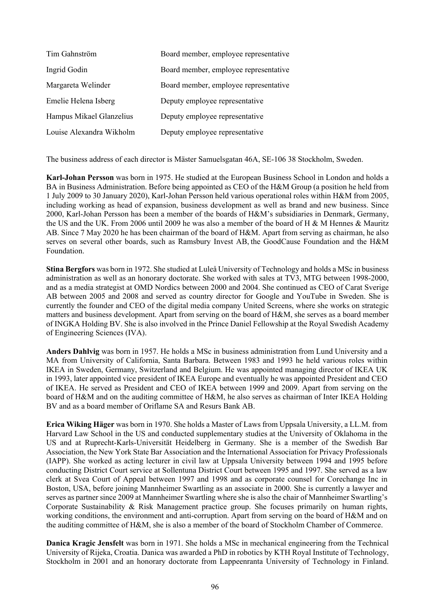| Tim Gahnström            | Board member, employee representative |
|--------------------------|---------------------------------------|
| Ingrid Godin             | Board member, employee representative |
| Margareta Welinder       | Board member, employee representative |
| Emelie Helena Isberg     | Deputy employee representative        |
| Hampus Mikael Glanzelius | Deputy employee representative        |
| Louise Alexandra Wikholm | Deputy employee representative        |

The business address of each director is Mäster Samuelsgatan 46A, SE-106 38 Stockholm, Sweden.

**Karl-Johan Persson** was born in 1975. He studied at the European Business School in London and holds a BA in Business Administration. Before being appointed as CEO of the H&M Group (a position he held from 1 July 2009 to 30 January 2020), Karl-Johan Persson held various operational roles within H&M from 2005, including working as head of expansion, business development as well as brand and new business. Since 2000, Karl-Johan Persson has been a member of the boards of H&M's subsidiaries in Denmark, Germany, the US and the UK. From 2006 until 2009 he was also a member of the board of H & M Hennes & Mauritz AB. Since 7 May 2020 he has been chairman of the board of H&M. Apart from serving as chairman, he also serves on several other boards, such as Ramsbury Invest AB, the GoodCause Foundation and the H&M Foundation.

**Stina Bergfors** was born in 1972. She studied at Luleå University of Technology and holds a MSc in business administration as well as an honorary doctorate. She worked with sales at TV3, MTG between 1998-2000, and as a media strategist at OMD Nordics between 2000 and 2004. She continued as CEO of Carat Sverige AB between 2005 and 2008 and served as country director for Google and YouTube in Sweden. She is currently the founder and CEO of the digital media company United Screens, where she works on strategic matters and business development. Apart from serving on the board of H&M, she serves as a board member of INGKA Holding BV. She is also involved in the Prince Daniel Fellowship at the Royal Swedish Academy of Engineering Sciences (IVA).

**Anders Dahlvig** was born in 1957. He holds a MSc in business administration from Lund University and a MA from University of California, Santa Barbara. Between 1983 and 1993 he held various roles within IKEA in Sweden, Germany, Switzerland and Belgium. He was appointed managing director of IKEA UK in 1993, later appointed vice president of IKEA Europe and eventually he was appointed President and CEO of IKEA. He served as President and CEO of IKEA between 1999 and 2009. Apart from serving on the board of H&M and on the auditing committee of H&M, he also serves as chairman of Inter IKEA Holding BV and as a board member of Oriflame SA and Resurs Bank AB.

**Erica Wiking Häger** was born in 1970. She holds a Master of Laws from Uppsala University, a LL.M. from Harvard Law School in the US and conducted supplementary studies at the University of Oklahoma in the US and at Ruprecht-Karls-Universität Heidelberg in Germany. She is a member of the Swedish Bar Association, the New York State Bar Association and the International Association for Privacy Professionals (IAPP). She worked as acting lecturer in civil law at Uppsala University between 1994 and 1995 before conducting District Court service at Sollentuna District Court between 1995 and 1997. She served as a law clerk at Svea Court of Appeal between 1997 and 1998 and as corporate counsel for Corechange Inc in Boston, USA, before joining Mannheimer Swartling as an associate in 2000. She is currently a lawyer and serves as partner since 2009 at Mannheimer Swartling where she is also the chair of Mannheimer Swartling's Corporate Sustainability & Risk Management practice group. She focuses primarily on human rights, working conditions, the environment and anti-corruption. Apart from serving on the board of H&M and on the auditing committee of H&M, she is also a member of the board of Stockholm Chamber of Commerce.

**Danica Kragic Jensfelt** was born in 1971. She holds a MSc in mechanical engineering from the Technical University of Rijeka, Croatia. Danica was awarded a PhD in robotics by KTH Royal Institute of Technology, Stockholm in 2001 and an honorary doctorate from Lappeenranta University of Technology in Finland.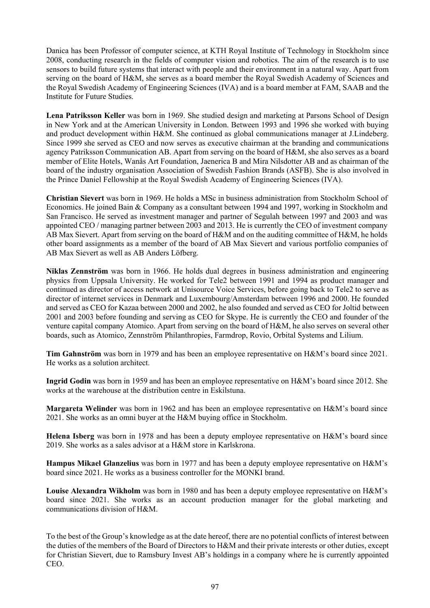Danica has been Professor of computer science, at KTH Royal Institute of Technology in Stockholm since 2008, conducting research in the fields of computer vision and robotics. The aim of the research is to use sensors to build future systems that interact with people and their environment in a natural way. Apart from serving on the board of H&M, she serves as a board member the Royal Swedish Academy of Sciences and the Royal Swedish Academy of Engineering Sciences (IVA) and is a board member at FAM, SAAB and the Institute for Future Studies.

**Lena Patriksson Keller** was born in 1969. She studied design and marketing at Parsons School of Design in New York and at the American University in London. Between 1993 and 1996 she worked with buying and product development within H&M. She continued as global communications manager at J.Lindeberg. Since 1999 she served as CEO and now serves as executive chairman at the branding and communications agency Patriksson Communication AB. Apart from serving on the board of H&M, she also serves as a board member of Elite Hotels, Wanås Art Foundation, Jaenerica B and Mira Nilsdotter AB and as chairman of the board of the industry organisation Association of Swedish Fashion Brands (ASFB). She is also involved in the Prince Daniel Fellowship at the Royal Swedish Academy of Engineering Sciences (IVA).

**Christian Sievert** was born in 1969. He holds a MSc in business administration from Stockholm School of Economics. He joined Bain & Company as a consultant between 1994 and 1997, working in Stockholm and San Francisco. He served as investment manager and partner of Segulah between 1997 and 2003 and was appointed CEO / managing partner between 2003 and 2013. He is currently the CEO of investment company AB Max Sievert. Apart from serving on the board of H&M and on the auditing committee of H&M, he holds other board assignments as a member of the board of AB Max Sievert and various portfolio companies of AB Max Sievert as well as AB Anders Löfberg.

**Niklas Zennström** was born in 1966. He holds dual degrees in business administration and engineering physics from Uppsala University. He worked for Tele2 between 1991 and 1994 as product manager and continued as director of access network at Unisource Voice Services, before going back to Tele2 to serve as director of internet services in Denmark and Luxembourg/Amsterdam between 1996 and 2000. He founded and served as CEO for Kazaa between 2000 and 2002, he also founded and served as CEO for Joltid between 2001 and 2003 before founding and serving as CEO for Skype. He is currently the CEO and founder of the venture capital company Atomico. Apart from serving on the board of H&M, he also serves on several other boards, such as Atomico, Zennström Philanthropies, Farmdrop, Rovio, Orbital Systems and Lilium.

**Tim Gahnström** was born in 1979 and has been an employee representative on H&M's board since 2021. He works as a solution architect.

**Ingrid Godin** was born in 1959 and has been an employee representative on H&M's board since 2012. She works at the warehouse at the distribution centre in Eskilstuna.

**Margareta Welinder** was born in 1962 and has been an employee representative on H&M's board since 2021. She works as an omni buyer at the H&M buying office in Stockholm.

**Helena Isberg** was born in 1978 and has been a deputy employee representative on H&M's board since 2019. She works as a sales advisor at a H&M store in Karlskrona.

**Hampus Mikael Glanzelius** was born in 1977 and has been a deputy employee representative on H&M's board since 2021. He works as a business controller for the MONKI brand.

**Louise Alexandra Wikholm** was born in 1980 and has been a deputy employee representative on H&M's board since 2021. She works as an account production manager for the global marketing and communications division of H&M.

To the best of the Group's knowledge as at the date hereof, there are no potential conflicts of interest between the duties of the members of the Board of Directors to H&M and their private interests or other duties, except for Christian Sievert, due to Ramsbury Invest AB's holdings in a company where he is currently appointed CEO.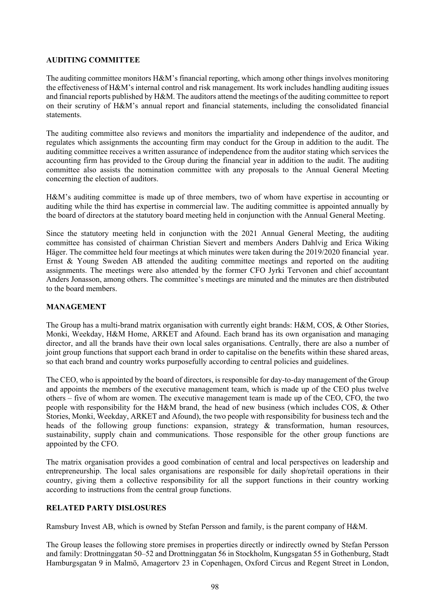## **AUDITING COMMITTEE**

The auditing committee monitors H&M's financial reporting, which among other things involves monitoring the effectiveness of H&M's internal control and risk management. Its work includes handling auditing issues and financial reports published by H&M. The auditors attend the meetings of the auditing committee to report on their scrutiny of H&M's annual report and financial statements, including the consolidated financial statements.

The auditing committee also reviews and monitors the impartiality and independence of the auditor, and regulates which assignments the accounting firm may conduct for the Group in addition to the audit. The auditing committee receives a written assurance of independence from the auditor stating which services the accounting firm has provided to the Group during the financial year in addition to the audit. The auditing committee also assists the nomination committee with any proposals to the Annual General Meeting concerning the election of auditors.

H&M's auditing committee is made up of three members, two of whom have expertise in accounting or auditing while the third has expertise in commercial law. The auditing committee is appointed annually by the board of directors at the statutory board meeting held in conjunction with the Annual General Meeting.

Since the statutory meeting held in conjunction with the 2021 Annual General Meeting, the auditing committee has consisted of chairman Christian Sievert and members Anders Dahlvig and Erica Wiking Häger. The committee held four meetings at which minutes were taken during the 2019/2020 financial year. Ernst & Young Sweden AB attended the auditing committee meetings and reported on the auditing assignments. The meetings were also attended by the former CFO Jyrki Tervonen and chief accountant Anders Jonasson, among others. The committee's meetings are minuted and the minutes are then distributed to the board members.

### **MANAGEMENT**

The Group has a multi-brand matrix organisation with currently eight brands: H&M, COS, & Other Stories, Monki, Weekday, H&M Home, ARKET and Afound. Each brand has its own organisation and managing director, and all the brands have their own local sales organisations. Centrally, there are also a number of joint group functions that support each brand in order to capitalise on the benefits within these shared areas, so that each brand and country works purposefully according to central policies and guidelines.

The CEO, who is appointed by the board of directors, is responsible for day-to-day management of the Group and appoints the members of the executive management team, which is made up of the CEO plus twelve others – five of whom are women. The executive management team is made up of the CEO, CFO, the two people with responsibility for the H&M brand, the head of new business (which includes COS, & Other Stories, Monki, Weekday, ARKET and Afound), the two people with responsibility for business tech and the heads of the following group functions: expansion, strategy & transformation, human resources, sustainability, supply chain and communications. Those responsible for the other group functions are appointed by the CFO.

The matrix organisation provides a good combination of central and local perspectives on leadership and entrepreneurship. The local sales organisations are responsible for daily shop/retail operations in their country, giving them a collective responsibility for all the support functions in their country working according to instructions from the central group functions.

# **RELATED PARTY DISLOSURES**

Ramsbury Invest AB, which is owned by Stefan Persson and family, is the parent company of H&M.

The Group leases the following store premises in properties directly or indirectly owned by Stefan Persson and family: Drottninggatan 50–52 and Drottninggatan 56 in Stockholm, Kungsgatan 55 in Gothenburg, Stadt Hamburgsgatan 9 in Malmö, Amagertorv 23 in Copenhagen, Oxford Circus and Regent Street in London,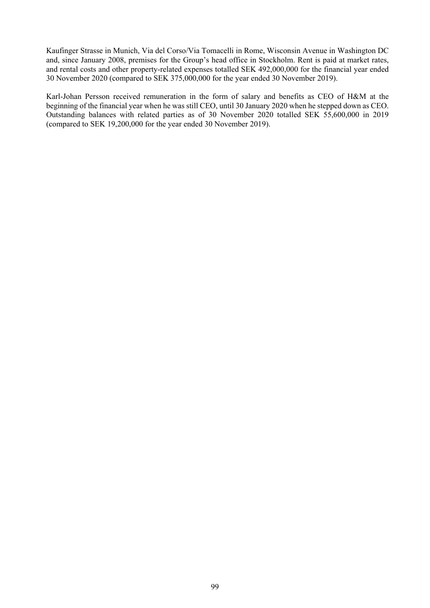Kaufinger Strasse in Munich, Via del Corso/Via Tomacelli in Rome, Wisconsin Avenue in Washington DC and, since January 2008, premises for the Group's head office in Stockholm. Rent is paid at market rates, and rental costs and other property-related expenses totalled SEK 492,000,000 for the financial year ended 30 November 2020 (compared to SEK 375,000,000 for the year ended 30 November 2019).

Karl-Johan Persson received remuneration in the form of salary and benefits as CEO of H&M at the beginning of the financial year when he was still CEO, until 30 January 2020 when he stepped down as CEO. Outstanding balances with related parties as of 30 November 2020 totalled SEK 55,600,000 in 2019 (compared to SEK 19,200,000 for the year ended 30 November 2019).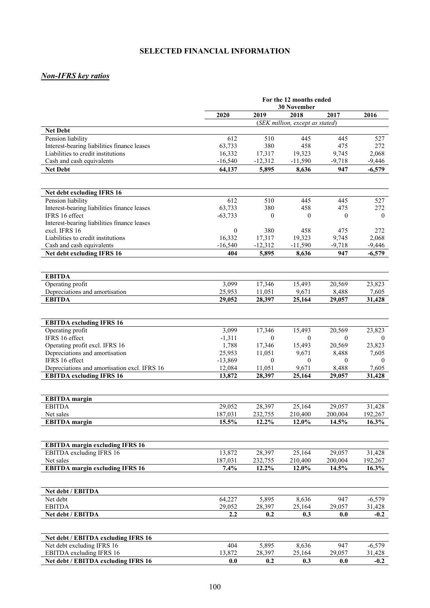# **SELECTED FINANCIAL INFORMATION**

# *Non-IFRS key ratios*

|                                                                                 | For the 12 months ended<br><b>30 November</b> |                     |                                 |                   |                   |
|---------------------------------------------------------------------------------|-----------------------------------------------|---------------------|---------------------------------|-------------------|-------------------|
|                                                                                 | 2019<br>2020<br>2018<br>2017                  |                     |                                 | 2016              |                   |
|                                                                                 |                                               |                     | (SEK million, except as stated) |                   |                   |
| <b>Net Debt</b>                                                                 |                                               |                     |                                 |                   |                   |
| Pension liability                                                               | 612                                           | 510                 | 445                             | 445               | 527               |
| Interest-bearing liabilities finance leases                                     | 63,733                                        | 380                 | 458                             | 475               | 272               |
| Liabilities to credit institutions<br>Cash and cash equivalents                 | 16,332<br>$-16,540$                           | 17,317<br>$-12,312$ | 19,323<br>$-11,590$             | 9,745<br>$-9,718$ | 2,068<br>$-9,446$ |
| <b>Net Debt</b>                                                                 | 64,137                                        | 5,895               | 8,636                           | 947               | $-6,579$          |
|                                                                                 |                                               |                     |                                 |                   |                   |
|                                                                                 |                                               |                     |                                 |                   |                   |
| Net debt excluding IFRS 16                                                      |                                               |                     |                                 |                   |                   |
| Pension liability                                                               | 612                                           | 510                 | 445                             | 445               | 527               |
| Interest-bearing liabilities finance leases                                     | 63,733                                        | 380                 | 458                             | 475               | 272               |
| IFRS 16 effect                                                                  | $-63,733$                                     | $\mathbf{0}$        | $\mathbf{0}$                    | $\mathbf{0}$      | $\mathbf{0}$      |
| Interest-bearing liabilities finance leases<br>excl. IFRS 16                    | $\mathbf{0}$                                  | 380                 | 458                             | 475               | 272               |
| Liabilities to credit institutions                                              | 16,332                                        | 17,317              | 19,323                          | 9,745             | 2,068             |
| Cash and cash equivalents                                                       | $-16,540$                                     | $-12,312$           | $-11,590$                       | $-9,718$          | $-9,446$          |
| Net debt excluding IFRS 16                                                      | 404                                           | 5,895               | 8,636                           | 947               | $-6,579$          |
|                                                                                 |                                               |                     |                                 |                   |                   |
|                                                                                 |                                               |                     |                                 |                   |                   |
| <b>EBITDA</b>                                                                   |                                               |                     |                                 |                   |                   |
| Operating profit                                                                | 3,099                                         | 17,346              | 15,493                          | 20,569            | 23,823            |
| Depreciations and amortisation<br><b>EBITDA</b>                                 | 25,953                                        | 11,051<br>28,397    | 9,671                           | 8,488             | 7,605             |
|                                                                                 | 29,052                                        |                     | 25,164                          | 29,057            | 31,428            |
|                                                                                 |                                               |                     |                                 |                   |                   |
| <b>EBITDA</b> excluding IFRS 16                                                 |                                               |                     |                                 |                   |                   |
| Operating profit                                                                | 3,099                                         | 17,346              | 15,493                          | 20,569            | 23,823            |
| IFRS 16 effect                                                                  | $-1,311$                                      | $\mathbf{0}$        | $\mathbf{0}$                    | $\mathbf{0}$      | $\bf{0}$          |
| Operating profit excl. IFRS 16                                                  | 1,788                                         | 17,346              | 15,493                          | 20,569            | 23,823            |
| Depreciations and amortisation                                                  | 25,953                                        | 11,051              | 9,671                           | 8,488             | 7,605             |
| IFRS 16 effect<br>$-13,869$<br>$\theta$<br>$\mathbf{0}$                         |                                               | $\theta$            | $\theta$                        |                   |                   |
| Depreciations and amortisation excl. IFRS 16<br><b>EBITDA</b> excluding IFRS 16 | 12,084<br>13,872                              | 11,051<br>28.397    | 9,671<br>25,164                 | 8,488<br>29,057   | 7,605<br>31,428   |
|                                                                                 |                                               |                     |                                 |                   |                   |
|                                                                                 |                                               |                     |                                 |                   |                   |
| <b>EBITDA</b> margin                                                            |                                               |                     |                                 |                   |                   |
| <b>EBITDA</b>                                                                   | 29,052                                        | 28,397              | 25,164                          | 29,057            | 31,428            |
| Net sales<br><b>EBITDA</b> margin                                               | 187,031<br>15.5%                              | 232,755<br>12.2%    | 210,400<br>12.0%                | 200,004<br>14.5%  | 192,267<br>16.3%  |
|                                                                                 |                                               |                     |                                 |                   |                   |
|                                                                                 |                                               |                     |                                 |                   |                   |
| <b>EBITDA</b> margin excluding IFRS 16                                          |                                               |                     |                                 |                   |                   |
| EBITDA excluding IFRS 16                                                        | 13,872                                        | 28,397              | 25,164                          | 29,057            | 31,428            |
| Net sales                                                                       | 187,031                                       | 232,755             | 210,400                         | 200,004           | 192,267           |
| <b>EBITDA</b> margin excluding IFRS 16                                          | 7.4%                                          | 12.2%               | 12.0%                           | 14.5%             | 16.3%             |
|                                                                                 |                                               |                     |                                 |                   |                   |
| Net debt / EBITDA                                                               |                                               |                     |                                 |                   |                   |
| Net debt                                                                        | 64,227                                        | 5,895               | 8,636                           | 947               | $-6,579$          |
| <b>EBITDA</b>                                                                   | 29,052                                        | 28,397              | 25,164                          | 29,057            | 31,428            |
| Net debt / EBITDA                                                               | 2.2                                           | 0.2                 | 0.3                             | $0.0\,$           | $-0.2$            |
|                                                                                 |                                               |                     |                                 |                   |                   |
| Net debt / EBITDA excluding IFRS 16                                             |                                               |                     |                                 |                   |                   |
| Net debt excluding IFRS 16                                                      | 404                                           | 5,895               | 8,636                           | 947               | $-6,579$          |
| EBITDA excluding IFRS 16                                                        | 13,872                                        | 28,397              | 25,164                          | 29,057            | 31,428            |
| Net debt / EBITDA excluding IFRS 16                                             | $0.0\,$                                       | 0.2                 | 0.3                             | 0.0               | $-0.2$            |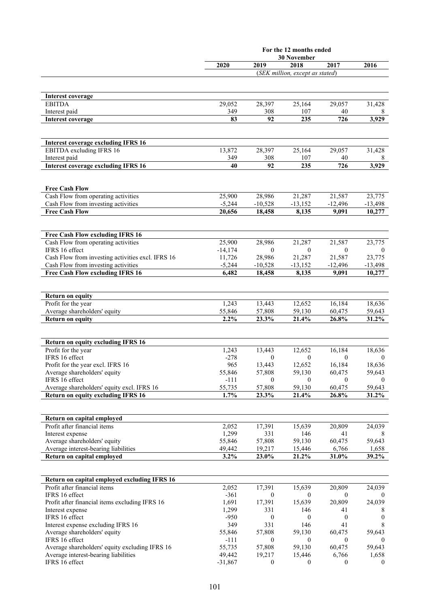|                                                                                          | For the 12 months ended |                    |                                         |                        |                    |
|------------------------------------------------------------------------------------------|-------------------------|--------------------|-----------------------------------------|------------------------|--------------------|
|                                                                                          |                         |                    | <b>30 November</b>                      |                        |                    |
|                                                                                          | 2020                    | 2019               | 2018<br>(SEK million, except as stated) | 2017                   | 2016               |
|                                                                                          |                         |                    |                                         |                        |                    |
|                                                                                          |                         |                    |                                         |                        |                    |
| <b>Interest coverage</b>                                                                 |                         |                    |                                         |                        |                    |
| <b>EBITDA</b>                                                                            | 29,052                  | 28,397             | 25,164                                  | 29,057                 | 31,428             |
| Interest paid                                                                            | 349                     | 308                | 107                                     | 40                     |                    |
| <b>Interest coverage</b>                                                                 | 83                      | 92                 | 235                                     | 726                    | 3,929              |
|                                                                                          |                         |                    |                                         |                        |                    |
| <b>Interest coverage excluding IFRS 16</b>                                               |                         |                    |                                         |                        |                    |
| EBITDA excluding IFRS 16                                                                 | 13,872                  | 28,397             | 25,164                                  | 29,057                 | 31,428             |
| Interest paid                                                                            | 349                     | 308                | 107                                     | 40                     | 8                  |
| <b>Interest coverage excluding IFRS 16</b>                                               | 40                      | 92                 | 235                                     | 726                    | 3,929              |
|                                                                                          |                         |                    |                                         |                        |                    |
| <b>Free Cash Flow</b>                                                                    |                         |                    |                                         |                        |                    |
| Cash Flow from operating activities                                                      | 25,900                  | 28,986             | 21,287                                  | 21,587                 | 23,775             |
| Cash Flow from investing activities                                                      | $-5,244$                | $-10,528$          | $-13,152$                               | $-12,496$              | $-13,498$          |
| <b>Free Cash Flow</b>                                                                    | 20,656                  | 18,458             | 8,135                                   | 9,091                  | 10,277             |
|                                                                                          |                         |                    |                                         |                        |                    |
|                                                                                          |                         |                    |                                         |                        |                    |
| Free Cash Flow excluding IFRS 16                                                         |                         |                    |                                         |                        |                    |
| Cash Flow from operating activities                                                      | 25,900                  | 28,986             | 21,287                                  | 21,587                 | 23,775             |
| IFRS 16 effect                                                                           | $-14,174$               | $\theta$<br>28,986 | $\mathbf{0}$<br>21,287                  | $\mathbf{0}$<br>21,587 | $\theta$<br>23,775 |
| Cash Flow from investing activities excl. IFRS 16<br>Cash Flow from investing activities | 11,726<br>$-5,244$      | $-10,528$          | $-13,152$                               | $-12,496$              | $-13,498$          |
| Free Cash Flow excluding IFRS 16                                                         | 6,482                   | 18,458             | 8,135                                   | 9,091                  | 10,277             |
|                                                                                          |                         |                    |                                         |                        |                    |
|                                                                                          |                         |                    |                                         |                        |                    |
| <b>Return on equity</b>                                                                  |                         |                    |                                         |                        |                    |
| Profit for the year                                                                      | 1,243                   | 13,443             | 12,652                                  | 16,184                 | 18,636             |
| Average shareholders' equity                                                             | 55,846                  | 57,808             | 59,130                                  | 60,475                 | 59,643             |
| <b>Return on equity</b>                                                                  | 2.2%                    | 23.3%              | 21.4%                                   | 26.8%                  | 31.2%              |
|                                                                                          |                         |                    |                                         |                        |                    |
| <b>Return on equity excluding IFRS 16</b>                                                |                         |                    |                                         |                        |                    |
| Profit for the year                                                                      | 1,243                   | 13,443             | 12,652                                  | 16,184                 | 18,636             |
| IFRS 16 effect                                                                           | $-278$                  | $\theta$           | $\mathbf{0}$                            | $\mathbf{0}$           | $\overline{0}$     |
| Profit for the year excl. IFRS 16                                                        | 965                     | 13,443             | 12,652                                  | 16,184                 | 18,636             |
| Average shareholders' equity                                                             | 55,846                  | 57,808             | 59,130                                  | 60,475                 | 59,643             |
| IFRS 16 effect                                                                           | -111                    | $\theta$           | $\theta$                                | $\mathbf{0}$           | $\theta$           |
| Average shareholders' equity excl. IFRS 16                                               | 55,735                  | 57,808             | 59,130                                  | 60,475                 | 59,643             |
| <b>Return on equity excluding IFRS 16</b>                                                | 1.7%                    | 23.3%              | 21.4%                                   | 26.8%                  | $31.2\%$           |
|                                                                                          |                         |                    |                                         |                        |                    |
| Return on capital employed                                                               |                         |                    |                                         |                        |                    |
| Profit after financial items                                                             | 2,052                   | 17,391             | 15,639                                  | 20,809                 | 24,039             |
| Interest expense                                                                         | 1,299                   | 331                | 146                                     | 41                     | 8                  |
| Average shareholders' equity                                                             | 55,846                  | 57,808             | 59,130                                  | 60,475                 | 59,643             |
| Average interest-bearing liabilities                                                     | 49,442                  | 19,217             | 15,446                                  | 6,766                  | 1,658              |
| Return on capital employed                                                               | $3.2\%$                 | 23.0%              | 21.2%                                   | 31.0%                  | 39.2%              |
|                                                                                          |                         |                    |                                         |                        |                    |
| Return on capital employed excluding IFRS 16                                             |                         |                    |                                         |                        |                    |
| Profit after financial items                                                             | 2,052                   | 17,391             | 15,639                                  | 20,809                 | 24,039             |
| IFRS 16 effect                                                                           | $-361$                  | $\overline{0}$     | $\overline{0}$                          | $\overline{0}$         | $\bf{0}$           |
| Profit after financial items excluding IFRS 16                                           | 1,691                   | 17,391             | 15,639                                  | 20,809                 | 24,039             |
| Interest expense                                                                         | 1,299                   | 331                | 146                                     | 41                     | 8                  |
| IFRS 16 effect                                                                           | $-950$                  | $\overline{0}$     | 0                                       | $\boldsymbol{0}$       | $\mathbf{0}$       |
| Interest expense excluding IFRS 16                                                       | 349                     | 331                | 146                                     | 41                     | 8                  |
| Average shareholders' equity                                                             | 55,846                  | 57,808             | 59,130                                  | 60,475                 | 59,643             |
| IFRS 16 effect                                                                           | -111                    | $\overline{0}$     | $\theta$                                | $\theta$               | $\theta$           |
| Average shareholders' equity excluding IFRS 16<br>Average interest-bearing liabilities   | 55,735<br>49,442        | 57,808<br>19,217   | 59,130<br>15,446                        | 60,475<br>6,766        | 59,643<br>1,658    |
| IFRS 16 effect                                                                           | $-31,867$               | $\boldsymbol{0}$   | $\boldsymbol{0}$                        | $\boldsymbol{0}$       | $\overline{0}$     |
|                                                                                          |                         |                    |                                         |                        |                    |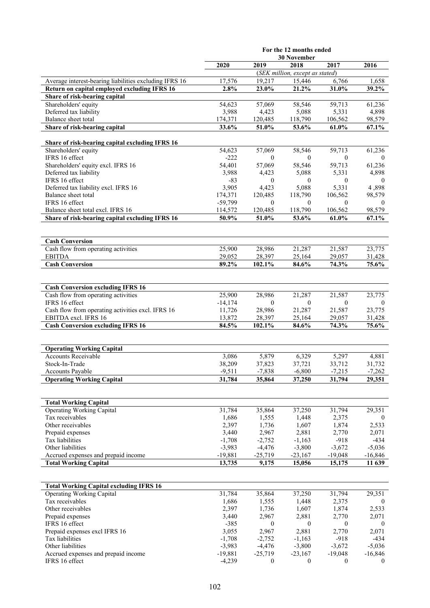|                                                                         | For the 12 months ended            |                   |                                         |                  |                  |
|-------------------------------------------------------------------------|------------------------------------|-------------------|-----------------------------------------|------------------|------------------|
|                                                                         | <b>30 November</b><br>2020<br>2019 |                   |                                         |                  |                  |
|                                                                         |                                    |                   | 2018<br>(SEK million, except as stated) | 2017             | 2016             |
| Average interest-bearing liabilities excluding IFRS 16                  | 17,576                             | 19,217            | 15,446                                  | 6,766            | 1,658            |
| Return on capital employed excluding IFRS 16                            | 2.8%                               | 23.0%             | 21.2%                                   | 31.0%            | 39.2%            |
| Share of risk-bearing capital                                           |                                    |                   |                                         |                  |                  |
| Shareholders' equity                                                    | 54,623                             | 57,069            | 58,546                                  | 59,713           | 61,236           |
| Deferred tax liability                                                  | 3,988                              | 4,423             | 5,088                                   | 5,331            | 4,898            |
| Balance sheet total                                                     | 174,371                            | 120,485           | 118,790                                 | 106,562          | 98,579           |
| Share of risk-bearing capital                                           | 33.6%                              | 51.0%             | 53.6%                                   | 61.0%            | $67.1\%$         |
|                                                                         |                                    |                   |                                         |                  |                  |
| Share of risk-bearing capital excluding IFRS 16<br>Shareholders' equity | 54,623                             | 57,069            | 58,546                                  | 59,713           | 61,236           |
| IFRS 16 effect                                                          | $-222$                             | $\theta$          | $\theta$                                | $\theta$         | $\theta$         |
| Shareholders' equity excl. IFRS 16                                      | 54,401                             | 57,069            | 58,546                                  | 59,713           | 61,236           |
| Deferred tax liability                                                  | 3,988                              | 4,423             | 5,088                                   | 5,331            | 4,898            |
| IFRS 16 effect                                                          | -83                                | $\mathbf{0}$      | $\theta$                                | $\mathbf{0}$     | $\overline{0}$   |
| Deferred tax liability excl. IFRS 16                                    | 3,905                              | 4,423             | 5,088                                   | 5,331            | 4,898            |
| Balance sheet total                                                     | 174,371                            | 120,485           | 118,790                                 | 106,562          | 98,579           |
| IFRS 16 effect                                                          | $-59,799$                          | $\mathbf{0}$      | $\mathbf{0}$                            | $\mathbf{0}$     | $\theta$         |
| Balance sheet total excl. IFRS 16                                       | 114,572                            | 120,485           | 118,790                                 | 106,562          | 98,579           |
| Share of risk-bearing capital excluding IFRS 16                         | 50.9%                              | 51.0%             | 53.6%                                   | 61.0%            | 67.1%            |
|                                                                         |                                    |                   |                                         |                  |                  |
| <b>Cash Conversion</b>                                                  |                                    |                   |                                         |                  |                  |
| Cash flow from operating activities                                     | 25,900                             | 28,986            | 21,287                                  | 21,587           | 23,775           |
| <b>EBITDA</b>                                                           | 29,052                             | 28,397            | 25,164                                  | 29,057           | 31,428           |
| <b>Cash Conversion</b>                                                  | 89.2%                              | 102.1%            | 84.6%                                   | 74.3%            | 75.6%            |
|                                                                         |                                    |                   |                                         |                  |                  |
| <b>Cash Conversion excluding IFRS 16</b>                                |                                    |                   |                                         |                  |                  |
| Cash flow from operating activities                                     | 25,900                             | 28,986            | 21,287                                  | 21,587           | 23,775           |
| IFRS 16 effect                                                          | $-14,174$                          | $\theta$          | $\mathbf{0}$                            | $\theta$         | 0                |
| Cash flow from operating activities excl. IFRS 16                       | 11,726                             | 28,986            | 21,287                                  | 21,587           | 23,775           |
| EBITDA excl. IFRS 16                                                    | 13,872                             | 28,397            | 25,164                                  | 29,057           | 31,428           |
| <b>Cash Conversion excluding IFRS 16</b>                                | 84.5%                              | 102.1%            | 84.6%                                   | 74.3%            | 75.6%            |
|                                                                         |                                    |                   |                                         |                  |                  |
| <b>Operating Working Capital</b>                                        |                                    |                   |                                         |                  |                  |
| <b>Accounts Receivable</b>                                              | 3,086                              | 5,879             | 6,329                                   | 5,297            | 4,881            |
| Stock-In-Trade                                                          | 38,209                             | 37,823            | 37,721                                  | 33,712           | 31,732           |
| Accounts Payable                                                        | -9,511                             | $-7,838$          | $-6,800$                                | $-7,215$         | $-7,262$         |
| <b>Operating Working Capital</b>                                        | 31,784                             | 35,864            | 37,250                                  | 31,794           | 29,351           |
|                                                                         |                                    |                   |                                         |                  |                  |
| <b>Total Working Capital</b>                                            |                                    |                   |                                         |                  |                  |
| <b>Operating Working Capital</b>                                        | 31,784                             | 35,864            | 37,250                                  | 31,794           | 29,351           |
| Tax receivables                                                         | 1,686                              | 1,555             | 1,448                                   | 2,375            | $\overline{0}$   |
| Other receivables                                                       | 2,397                              | 1,736             | 1,607                                   | 1,874            | 2,533            |
| Prepaid expenses                                                        | 3,440                              | 2,967             | 2,881                                   | 2,770            | 2,071            |
| Tax liabilities                                                         | $-1,708$                           | $-2,752$          | $-1,163$                                | $-918$           | $-434$           |
| Other liabilities                                                       | $-3,983$                           | $-4,476$          | $-3,800$                                | $-3,672$         | $-5,036$         |
| Accrued expenses and prepaid income                                     | $-19,881$                          | $-25,719$         | $-23,167$                               | $-19,048$        | $-16,846$        |
| <b>Total Working Capital</b>                                            | 13,735                             | 9,175             | 15,056                                  | 15,175           | 11 639           |
|                                                                         |                                    |                   |                                         |                  |                  |
| <b>Total Working Capital excluding IFRS 16</b>                          |                                    |                   |                                         |                  |                  |
| <b>Operating Working Capital</b>                                        | 31,784                             | 35,864            | 37,250                                  | 31,794           | 29,351           |
| Tax receivables                                                         | 1,686                              | 1,555             | 1,448                                   | 2,375            | $\boldsymbol{0}$ |
| Other receivables                                                       | 2,397                              | 1,736             | 1,607                                   | 1,874            | 2,533            |
| Prepaid expenses                                                        | 3,440                              | 2,967             | 2,881                                   | 2,770            | 2,071            |
| IFRS 16 effect                                                          | $-385$                             | $\mathbf{0}$      | $\mathbf{0}$                            | $\mathbf{0}$     | $\boldsymbol{0}$ |
| Prepaid expenses excl IFRS 16<br>Tax liabilities                        | 3,055<br>$-1,708$                  | 2,967<br>$-2,752$ | 2,881<br>$-1,163$                       | 2,770<br>$-918$  | 2,071<br>$-434$  |
| Other liabilities                                                       | $-3,983$                           | $-4,476$          | $-3,800$                                | $-3,672$         | $-5,036$         |
| Accrued expenses and prepaid income                                     | $-19,881$                          | $-25,719$         | $-23,167$                               | $-19,048$        | $-16,846$        |
| IFRS 16 effect                                                          | $-4,239$                           | $\boldsymbol{0}$  | $\boldsymbol{0}$                        | $\boldsymbol{0}$ | $\boldsymbol{0}$ |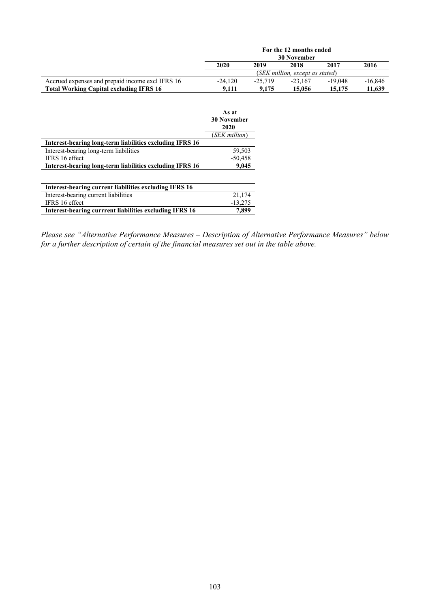|                                                  |                                                  |       | For the 12 months ended         |        |           |
|--------------------------------------------------|--------------------------------------------------|-------|---------------------------------|--------|-----------|
|                                                  |                                                  |       | <b>30 November</b>              |        |           |
|                                                  | 2020                                             | 2019  | 2018                            | 2017   | 2016      |
|                                                  |                                                  |       | (SEK million, except as stated) |        |           |
| Accrued expenses and prepaid income excl IFRS 16 | $-19,048$<br>$-24.120$<br>$-25.719$<br>$-23.167$ |       |                                 |        | $-16,846$ |
| <b>Total Working Capital excluding IFRS 16</b>   | 9.111                                            | 9.175 | 15,056                          | 15,175 | 11,639    |
|                                                  |                                                  |       |                                 |        |           |
|                                                  |                                                  |       |                                 |        |           |
|                                                  | As at                                            |       |                                 |        |           |

|                                                                 | лэ аг<br><b>30 November</b><br>2020 |
|-----------------------------------------------------------------|-------------------------------------|
|                                                                 | (SEK million)                       |
| <b>Interest-bearing long-term liabilities excluding IFRS 16</b> |                                     |
| Interest-bearing long-term liabilities                          | 59,503                              |
| IFRS 16 effect                                                  | $-50,458$                           |
| Interest-bearing long-term liabilities excluding IFRS 16        | 9,045                               |
|                                                                 |                                     |
| Interest-bearing current liabilities excluding IFRS 16          |                                     |
| Interest-bearing current liabilities                            | 21,174                              |
| IFRS 16 effect                                                  | $-13.275$                           |

**Interest-bearing currrent liabilities excluding IFRS 16 7,899**

*Please see "Alternative Performance Measures – Description of Alternative Performance Measures" below for a further description of certain of the financial measures set out in the table above.*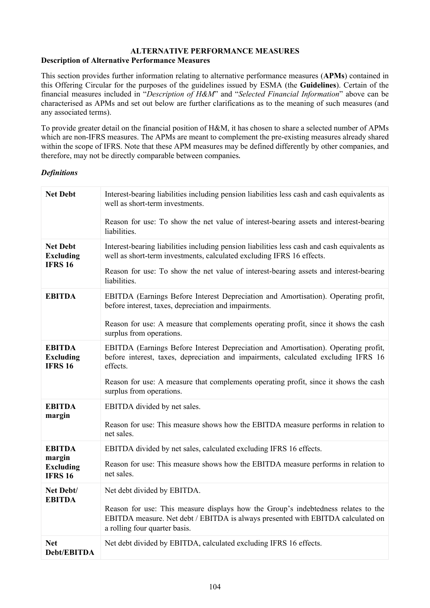#### **ALTERNATIVE PERFORMANCE MEASURES Description of Alternative Performance Measures**

This section provides further information relating to alternative performance measures (**APMs**) contained in this Offering Circular for the purposes of the guidelines issued by ESMA (the **Guidelines**). Certain of the financial measures included in "*Description of H&M*" and "*Selected Financial Information*" above can be characterised as APMs and set out below are further clarifications as to the meaning of such measures (and any associated terms).

To provide greater detail on the financial position of H&M, it has chosen to share a selected number of APMs which are non-IFRS measures. The APMs are meant to complement the pre-existing measures already shared within the scope of IFRS. Note that these APM measures may be defined differently by other companies, and therefore, may not be directly comparable between companies.

## *Definitions*

| <b>Net Debt</b>                                     | Interest-bearing liabilities including pension liabilities less cash and cash equivalents as<br>well as short-term investments.                                                                       |
|-----------------------------------------------------|-------------------------------------------------------------------------------------------------------------------------------------------------------------------------------------------------------|
|                                                     | Reason for use: To show the net value of interest-bearing assets and interest-bearing<br>liabilities.                                                                                                 |
| <b>Net Debt</b><br><b>Excluding</b>                 | Interest-bearing liabilities including pension liabilities less cash and cash equivalents as<br>well as short-term investments, calculated excluding IFRS 16 effects.                                 |
| <b>IFRS 16</b>                                      | Reason for use: To show the net value of interest-bearing assets and interest-bearing<br>liabilities.                                                                                                 |
| <b>EBITDA</b>                                       | EBITDA (Earnings Before Interest Depreciation and Amortisation). Operating profit,<br>before interest, taxes, depreciation and impairments.                                                           |
|                                                     | Reason for use: A measure that complements operating profit, since it shows the cash<br>surplus from operations.                                                                                      |
| <b>EBITDA</b><br><b>Excluding</b><br><b>IFRS 16</b> | EBITDA (Earnings Before Interest Depreciation and Amortisation). Operating profit,<br>before interest, taxes, depreciation and impairments, calculated excluding IFRS 16<br>effects.                  |
|                                                     | Reason for use: A measure that complements operating profit, since it shows the cash<br>surplus from operations.                                                                                      |
| <b>EBITDA</b><br>margin                             | EBITDA divided by net sales.                                                                                                                                                                          |
|                                                     | Reason for use: This measure shows how the EBITDA measure performs in relation to<br>net sales.                                                                                                       |
| <b>EBITDA</b>                                       | EBITDA divided by net sales, calculated excluding IFRS 16 effects.                                                                                                                                    |
| margin<br><b>Excluding</b><br><b>IFRS 16</b>        | Reason for use: This measure shows how the EBITDA measure performs in relation to<br>net sales.                                                                                                       |
| Net Debt/                                           | Net debt divided by EBITDA.                                                                                                                                                                           |
| <b>EBITDA</b>                                       | Reason for use: This measure displays how the Group's indebtedness relates to the<br>EBITDA measure. Net debt / EBITDA is always presented with EBITDA calculated on<br>a rolling four quarter basis. |
| <b>Net</b><br>Debt/EBITDA                           | Net debt divided by EBITDA, calculated excluding IFRS 16 effects.                                                                                                                                     |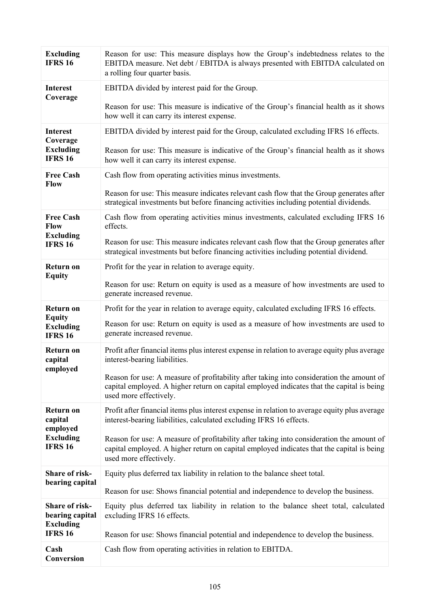| <b>Excluding</b><br><b>IFRS 16</b>                    | Reason for use: This measure displays how the Group's indebtedness relates to the<br>EBITDA measure. Net debt / EBITDA is always presented with EBITDA calculated on<br>a rolling four quarter basis.           |
|-------------------------------------------------------|-----------------------------------------------------------------------------------------------------------------------------------------------------------------------------------------------------------------|
| <b>Interest</b><br>Coverage                           | EBITDA divided by interest paid for the Group.                                                                                                                                                                  |
|                                                       | Reason for use: This measure is indicative of the Group's financial health as it shows<br>how well it can carry its interest expense.                                                                           |
| <b>Interest</b><br>Coverage                           | EBITDA divided by interest paid for the Group, calculated excluding IFRS 16 effects.                                                                                                                            |
| <b>Excluding</b><br><b>IFRS 16</b>                    | Reason for use: This measure is indicative of the Group's financial health as it shows<br>how well it can carry its interest expense.                                                                           |
| <b>Free Cash</b><br><b>Flow</b>                       | Cash flow from operating activities minus investments.                                                                                                                                                          |
|                                                       | Reason for use: This measure indicates relevant cash flow that the Group generates after<br>strategical investments but before financing activities including potential dividends.                              |
| <b>Free Cash</b><br><b>Flow</b>                       | Cash flow from operating activities minus investments, calculated excluding IFRS 16<br>effects.                                                                                                                 |
| <b>Excluding</b><br><b>IFRS 16</b>                    | Reason for use: This measure indicates relevant cash flow that the Group generates after<br>strategical investments but before financing activities including potential dividend.                               |
| <b>Return on</b><br><b>Equity</b>                     | Profit for the year in relation to average equity.                                                                                                                                                              |
|                                                       | Reason for use: Return on equity is used as a measure of how investments are used to<br>generate increased revenue.                                                                                             |
| <b>Return on</b><br><b>Equity</b>                     | Profit for the year in relation to average equity, calculated excluding IFRS 16 effects.                                                                                                                        |
| <b>Excluding</b><br><b>IFRS 16</b>                    | Reason for use: Return on equity is used as a measure of how investments are used to<br>generate increased revenue.                                                                                             |
| <b>Return on</b><br>capital                           | Profit after financial items plus interest expense in relation to average equity plus average<br>interest-bearing liabilities.                                                                                  |
| employed                                              | Reason for use: A measure of profitability after taking into consideration the amount of<br>capital employed. A higher return on capital employed indicates that the capital is being<br>used more effectively. |
| <b>Return on</b><br>capital<br>employed               | Profit after financial items plus interest expense in relation to average equity plus average<br>interest-bearing liabilities, calculated excluding IFRS 16 effects.                                            |
| <b>Excluding</b><br><b>IFRS 16</b>                    | Reason for use: A measure of profitability after taking into consideration the amount of<br>capital employed. A higher return on capital employed indicates that the capital is being<br>used more effectively. |
| Share of risk-<br>bearing capital                     | Equity plus deferred tax liability in relation to the balance sheet total.                                                                                                                                      |
|                                                       | Reason for use: Shows financial potential and independence to develop the business.                                                                                                                             |
| Share of risk-<br>bearing capital<br><b>Excluding</b> | Equity plus deferred tax liability in relation to the balance sheet total, calculated<br>excluding IFRS 16 effects.                                                                                             |
| <b>IFRS 16</b>                                        | Reason for use: Shows financial potential and independence to develop the business.                                                                                                                             |
| Cash<br>Conversion                                    | Cash flow from operating activities in relation to EBITDA.                                                                                                                                                      |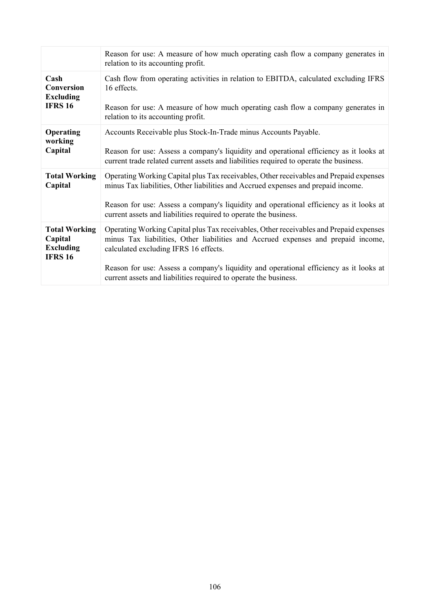|                                                                       | Reason for use: A measure of how much operating cash flow a company generates in<br>relation to its accounting profit.                                                                                               |
|-----------------------------------------------------------------------|----------------------------------------------------------------------------------------------------------------------------------------------------------------------------------------------------------------------|
| Cash<br>Conversion<br><b>Excluding</b><br><b>IFRS 16</b>              | Cash flow from operating activities in relation to EBITDA, calculated excluding IFRS<br>16 effects.<br>Reason for use: A measure of how much operating cash flow a company generates in                              |
|                                                                       | relation to its accounting profit.                                                                                                                                                                                   |
| Operating<br>working                                                  | Accounts Receivable plus Stock-In-Trade minus Accounts Payable.                                                                                                                                                      |
| Capital                                                               | Reason for use: Assess a company's liquidity and operational efficiency as it looks at<br>current trade related current assets and liabilities required to operate the business.                                     |
| <b>Total Working</b><br>Capital                                       | Operating Working Capital plus Tax receivables, Other receivables and Prepaid expenses<br>minus Tax liabilities, Other liabilities and Accrued expenses and prepaid income.                                          |
|                                                                       | Reason for use: Assess a company's liquidity and operational efficiency as it looks at<br>current assets and liabilities required to operate the business.                                                           |
| <b>Total Working</b><br>Capital<br><b>Excluding</b><br><b>IFRS 16</b> | Operating Working Capital plus Tax receivables, Other receivables and Prepaid expenses<br>minus Tax liabilities, Other liabilities and Accrued expenses and prepaid income,<br>calculated excluding IFRS 16 effects. |
|                                                                       | Reason for use: Assess a company's liquidity and operational efficiency as it looks at<br>current assets and liabilities required to operate the business.                                                           |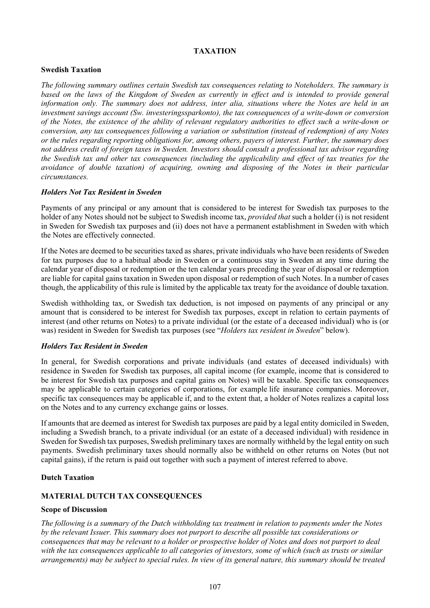## **TAXATION**

## **Swedish Taxation**

*The following summary outlines certain Swedish tax consequences relating to Noteholders. The summary is based on the laws of the Kingdom of Sweden as currently in effect and is intended to provide general information only. The summary does not address, inter alia, situations where the Notes are held in an investment savings account (Sw. investeringssparkonto), the tax consequences of a write-down or conversion of the Notes, the existence of the ability of relevant regulatory authorities to effect such a write-down or conversion, any tax consequences following a variation or substitution (instead of redemption) of any Notes or the rules regarding reporting obligations for, among others, payers of interest. Further, the summary does not address credit of foreign taxes in Sweden. Investors should consult a professional tax advisor regarding the Swedish tax and other tax consequences (including the applicability and effect of tax treaties for the avoidance of double taxation) of acquiring, owning and disposing of the Notes in their particular circumstances.*

#### *Holders Not Tax Resident in Sweden*

Payments of any principal or any amount that is considered to be interest for Swedish tax purposes to the holder of any Notes should not be subject to Swedish income tax, *provided that* such a holder (i) is not resident in Sweden for Swedish tax purposes and (ii) does not have a permanent establishment in Sweden with which the Notes are effectively connected.

If the Notes are deemed to be securities taxed as shares, private individuals who have been residents of Sweden for tax purposes due to a habitual abode in Sweden or a continuous stay in Sweden at any time during the calendar year of disposal or redemption or the ten calendar years preceding the year of disposal or redemption are liable for capital gains taxation in Sweden upon disposal or redemption of such Notes. In a number of cases though, the applicability of this rule is limited by the applicable tax treaty for the avoidance of double taxation.

Swedish withholding tax, or Swedish tax deduction, is not imposed on payments of any principal or any amount that is considered to be interest for Swedish tax purposes, except in relation to certain payments of interest (and other returns on Notes) to a private individual (or the estate of a deceased individual) who is (or was) resident in Sweden for Swedish tax purposes (see "*Holders tax resident in Sweden*" below).

#### *Holders Tax Resident in Sweden*

In general, for Swedish corporations and private individuals (and estates of deceased individuals) with residence in Sweden for Swedish tax purposes, all capital income (for example, income that is considered to be interest for Swedish tax purposes and capital gains on Notes) will be taxable. Specific tax consequences may be applicable to certain categories of corporations, for example life insurance companies. Moreover, specific tax consequences may be applicable if, and to the extent that, a holder of Notes realizes a capital loss on the Notes and to any currency exchange gains or losses.

If amounts that are deemed as interest for Swedish tax purposes are paid by a legal entity domiciled in Sweden, including a Swedish branch, to a private individual (or an estate of a deceased individual) with residence in Sweden for Swedish tax purposes, Swedish preliminary taxes are normally withheld by the legal entity on such payments. Swedish preliminary taxes should normally also be withheld on other returns on Notes (but not capital gains), if the return is paid out together with such a payment of interest referred to above.

## **Dutch Taxation**

## **MATERIAL DUTCH TAX CONSEQUENCES**

## **Scope of Discussion**

*The following is a summary of the Dutch withholding tax treatment in relation to payments under the Notes by the relevant Issuer. This summary does not purport to describe all possible tax considerations or consequences that may be relevant to a holder or prospective holder of Notes and does not purport to deal with the tax consequences applicable to all categories of investors, some of which (such as trusts or similar arrangements) may be subject to special rules. In view of its general nature, this summary should be treated*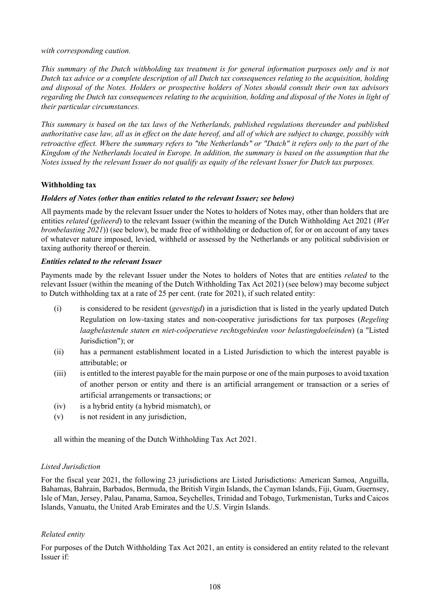#### *with corresponding caution.*

*This summary of the Dutch withholding tax treatment is for general information purposes only and is not Dutch tax advice or a complete description of all Dutch tax consequences relating to the acquisition, holding and disposal of the Notes. Holders or prospective holders of Notes should consult their own tax advisors regarding the Dutch tax consequences relating to the acquisition, holding and disposal of the Notes in light of their particular circumstances.*

*This summary is based on the tax laws of the Netherlands, published regulations thereunder and published authoritative case law, all as in effect on the date hereof, and all of which are subject to change, possibly with retroactive effect. Where the summary refers to "the Netherlands" or "Dutch" it refers only to the part of the Kingdom of the Netherlands located in Europe. In addition, the summary is based on the assumption that the Notes issued by the relevant Issuer do not qualify as equity of the relevant Issuer for Dutch tax purposes.* 

# **Withholding tax**

## *Holders of Notes (other than entities related to the relevant Issuer; see below)*

All payments made by the relevant Issuer under the Notes to holders of Notes may, other than holders that are entities *related* (*gelieerd*) to the relevant Issuer (within the meaning of the Dutch Withholding Act 2021 (*Wet bronbelasting 2021*)) (see below), be made free of withholding or deduction of, for or on account of any taxes of whatever nature imposed, levied, withheld or assessed by the Netherlands or any political subdivision or taxing authority thereof or therein.

## *Entities related to the relevant Issuer*

Payments made by the relevant Issuer under the Notes to holders of Notes that are entities *related* to the relevant Issuer (within the meaning of the Dutch Withholding Tax Act 2021) (see below) may become subject to Dutch withholding tax at a rate of 25 per cent. (rate for 2021), if such related entity:

- (i) is considered to be resident (*gevestigd*) in a jurisdiction that is listed in the yearly updated Dutch Regulation on low-taxing states and non-cooperative jurisdictions for tax purposes (*Regeling laagbelastende staten en niet-coöperatieve rechtsgebieden voor belastingdoeleinden*) (a "Listed Jurisdiction"); or
- (ii) has a permanent establishment located in a Listed Jurisdiction to which the interest payable is attributable; or
- (iii) is entitled to the interest payable for the main purpose or one of the main purposes to avoid taxation of another person or entity and there is an artificial arrangement or transaction or a series of artificial arrangements or transactions; or
- (iv) is a hybrid entity (a hybrid mismatch), or
- (v) is not resident in any jurisdiction,

all within the meaning of the Dutch Withholding Tax Act 2021.

## *Listed Jurisdiction*

For the fiscal year 2021, the following 23 jurisdictions are Listed Jurisdictions: American Samoa, Anguilla, Bahamas, Bahrain, Barbados, Bermuda, the British Virgin Islands, the Cayman Islands, Fiji, Guam, Guernsey, Isle of Man, Jersey, Palau, Panama, Samoa, Seychelles, Trinidad and Tobago, Turkmenistan, Turks and Caicos Islands, Vanuatu, the United Arab Emirates and the U.S. Virgin Islands.

## *Related entity*

For purposes of the Dutch Withholding Tax Act 2021, an entity is considered an entity related to the relevant Issuer if: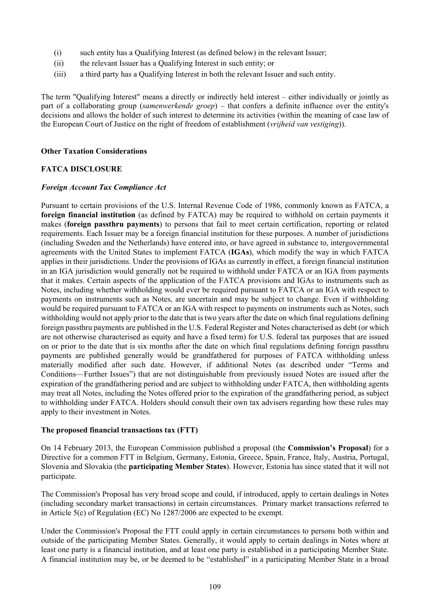- (i) such entity has a Qualifying Interest (as defined below) in the relevant Issuer;
- (ii) the relevant Issuer has a Qualifying Interest in such entity; or
- (iii) a third party has a Qualifying Interest in both the relevant Issuer and such entity.

The term "Qualifying Interest" means a directly or indirectly held interest – either individually or jointly as part of a collaborating group (*samenwerkende groep*) – that confers a definite influence over the entity's decisions and allows the holder of such interest to determine its activities (within the meaning of case law of the European Court of Justice on the right of freedom of establishment (*vrijheid van vestiging*)).

#### **Other Taxation Considerations**

#### **FATCA DISCLOSURE**

#### *Foreign Account Tax Compliance Act*

Pursuant to certain provisions of the U.S. Internal Revenue Code of 1986, commonly known as FATCA, a **foreign financial institution** (as defined by FATCA) may be required to withhold on certain payments it makes (**foreign passthru payments**) to persons that fail to meet certain certification, reporting or related requirements. Each Issuer may be a foreign financial institution for these purposes. A number of jurisdictions (including Sweden and the Netherlands) have entered into, or have agreed in substance to, intergovernmental agreements with the United States to implement FATCA (**IGAs**), which modify the way in which FATCA applies in their jurisdictions. Under the provisions of IGAs as currently in effect, a foreign financial institution in an IGA jurisdiction would generally not be required to withhold under FATCA or an IGA from payments that it makes. Certain aspects of the application of the FATCA provisions and IGAs to instruments such as Notes, including whether withholding would ever be required pursuant to FATCA or an IGA with respect to payments on instruments such as Notes, are uncertain and may be subject to change. Even if withholding would be required pursuant to FATCA or an IGA with respect to payments on instruments such as Notes, such withholding would not apply prior to the date that is two years after the date on which final regulations defining foreign passthru payments are published in the U.S. Federal Register and Notes characterised as debt (or which are not otherwise characterised as equity and have a fixed term) for U.S. federal tax purposes that are issued on or prior to the date that is six months after the date on which final regulations defining foreign passthru payments are published generally would be grandfathered for purposes of FATCA withholding unless materially modified after such date. However, if additional Notes (as described under "Terms and Conditions—Further Issues") that are not distinguishable from previously issued Notes are issued after the expiration of the grandfathering period and are subject to withholding under FATCA, then withholding agents may treat all Notes, including the Notes offered prior to the expiration of the grandfathering period, as subject to withholding under FATCA. Holders should consult their own tax advisers regarding how these rules may apply to their investment in Notes.

#### **The proposed financial transactions tax (FTT)**

On 14 February 2013, the European Commission published a proposal (the **Commission's Proposal**) for a Directive for a common FTT in Belgium, Germany, Estonia, Greece, Spain, France, Italy, Austria, Portugal, Slovenia and Slovakia (the **participating Member States**). However, Estonia has since stated that it will not participate.

The Commission's Proposal has very broad scope and could, if introduced, apply to certain dealings in Notes (including secondary market transactions) in certain circumstances. Primary market transactions referred to in Article 5(c) of Regulation (EC) No 1287/2006 are expected to be exempt.

Under the Commission's Proposal the FTT could apply in certain circumstances to persons both within and outside of the participating Member States. Generally, it would apply to certain dealings in Notes where at least one party is a financial institution, and at least one party is established in a participating Member State. A financial institution may be, or be deemed to be "established" in a participating Member State in a broad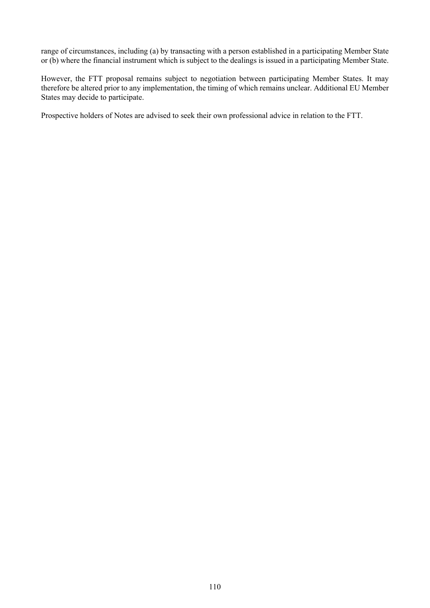range of circumstances, including (a) by transacting with a person established in a participating Member State or (b) where the financial instrument which is subject to the dealings is issued in a participating Member State.

However, the FTT proposal remains subject to negotiation between participating Member States. It may therefore be altered prior to any implementation, the timing of which remains unclear. Additional EU Member States may decide to participate.

Prospective holders of Notes are advised to seek their own professional advice in relation to the FTT.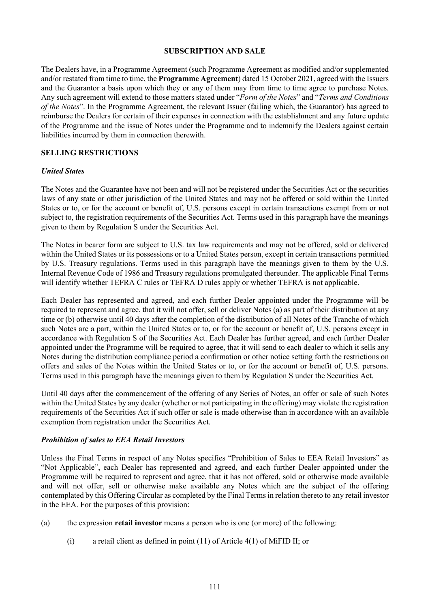#### **SUBSCRIPTION AND SALE**

The Dealers have, in a Programme Agreement (such Programme Agreement as modified and/or supplemented and/or restated from time to time, the **Programme Agreement**) dated 15 October 2021, agreed with the Issuers and the Guarantor a basis upon which they or any of them may from time to time agree to purchase Notes. Any such agreement will extend to those matters stated under "*Form of the Notes*" and "*Terms and Conditions of the Notes*". In the Programme Agreement, the relevant Issuer (failing which, the Guarantor) has agreed to reimburse the Dealers for certain of their expenses in connection with the establishment and any future update of the Programme and the issue of Notes under the Programme and to indemnify the Dealers against certain liabilities incurred by them in connection therewith.

## **SELLING RESTRICTIONS**

#### *United States*

The Notes and the Guarantee have not been and will not be registered under the Securities Act or the securities laws of any state or other jurisdiction of the United States and may not be offered or sold within the United States or to, or for the account or benefit of, U.S. persons except in certain transactions exempt from or not subject to, the registration requirements of the Securities Act. Terms used in this paragraph have the meanings given to them by Regulation S under the Securities Act.

The Notes in bearer form are subject to U.S. tax law requirements and may not be offered, sold or delivered within the United States or its possessions or to a United States person, except in certain transactions permitted by U.S. Treasury regulations. Terms used in this paragraph have the meanings given to them by the U.S. Internal Revenue Code of 1986 and Treasury regulations promulgated thereunder. The applicable Final Terms will identify whether TEFRA C rules or TEFRA D rules apply or whether TEFRA is not applicable.

Each Dealer has represented and agreed, and each further Dealer appointed under the Programme will be required to represent and agree, that it will not offer, sell or deliver Notes (a) as part of their distribution at any time or (b) otherwise until 40 days after the completion of the distribution of all Notes of the Tranche of which such Notes are a part, within the United States or to, or for the account or benefit of, U.S. persons except in accordance with Regulation S of the Securities Act. Each Dealer has further agreed, and each further Dealer appointed under the Programme will be required to agree, that it will send to each dealer to which it sells any Notes during the distribution compliance period a confirmation or other notice setting forth the restrictions on offers and sales of the Notes within the United States or to, or for the account or benefit of, U.S. persons. Terms used in this paragraph have the meanings given to them by Regulation S under the Securities Act.

Until 40 days after the commencement of the offering of any Series of Notes, an offer or sale of such Notes within the United States by any dealer (whether or not participating in the offering) may violate the registration requirements of the Securities Act if such offer or sale is made otherwise than in accordance with an available exemption from registration under the Securities Act.

#### *Prohibition of sales to EEA Retail Investors*

Unless the Final Terms in respect of any Notes specifies "Prohibition of Sales to EEA Retail Investors" as "Not Applicable", each Dealer has represented and agreed, and each further Dealer appointed under the Programme will be required to represent and agree, that it has not offered, sold or otherwise made available and will not offer, sell or otherwise make available any Notes which are the subject of the offering contemplated by this Offering Circular as completed by the Final Terms in relation thereto to any retail investor in the EEA. For the purposes of this provision:

- (a) the expression **retail investor** means a person who is one (or more) of the following:
	- (i) a retail client as defined in point  $(11)$  of Article  $4(1)$  of MiFID II; or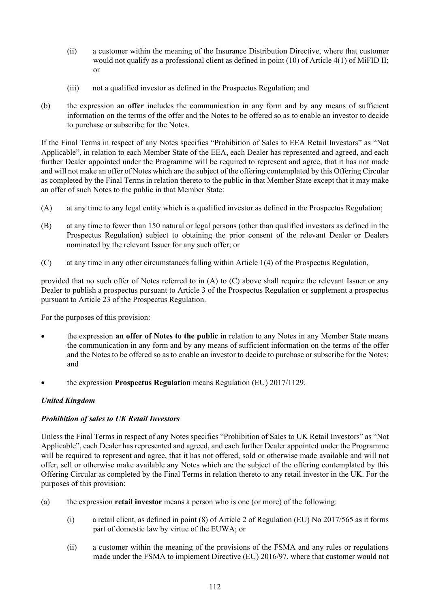- (ii) a customer within the meaning of the Insurance Distribution Directive, where that customer would not qualify as a professional client as defined in point (10) of Article 4(1) of MiFID II; or
- (iii) not a qualified investor as defined in the Prospectus Regulation; and
- (b) the expression an **offer** includes the communication in any form and by any means of sufficient information on the terms of the offer and the Notes to be offered so as to enable an investor to decide to purchase or subscribe for the Notes.

If the Final Terms in respect of any Notes specifies "Prohibition of Sales to EEA Retail Investors" as "Not Applicable", in relation to each Member State of the EEA, each Dealer has represented and agreed, and each further Dealer appointed under the Programme will be required to represent and agree, that it has not made and will not make an offer of Notes which are the subject of the offering contemplated by this Offering Circular as completed by the Final Terms in relation thereto to the public in that Member State except that it may make an offer of such Notes to the public in that Member State:

- <span id="page-120-0"></span>(A) at any time to any legal entity which is a qualified investor as defined in the Prospectus Regulation;
- (B) at any time to fewer than 150 natural or legal persons (other than qualified investors as defined in the Prospectus Regulation) subject to obtaining the prior consent of the relevant Dealer or Dealers nominated by the relevant Issuer for any such offer; or
- <span id="page-120-1"></span>(C) at any time in any other circumstances falling within Article 1(4) of the Prospectus Regulation,

provided that no such offer of Notes referred to in [\(A\)](#page-120-0) to [\(C\)](#page-120-1) above shall require the relevant Issuer or any Dealer to publish a prospectus pursuant to Article 3 of the Prospectus Regulation or supplement a prospectus pursuant to Article 23 of the Prospectus Regulation.

For the purposes of this provision:

- the expression **an offer of Notes to the public** in relation to any Notes in any Member State means the communication in any form and by any means of sufficient information on the terms of the offer and the Notes to be offered so as to enable an investor to decide to purchase or subscribe for the Notes; and
- the expression **Prospectus Regulation** means Regulation (EU) 2017/1129.

#### *United Kingdom*

## *Prohibition of sales to UK Retail Investors*

Unless the Final Terms in respect of any Notes specifies "Prohibition of Sales to UK Retail Investors" as "Not Applicable", each Dealer has represented and agreed, and each further Dealer appointed under the Programme will be required to represent and agree, that it has not offered, sold or otherwise made available and will not offer, sell or otherwise make available any Notes which are the subject of the offering contemplated by this Offering Circular as completed by the Final Terms in relation thereto to any retail investor in the UK. For the purposes of this provision:

- (a) the expression **retail investor** means a person who is one (or more) of the following:
	- (i) a retail client, as defined in point (8) of Article 2 of Regulation (EU) No 2017/565 as it forms part of domestic law by virtue of the EUWA; or
	- (ii) a customer within the meaning of the provisions of the FSMA and any rules or regulations made under the FSMA to implement Directive (EU) 2016/97, where that customer would not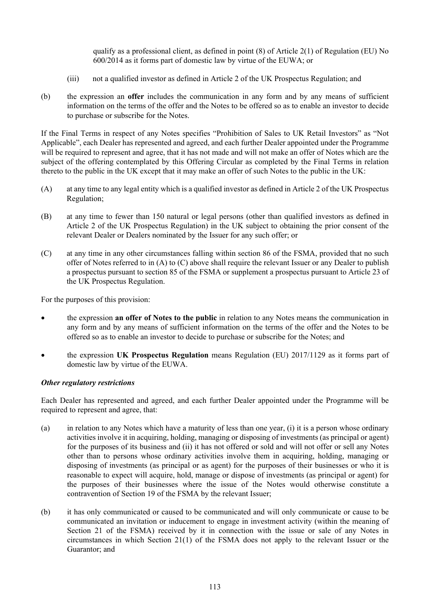qualify as a professional client, as defined in point (8) of Article 2(1) of Regulation (EU) No 600/2014 as it forms part of domestic law by virtue of the EUWA; or

- (iii) not a qualified investor as defined in Article 2 of the UK Prospectus Regulation; and
- (b) the expression an **offer** includes the communication in any form and by any means of sufficient information on the terms of the offer and the Notes to be offered so as to enable an investor to decide to purchase or subscribe for the Notes.

If the Final Terms in respect of any Notes specifies "Prohibition of Sales to UK Retail Investors" as "Not Applicable", each Dealer has represented and agreed, and each further Dealer appointed under the Programme will be required to represent and agree, that it has not made and will not make an offer of Notes which are the subject of the offering contemplated by this Offering Circular as completed by the Final Terms in relation thereto to the public in the UK except that it may make an offer of such Notes to the public in the UK:

- (A) at any time to any legal entity which is a qualified investor as defined in Article 2 of the UK Prospectus Regulation;
- (B) at any time to fewer than 150 natural or legal persons (other than qualified investors as defined in Article 2 of the UK Prospectus Regulation) in the UK subject to obtaining the prior consent of the relevant Dealer or Dealers nominated by the Issuer for any such offer; or
- (C) at any time in any other circumstances falling within section 86 of the FSMA, provided that no such offer of Notes referred to in (A) to (C) above shall require the relevant Issuer or any Dealer to publish a prospectus pursuant to section 85 of the FSMA or supplement a prospectus pursuant to Article 23 of the UK Prospectus Regulation.

For the purposes of this provision:

- the expression **an offer of Notes to the public** in relation to any Notes means the communication in any form and by any means of sufficient information on the terms of the offer and the Notes to be offered so as to enable an investor to decide to purchase or subscribe for the Notes; and
- the expression **UK Prospectus Regulation** means Regulation (EU) 2017/1129 as it forms part of domestic law by virtue of the EUWA.

#### *Other regulatory restrictions*

Each Dealer has represented and agreed, and each further Dealer appointed under the Programme will be required to represent and agree, that:

- (a) in relation to any Notes which have a maturity of less than one year, (i) it is a person whose ordinary activities involve it in acquiring, holding, managing or disposing of investments (as principal or agent) for the purposes of its business and (ii) it has not offered or sold and will not offer or sell any Notes other than to persons whose ordinary activities involve them in acquiring, holding, managing or disposing of investments (as principal or as agent) for the purposes of their businesses or who it is reasonable to expect will acquire, hold, manage or dispose of investments (as principal or agent) for the purposes of their businesses where the issue of the Notes would otherwise constitute a contravention of Section 19 of the FSMA by the relevant Issuer;
- (b) it has only communicated or caused to be communicated and will only communicate or cause to be communicated an invitation or inducement to engage in investment activity (within the meaning of Section 21 of the FSMA) received by it in connection with the issue or sale of any Notes in circumstances in which Section 21(1) of the FSMA does not apply to the relevant Issuer or the Guarantor; and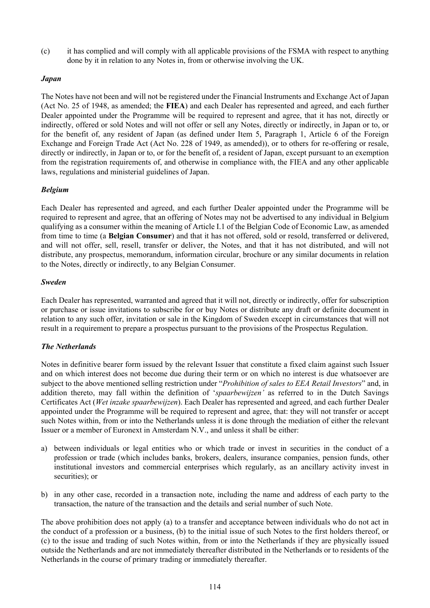(c) it has complied and will comply with all applicable provisions of the FSMA with respect to anything done by it in relation to any Notes in, from or otherwise involving the UK.

## *Japan*

The Notes have not been and will not be registered under the Financial Instruments and Exchange Act of Japan (Act No. 25 of 1948, as amended; the **FIEA**) and each Dealer has represented and agreed, and each further Dealer appointed under the Programme will be required to represent and agree, that it has not, directly or indirectly, offered or sold Notes and will not offer or sell any Notes, directly or indirectly, in Japan or to, or for the benefit of, any resident of Japan (as defined under Item 5, Paragraph 1, Article 6 of the Foreign Exchange and Foreign Trade Act (Act No. 228 of 1949, as amended)), or to others for re-offering or resale, directly or indirectly, in Japan or to, or for the benefit of, a resident of Japan, except pursuant to an exemption from the registration requirements of, and otherwise in compliance with, the FIEA and any other applicable laws, regulations and ministerial guidelines of Japan.

## *Belgium*

Each Dealer has represented and agreed, and each further Dealer appointed under the Programme will be required to represent and agree, that an offering of Notes may not be advertised to any individual in Belgium qualifying as a consumer within the meaning of Article I.1 of the Belgian Code of Economic Law, as amended from time to time (a **Belgian Consumer**) and that it has not offered, sold or resold, transferred or delivered, and will not offer, sell, resell, transfer or deliver, the Notes, and that it has not distributed, and will not distribute, any prospectus, memorandum, information circular, brochure or any similar documents in relation to the Notes, directly or indirectly, to any Belgian Consumer.

#### *Sweden*

Each Dealer has represented, warranted and agreed that it will not, directly or indirectly, offer for subscription or purchase or issue invitations to subscribe for or buy Notes or distribute any draft or definite document in relation to any such offer, invitation or sale in the Kingdom of Sweden except in circumstances that will not result in a requirement to prepare a prospectus pursuant to the provisions of the Prospectus Regulation.

#### *The Netherlands*

Notes in definitive bearer form issued by the relevant Issuer that constitute a fixed claim against such Issuer and on which interest does not become due during their term or on which no interest is due whatsoever are subject to the above mentioned selling restriction under "*Prohibition of sales to EEA Retail Investors*" and, in addition thereto, may fall within the definition of '*spaarbewijzen'* as referred to in the Dutch Savings Certificates Act (*Wet inzake spaarbewijzen*). Each Dealer has represented and agreed, and each further Dealer appointed under the Programme will be required to represent and agree, that: they will not transfer or accept such Notes within, from or into the Netherlands unless it is done through the mediation of either the relevant Issuer or a member of Euronext in Amsterdam N.V., and unless it shall be either:

- a) between individuals or legal entities who or which trade or invest in securities in the conduct of a profession or trade (which includes banks, brokers, dealers, insurance companies, pension funds, other institutional investors and commercial enterprises which regularly, as an ancillary activity invest in securities); or
- b) in any other case, recorded in a transaction note, including the name and address of each party to the transaction, the nature of the transaction and the details and serial number of such Note.

The above prohibition does not apply (a) to a transfer and acceptance between individuals who do not act in the conduct of a profession or a business, (b) to the initial issue of such Notes to the first holders thereof, or (c) to the issue and trading of such Notes within, from or into the Netherlands if they are physically issued outside the Netherlands and are not immediately thereafter distributed in the Netherlands or to residents of the Netherlands in the course of primary trading or immediately thereafter.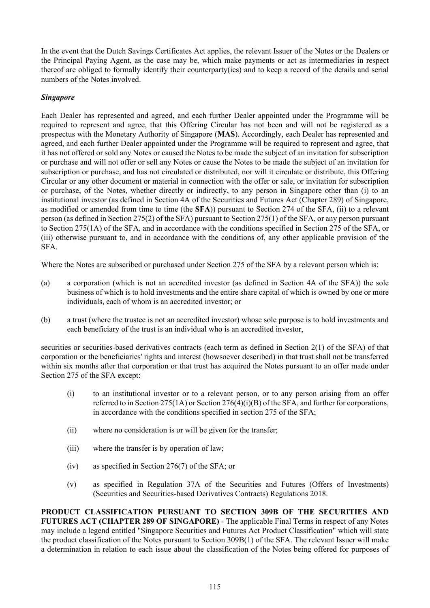In the event that the Dutch Savings Certificates Act applies, the relevant Issuer of the Notes or the Dealers or the Principal Paying Agent, as the case may be, which make payments or act as intermediaries in respect thereof are obliged to formally identify their counterparty(ies) and to keep a record of the details and serial numbers of the Notes involved.

## *Singapore*

Each Dealer has represented and agreed, and each further Dealer appointed under the Programme will be required to represent and agree, that this Offering Circular has not been and will not be registered as a prospectus with the Monetary Authority of Singapore (**MAS**). Accordingly, each Dealer has represented and agreed, and each further Dealer appointed under the Programme will be required to represent and agree, that it has not offered or sold any Notes or caused the Notes to be made the subject of an invitation for subscription or purchase and will not offer or sell any Notes or cause the Notes to be made the subject of an invitation for subscription or purchase, and has not circulated or distributed, nor will it circulate or distribute, this Offering Circular or any other document or material in connection with the offer or sale, or invitation for subscription or purchase, of the Notes, whether directly or indirectly, to any person in Singapore other than (i) to an institutional investor (as defined in Section 4A of the Securities and Futures Act (Chapter 289) of Singapore, as modified or amended from time to time (the **SFA**)) pursuant to Section 274 of the SFA, (ii) to a relevant person (as defined in Section 275(2) of the SFA) pursuant to Section 275(1) of the SFA, or any person pursuant to Section 275(1A) of the SFA, and in accordance with the conditions specified in Section 275 of the SFA, or (iii) otherwise pursuant to, and in accordance with the conditions of, any other applicable provision of the SFA.

Where the Notes are subscribed or purchased under Section 275 of the SFA by a relevant person which is:

- (a) a corporation (which is not an accredited investor (as defined in Section 4A of the SFA)) the sole business of which is to hold investments and the entire share capital of which is owned by one or more individuals, each of whom is an accredited investor; or
- (b) a trust (where the trustee is not an accredited investor) whose sole purpose is to hold investments and each beneficiary of the trust is an individual who is an accredited investor,

securities or securities-based derivatives contracts (each term as defined in Section 2(1) of the SFA) of that corporation or the beneficiaries' rights and interest (howsoever described) in that trust shall not be transferred within six months after that corporation or that trust has acquired the Notes pursuant to an offer made under Section 275 of the SFA except:

- (i) to an institutional investor or to a relevant person, or to any person arising from an offer referred to in Section 275(1A) or Section 276(4)(i)(B) of the SFA, and further for corporations, in accordance with the conditions specified in section 275 of the SFA;
- (ii) where no consideration is or will be given for the transfer;
- (iii) where the transfer is by operation of law;
- (iv) as specified in Section 276(7) of the SFA; or
- (v) as specified in Regulation 37A of the Securities and Futures (Offers of Investments) (Securities and Securities-based Derivatives Contracts) Regulations 2018.

**PRODUCT CLASSIFICATION PURSUANT TO SECTION 309B OF THE SECURITIES AND FUTURES ACT (CHAPTER 289 OF SINGAPORE)** - The applicable Final Terms in respect of any Notes may include a legend entitled "Singapore Securities and Futures Act Product Classification" which will state the product classification of the Notes pursuant to Section 309B(1) of the SFA. The relevant Issuer will make a determination in relation to each issue about the classification of the Notes being offered for purposes of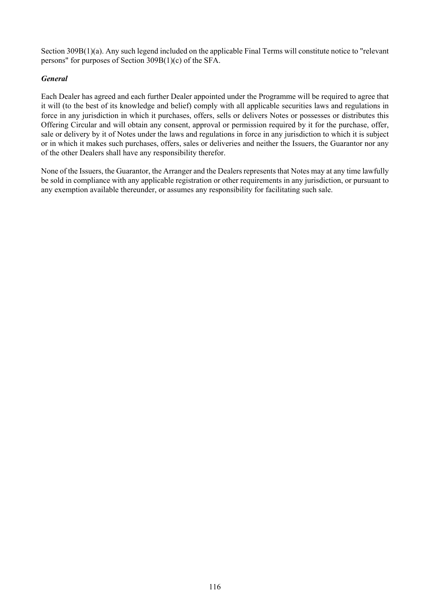Section 309B(1)(a). Any such legend included on the applicable Final Terms will constitute notice to "relevant persons" for purposes of Section 309B(1)(c) of the SFA.

## *General*

Each Dealer has agreed and each further Dealer appointed under the Programme will be required to agree that it will (to the best of its knowledge and belief) comply with all applicable securities laws and regulations in force in any jurisdiction in which it purchases, offers, sells or delivers Notes or possesses or distributes this Offering Circular and will obtain any consent, approval or permission required by it for the purchase, offer, sale or delivery by it of Notes under the laws and regulations in force in any jurisdiction to which it is subject or in which it makes such purchases, offers, sales or deliveries and neither the Issuers, the Guarantor nor any of the other Dealers shall have any responsibility therefor.

None of the Issuers, the Guarantor, the Arranger and the Dealers represents that Notes may at any time lawfully be sold in compliance with any applicable registration or other requirements in any jurisdiction, or pursuant to any exemption available thereunder, or assumes any responsibility for facilitating such sale.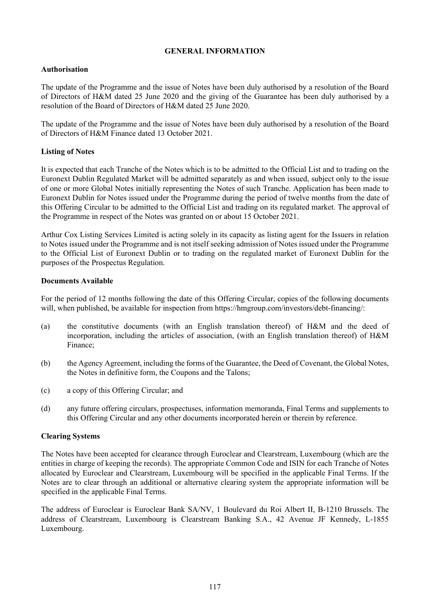#### **GENERAL INFORMATION**

## **Authorisation**

The update of the Programme and the issue of Notes have been duly authorised by a resolution of the Board of Directors of H&M dated 25 June 2020 and the giving of the Guarantee has been duly authorised by a resolution of the Board of Directors of H&M dated 25 June 2020.

The update of the Programme and the issue of Notes have been duly authorised by a resolution of the Board of Directors of H&M Finance dated 13 October 2021.

## **Listing of Notes**

It is expected that each Tranche of the Notes which is to be admitted to the Official List and to trading on the Euronext Dublin Regulated Market will be admitted separately as and when issued, subject only to the issue of one or more Global Notes initially representing the Notes of such Tranche. Application has been made to Euronext Dublin for Notes issued under the Programme during the period of twelve months from the date of this Offering Circular to be admitted to the Official List and trading on its regulated market. The approval of the Programme in respect of the Notes was granted on or about 15 October 2021.

Arthur Cox Listing Services Limited is acting solely in its capacity as listing agent for the Issuers in relation to Notes issued under the Programme and is not itself seeking admission of Notes issued under the Programme to the Official List of Euronext Dublin or to trading on the regulated market of Euronext Dublin for the purposes of the Prospectus Regulation.

## **Documents Available**

For the period of 12 months following the date of this Offering Circular, copies of the following documents will, when published, be available for inspection from https://hmgroup.com/investors/debt-financing/:

- (a) the constitutive documents (with an English translation thereof) of H&M and the deed of incorporation, including the articles of association, (with an English translation thereof) of H&M Finance;
- (b) the Agency Agreement, including the forms of the Guarantee, the Deed of Covenant, the Global Notes, the Notes in definitive form, the Coupons and the Talons;
- (c) a copy of this Offering Circular; and
- (d) any future offering circulars, prospectuses, information memoranda, Final Terms and supplements to this Offering Circular and any other documents incorporated herein or therein by reference.

#### **Clearing Systems**

The Notes have been accepted for clearance through Euroclear and Clearstream, Luxembourg (which are the entities in charge of keeping the records). The appropriate Common Code and ISIN for each Tranche of Notes allocated by Euroclear and Clearstream, Luxembourg will be specified in the applicable Final Terms. If the Notes are to clear through an additional or alternative clearing system the appropriate information will be specified in the applicable Final Terms.

The address of Euroclear is Euroclear Bank SA/NV, 1 Boulevard du Roi Albert II, B-1210 Brussels. The address of Clearstream, Luxembourg is Clearstream Banking S.A., 42 Avenue JF Kennedy, L-1855 Luxembourg.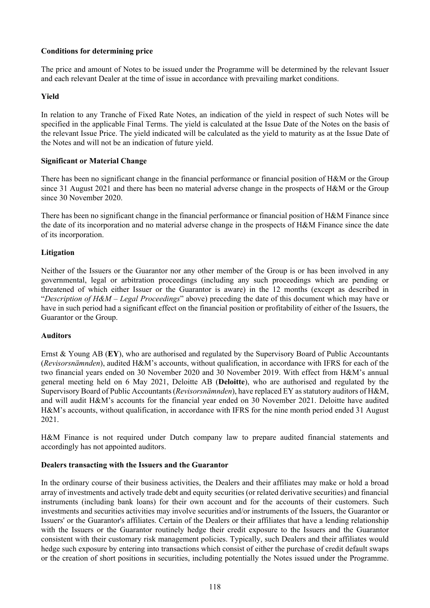## **Conditions for determining price**

The price and amount of Notes to be issued under the Programme will be determined by the relevant Issuer and each relevant Dealer at the time of issue in accordance with prevailing market conditions.

## **Yield**

In relation to any Tranche of Fixed Rate Notes, an indication of the yield in respect of such Notes will be specified in the applicable Final Terms. The yield is calculated at the Issue Date of the Notes on the basis of the relevant Issue Price. The yield indicated will be calculated as the yield to maturity as at the Issue Date of the Notes and will not be an indication of future yield.

## **Significant or Material Change**

There has been no significant change in the financial performance or financial position of H&M or the Group since 31 August 2021 and there has been no material adverse change in the prospects of H&M or the Group since 30 November 2020.

There has been no significant change in the financial performance or financial position of H&M Finance since the date of its incorporation and no material adverse change in the prospects of H&M Finance since the date of its incorporation.

## **Litigation**

Neither of the Issuers or the Guarantor nor any other member of the Group is or has been involved in any governmental, legal or arbitration proceedings (including any such proceedings which are pending or threatened of which either Issuer or the Guarantor is aware) in the 12 months (except as described in "*Description of H&M – Legal Proceedings*" above) preceding the date of this document which may have or have in such period had a significant effect on the financial position or profitability of either of the Issuers, the Guarantor or the Group.

#### **Auditors**

Ernst & Young AB (**EY**), who are authorised and regulated by the Supervisory Board of Public Accountants (*Revisorsnämnden*), audited H&M's accounts, without qualification, in accordance with IFRS for each of the two financial years ended on 30 November 2020 and 30 November 2019. With effect from H&M's annual general meeting held on 6 May 2021, Deloitte AB (**Deloitte**), who are authorised and regulated by the Supervisory Board of Public Accountants (*Revisorsnämnden*), have replaced EY as statutory auditors of H&M, and will audit H&M's accounts for the financial year ended on 30 November 2021. Deloitte have audited H&M's accounts, without qualification, in accordance with IFRS for the nine month period ended 31 August 2021.

H&M Finance is not required under Dutch company law to prepare audited financial statements and accordingly has not appointed auditors.

#### **Dealers transacting with the Issuers and the Guarantor**

In the ordinary course of their business activities, the Dealers and their affiliates may make or hold a broad array of investments and actively trade debt and equity securities (or related derivative securities) and financial instruments (including bank loans) for their own account and for the accounts of their customers. Such investments and securities activities may involve securities and/or instruments of the Issuers, the Guarantor or Issuers' or the Guarantor's affiliates. Certain of the Dealers or their affiliates that have a lending relationship with the Issuers or the Guarantor routinely hedge their credit exposure to the Issuers and the Guarantor consistent with their customary risk management policies. Typically, such Dealers and their affiliates would hedge such exposure by entering into transactions which consist of either the purchase of credit default swaps or the creation of short positions in securities, including potentially the Notes issued under the Programme.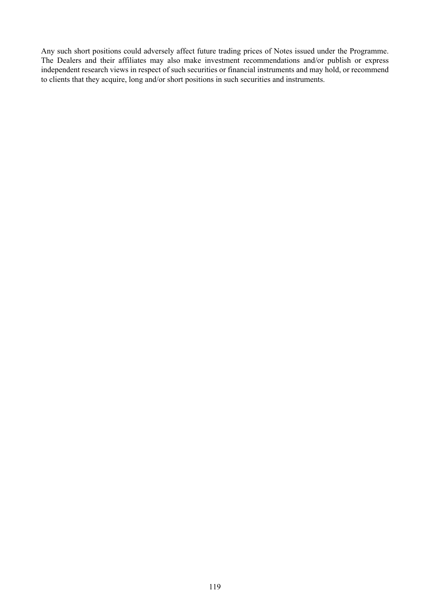Any such short positions could adversely affect future trading prices of Notes issued under the Programme. The Dealers and their affiliates may also make investment recommendations and/or publish or express independent research views in respect of such securities or financial instruments and may hold, or recommend to clients that they acquire, long and/or short positions in such securities and instruments.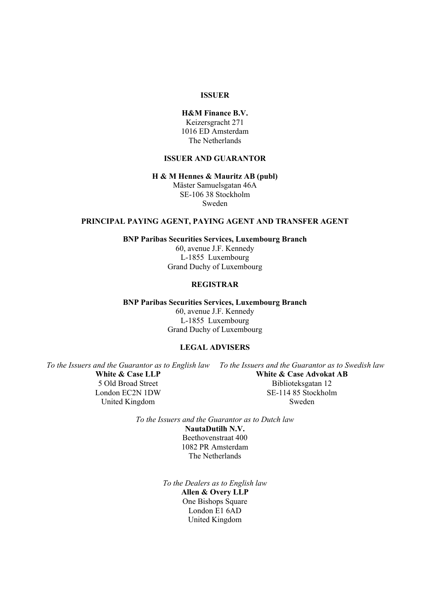#### **ISSUER**

#### **H&M Finance B.V.** Keizersgracht 271 1016 ED Amsterdam

The Netherlands

## **ISSUER AND GUARANTOR**

#### **H & M Hennes & Mauritz AB (publ)**

Mäster Samuelsgatan 46A SE-106 38 Stockholm Sweden

#### **PRINCIPAL PAYING AGENT, PAYING AGENT AND TRANSFER AGENT**

**BNP Paribas Securities Services, Luxembourg Branch**

60, avenue J.F. Kennedy L-1855 Luxembourg Grand Duchy of Luxembourg

## **REGISTRAR**

**BNP Paribas Securities Services, Luxembourg Branch**

60, avenue J.F. Kennedy L-1855 Luxembourg Grand Duchy of Luxembourg

## **LEGAL ADVISERS**

*To the Issuers and the Guarantor as to English law To the Issuers and the Guarantor as to Swedish law*

**White & Case LLP** 5 Old Broad Street London EC2N 1DW United Kingdom

**White & Case Advokat AB** Biblioteksgatan 12 SE-114 85 Stockholm Sweden

*To the Issuers and the Guarantor as to Dutch law* **NautaDutilh N.V.** Beethovenstraat 400

> 1082 PR Amsterdam The Netherlands

*To the Dealers as to English law* **Allen & Overy LLP** One Bishops Square London E1 6AD United Kingdom